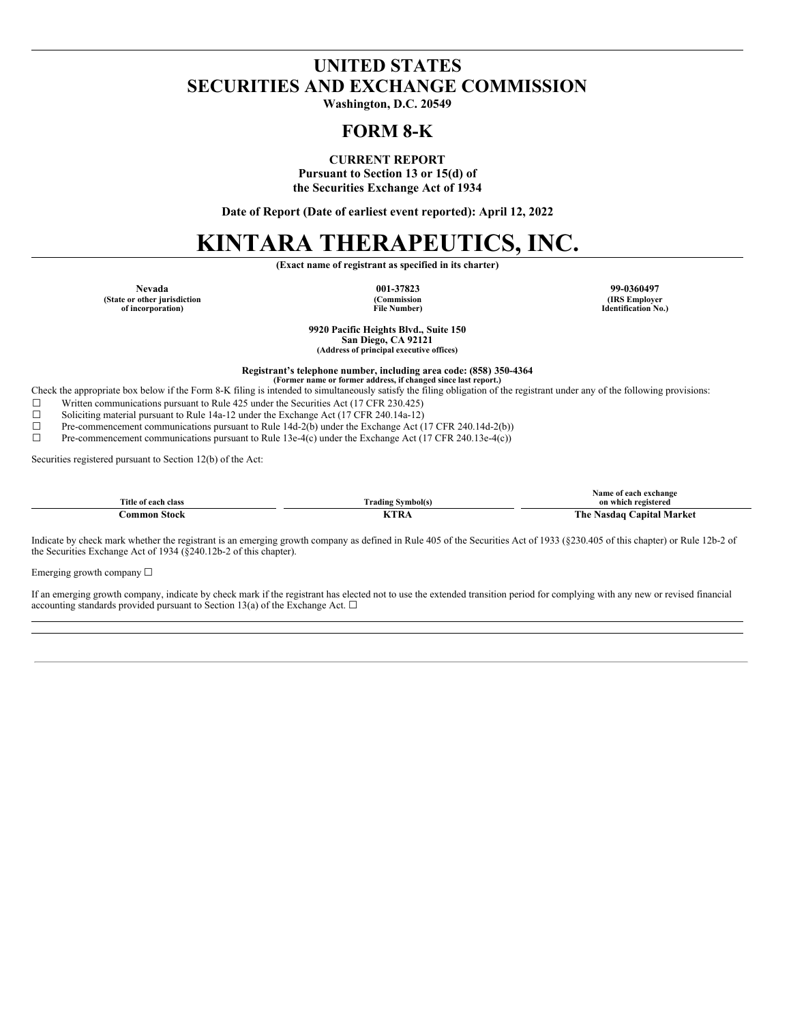# **UNITED STATES SECURITIES AND EXCHANGE COMMISSION**

**Washington, D.C. 20549**

## **FORM 8-K**

**CURRENT REPORT**

**Pursuant to Section 13 or 15(d) of the Securities Exchange Act of 1934**

**Date of Report (Date of earliest event reported): April 12, 2022**

# **KINTARA THERAPEUTICS, INC.**

**(Exact name of registrant as specified in its charter)**

**(State or other jurisdiction of incorporation)**

**(Commission File Number)**

**Nevada 001-37823 99-0360497 (IRS Employer Identification No.)**

> **9920 Pacific Heights Blvd., Suite 150 San Diego, CA 92121 (Address of principal executive offices)**

**Registrant's telephone number, including area code: (858) 350-4364**

**(Former name or former address, if changed since last report.)** Check the appropriate box below if the Form 8-K filing is intended to simultaneously satisfy the filing obligation of the registrant under any of the following provisions:

☐ Written communications pursuant to Rule 425 under the Securities Act (17 CFR 230.425)

- 
- ☐ Soliciting material pursuant to Rule 14a-12 under the Exchange Act (17 CFR 240.14a-12) ☐ Pre-commencement communications pursuant to Rule 14d-2(b) under the Exchange Act (17 CFR 240.14d-2(b))

☐ Pre-commencement communications pursuant to Rule 13e-4(c) under the Exchange Act (17 CFR 240.13e-4(c))

Securities registered pursuant to Section 12(b) of the Act:

| Title<br>a of each class | $\sim$<br>≅Nmbol(s)<br>rading | exchange<br>Vame<br>`registered<br>on which |
|--------------------------|-------------------------------|---------------------------------------------|
| .orl<br>.                | ĸ                             | The<br>Vlarket<br>anıta.<br>20 Q Q          |

Indicate by check mark whether the registrant is an emerging growth company as defined in Rule 405 of the Securities Act of 1933 (§230.405 of this chapter) or Rule 12b-2 of the Securities Exchange Act of 1934 (§240.12b-2 of this chapter).

Emerging growth company  $\Box$ 

If an emerging growth company, indicate by check mark if the registrant has elected not to use the extended transition period for complying with any new or revised financial accounting standards provided pursuant to Section 13(a) of the Exchange Act.  $\Box$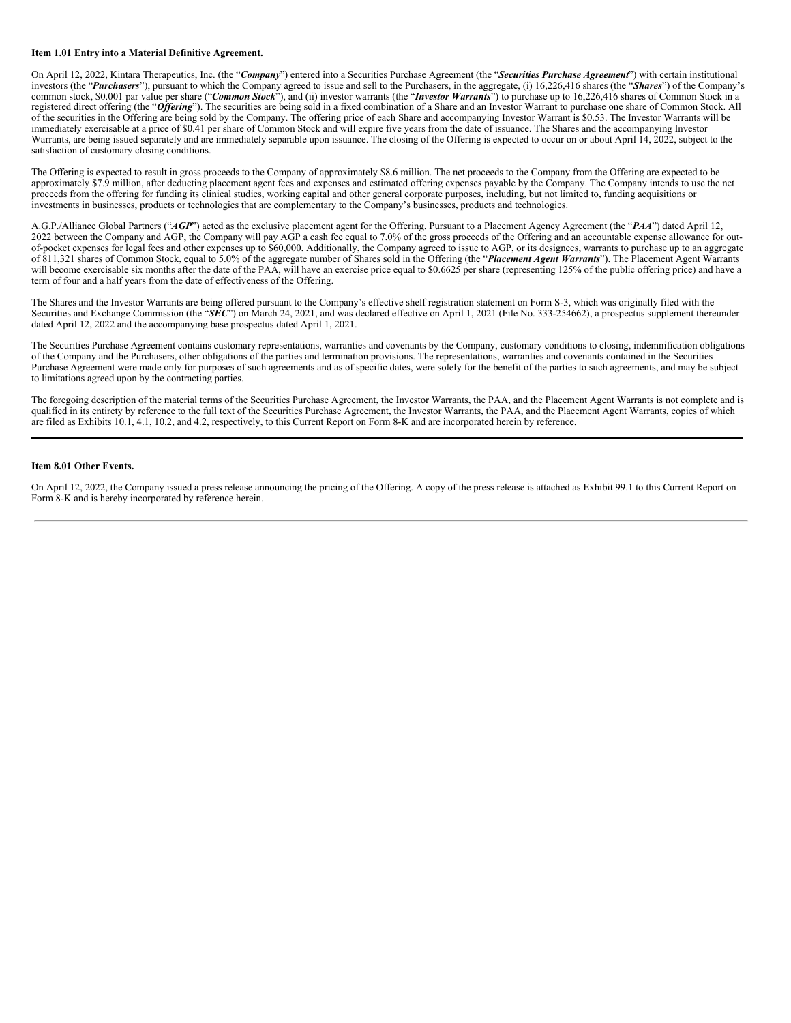#### **Item 1.01 Entry into a Material Definitive Agreement.**

On April 12, 2022, Kintara Therapeutics, Inc. (the "*Company*") entered into a Securities Purchase Agreement (the "*Securities Purchase Agreement*") with certain institutional investors (the "*Purchasers*"), pursuant to which the Company agreed to issue and sell to the Purchasers, in the aggregate, (i) 16,226,416 shares (the "*Shares*") of the Company's common stock, \$0.001 par value per share ("*Common Stock*"), and (ii) investor warrants (the "*Investor Warrants*") to purchase up to 16,226,416 shares of Common Stock in a registered direct offering (the "Offering"). The securities are being sold in a fixed combination of a Share and an Investor Warrant to purchase one share of Common Stock. All of the securities in the Offering are being sold by the Company. The offering price of each Share and accompanying Investor Warrant is \$0.53. The Investor Warrants will be immediately exercisable at a price of \$0.41 per share of Common Stock and will expire five years from the date of issuance. The Shares and the accompanying Investor Warrants, are being issued separately and are immediately separable upon issuance. The closing of the Offering is expected to occur on or about April 14, 2022, subject to the satisfaction of customary closing conditions.

The Offering is expected to result in gross proceeds to the Company of approximately \$8.6 million. The net proceeds to the Company from the Offering are expected to be approximately \$7.9 million, after deducting placement agent fees and expenses and estimated offering expenses payable by the Company. The Company intends to use the net proceeds from the offering for funding its clinical studies, working capital and other general corporate purposes, including, but not limited to, funding acquisitions or investments in businesses, products or technologies that are complementary to the Company's businesses, products and technologies.

A.G.P./Alliance Global Partners ("*AGP*") acted as the exclusive placement agent for the Offering. Pursuant to a Placement Agency Agreement (the "*PAA*") dated April 12, 2022 between the Company and AGP, the Company will pay AGP a cash fee equal to 7.0% of the gross proceeds of the Offering and an accountable expense allowance for outof-pocket expenses for legal fees and other expenses up to \$60,000. Additionally, the Company agreed to issue to AGP, or its designees, warrants to purchase up to an aggregate of 811,321 shares of Common Stock, equal to 5.0% of the aggregate number of Shares sold in the Offering (the "*Placement Agent Warrants*"). The Placement Agent Warrants will become exercisable six months after the date of the PAA, will have an exercise price equal to \$0.6625 per share (representing 125% of the public offering price) and have a term of four and a half years from the date of effectiveness of the Offering.

The Shares and the Investor Warrants are being offered pursuant to the Company's effective shelf registration statement on Form S-3, which was originally filed with the Securities and Exchange Commission (the "*SEC*") on March 24, 2021, and was declared effective on April 1, 2021 (File No. 333-254662), a prospectus supplement thereunder dated April 12, 2022 and the accompanying base prospectus dated April 1, 2021.

The Securities Purchase Agreement contains customary representations, warranties and covenants by the Company, customary conditions to closing, indemnification obligations of the Company and the Purchasers, other obligations of the parties and termination provisions. The representations, warranties and covenants contained in the Securities Purchase Agreement were made only for purposes of such agreements and as of specific dates, were solely for the benefit of the parties to such agreements, and may be subject to limitations agreed upon by the contracting parties.

The foregoing description of the material terms of the Securities Purchase Agreement, the Investor Warrants, the PAA, and the Placement Agent Warrants is not complete and is qualified in its entirety by reference to the full text of the Securities Purchase Agreement, the Investor Warrants, the PAA, and the Placement Agent Warrants, copies of which are filed as Exhibits 10.1, 4.1, 10.2, and 4.2, respectively, to this Current Report on Form 8-K and are incorporated herein by reference.

#### **Item 8.01 Other Events.**

On April 12, 2022, the Company issued a press release announcing the pricing of the Offering. A copy of the press release is attached as Exhibit 99.1 to this Current Report on Form 8-K and is hereby incorporated by reference herein.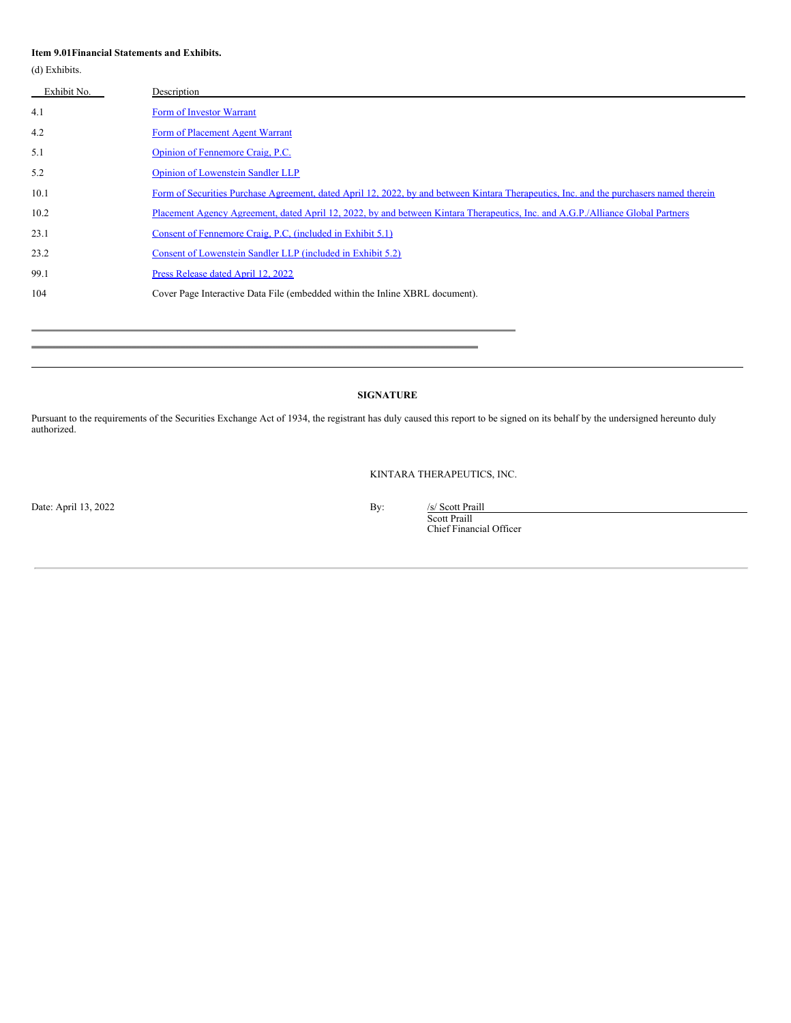#### **Item 9.01Financial Statements and Exhibits.**

(d) Exhibits.

| Exhibit No. | Description                                                                                                                             |
|-------------|-----------------------------------------------------------------------------------------------------------------------------------------|
| 4.1         | Form of Investor Warrant                                                                                                                |
| 4.2         | Form of Placement Agent Warrant                                                                                                         |
| 5.1         | Opinion of Fennemore Craig, P.C.                                                                                                        |
| 5.2         | <b>Opinion of Lowenstein Sandler LLP</b>                                                                                                |
| 10.1        | Form of Securities Purchase Agreement, dated April 12, 2022, by and between Kintara Therapeutics, Inc. and the purchasers named therein |
| 10.2        | Placement Agency Agreement, dated April 12, 2022, by and between Kintara Therapeutics, Inc. and A.G.P./Alliance Global Partners         |
| 23.1        | Consent of Fennemore Craig, P.C. (included in Exhibit 5.1)                                                                              |
| 23.2        | Consent of Lowenstein Sandler LLP (included in Exhibit 5.2)                                                                             |
| 99.1        | Press Release dated April 12, 2022                                                                                                      |
| 104         | Cover Page Interactive Data File (embedded within the Inline XBRL document).                                                            |

#### **SIGNATURE**

Pursuant to the requirements of the Securities Exchange Act of 1934, the registrant has duly caused this report to be signed on its behalf by the undersigned hereunto duly authorized.

KINTARA THERAPEUTICS, INC.

Date: April 13, 2022 By:

Scott Praill Chief Financial Officer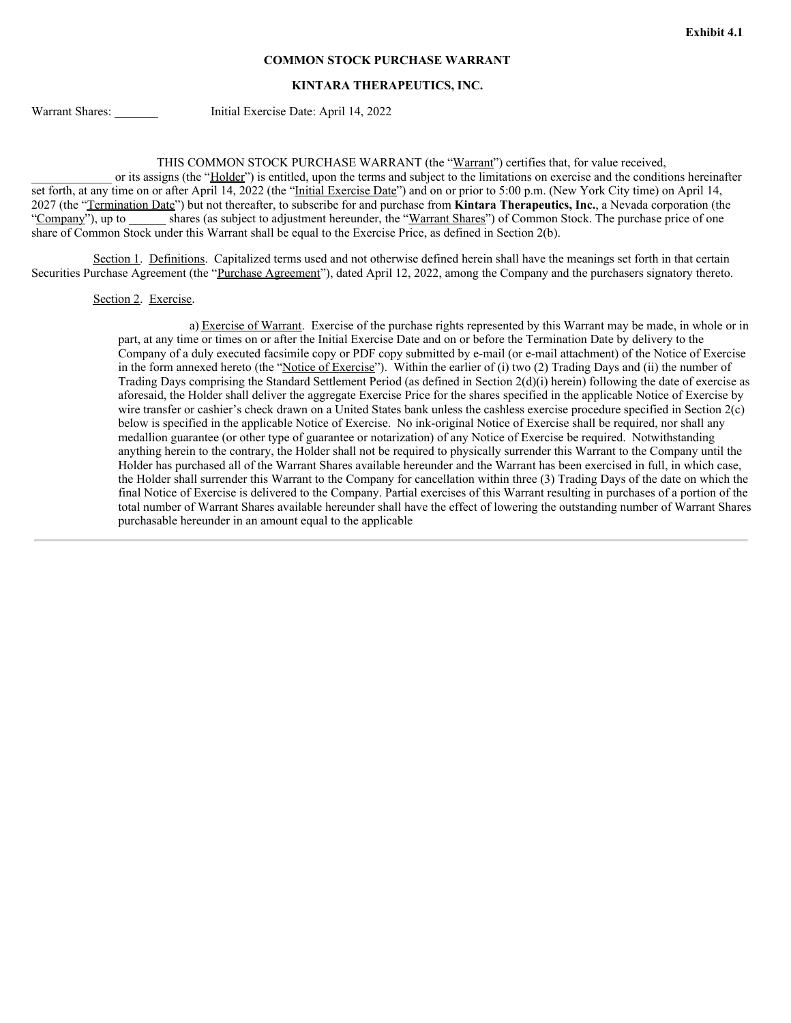#### **COMMON STOCK PURCHASE WARRANT**

#### **KINTARA THERAPEUTICS, INC.**

Warrant Shares: \_\_\_\_\_\_\_\_ Initial Exercise Date: April 14, 2022

THIS COMMON STOCK PURCHASE WARRANT (the "Warrant") certifies that, for value received,

or its assigns (the "Holder") is entitled, upon the terms and subject to the limitations on exercise and the conditions hereinafter set forth, at any time on or after April 14, 2022 (the "Initial Exercise Date") and on or prior to 5:00 p.m. (New York City time) on April 14, 2027 (the "Termination Date") but not thereafter, to subscribe for and purchase from **Kintara Therapeutics, Inc.**, a Nevada corporation (the "Company"), up to \_\_\_\_\_\_\_ shares (as subject to adjustment hereunder, the "Warrant Shares") of Common Stock. The purchase price of one share of Common Stock under this Warrant shall be equal to the Exercise Price, as defined in Section 2(b).

Section 1. Definitions. Capitalized terms used and not otherwise defined herein shall have the meanings set forth in that certain Securities Purchase Agreement (the "Purchase Agreement"), dated April 12, 2022, among the Company and the purchasers signatory thereto.

Section 2. Exercise.

a) Exercise of Warrant. Exercise of the purchase rights represented by this Warrant may be made, in whole or in part, at any time or times on or after the Initial Exercise Date and on or before the Termination Date by delivery to the Company of a duly executed facsimile copy or PDF copy submitted by e-mail (or e-mail attachment) of the Notice of Exercise in the form annexed hereto (the "Notice of Exercise"). Within the earlier of (i) two (2) Trading Days and (ii) the number of Trading Days comprising the Standard Settlement Period (as defined in Section 2(d)(i) herein) following the date of exercise as aforesaid, the Holder shall deliver the aggregate Exercise Price for the shares specified in the applicable Notice of Exercise by wire transfer or cashier's check drawn on a United States bank unless the cashless exercise procedure specified in Section 2(c) below is specified in the applicable Notice of Exercise. No ink-original Notice of Exercise shall be required, nor shall any medallion guarantee (or other type of guarantee or notarization) of any Notice of Exercise be required. Notwithstanding anything herein to the contrary, the Holder shall not be required to physically surrender this Warrant to the Company until the Holder has purchased all of the Warrant Shares available hereunder and the Warrant has been exercised in full, in which case, the Holder shall surrender this Warrant to the Company for cancellation within three (3) Trading Days of the date on which the final Notice of Exercise is delivered to the Company. Partial exercises of this Warrant resulting in purchases of a portion of the total number of Warrant Shares available hereunder shall have the effect of lowering the outstanding number of Warrant Shares purchasable hereunder in an amount equal to the applicable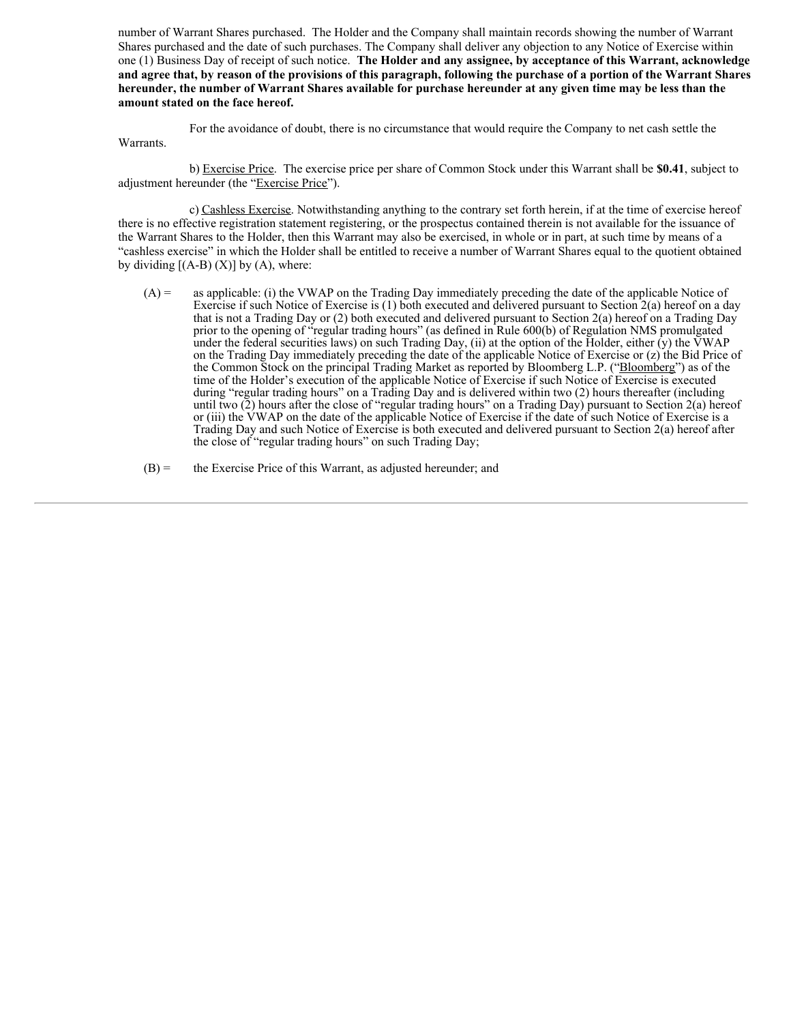number of Warrant Shares purchased. The Holder and the Company shall maintain records showing the number of Warrant Shares purchased and the date of such purchases. The Company shall deliver any objection to any Notice of Exercise within one (1) Business Day of receipt of such notice. **The Holder and any assignee, by acceptance of this Warrant, acknowledge** and agree that, by reason of the provisions of this paragraph, following the purchase of a portion of the Warrant Shares hereunder, the number of Warrant Shares available for purchase hereunder at any given time may be less than the **amount stated on the face hereof.**

For the avoidance of doubt, there is no circumstance that would require the Company to net cash settle the Warrants.

b) Exercise Price. The exercise price per share of Common Stock under this Warrant shall be **\$0.41**, subject to adjustment hereunder (the "Exercise Price").

c) Cashless Exercise. Notwithstanding anything to the contrary set forth herein, if at the time of exercise hereof there is no effective registration statement registering, or the prospectus contained therein is not available for the issuance of the Warrant Shares to the Holder, then this Warrant may also be exercised, in whole or in part, at such time by means of a "cashless exercise" in which the Holder shall be entitled to receive a number of Warrant Shares equal to the quotient obtained by dividing  $[(A-B) (X)]$  by  $(A)$ , where:

(A) = as applicable: (i) the VWAP on the Trading Day immediately preceding the date of the applicable Notice of Exercise if such Notice of Exercise is (1) both executed and delivered pursuant to Section 2(a) hereof on a day that is not a Trading Day or (2) both executed and delivered pursuant to Section 2(a) hereof on a Trading Day prior to the opening of "regular trading hours" (as defined in Rule 600(b) of Regulation NMS promulgated under the federal securities laws) on such Trading Day, (ii) at the option of the Holder, either (y) the VWAP on the Trading Day immediately preceding the date of the applicable Notice of Exercise or (z) the Bid Price of the Common Stock on the principal Trading Market as reported by Bloomberg L.P. ("Bloomberg") as of the time of the Holder's execution of the applicable Notice of Exercise if such Notice of Exercise is executed during "regular trading hours" on a Trading Day and is delivered within two (2) hours thereafter (including until two (2) hours after the close of "regular trading hours" on a Trading Day) pursuant to Section 2(a) hereof or (iii) the VWAP on the date of the applicable Notice of Exercise if the date of such Notice of Exercise is a Trading Day and such Notice of Exercise is both executed and delivered pursuant to Section 2(a) hereof after the close of "regular trading hours" on such Trading Day;

 $(B)$  = the Exercise Price of this Warrant, as adjusted hereunder; and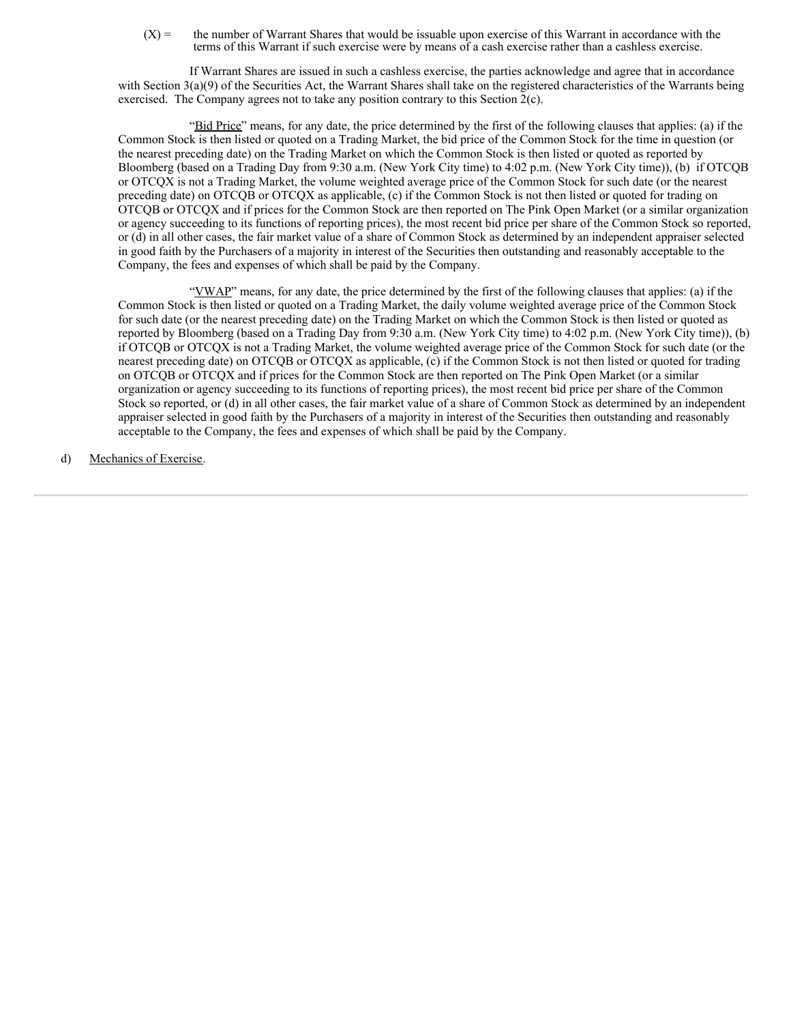$(X)$  = the number of Warrant Shares that would be issuable upon exercise of this Warrant in accordance with the terms of this Warrant if such exercise were by means of a cash exercise rather than a cashless exercise.

If Warrant Shares are issued in such a cashless exercise, the parties acknowledge and agree that in accordance with Section  $3(a)(9)$  of the Securities Act, the Warrant Shares shall take on the registered characteristics of the Warrants being exercised. The Company agrees not to take any position contrary to this Section 2(c).

"Bid Price" means, for any date, the price determined by the first of the following clauses that applies: (a) if the Common Stock is then listed or quoted on a Trading Market, the bid price of the Common Stock for the time in question (or the nearest preceding date) on the Trading Market on which the Common Stock is then listed or quoted as reported by Bloomberg (based on a Trading Day from 9:30 a.m. (New York City time) to 4:02 p.m. (New York City time)), (b) if OTCQB or OTCQX is not a Trading Market, the volume weighted average price of the Common Stock for such date (or the nearest preceding date) on OTCQB or OTCQX as applicable, (c) if the Common Stock is not then listed or quoted for trading on OTCQB or OTCQX and if prices for the Common Stock are then reported on The Pink Open Market (or a similar organization or agency succeeding to its functions of reporting prices), the most recent bid price per share of the Common Stock so reported, or (d) in all other cases, the fair market value of a share of Common Stock as determined by an independent appraiser selected in good faith by the Purchasers of a majority in interest of the Securities then outstanding and reasonably acceptable to the Company, the fees and expenses of which shall be paid by the Company.

"VWAP" means, for any date, the price determined by the first of the following clauses that applies: (a) if the Common Stock is then listed or quoted on a Trading Market, the daily volume weighted average price of the Common Stock for such date (or the nearest preceding date) on the Trading Market on which the Common Stock is then listed or quoted as reported by Bloomberg (based on a Trading Day from 9:30 a.m. (New York City time) to 4:02 p.m. (New York City time)), (b) if OTCQB or OTCQX is not a Trading Market, the volume weighted average price of the Common Stock for such date (or the nearest preceding date) on OTCQB or OTCQX as applicable, (c) if the Common Stock is not then listed or quoted for trading on OTCQB or OTCQX and if prices for the Common Stock are then reported on The Pink Open Market (or a similar organization or agency succeeding to its functions of reporting prices), the most recent bid price per share of the Common Stock so reported, or (d) in all other cases, the fair market value of a share of Common Stock as determined by an independent appraiser selected in good faith by the Purchasers of a majority in interest of the Securities then outstanding and reasonably acceptable to the Company, the fees and expenses of which shall be paid by the Company.

d) Mechanics of Exercise.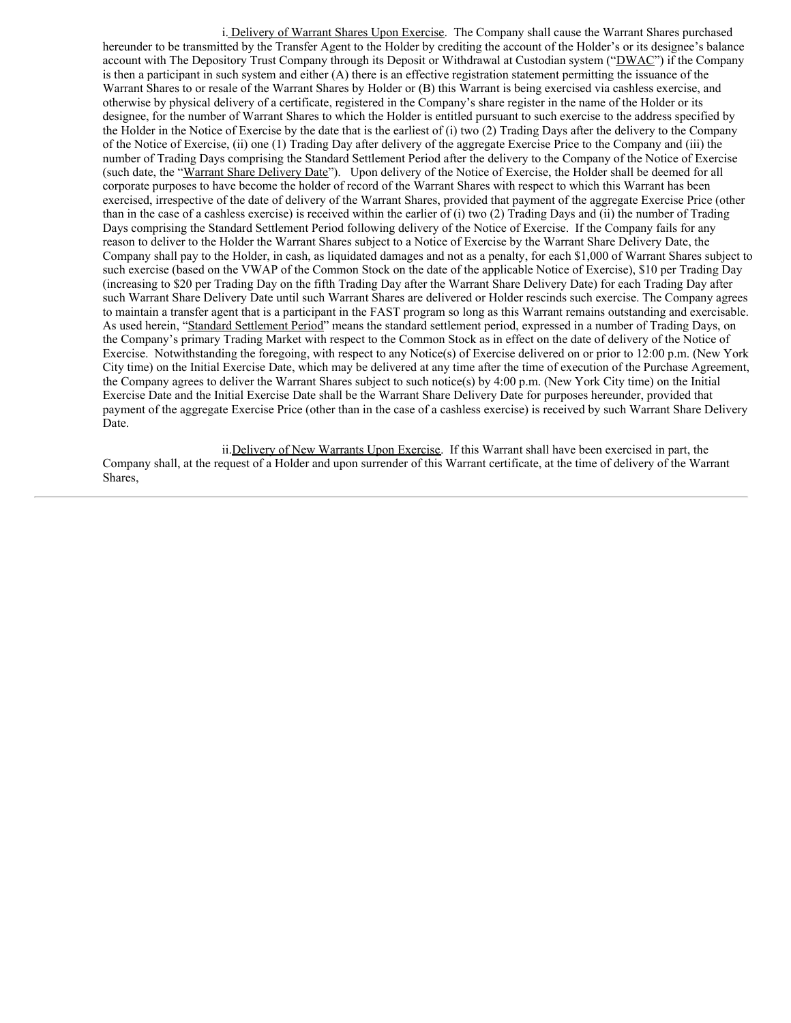i. Delivery of Warrant Shares Upon Exercise. The Company shall cause the Warrant Shares purchased hereunder to be transmitted by the Transfer Agent to the Holder by crediting the account of the Holder's or its designee's balance account with The Depository Trust Company through its Deposit or Withdrawal at Custodian system ("DWAC") if the Company is then a participant in such system and either (A) there is an effective registration statement permitting the issuance of the Warrant Shares to or resale of the Warrant Shares by Holder or (B) this Warrant is being exercised via cashless exercise, and otherwise by physical delivery of a certificate, registered in the Company's share register in the name of the Holder or its designee, for the number of Warrant Shares to which the Holder is entitled pursuant to such exercise to the address specified by the Holder in the Notice of Exercise by the date that is the earliest of (i) two (2) Trading Days after the delivery to the Company of the Notice of Exercise, (ii) one (1) Trading Day after delivery of the aggregate Exercise Price to the Company and (iii) the number of Trading Days comprising the Standard Settlement Period after the delivery to the Company of the Notice of Exercise (such date, the "Warrant Share Delivery Date"). Upon delivery of the Notice of Exercise, the Holder shall be deemed for all corporate purposes to have become the holder of record of the Warrant Shares with respect to which this Warrant has been exercised, irrespective of the date of delivery of the Warrant Shares, provided that payment of the aggregate Exercise Price (other than in the case of a cashless exercise) is received within the earlier of (i) two (2) Trading Days and (ii) the number of Trading Days comprising the Standard Settlement Period following delivery of the Notice of Exercise. If the Company fails for any reason to deliver to the Holder the Warrant Shares subject to a Notice of Exercise by the Warrant Share Delivery Date, the Company shall pay to the Holder, in cash, as liquidated damages and not as a penalty, for each \$1,000 of Warrant Shares subject to such exercise (based on the VWAP of the Common Stock on the date of the applicable Notice of Exercise), \$10 per Trading Day (increasing to \$20 per Trading Day on the fifth Trading Day after the Warrant Share Delivery Date) for each Trading Day after such Warrant Share Delivery Date until such Warrant Shares are delivered or Holder rescinds such exercise. The Company agrees to maintain a transfer agent that is a participant in the FAST program so long as this Warrant remains outstanding and exercisable. As used herein, "Standard Settlement Period" means the standard settlement period, expressed in a number of Trading Days, on the Company's primary Trading Market with respect to the Common Stock as in effect on the date of delivery of the Notice of Exercise. Notwithstanding the foregoing, with respect to any Notice(s) of Exercise delivered on or prior to 12:00 p.m. (New York City time) on the Initial Exercise Date, which may be delivered at any time after the time of execution of the Purchase Agreement, the Company agrees to deliver the Warrant Shares subject to such notice(s) by 4:00 p.m. (New York City time) on the Initial Exercise Date and the Initial Exercise Date shall be the Warrant Share Delivery Date for purposes hereunder, provided that payment of the aggregate Exercise Price (other than in the case of a cashless exercise) is received by such Warrant Share Delivery Date.

ii.Delivery of New Warrants Upon Exercise. If this Warrant shall have been exercised in part, the Company shall, at the request of a Holder and upon surrender of this Warrant certificate, at the time of delivery of the Warrant Shares,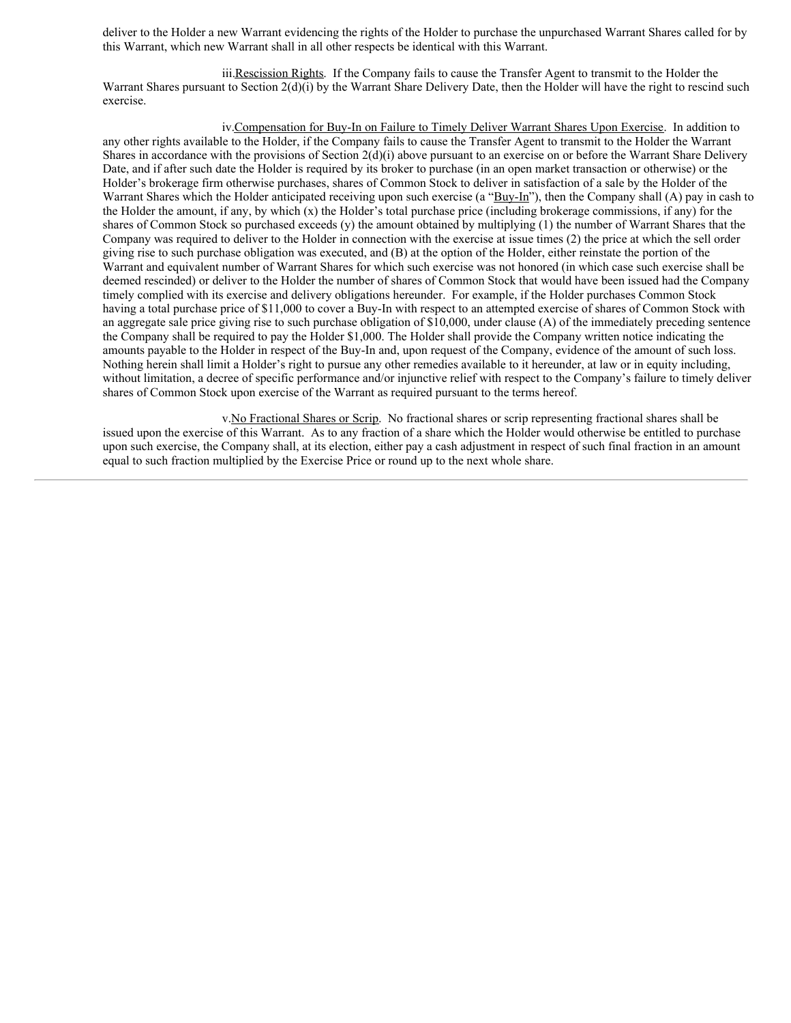deliver to the Holder a new Warrant evidencing the rights of the Holder to purchase the unpurchased Warrant Shares called for by this Warrant, which new Warrant shall in all other respects be identical with this Warrant.

iii.Rescission Rights. If the Company fails to cause the Transfer Agent to transmit to the Holder the Warrant Shares pursuant to Section 2(d)(i) by the Warrant Share Delivery Date, then the Holder will have the right to rescind such exercise.

iv.Compensation for Buy-In on Failure to Timely Deliver Warrant Shares Upon Exercise. In addition to any other rights available to the Holder, if the Company fails to cause the Transfer Agent to transmit to the Holder the Warrant Shares in accordance with the provisions of Section 2(d)(i) above pursuant to an exercise on or before the Warrant Share Delivery Date, and if after such date the Holder is required by its broker to purchase (in an open market transaction or otherwise) or the Holder's brokerage firm otherwise purchases, shares of Common Stock to deliver in satisfaction of a sale by the Holder of the Warrant Shares which the Holder anticipated receiving upon such exercise (a "Buy-In"), then the Company shall (A) pay in cash to the Holder the amount, if any, by which  $(x)$  the Holder's total purchase price (including brokerage commissions, if any) for the shares of Common Stock so purchased exceeds (y) the amount obtained by multiplying (1) the number of Warrant Shares that the Company was required to deliver to the Holder in connection with the exercise at issue times (2) the price at which the sell order giving rise to such purchase obligation was executed, and (B) at the option of the Holder, either reinstate the portion of the Warrant and equivalent number of Warrant Shares for which such exercise was not honored (in which case such exercise shall be deemed rescinded) or deliver to the Holder the number of shares of Common Stock that would have been issued had the Company timely complied with its exercise and delivery obligations hereunder. For example, if the Holder purchases Common Stock having a total purchase price of \$11,000 to cover a Buy-In with respect to an attempted exercise of shares of Common Stock with an aggregate sale price giving rise to such purchase obligation of \$10,000, under clause (A) of the immediately preceding sentence the Company shall be required to pay the Holder \$1,000. The Holder shall provide the Company written notice indicating the amounts payable to the Holder in respect of the Buy-In and, upon request of the Company, evidence of the amount of such loss. Nothing herein shall limit a Holder's right to pursue any other remedies available to it hereunder, at law or in equity including, without limitation, a decree of specific performance and/or injunctive relief with respect to the Company's failure to timely deliver shares of Common Stock upon exercise of the Warrant as required pursuant to the terms hereof.

v.No Fractional Shares or Scrip. No fractional shares or scrip representing fractional shares shall be issued upon the exercise of this Warrant. As to any fraction of a share which the Holder would otherwise be entitled to purchase upon such exercise, the Company shall, at its election, either pay a cash adjustment in respect of such final fraction in an amount equal to such fraction multiplied by the Exercise Price or round up to the next whole share.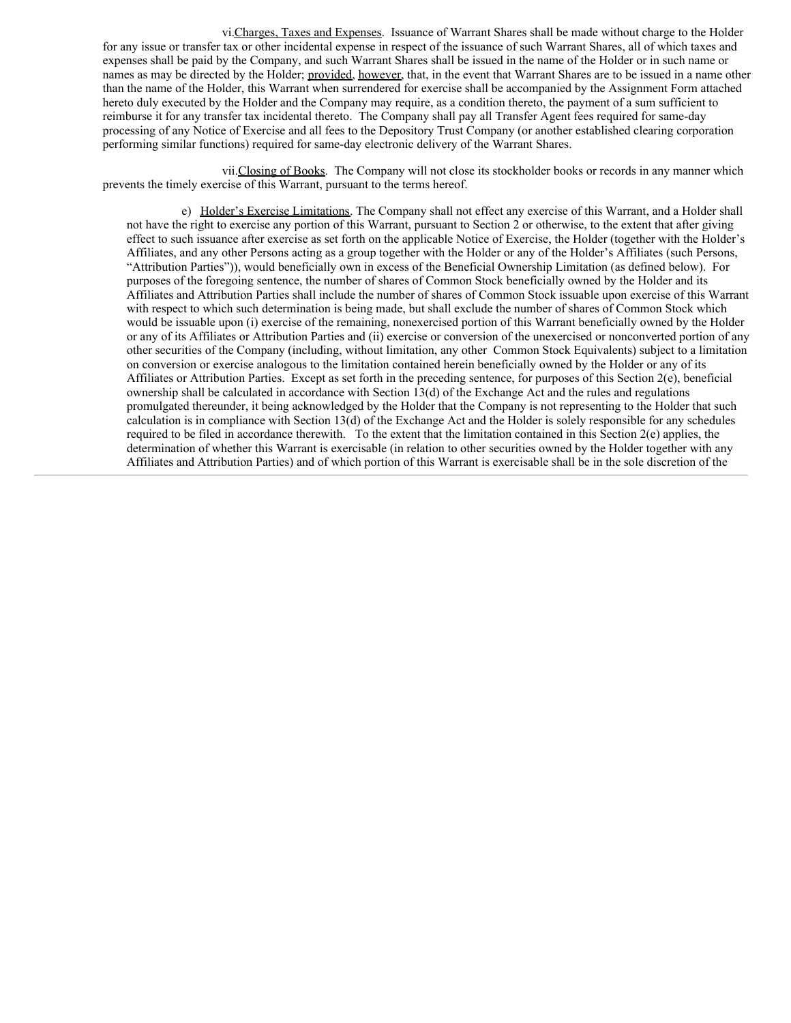vi.Charges, Taxes and Expenses. Issuance of Warrant Shares shall be made without charge to the Holder for any issue or transfer tax or other incidental expense in respect of the issuance of such Warrant Shares, all of which taxes and expenses shall be paid by the Company, and such Warrant Shares shall be issued in the name of the Holder or in such name or names as may be directed by the Holder; provided, however, that, in the event that Warrant Shares are to be issued in a name other than the name of the Holder, this Warrant when surrendered for exercise shall be accompanied by the Assignment Form attached hereto duly executed by the Holder and the Company may require, as a condition thereto, the payment of a sum sufficient to reimburse it for any transfer tax incidental thereto. The Company shall pay all Transfer Agent fees required for same-day processing of any Notice of Exercise and all fees to the Depository Trust Company (or another established clearing corporation performing similar functions) required for same-day electronic delivery of the Warrant Shares.

vii.Closing of Books. The Company will not close its stockholder books or records in any manner which prevents the timely exercise of this Warrant, pursuant to the terms hereof.

e) Holder's Exercise Limitations. The Company shall not effect any exercise of this Warrant, and a Holder shall not have the right to exercise any portion of this Warrant, pursuant to Section 2 or otherwise, to the extent that after giving effect to such issuance after exercise as set forth on the applicable Notice of Exercise, the Holder (together with the Holder's Affiliates, and any other Persons acting as a group together with the Holder or any of the Holder's Affiliates (such Persons, "Attribution Parties")), would beneficially own in excess of the Beneficial Ownership Limitation (as defined below). For purposes of the foregoing sentence, the number of shares of Common Stock beneficially owned by the Holder and its Affiliates and Attribution Parties shall include the number of shares of Common Stock issuable upon exercise of this Warrant with respect to which such determination is being made, but shall exclude the number of shares of Common Stock which would be issuable upon (i) exercise of the remaining, nonexercised portion of this Warrant beneficially owned by the Holder or any of its Affiliates or Attribution Parties and (ii) exercise or conversion of the unexercised or nonconverted portion of any other securities of the Company (including, without limitation, any other Common Stock Equivalents) subject to a limitation on conversion or exercise analogous to the limitation contained herein beneficially owned by the Holder or any of its Affiliates or Attribution Parties. Except as set forth in the preceding sentence, for purposes of this Section 2(e), beneficial ownership shall be calculated in accordance with Section 13(d) of the Exchange Act and the rules and regulations promulgated thereunder, it being acknowledged by the Holder that the Company is not representing to the Holder that such calculation is in compliance with Section 13(d) of the Exchange Act and the Holder is solely responsible for any schedules required to be filed in accordance therewith. To the extent that the limitation contained in this Section  $2(e)$  applies, the determination of whether this Warrant is exercisable (in relation to other securities owned by the Holder together with any Affiliates and Attribution Parties) and of which portion of this Warrant is exercisable shall be in the sole discretion of the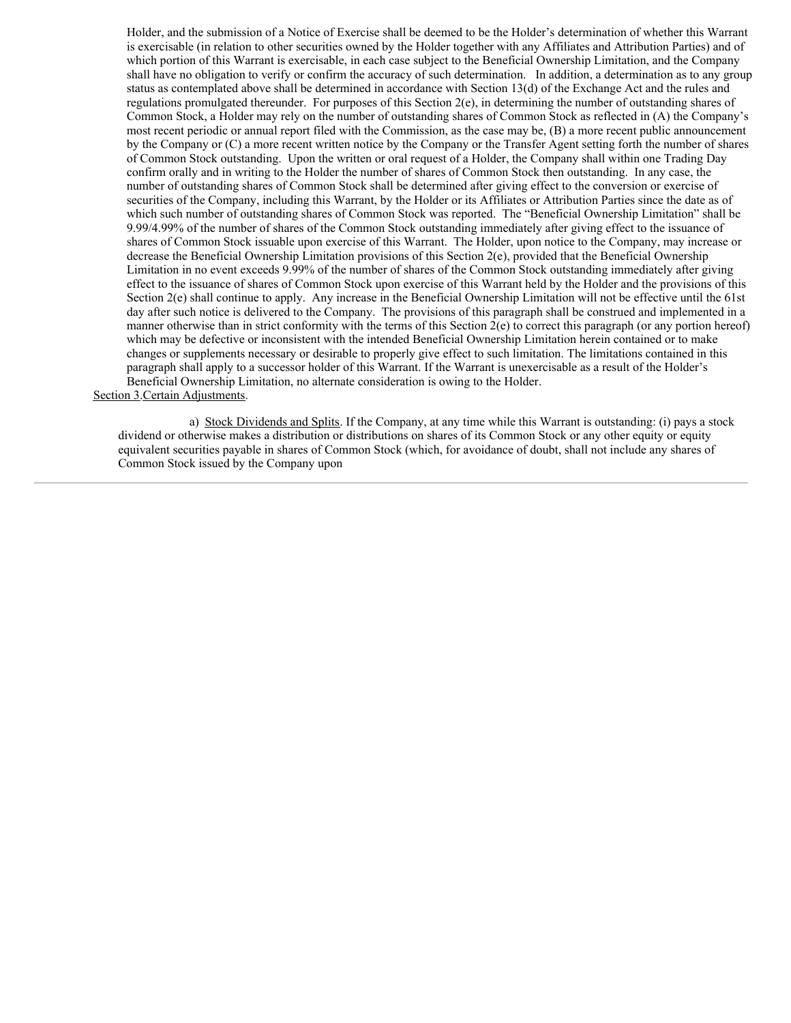Holder, and the submission of a Notice of Exercise shall be deemed to be the Holder's determination of whether this Warrant is exercisable (in relation to other securities owned by the Holder together with any Affiliates and Attribution Parties) and of which portion of this Warrant is exercisable, in each case subject to the Beneficial Ownership Limitation, and the Company shall have no obligation to verify or confirm the accuracy of such determination. In addition, a determination as to any group status as contemplated above shall be determined in accordance with Section 13(d) of the Exchange Act and the rules and regulations promulgated thereunder. For purposes of this Section 2(e), in determining the number of outstanding shares of Common Stock, a Holder may rely on the number of outstanding shares of Common Stock as reflected in (A) the Company's most recent periodic or annual report filed with the Commission, as the case may be, (B) a more recent public announcement by the Company or (C) a more recent written notice by the Company or the Transfer Agent setting forth the number of shares of Common Stock outstanding. Upon the written or oral request of a Holder, the Company shall within one Trading Day confirm orally and in writing to the Holder the number of shares of Common Stock then outstanding. In any case, the number of outstanding shares of Common Stock shall be determined after giving effect to the conversion or exercise of securities of the Company, including this Warrant, by the Holder or its Affiliates or Attribution Parties since the date as of which such number of outstanding shares of Common Stock was reported. The "Beneficial Ownership Limitation" shall be 9.99/4.99% of the number of shares of the Common Stock outstanding immediately after giving effect to the issuance of shares of Common Stock issuable upon exercise of this Warrant. The Holder, upon notice to the Company, may increase or decrease the Beneficial Ownership Limitation provisions of this Section 2(e), provided that the Beneficial Ownership Limitation in no event exceeds 9.99% of the number of shares of the Common Stock outstanding immediately after giving effect to the issuance of shares of Common Stock upon exercise of this Warrant held by the Holder and the provisions of this Section 2(e) shall continue to apply. Any increase in the Beneficial Ownership Limitation will not be effective until the 61st day after such notice is delivered to the Company. The provisions of this paragraph shall be construed and implemented in a manner otherwise than in strict conformity with the terms of this Section 2(e) to correct this paragraph (or any portion hereof) which may be defective or inconsistent with the intended Beneficial Ownership Limitation herein contained or to make changes or supplements necessary or desirable to properly give effect to such limitation. The limitations contained in this paragraph shall apply to a successor holder of this Warrant. If the Warrant is unexercisable as a result of the Holder's Beneficial Ownership Limitation, no alternate consideration is owing to the Holder. Section 3.Certain Adjustments.

a) Stock Dividends and Splits. If the Company, at any time while this Warrant is outstanding: (i) pays a stock dividend or otherwise makes a distribution or distributions on shares of its Common Stock or any other equity or equity equivalent securities payable in shares of Common Stock (which, for avoidance of doubt, shall not include any shares of Common Stock issued by the Company upon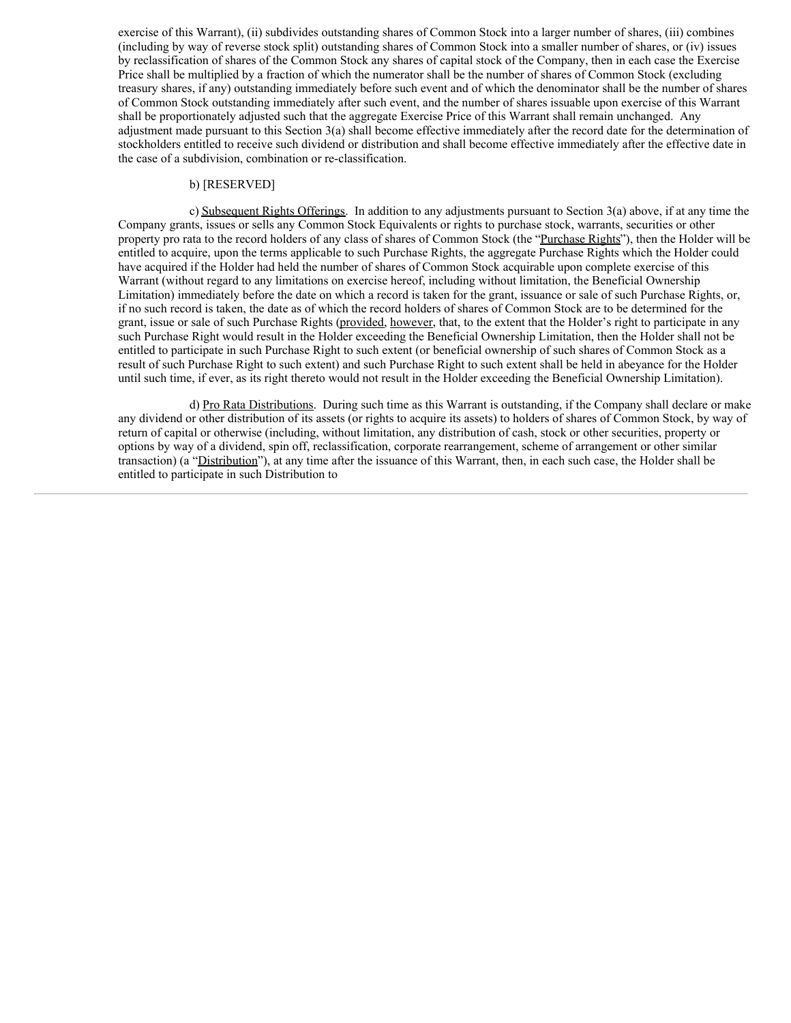exercise of this Warrant), (ii) subdivides outstanding shares of Common Stock into a larger number of shares, (iii) combines (including by way of reverse stock split) outstanding shares of Common Stock into a smaller number of shares, or (iv) issues by reclassification of shares of the Common Stock any shares of capital stock of the Company, then in each case the Exercise Price shall be multiplied by a fraction of which the numerator shall be the number of shares of Common Stock (excluding treasury shares, if any) outstanding immediately before such event and of which the denominator shall be the number of shares of Common Stock outstanding immediately after such event, and the number of shares issuable upon exercise of this Warrant shall be proportionately adjusted such that the aggregate Exercise Price of this Warrant shall remain unchanged. Any adjustment made pursuant to this Section 3(a) shall become effective immediately after the record date for the determination of stockholders entitled to receive such dividend or distribution and shall become effective immediately after the effective date in the case of a subdivision, combination or re‑classification.

#### b) [RESERVED]

c) Subsequent Rights Offerings. In addition to any adjustments pursuant to Section 3(a) above, if at any time the Company grants, issues or sells any Common Stock Equivalents or rights to purchase stock, warrants, securities or other property pro rata to the record holders of any class of shares of Common Stock (the "Purchase Rights"), then the Holder will be entitled to acquire, upon the terms applicable to such Purchase Rights, the aggregate Purchase Rights which the Holder could have acquired if the Holder had held the number of shares of Common Stock acquirable upon complete exercise of this Warrant (without regard to any limitations on exercise hereof, including without limitation, the Beneficial Ownership Limitation) immediately before the date on which a record is taken for the grant, issuance or sale of such Purchase Rights, or, if no such record is taken, the date as of which the record holders of shares of Common Stock are to be determined for the grant, issue or sale of such Purchase Rights (provided, however, that, to the extent that the Holder's right to participate in any such Purchase Right would result in the Holder exceeding the Beneficial Ownership Limitation, then the Holder shall not be entitled to participate in such Purchase Right to such extent (or beneficial ownership of such shares of Common Stock as a result of such Purchase Right to such extent) and such Purchase Right to such extent shall be held in abeyance for the Holder until such time, if ever, as its right thereto would not result in the Holder exceeding the Beneficial Ownership Limitation).

d) Pro Rata Distributions. During such time as this Warrant is outstanding, if the Company shall declare or make any dividend or other distribution of its assets (or rights to acquire its assets) to holders of shares of Common Stock, by way of return of capital or otherwise (including, without limitation, any distribution of cash, stock or other securities, property or options by way of a dividend, spin off, reclassification, corporate rearrangement, scheme of arrangement or other similar transaction) (a "Distribution"), at any time after the issuance of this Warrant, then, in each such case, the Holder shall be entitled to participate in such Distribution to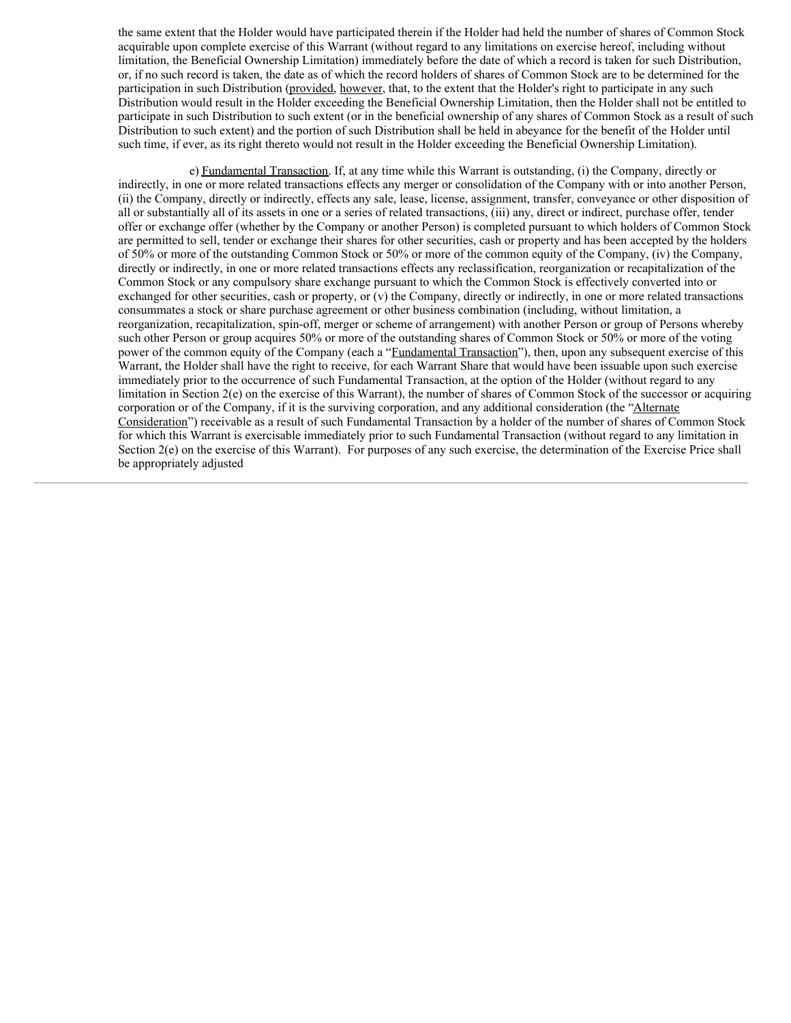the same extent that the Holder would have participated therein if the Holder had held the number of shares of Common Stock acquirable upon complete exercise of this Warrant (without regard to any limitations on exercise hereof, including without limitation, the Beneficial Ownership Limitation) immediately before the date of which a record is taken for such Distribution, or, if no such record is taken, the date as of which the record holders of shares of Common Stock are to be determined for the participation in such Distribution (provided, however, that, to the extent that the Holder's right to participate in any such Distribution would result in the Holder exceeding the Beneficial Ownership Limitation, then the Holder shall not be entitled to participate in such Distribution to such extent (or in the beneficial ownership of any shares of Common Stock as a result of such Distribution to such extent) and the portion of such Distribution shall be held in abeyance for the benefit of the Holder until such time, if ever, as its right thereto would not result in the Holder exceeding the Beneficial Ownership Limitation).

e) Fundamental Transaction. If, at any time while this Warrant is outstanding, (i) the Company, directly or indirectly, in one or more related transactions effects any merger or consolidation of the Company with or into another Person, (ii) the Company, directly or indirectly, effects any sale, lease, license, assignment, transfer, conveyance or other disposition of all or substantially all of its assets in one or a series of related transactions, (iii) any, direct or indirect, purchase offer, tender offer or exchange offer (whether by the Company or another Person) is completed pursuant to which holders of Common Stock are permitted to sell, tender or exchange their shares for other securities, cash or property and has been accepted by the holders of 50% or more of the outstanding Common Stock or 50% or more of the common equity of the Company, (iv) the Company, directly or indirectly, in one or more related transactions effects any reclassification, reorganization or recapitalization of the Common Stock or any compulsory share exchange pursuant to which the Common Stock is effectively converted into or exchanged for other securities, cash or property, or (v) the Company, directly or indirectly, in one or more related transactions consummates a stock or share purchase agreement or other business combination (including, without limitation, a reorganization, recapitalization, spin-off, merger or scheme of arrangement) with another Person or group of Persons whereby such other Person or group acquires 50% or more of the outstanding shares of Common Stock or 50% or more of the voting power of the common equity of the Company (each a "Fundamental Transaction"), then, upon any subsequent exercise of this Warrant, the Holder shall have the right to receive, for each Warrant Share that would have been issuable upon such exercise immediately prior to the occurrence of such Fundamental Transaction, at the option of the Holder (without regard to any limitation in Section 2(e) on the exercise of this Warrant), the number of shares of Common Stock of the successor or acquiring corporation or of the Company, if it is the surviving corporation, and any additional consideration (the "Alternate Consideration") receivable as a result of such Fundamental Transaction by a holder of the number of shares of Common Stock for which this Warrant is exercisable immediately prior to such Fundamental Transaction (without regard to any limitation in Section 2(e) on the exercise of this Warrant). For purposes of any such exercise, the determination of the Exercise Price shall be appropriately adjusted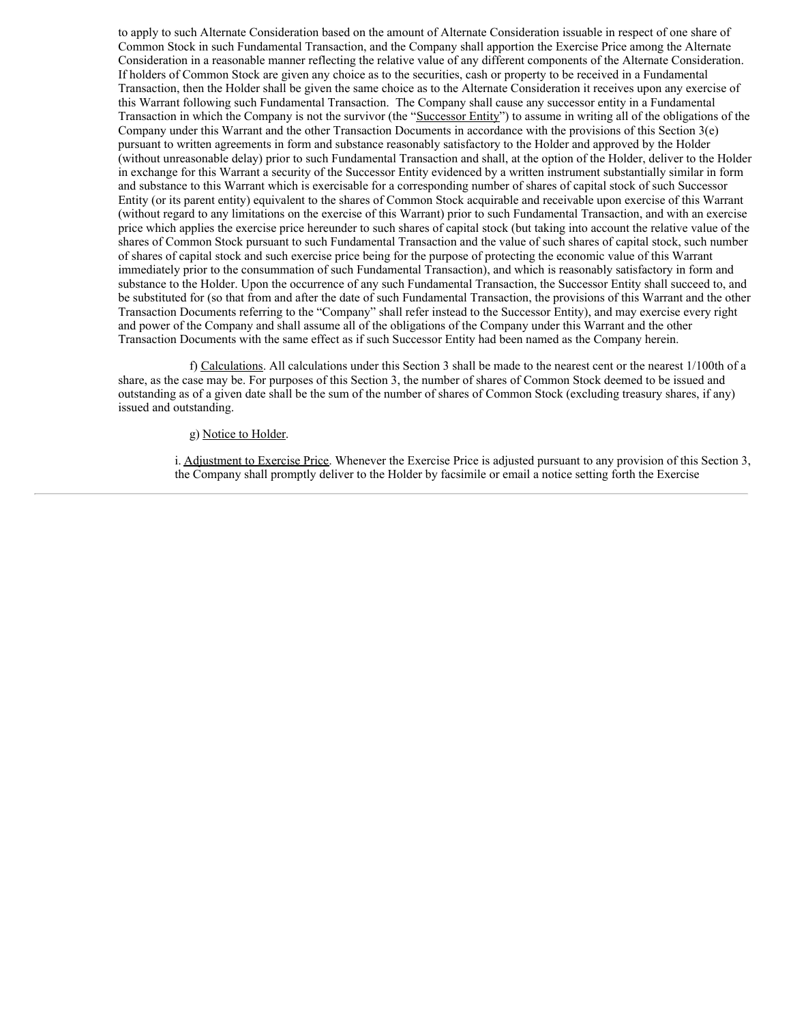<span id="page-13-0"></span>to apply to such Alternate Consideration based on the amount of Alternate Consideration issuable in respect of one share of Common Stock in such Fundamental Transaction, and the Company shall apportion the Exercise Price among the Alternate Consideration in a reasonable manner reflecting the relative value of any different components of the Alternate Consideration. If holders of Common Stock are given any choice as to the securities, cash or property to be received in a Fundamental Transaction, then the Holder shall be given the same choice as to the Alternate Consideration it receives upon any exercise of this Warrant following such Fundamental Transaction. The Company shall cause any successor entity in a Fundamental Transaction in which the Company is not the survivor (the "Successor Entity") to assume in writing all of the obligations of the Company under this Warrant and the other Transaction Documents in accordance with the provisions of this Section 3(e) pursuant to written agreements in form and substance reasonably satisfactory to the Holder and approved by the Holder (without unreasonable delay) prior to such Fundamental Transaction and shall, at the option of the Holder, deliver to the Holder in exchange for this Warrant a security of the Successor Entity evidenced by a written instrument substantially similar in form and substance to this Warrant which is exercisable for a corresponding number of shares of capital stock of such Successor Entity (or its parent entity) equivalent to the shares of Common Stock acquirable and receivable upon exercise of this Warrant (without regard to any limitations on the exercise of this Warrant) prior to such Fundamental Transaction, and with an exercise price which applies the exercise price hereunder to such shares of capital stock (but taking into account the relative value of the shares of Common Stock pursuant to such Fundamental Transaction and the value of such shares of capital stock, such number of shares of capital stock and such exercise price being for the purpose of protecting the economic value of this Warrant immediately prior to the consummation of such Fundamental Transaction), and which is reasonably satisfactory in form and substance to the Holder. Upon the occurrence of any such Fundamental Transaction, the Successor Entity shall succeed to, and be substituted for (so that from and after the date of such Fundamental Transaction, the provisions of this Warrant and the other Transaction Documents referring to the "Company" shall refer instead to the Successor Entity), and may exercise every right and power of the Company and shall assume all of the obligations of the Company under this Warrant and the other Transaction Documents with the same effect as if such Successor Entity had been named as the Company herein.

f) Calculations. All calculations under this Section 3 shall be made to the nearest cent or the nearest 1/100th of a share, as the case may be. For purposes of this Section 3, the number of shares of Common Stock deemed to be issued and outstanding as of a given date shall be the sum of the number of shares of Common Stock (excluding treasury shares, if any) issued and outstanding.

## g) Notice to Holder.

i. Adjustment to Exercise Price. Whenever the Exercise Price is adjusted pursuant to any provision of this Section 3, the Company shall promptly deliver to the Holder by facsimile or email a notice setting forth the Exercise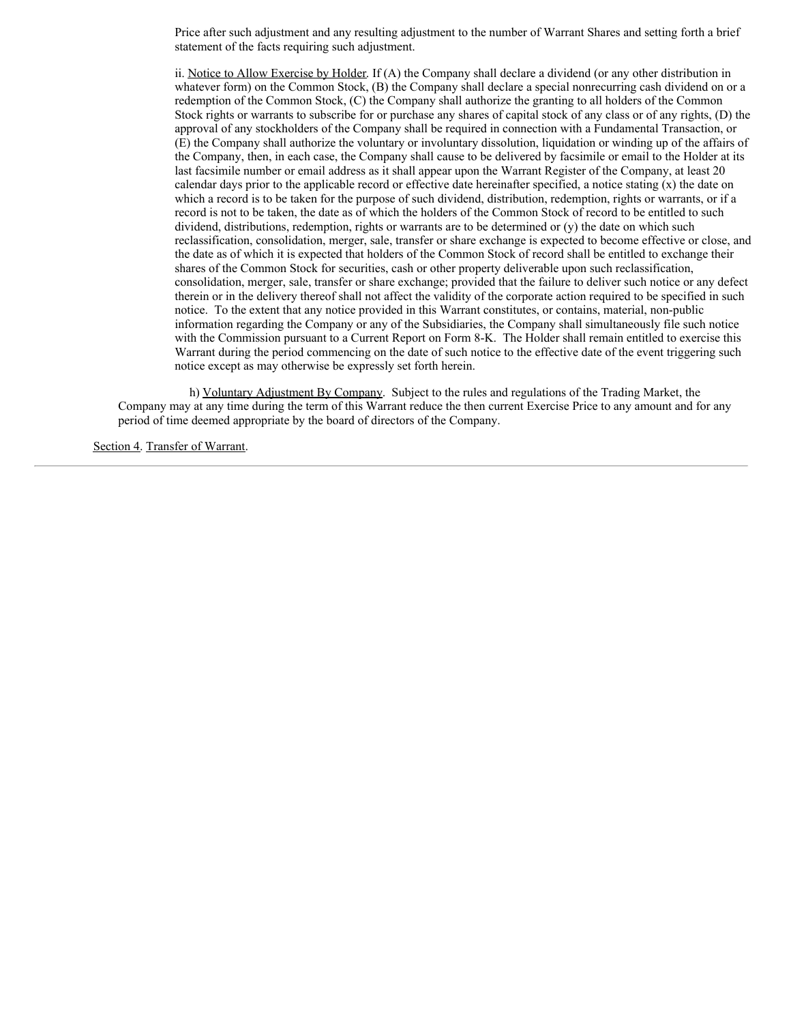Price after such adjustment and any resulting adjustment to the number of Warrant Shares and setting forth a brief statement of the facts requiring such adjustment.

ii. Notice to Allow Exercise by Holder. If (A) the Company shall declare a dividend (or any other distribution in whatever form) on the Common Stock, (B) the Company shall declare a special nonrecurring cash dividend on or a redemption of the Common Stock, (C) the Company shall authorize the granting to all holders of the Common Stock rights or warrants to subscribe for or purchase any shares of capital stock of any class or of any rights, (D) the approval of any stockholders of the Company shall be required in connection with a Fundamental Transaction, or (E) the Company shall authorize the voluntary or involuntary dissolution, liquidation or winding up of the affairs of the Company, then, in each case, the Company shall cause to be delivered by facsimile or email to the Holder at its last facsimile number or email address as it shall appear upon the Warrant Register of the Company, at least 20 calendar days prior to the applicable record or effective date hereinafter specified, a notice stating  $(x)$  the date on which a record is to be taken for the purpose of such dividend, distribution, redemption, rights or warrants, or if a record is not to be taken, the date as of which the holders of the Common Stock of record to be entitled to such dividend, distributions, redemption, rights or warrants are to be determined or (y) the date on which such reclassification, consolidation, merger, sale, transfer or share exchange is expected to become effective or close, and the date as of which it is expected that holders of the Common Stock of record shall be entitled to exchange their shares of the Common Stock for securities, cash or other property deliverable upon such reclassification, consolidation, merger, sale, transfer or share exchange; provided that the failure to deliver such notice or any defect therein or in the delivery thereof shall not affect the validity of the corporate action required to be specified in such notice. To the extent that any notice provided in this Warrant constitutes, or contains, material, non-public information regarding the Company or any of the Subsidiaries, the Company shall simultaneously file such notice with the Commission pursuant to a Current Report on Form 8-K. The Holder shall remain entitled to exercise this Warrant during the period commencing on the date of such notice to the effective date of the event triggering such notice except as may otherwise be expressly set forth herein.

h) Voluntary Adjustment By Company. Subject to the rules and regulations of the Trading Market, the Company may at any time during the term of this Warrant reduce the then current Exercise Price to any amount and for any period of time deemed appropriate by the board of directors of the Company.

Section 4. Transfer of Warrant.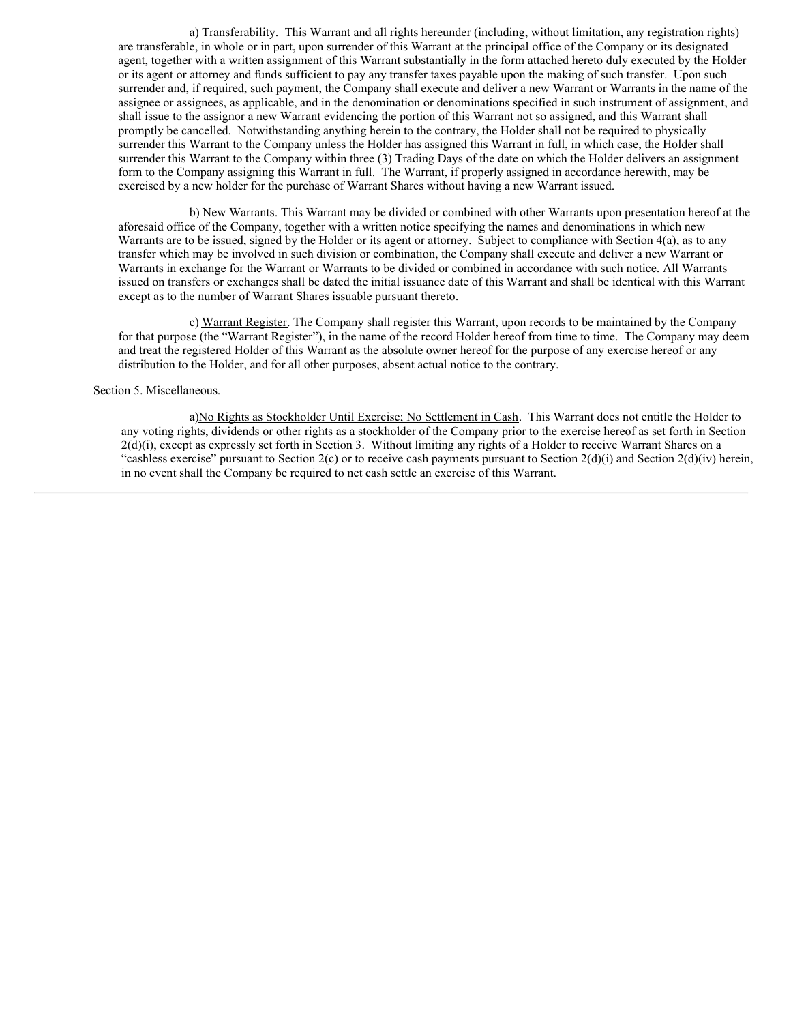a) Transferability. This Warrant and all rights hereunder (including, without limitation, any registration rights) are transferable, in whole or in part, upon surrender of this Warrant at the principal office of the Company or its designated agent, together with a written assignment of this Warrant substantially in the form attached hereto duly executed by the Holder or its agent or attorney and funds sufficient to pay any transfer taxes payable upon the making of such transfer. Upon such surrender and, if required, such payment, the Company shall execute and deliver a new Warrant or Warrants in the name of the assignee or assignees, as applicable, and in the denomination or denominations specified in such instrument of assignment, and shall issue to the assignor a new Warrant evidencing the portion of this Warrant not so assigned, and this Warrant shall promptly be cancelled. Notwithstanding anything herein to the contrary, the Holder shall not be required to physically surrender this Warrant to the Company unless the Holder has assigned this Warrant in full, in which case, the Holder shall surrender this Warrant to the Company within three (3) Trading Days of the date on which the Holder delivers an assignment form to the Company assigning this Warrant in full. The Warrant, if properly assigned in accordance herewith, may be exercised by a new holder for the purchase of Warrant Shares without having a new Warrant issued.

b) New Warrants. This Warrant may be divided or combined with other Warrants upon presentation hereof at the aforesaid office of the Company, together with a written notice specifying the names and denominations in which new Warrants are to be issued, signed by the Holder or its agent or attorney. Subject to compliance with Section 4(a), as to any transfer which may be involved in such division or combination, the Company shall execute and deliver a new Warrant or Warrants in exchange for the Warrant or Warrants to be divided or combined in accordance with such notice. All Warrants issued on transfers or exchanges shall be dated the initial issuance date of this Warrant and shall be identical with this Warrant except as to the number of Warrant Shares issuable pursuant thereto.

c) Warrant Register. The Company shall register this Warrant, upon records to be maintained by the Company for that purpose (the "Warrant Register"), in the name of the record Holder hereof from time to time. The Company may deem and treat the registered Holder of this Warrant as the absolute owner hereof for the purpose of any exercise hereof or any distribution to the Holder, and for all other purposes, absent actual notice to the contrary.

#### Section 5. Miscellaneous.

a)No Rights as Stockholder Until Exercise; No Settlement in Cash. This Warrant does not entitle the Holder to any voting rights, dividends or other rights as a stockholder of the Company prior to the exercise hereof as set forth in Section  $2(d)(i)$ , except as expressly set forth in Section 3. Without limiting any rights of a Holder to receive Warrant Shares on a "cashless exercise" pursuant to Section  $2(c)$  or to receive cash payments pursuant to Section  $2(d)(i)$  and Section  $2(d)(iv)$  herein, in no event shall the Company be required to net cash settle an exercise of this Warrant.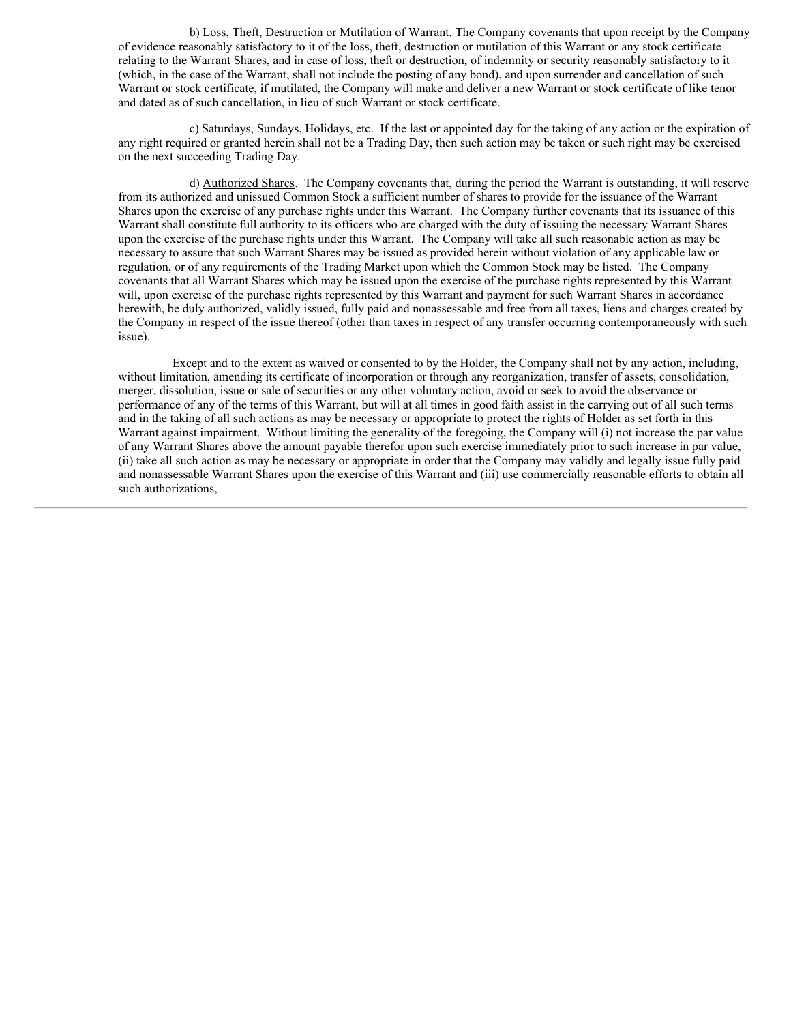b) Loss, Theft, Destruction or Mutilation of Warrant. The Company covenants that upon receipt by the Company of evidence reasonably satisfactory to it of the loss, theft, destruction or mutilation of this Warrant or any stock certificate relating to the Warrant Shares, and in case of loss, theft or destruction, of indemnity or security reasonably satisfactory to it (which, in the case of the Warrant, shall not include the posting of any bond), and upon surrender and cancellation of such Warrant or stock certificate, if mutilated, the Company will make and deliver a new Warrant or stock certificate of like tenor and dated as of such cancellation, in lieu of such Warrant or stock certificate.

c) Saturdays, Sundays, Holidays, etc. If the last or appointed day for the taking of any action or the expiration of any right required or granted herein shall not be a Trading Day, then such action may be taken or such right may be exercised on the next succeeding Trading Day.

d) Authorized Shares. The Company covenants that, during the period the Warrant is outstanding, it will reserve from its authorized and unissued Common Stock a sufficient number of shares to provide for the issuance of the Warrant Shares upon the exercise of any purchase rights under this Warrant. The Company further covenants that its issuance of this Warrant shall constitute full authority to its officers who are charged with the duty of issuing the necessary Warrant Shares upon the exercise of the purchase rights under this Warrant. The Company will take all such reasonable action as may be necessary to assure that such Warrant Shares may be issued as provided herein without violation of any applicable law or regulation, or of any requirements of the Trading Market upon which the Common Stock may be listed. The Company covenants that all Warrant Shares which may be issued upon the exercise of the purchase rights represented by this Warrant will, upon exercise of the purchase rights represented by this Warrant and payment for such Warrant Shares in accordance herewith, be duly authorized, validly issued, fully paid and nonassessable and free from all taxes, liens and charges created by the Company in respect of the issue thereof (other than taxes in respect of any transfer occurring contemporaneously with such issue).

Except and to the extent as waived or consented to by the Holder, the Company shall not by any action, including, without limitation, amending its certificate of incorporation or through any reorganization, transfer of assets, consolidation, merger, dissolution, issue or sale of securities or any other voluntary action, avoid or seek to avoid the observance or performance of any of the terms of this Warrant, but will at all times in good faith assist in the carrying out of all such terms and in the taking of all such actions as may be necessary or appropriate to protect the rights of Holder as set forth in this Warrant against impairment. Without limiting the generality of the foregoing, the Company will (i) not increase the par value of any Warrant Shares above the amount payable therefor upon such exercise immediately prior to such increase in par value, (ii) take all such action as may be necessary or appropriate in order that the Company may validly and legally issue fully paid and nonassessable Warrant Shares upon the exercise of this Warrant and (iii) use commercially reasonable efforts to obtain all such authorizations,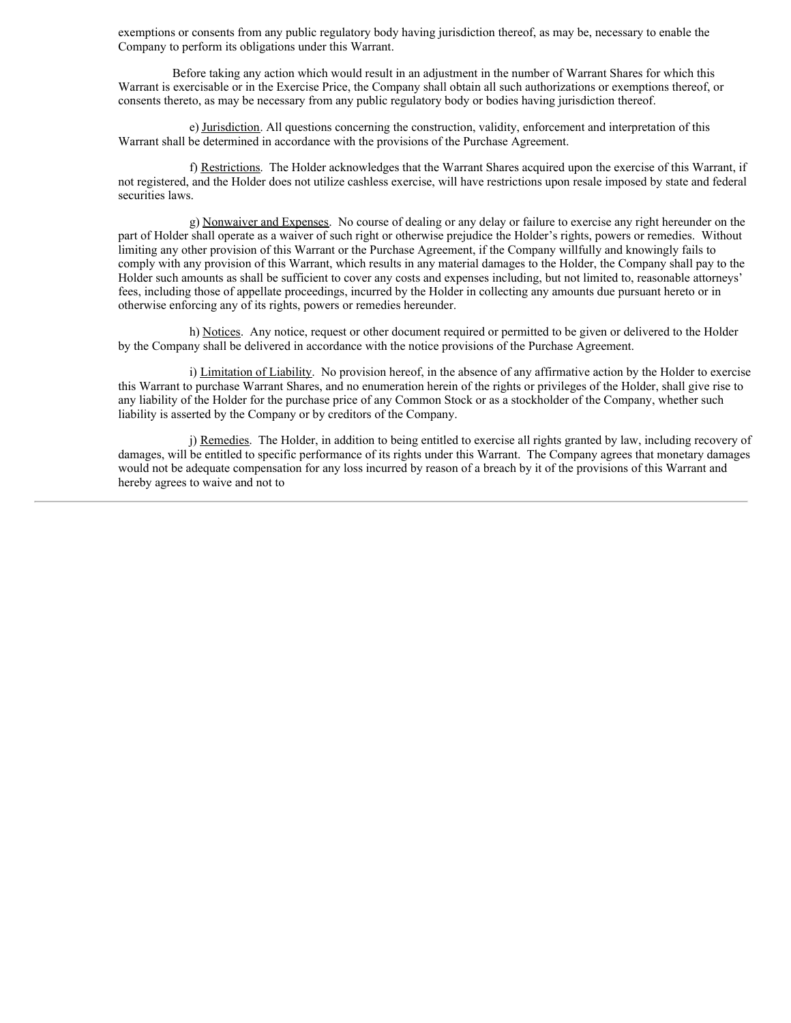exemptions or consents from any public regulatory body having jurisdiction thereof, as may be, necessary to enable the Company to perform its obligations under this Warrant.

Before taking any action which would result in an adjustment in the number of Warrant Shares for which this Warrant is exercisable or in the Exercise Price, the Company shall obtain all such authorizations or exemptions thereof, or consents thereto, as may be necessary from any public regulatory body or bodies having jurisdiction thereof.

e) Jurisdiction. All questions concerning the construction, validity, enforcement and interpretation of this Warrant shall be determined in accordance with the provisions of the Purchase Agreement.

f) Restrictions. The Holder acknowledges that the Warrant Shares acquired upon the exercise of this Warrant, if not registered, and the Holder does not utilize cashless exercise, will have restrictions upon resale imposed by state and federal securities laws.

g) Nonwaiver and Expenses. No course of dealing or any delay or failure to exercise any right hereunder on the part of Holder shall operate as a waiver of such right or otherwise prejudice the Holder's rights, powers or remedies. Without limiting any other provision of this Warrant or the Purchase Agreement, if the Company willfully and knowingly fails to comply with any provision of this Warrant, which results in any material damages to the Holder, the Company shall pay to the Holder such amounts as shall be sufficient to cover any costs and expenses including, but not limited to, reasonable attorneys' fees, including those of appellate proceedings, incurred by the Holder in collecting any amounts due pursuant hereto or in otherwise enforcing any of its rights, powers or remedies hereunder.

h) Notices. Any notice, request or other document required or permitted to be given or delivered to the Holder by the Company shall be delivered in accordance with the notice provisions of the Purchase Agreement.

i) Limitation of Liability. No provision hereof, in the absence of any affirmative action by the Holder to exercise this Warrant to purchase Warrant Shares, and no enumeration herein of the rights or privileges of the Holder, shall give rise to any liability of the Holder for the purchase price of any Common Stock or as a stockholder of the Company, whether such liability is asserted by the Company or by creditors of the Company.

j) Remedies. The Holder, in addition to being entitled to exercise all rights granted by law, including recovery of damages, will be entitled to specific performance of its rights under this Warrant. The Company agrees that monetary damages would not be adequate compensation for any loss incurred by reason of a breach by it of the provisions of this Warrant and hereby agrees to waive and not to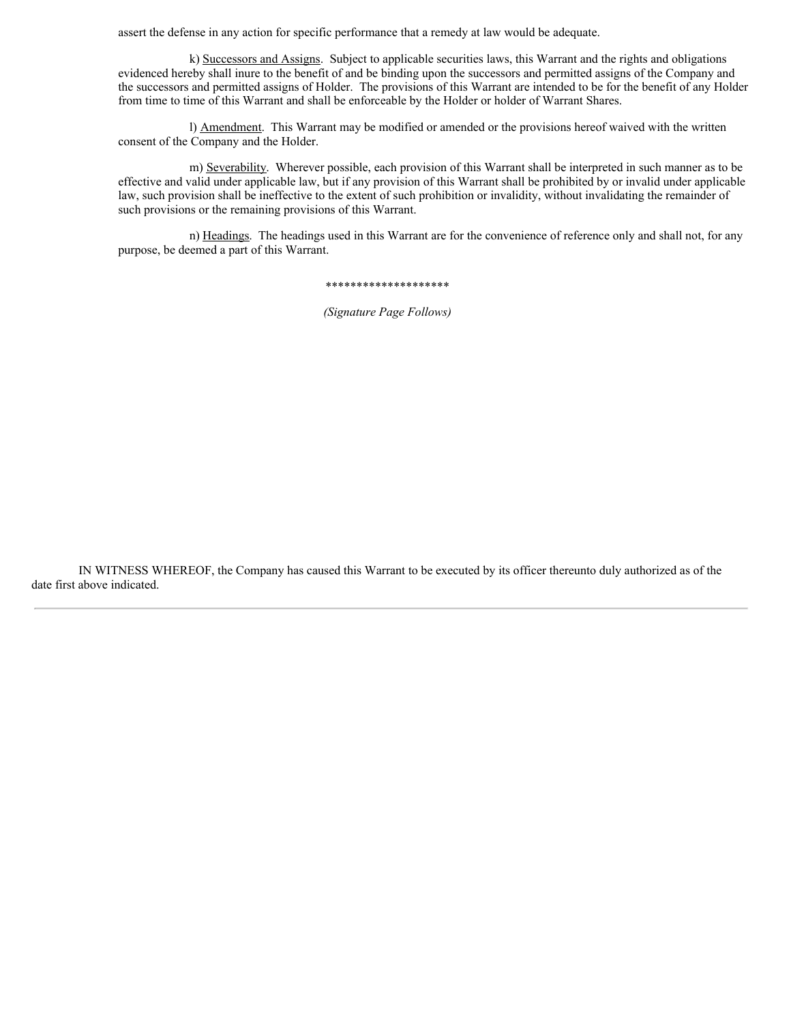assert the defense in any action for specific performance that a remedy at law would be adequate.

k) Successors and Assigns. Subject to applicable securities laws, this Warrant and the rights and obligations evidenced hereby shall inure to the benefit of and be binding upon the successors and permitted assigns of the Company and the successors and permitted assigns of Holder. The provisions of this Warrant are intended to be for the benefit of any Holder from time to time of this Warrant and shall be enforceable by the Holder or holder of Warrant Shares.

l) Amendment. This Warrant may be modified or amended or the provisions hereof waived with the written consent of the Company and the Holder.

m) Severability. Wherever possible, each provision of this Warrant shall be interpreted in such manner as to be effective and valid under applicable law, but if any provision of this Warrant shall be prohibited by or invalid under applicable law, such provision shall be ineffective to the extent of such prohibition or invalidity, without invalidating the remainder of such provisions or the remaining provisions of this Warrant.

n) Headings. The headings used in this Warrant are for the convenience of reference only and shall not, for any purpose, be deemed a part of this Warrant.

\*\*\*\*\*\*\*\*\*\*\*\*\*\*\*\*\*\*\*\*

*(Signature Page Follows)*

IN WITNESS WHEREOF, the Company has caused this Warrant to be executed by its officer thereunto duly authorized as of the date first above indicated.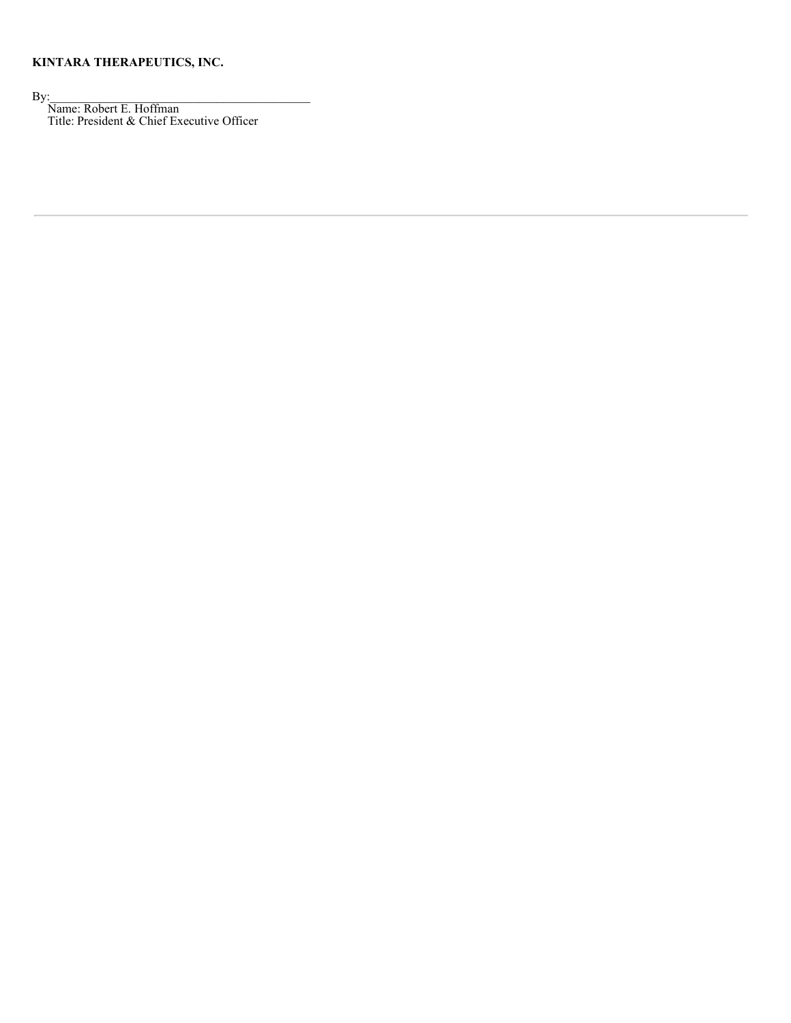## **KINTARA THERAPEUTICS, INC.**

 $\mathbf{By:}$ 

Name: Robert E. Hoffman Title: President & Chief Executive Officer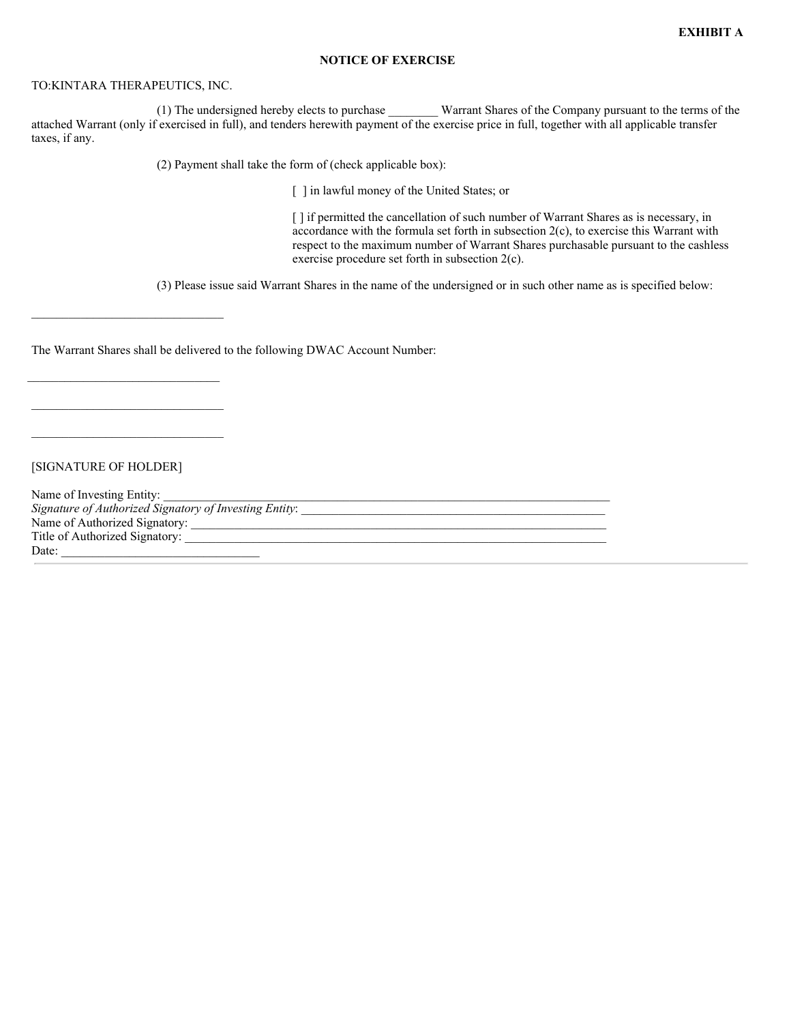#### **NOTICE OF EXERCISE**

### TO:KINTARA THERAPEUTICS, INC.

(1) The undersigned hereby elects to purchase \_\_\_\_\_\_\_\_ Warrant Shares of the Company pursuant to the terms of the attached Warrant (only if exercised in full), and tenders herewith payment of the exercise price in full, together with all applicable transfer taxes, if any.

(2) Payment shall take the form of (check applicable box):

[ ] in lawful money of the United States; or

[] if permitted the cancellation of such number of Warrant Shares as is necessary, in accordance with the formula set forth in subsection 2(c), to exercise this Warrant with respect to the maximum number of Warrant Shares purchasable pursuant to the cashless exercise procedure set forth in subsection 2(c).

(3) Please issue said Warrant Shares in the name of the undersigned or in such other name as is specified below:

The Warrant Shares shall be delivered to the following DWAC Account Number:

[SIGNATURE OF HOLDER]

 $\mathcal{L}_\text{max}$ 

\_\_\_\_\_\_\_\_\_\_\_\_\_\_\_\_\_\_\_\_\_\_\_\_\_\_\_\_\_\_\_

Name of Investing Entity: *Signature of Authorized Signatory of Investing Entity*: \_\_\_\_\_\_\_\_\_\_\_\_\_\_\_\_\_\_\_\_\_\_\_\_\_\_\_\_\_\_\_\_\_\_\_\_\_\_\_\_\_\_\_\_\_\_\_\_\_ Name of Authorized Signatory: \_\_\_\_\_\_\_\_\_\_\_\_\_\_\_\_\_\_\_\_\_\_\_\_\_\_\_\_\_\_\_\_\_\_\_\_\_\_\_\_\_\_\_\_\_\_\_\_\_\_\_\_\_\_\_\_\_\_\_\_\_\_\_\_\_\_\_ Title of Authorized Signatory: \_\_\_\_\_\_\_\_\_\_\_\_\_\_\_\_\_\_\_\_\_\_\_\_\_\_\_\_\_\_\_\_\_\_\_\_\_\_\_\_\_\_\_\_\_\_\_\_\_\_\_\_\_\_\_\_\_\_\_\_\_\_\_\_\_\_\_\_ Date: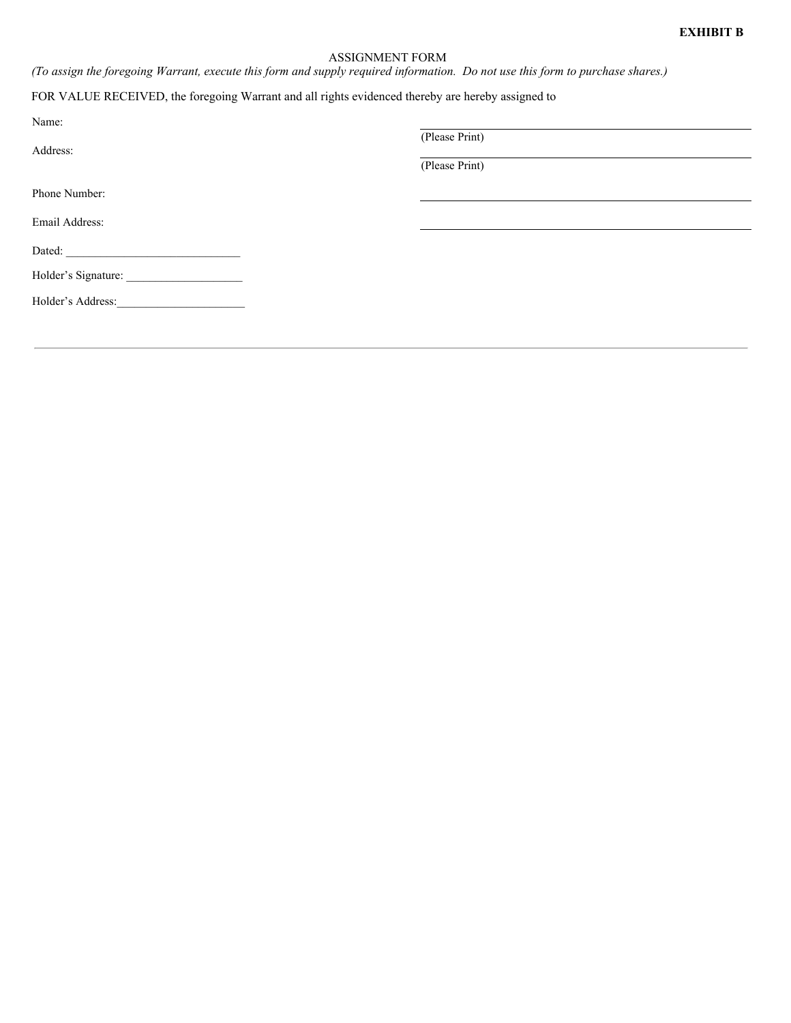#### ASSIGNMENT FORM

(To assign the foregoing Warrant, execute this form and supply required information. Do not use this form to purchase shares.)

# FOR VALUE RECEIVED, the foregoing Warrant and all rights evidenced thereby are hereby assigned to

| Name:                                                                                                                                                                                                                          |                |
|--------------------------------------------------------------------------------------------------------------------------------------------------------------------------------------------------------------------------------|----------------|
|                                                                                                                                                                                                                                | (Please Print) |
| Address:                                                                                                                                                                                                                       |                |
|                                                                                                                                                                                                                                | (Please Print) |
| Phone Number:                                                                                                                                                                                                                  |                |
| Email Address:                                                                                                                                                                                                                 |                |
| Dated: The Contract of the Contract of the Contract of the Contract of the Contract of the Contract of the Contract of the Contract of the Contract of the Contract of the Contract of the Contract of the Contract of the Con |                |
| Holder's Signature:                                                                                                                                                                                                            |                |
|                                                                                                                                                                                                                                |                |
|                                                                                                                                                                                                                                |                |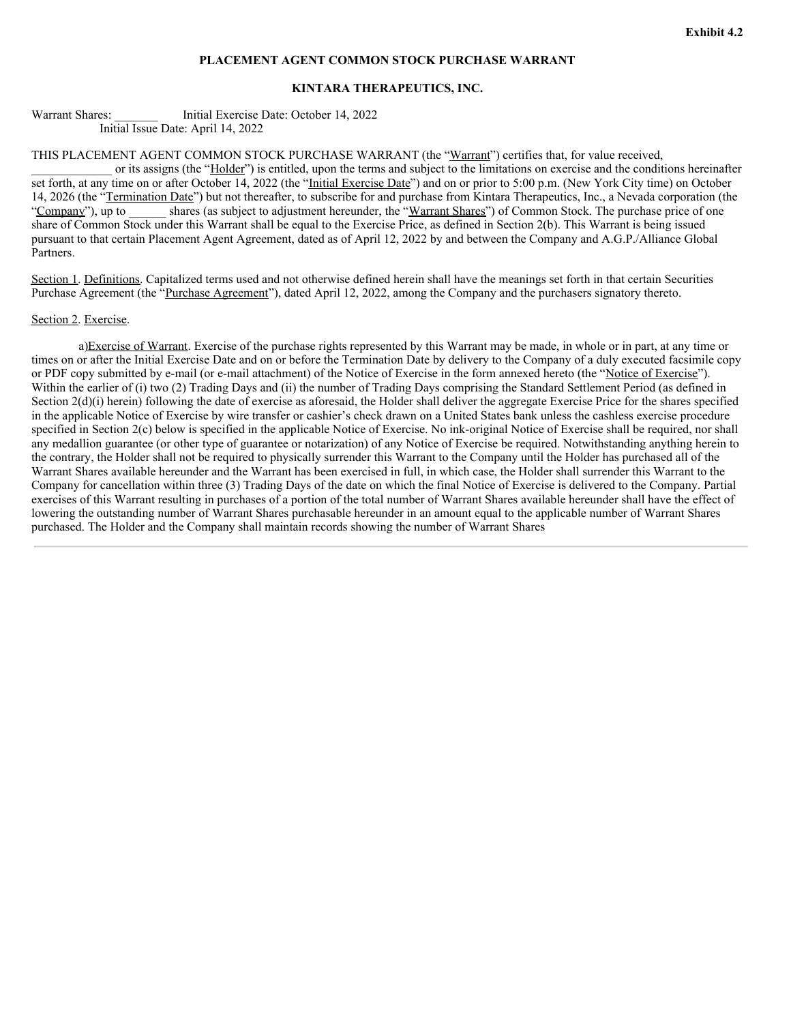#### **PLACEMENT AGENT COMMON STOCK PURCHASE WARRANT**

#### **KINTARA THERAPEUTICS, INC.**

Warrant Shares: **Let Unitial Exercise Date: October 14, 2022** Initial Issue Date: April 14, 2022

THIS PLACEMENT AGENT COMMON STOCK PURCHASE WARRANT (the "Warrant") certifies that, for value received,

or its assigns (the "Holder") is entitled, upon the terms and subject to the limitations on exercise and the conditions hereinafter set forth, at any time on or after October 14, 2022 (the "Initial Exercise Date") and on or prior to 5:00 p.m. (New York City time) on October 14, 2026 (the "Termination Date") but not thereafter, to subscribe for and purchase from Kintara Therapeutics, Inc., a Nevada corporation (the "Company"), up to shares (as subject to adjustment hereunder, the "Warrant Shares") of Common Stock. The purchase price of one share of Common Stock under this Warrant shall be equal to the Exercise Price, as defined in Section 2(b). This Warrant is being issued pursuant to that certain Placement Agent Agreement, dated as of April 12, 2022 by and between the Company and A.G.P./Alliance Global Partners.

Section 1. Definitions. Capitalized terms used and not otherwise defined herein shall have the meanings set forth in that certain Securities Purchase Agreement (the "Purchase Agreement"), dated April 12, 2022, among the Company and the purchasers signatory thereto.

#### Section 2. Exercise.

a)Exercise of Warrant. Exercise of the purchase rights represented by this Warrant may be made, in whole or in part, at any time or times on or after the Initial Exercise Date and on or before the Termination Date by delivery to the Company of a duly executed facsimile copy or PDF copy submitted by e-mail (or e-mail attachment) of the Notice of Exercise in the form annexed hereto (the "Notice of Exercise"). Within the earlier of (i) two (2) Trading Days and (ii) the number of Trading Days comprising the Standard Settlement Period (as defined in Section  $2(d)(i)$  herein) following the date of exercise as aforesaid, the Holder shall deliver the aggregate Exercise Price for the shares specified in the applicable Notice of Exercise by wire transfer or cashier's check drawn on a United States bank unless the cashless exercise procedure specified in Section 2(c) below is specified in the applicable Notice of Exercise. No ink-original Notice of Exercise shall be required, nor shall any medallion guarantee (or other type of guarantee or notarization) of any Notice of Exercise be required. Notwithstanding anything herein to the contrary, the Holder shall not be required to physically surrender this Warrant to the Company until the Holder has purchased all of the Warrant Shares available hereunder and the Warrant has been exercised in full, in which case, the Holder shall surrender this Warrant to the Company for cancellation within three (3) Trading Days of the date on which the final Notice of Exercise is delivered to the Company. Partial exercises of this Warrant resulting in purchases of a portion of the total number of Warrant Shares available hereunder shall have the effect of lowering the outstanding number of Warrant Shares purchasable hereunder in an amount equal to the applicable number of Warrant Shares purchased. The Holder and the Company shall maintain records showing the number of Warrant Shares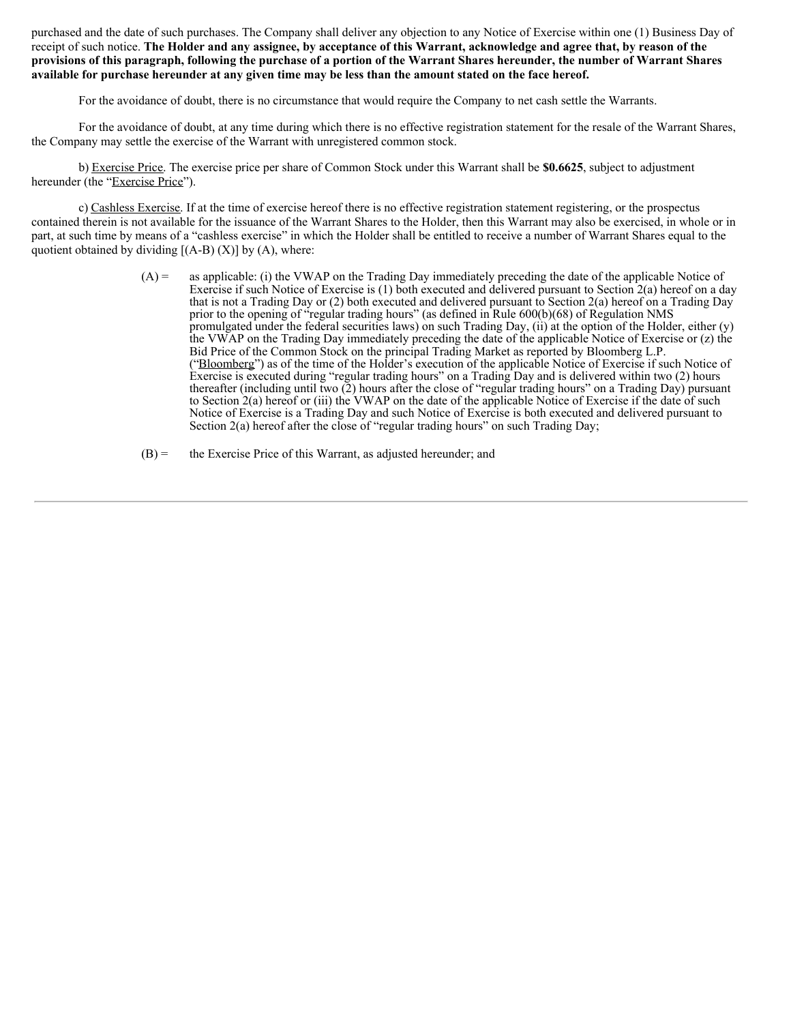purchased and the date of such purchases. The Company shall deliver any objection to any Notice of Exercise within one (1) Business Day of receipt of such notice. The Holder and any assignee, by acceptance of this Warrant, acknowledge and agree that, by reason of the provisions of this paragraph, following the purchase of a portion of the Warrant Shares hereunder, the number of Warrant Shares available for purchase hereunder at any given time may be less than the amount stated on the face hereof.

For the avoidance of doubt, there is no circumstance that would require the Company to net cash settle the Warrants.

For the avoidance of doubt, at any time during which there is no effective registration statement for the resale of the Warrant Shares, the Company may settle the exercise of the Warrant with unregistered common stock.

b) Exercise Price. The exercise price per share of Common Stock under this Warrant shall be **\$0.6625**, subject to adjustment hereunder (the "Exercise Price").

c) Cashless Exercise. If at the time of exercise hereof there is no effective registration statement registering, or the prospectus contained therein is not available for the issuance of the Warrant Shares to the Holder, then this Warrant may also be exercised, in whole or in part, at such time by means of a "cashless exercise" in which the Holder shall be entitled to receive a number of Warrant Shares equal to the quotient obtained by dividing  $[(A-B) (X)]$  by  $(A)$ , where:

> (A) = as applicable: (i) the VWAP on the Trading Day immediately preceding the date of the applicable Notice of Exercise if such Notice of Exercise is (1) both executed and delivered pursuant to Section 2(a) hereof on a day that is not a Trading Day or (2) both executed and delivered pursuant to Section 2(a) hereof on a Trading Day prior to the opening of "regular trading hours" (as defined in Rule 600(b)(68) of Regulation NMS promulgated under the federal securities laws) on such Trading Day, (ii) at the option of the Holder, either (y) the VWAP on the Trading Day immediately preceding the date of the applicable Notice of Exercise or (z) the Bid Price of the Common Stock on the principal Trading Market as reported by Bloomberg L.P. ("Bloomberg") as of the time of the Holder's execution of the applicable Notice of Exercise if such Notice of Exercise is executed during "regular trading hours" on a Trading Day and is delivered within two (2) hours thereafter (including until two (2) hours after the close of "regular trading hours" on a Trading Day) pursuant to Section 2(a) hereof or (iii) the VWAP on the date of the applicable Notice of Exercise if the date of such Notice of Exercise is a Trading Day and such Notice of Exercise is both executed and delivered pursuant to Section 2(a) hereof after the close of "regular trading hours" on such Trading Day;

 $(B)$  = the Exercise Price of this Warrant, as adjusted hereunder; and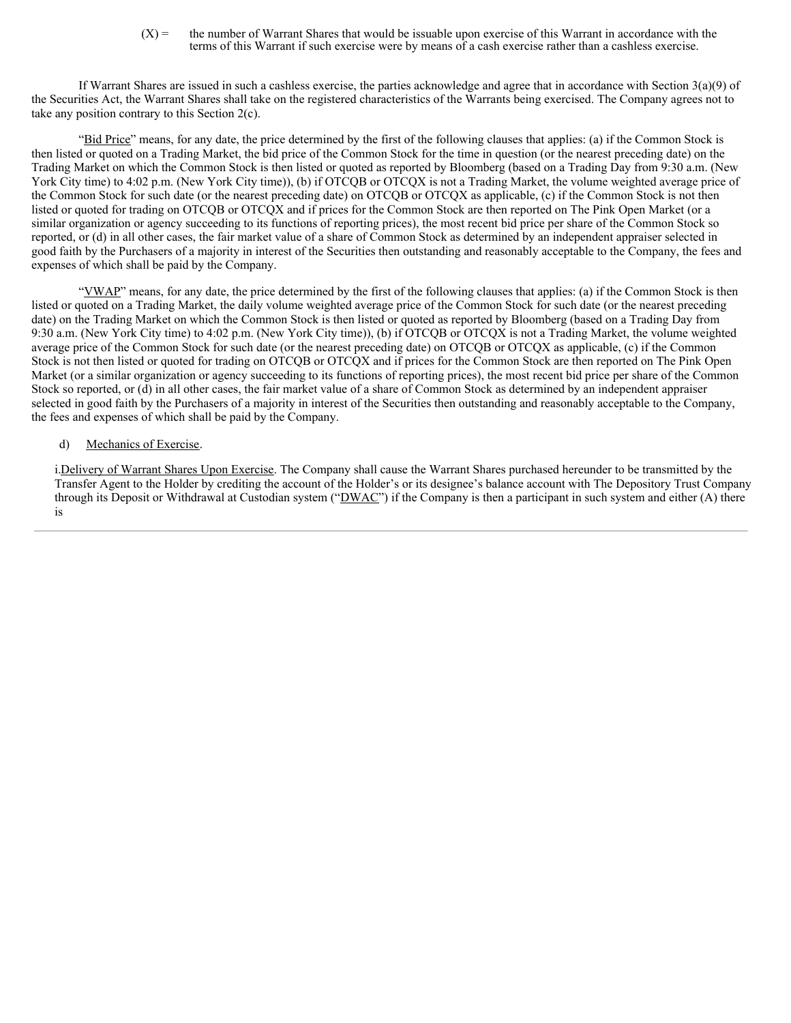$(X)$  = the number of Warrant Shares that would be issuable upon exercise of this Warrant in accordance with the terms of this Warrant if such exercise were by means of a cash exercise rather than a cashless exercise.

If Warrant Shares are issued in such a cashless exercise, the parties acknowledge and agree that in accordance with Section 3(a)(9) of the Securities Act, the Warrant Shares shall take on the registered characteristics of the Warrants being exercised. The Company agrees not to take any position contrary to this Section 2(c).

"Bid Price" means, for any date, the price determined by the first of the following clauses that applies: (a) if the Common Stock is then listed or quoted on a Trading Market, the bid price of the Common Stock for the time in question (or the nearest preceding date) on the Trading Market on which the Common Stock is then listed or quoted as reported by Bloomberg (based on a Trading Day from 9:30 a.m. (New York City time) to 4:02 p.m. (New York City time)), (b) if OTCQB or OTCQX is not a Trading Market, the volume weighted average price of the Common Stock for such date (or the nearest preceding date) on OTCQB or OTCQX as applicable, (c) if the Common Stock is not then listed or quoted for trading on OTCQB or OTCQX and if prices for the Common Stock are then reported on The Pink Open Market (or a similar organization or agency succeeding to its functions of reporting prices), the most recent bid price per share of the Common Stock so reported, or (d) in all other cases, the fair market value of a share of Common Stock as determined by an independent appraiser selected in good faith by the Purchasers of a majority in interest of the Securities then outstanding and reasonably acceptable to the Company, the fees and expenses of which shall be paid by the Company.

"YWAP" means, for any date, the price determined by the first of the following clauses that applies: (a) if the Common Stock is then listed or quoted on a Trading Market, the daily volume weighted average price of the Common Stock for such date (or the nearest preceding date) on the Trading Market on which the Common Stock is then listed or quoted as reported by Bloomberg (based on a Trading Day from 9:30 a.m. (New York City time) to 4:02 p.m. (New York City time)), (b) if OTCQB or OTCQX is not a Trading Market, the volume weighted average price of the Common Stock for such date (or the nearest preceding date) on OTCQB or OTCQX as applicable, (c) if the Common Stock is not then listed or quoted for trading on OTCQB or OTCQX and if prices for the Common Stock are then reported on The Pink Open Market (or a similar organization or agency succeeding to its functions of reporting prices), the most recent bid price per share of the Common Stock so reported, or (d) in all other cases, the fair market value of a share of Common Stock as determined by an independent appraiser selected in good faith by the Purchasers of a majority in interest of the Securities then outstanding and reasonably acceptable to the Company, the fees and expenses of which shall be paid by the Company.

#### d) Mechanics of Exercise.

i.Delivery of Warrant Shares Upon Exercise. The Company shall cause the Warrant Shares purchased hereunder to be transmitted by the Transfer Agent to the Holder by crediting the account of the Holder's or its designee's balance account with The Depository Trust Company through its Deposit or Withdrawal at Custodian system (" $\overline{DWAC}$ ") if the Company is then a participant in such system and either (A) there is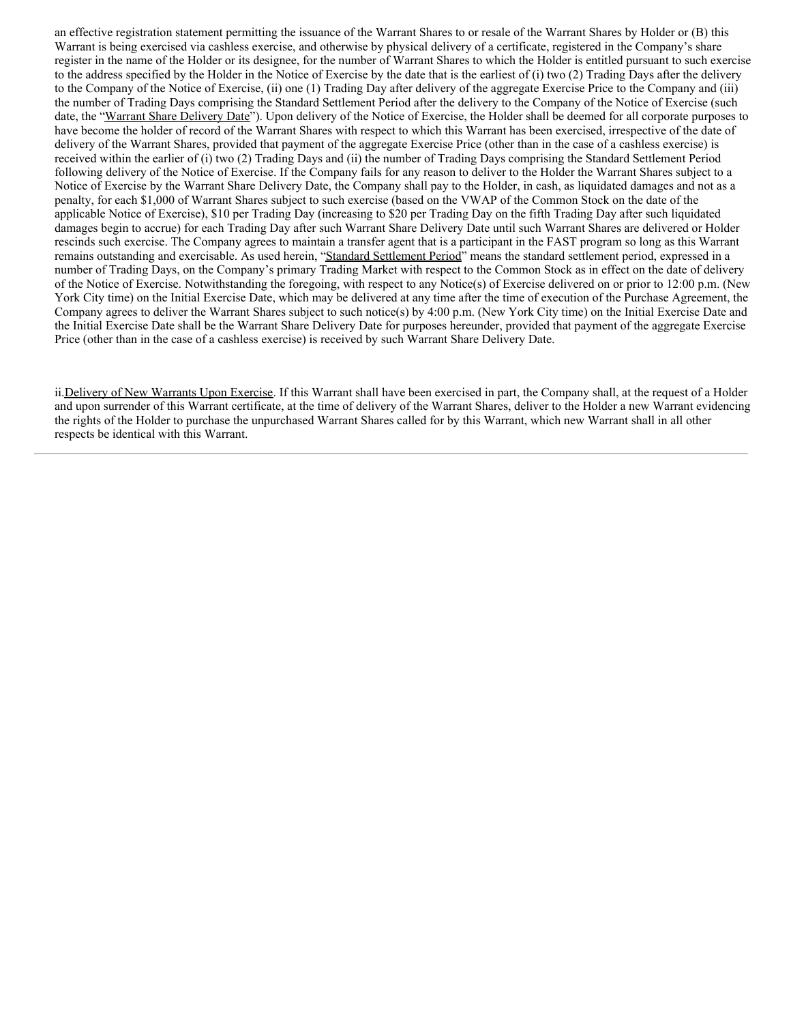an effective registration statement permitting the issuance of the Warrant Shares to or resale of the Warrant Shares by Holder or (B) this Warrant is being exercised via cashless exercise, and otherwise by physical delivery of a certificate, registered in the Company's share register in the name of the Holder or its designee, for the number of Warrant Shares to which the Holder is entitled pursuant to such exercise to the address specified by the Holder in the Notice of Exercise by the date that is the earliest of (i) two (2) Trading Days after the delivery to the Company of the Notice of Exercise, (ii) one (1) Trading Day after delivery of the aggregate Exercise Price to the Company and (iii) the number of Trading Days comprising the Standard Settlement Period after the delivery to the Company of the Notice of Exercise (such date, the "Warrant Share Delivery Date"). Upon delivery of the Notice of Exercise, the Holder shall be deemed for all corporate purposes to have become the holder of record of the Warrant Shares with respect to which this Warrant has been exercised, irrespective of the date of delivery of the Warrant Shares, provided that payment of the aggregate Exercise Price (other than in the case of a cashless exercise) is received within the earlier of (i) two (2) Trading Days and (ii) the number of Trading Days comprising the Standard Settlement Period following delivery of the Notice of Exercise. If the Company fails for any reason to deliver to the Holder the Warrant Shares subject to a Notice of Exercise by the Warrant Share Delivery Date, the Company shall pay to the Holder, in cash, as liquidated damages and not as a penalty, for each \$1,000 of Warrant Shares subject to such exercise (based on the VWAP of the Common Stock on the date of the applicable Notice of Exercise), \$10 per Trading Day (increasing to \$20 per Trading Day on the fifth Trading Day after such liquidated damages begin to accrue) for each Trading Day after such Warrant Share Delivery Date until such Warrant Shares are delivered or Holder rescinds such exercise. The Company agrees to maintain a transfer agent that is a participant in the FAST program so long as this Warrant remains outstanding and exercisable. As used herein, "Standard Settlement Period" means the standard settlement period, expressed in a number of Trading Days, on the Company's primary Trading Market with respect to the Common Stock as in effect on the date of delivery of the Notice of Exercise. Notwithstanding the foregoing, with respect to any Notice(s) of Exercise delivered on or prior to 12:00 p.m. (New York City time) on the Initial Exercise Date, which may be delivered at any time after the time of execution of the Purchase Agreement, the Company agrees to deliver the Warrant Shares subject to such notice(s) by 4:00 p.m. (New York City time) on the Initial Exercise Date and the Initial Exercise Date shall be the Warrant Share Delivery Date for purposes hereunder, provided that payment of the aggregate Exercise Price (other than in the case of a cashless exercise) is received by such Warrant Share Delivery Date.

ii.Delivery of New Warrants Upon Exercise. If this Warrant shall have been exercised in part, the Company shall, at the request of a Holder and upon surrender of this Warrant certificate, at the time of delivery of the Warrant Shares, deliver to the Holder a new Warrant evidencing the rights of the Holder to purchase the unpurchased Warrant Shares called for by this Warrant, which new Warrant shall in all other respects be identical with this Warrant.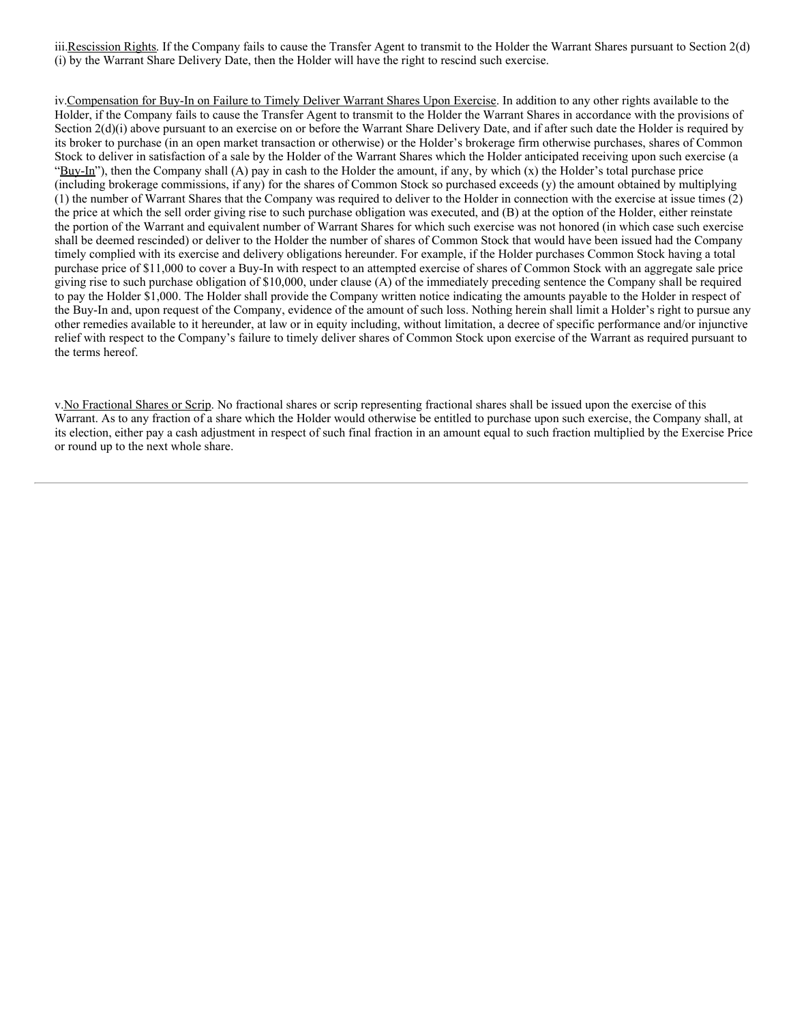iii.Rescission Rights. If the Company fails to cause the Transfer Agent to transmit to the Holder the Warrant Shares pursuant to Section 2(d) (i) by the Warrant Share Delivery Date, then the Holder will have the right to rescind such exercise.

iv.Compensation for Buy-In on Failure to Timely Deliver Warrant Shares Upon Exercise. In addition to any other rights available to the Holder, if the Company fails to cause the Transfer Agent to transmit to the Holder the Warrant Shares in accordance with the provisions of Section  $2(d)(i)$  above pursuant to an exercise on or before the Warrant Share Delivery Date, and if after such date the Holder is required by its broker to purchase (in an open market transaction or otherwise) or the Holder's brokerage firm otherwise purchases, shares of Common Stock to deliver in satisfaction of a sale by the Holder of the Warrant Shares which the Holder anticipated receiving upon such exercise (a "Buy-In"), then the Company shall  $(A)$  pay in cash to the Holder the amount, if any, by which  $(x)$  the Holder's total purchase price (including brokerage commissions, if any) for the shares of Common Stock so purchased exceeds (y) the amount obtained by multiplying (1) the number of Warrant Shares that the Company was required to deliver to the Holder in connection with the exercise at issue times (2) the price at which the sell order giving rise to such purchase obligation was executed, and (B) at the option of the Holder, either reinstate the portion of the Warrant and equivalent number of Warrant Shares for which such exercise was not honored (in which case such exercise shall be deemed rescinded) or deliver to the Holder the number of shares of Common Stock that would have been issued had the Company timely complied with its exercise and delivery obligations hereunder. For example, if the Holder purchases Common Stock having a total purchase price of \$11,000 to cover a Buy-In with respect to an attempted exercise of shares of Common Stock with an aggregate sale price giving rise to such purchase obligation of \$10,000, under clause (A) of the immediately preceding sentence the Company shall be required to pay the Holder \$1,000. The Holder shall provide the Company written notice indicating the amounts payable to the Holder in respect of the Buy-In and, upon request of the Company, evidence of the amount of such loss. Nothing herein shall limit a Holder's right to pursue any other remedies available to it hereunder, at law or in equity including, without limitation, a decree of specific performance and/or injunctive relief with respect to the Company's failure to timely deliver shares of Common Stock upon exercise of the Warrant as required pursuant to the terms hereof.

v.No Fractional Shares or Scrip. No fractional shares or scrip representing fractional shares shall be issued upon the exercise of this Warrant. As to any fraction of a share which the Holder would otherwise be entitled to purchase upon such exercise, the Company shall, at its election, either pay a cash adjustment in respect of such final fraction in an amount equal to such fraction multiplied by the Exercise Price or round up to the next whole share.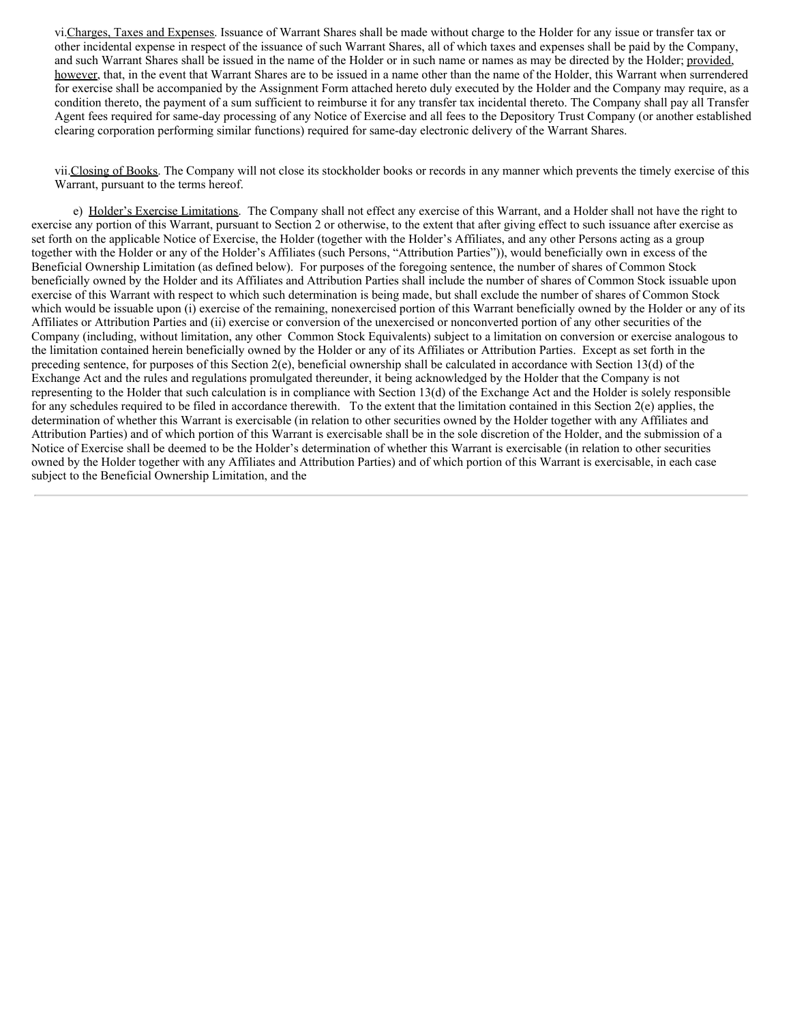vi.Charges, Taxes and Expenses. Issuance of Warrant Shares shall be made without charge to the Holder for any issue or transfer tax or other incidental expense in respect of the issuance of such Warrant Shares, all of which taxes and expenses shall be paid by the Company, and such Warrant Shares shall be issued in the name of the Holder or in such name or names as may be directed by the Holder; provided, however, that, in the event that Warrant Shares are to be issued in a name other than the name of the Holder, this Warrant when surrendered for exercise shall be accompanied by the Assignment Form attached hereto duly executed by the Holder and the Company may require, as a condition thereto, the payment of a sum sufficient to reimburse it for any transfer tax incidental thereto. The Company shall pay all Transfer Agent fees required for same-day processing of any Notice of Exercise and all fees to the Depository Trust Company (or another established clearing corporation performing similar functions) required for same-day electronic delivery of the Warrant Shares.

vii.Closing of Books. The Company will not close its stockholder books or records in any manner which prevents the timely exercise of this Warrant, pursuant to the terms hereof.

e) Holder's Exercise Limitations. The Company shall not effect any exercise of this Warrant, and a Holder shall not have the right to exercise any portion of this Warrant, pursuant to Section 2 or otherwise, to the extent that after giving effect to such issuance after exercise as set forth on the applicable Notice of Exercise, the Holder (together with the Holder's Affiliates, and any other Persons acting as a group together with the Holder or any of the Holder's Affiliates (such Persons, "Attribution Parties")), would beneficially own in excess of the Beneficial Ownership Limitation (as defined below). For purposes of the foregoing sentence, the number of shares of Common Stock beneficially owned by the Holder and its Affiliates and Attribution Parties shall include the number of shares of Common Stock issuable upon exercise of this Warrant with respect to which such determination is being made, but shall exclude the number of shares of Common Stock which would be issuable upon (i) exercise of the remaining, nonexercised portion of this Warrant beneficially owned by the Holder or any of its Affiliates or Attribution Parties and (ii) exercise or conversion of the unexercised or nonconverted portion of any other securities of the Company (including, without limitation, any other Common Stock Equivalents) subject to a limitation on conversion or exercise analogous to the limitation contained herein beneficially owned by the Holder or any of its Affiliates or Attribution Parties. Except as set forth in the preceding sentence, for purposes of this Section  $2(e)$ , beneficial ownership shall be calculated in accordance with Section 13(d) of the Exchange Act and the rules and regulations promulgated thereunder, it being acknowledged by the Holder that the Company is not representing to the Holder that such calculation is in compliance with Section 13(d) of the Exchange Act and the Holder is solely responsible for any schedules required to be filed in accordance therewith. To the extent that the limitation contained in this Section  $2(e)$  applies, the determination of whether this Warrant is exercisable (in relation to other securities owned by the Holder together with any Affiliates and Attribution Parties) and of which portion of this Warrant is exercisable shall be in the sole discretion of the Holder, and the submission of a Notice of Exercise shall be deemed to be the Holder's determination of whether this Warrant is exercisable (in relation to other securities owned by the Holder together with any Affiliates and Attribution Parties) and of which portion of this Warrant is exercisable, in each case subject to the Beneficial Ownership Limitation, and the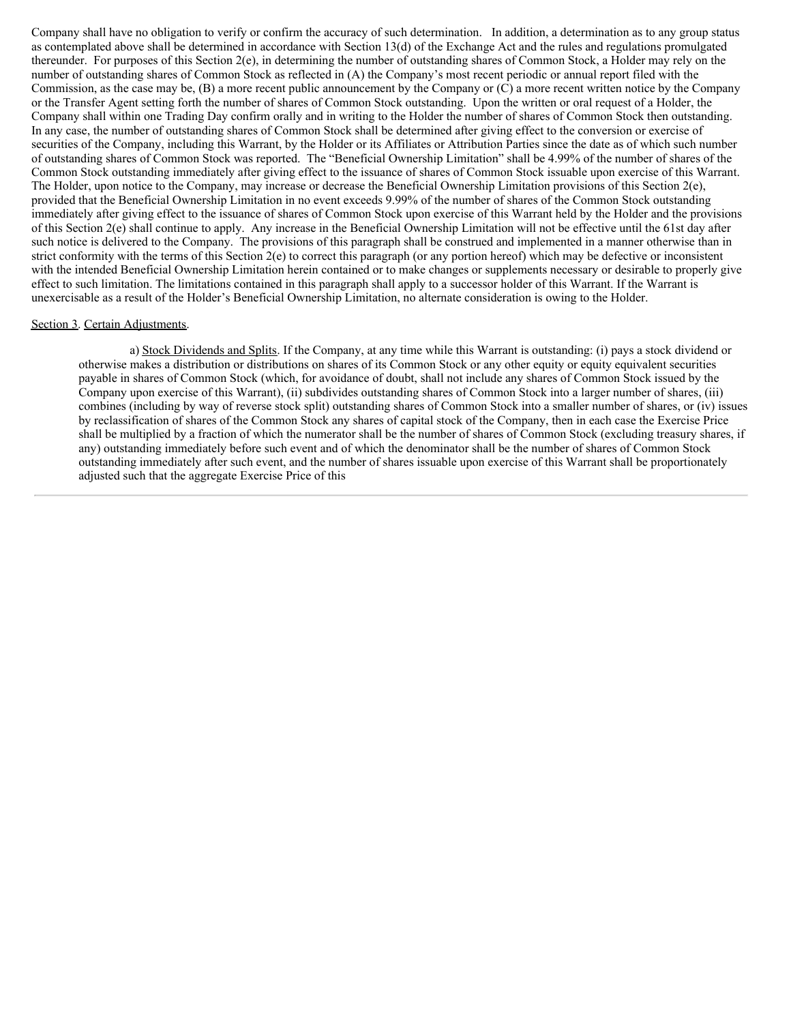Company shall have no obligation to verify or confirm the accuracy of such determination. In addition, a determination as to any group status as contemplated above shall be determined in accordance with Section 13(d) of the Exchange Act and the rules and regulations promulgated thereunder. For purposes of this Section 2(e), in determining the number of outstanding shares of Common Stock, a Holder may rely on the number of outstanding shares of Common Stock as reflected in (A) the Company's most recent periodic or annual report filed with the Commission, as the case may be, (B) a more recent public announcement by the Company or (C) a more recent written notice by the Company or the Transfer Agent setting forth the number of shares of Common Stock outstanding. Upon the written or oral request of a Holder, the Company shall within one Trading Day confirm orally and in writing to the Holder the number of shares of Common Stock then outstanding. In any case, the number of outstanding shares of Common Stock shall be determined after giving effect to the conversion or exercise of securities of the Company, including this Warrant, by the Holder or its Affiliates or Attribution Parties since the date as of which such number of outstanding shares of Common Stock was reported. The "Beneficial Ownership Limitation" shall be 4.99% of the number of shares of the Common Stock outstanding immediately after giving effect to the issuance of shares of Common Stock issuable upon exercise of this Warrant. The Holder, upon notice to the Company, may increase or decrease the Beneficial Ownership Limitation provisions of this Section 2(e), provided that the Beneficial Ownership Limitation in no event exceeds 9.99% of the number of shares of the Common Stock outstanding immediately after giving effect to the issuance of shares of Common Stock upon exercise of this Warrant held by the Holder and the provisions of this Section 2(e) shall continue to apply. Any increase in the Beneficial Ownership Limitation will not be effective until the 61st day after such notice is delivered to the Company. The provisions of this paragraph shall be construed and implemented in a manner otherwise than in strict conformity with the terms of this Section 2(e) to correct this paragraph (or any portion hereof) which may be defective or inconsistent with the intended Beneficial Ownership Limitation herein contained or to make changes or supplements necessary or desirable to properly give effect to such limitation. The limitations contained in this paragraph shall apply to a successor holder of this Warrant. If the Warrant is unexercisable as a result of the Holder's Beneficial Ownership Limitation, no alternate consideration is owing to the Holder.

#### Section 3. Certain Adjustments.

a) Stock Dividends and Splits. If the Company, at any time while this Warrant is outstanding: (i) pays a stock dividend or otherwise makes a distribution or distributions on shares of its Common Stock or any other equity or equity equivalent securities payable in shares of Common Stock (which, for avoidance of doubt, shall not include any shares of Common Stock issued by the Company upon exercise of this Warrant), (ii) subdivides outstanding shares of Common Stock into a larger number of shares, (iii) combines (including by way of reverse stock split) outstanding shares of Common Stock into a smaller number of shares, or (iv) issues by reclassification of shares of the Common Stock any shares of capital stock of the Company, then in each case the Exercise Price shall be multiplied by a fraction of which the numerator shall be the number of shares of Common Stock (excluding treasury shares, if any) outstanding immediately before such event and of which the denominator shall be the number of shares of Common Stock outstanding immediately after such event, and the number of shares issuable upon exercise of this Warrant shall be proportionately adjusted such that the aggregate Exercise Price of this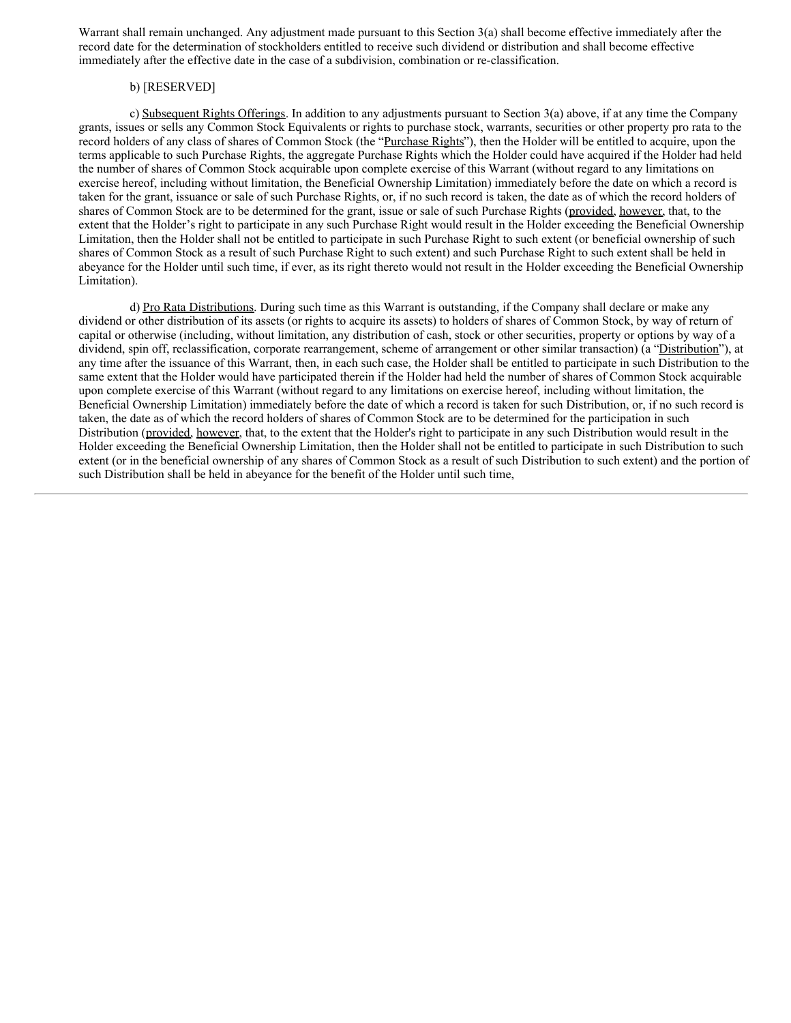Warrant shall remain unchanged. Any adjustment made pursuant to this Section 3(a) shall become effective immediately after the record date for the determination of stockholders entitled to receive such dividend or distribution and shall become effective immediately after the effective date in the case of a subdivision, combination or re‑classification.

### b) [RESERVED]

c) Subsequent Rights Offerings. In addition to any adjustments pursuant to Section 3(a) above, if at any time the Company grants, issues or sells any Common Stock Equivalents or rights to purchase stock, warrants, securities or other property pro rata to the record holders of any class of shares of Common Stock (the "Purchase Rights"), then the Holder will be entitled to acquire, upon the terms applicable to such Purchase Rights, the aggregate Purchase Rights which the Holder could have acquired if the Holder had held the number of shares of Common Stock acquirable upon complete exercise of this Warrant (without regard to any limitations on exercise hereof, including without limitation, the Beneficial Ownership Limitation) immediately before the date on which a record is taken for the grant, issuance or sale of such Purchase Rights, or, if no such record is taken, the date as of which the record holders of shares of Common Stock are to be determined for the grant, issue or sale of such Purchase Rights (provided, however, that, to the extent that the Holder's right to participate in any such Purchase Right would result in the Holder exceeding the Beneficial Ownership Limitation, then the Holder shall not be entitled to participate in such Purchase Right to such extent (or beneficial ownership of such shares of Common Stock as a result of such Purchase Right to such extent) and such Purchase Right to such extent shall be held in abeyance for the Holder until such time, if ever, as its right thereto would not result in the Holder exceeding the Beneficial Ownership Limitation).

d) Pro Rata Distributions. During such time as this Warrant is outstanding, if the Company shall declare or make any dividend or other distribution of its assets (or rights to acquire its assets) to holders of shares of Common Stock, by way of return of capital or otherwise (including, without limitation, any distribution of cash, stock or other securities, property or options by way of a dividend, spin off, reclassification, corporate rearrangement, scheme of arrangement or other similar transaction) (a "Distribution"), at any time after the issuance of this Warrant, then, in each such case, the Holder shall be entitled to participate in such Distribution to the same extent that the Holder would have participated therein if the Holder had held the number of shares of Common Stock acquirable upon complete exercise of this Warrant (without regard to any limitations on exercise hereof, including without limitation, the Beneficial Ownership Limitation) immediately before the date of which a record is taken for such Distribution, or, if no such record is taken, the date as of which the record holders of shares of Common Stock are to be determined for the participation in such Distribution (provided, however, that, to the extent that the Holder's right to participate in any such Distribution would result in the Holder exceeding the Beneficial Ownership Limitation, then the Holder shall not be entitled to participate in such Distribution to such extent (or in the beneficial ownership of any shares of Common Stock as a result of such Distribution to such extent) and the portion of such Distribution shall be held in abeyance for the benefit of the Holder until such time,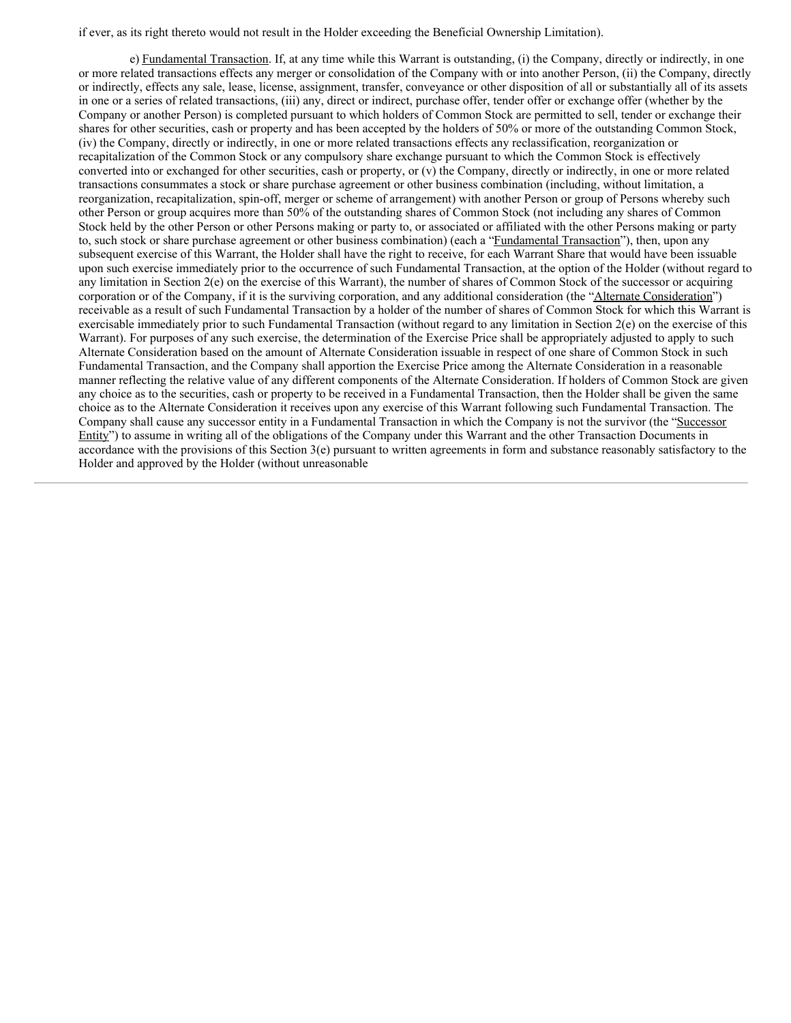if ever, as its right thereto would not result in the Holder exceeding the Beneficial Ownership Limitation).

e) Fundamental Transaction. If, at any time while this Warrant is outstanding, (i) the Company, directly or indirectly, in one or more related transactions effects any merger or consolidation of the Company with or into another Person, (ii) the Company, directly or indirectly, effects any sale, lease, license, assignment, transfer, conveyance or other disposition of all or substantially all of its assets in one or a series of related transactions, (iii) any, direct or indirect, purchase offer, tender offer or exchange offer (whether by the Company or another Person) is completed pursuant to which holders of Common Stock are permitted to sell, tender or exchange their shares for other securities, cash or property and has been accepted by the holders of 50% or more of the outstanding Common Stock, (iv) the Company, directly or indirectly, in one or more related transactions effects any reclassification, reorganization or recapitalization of the Common Stock or any compulsory share exchange pursuant to which the Common Stock is effectively converted into or exchanged for other securities, cash or property, or (v) the Company, directly or indirectly, in one or more related transactions consummates a stock or share purchase agreement or other business combination (including, without limitation, a reorganization, recapitalization, spin-off, merger or scheme of arrangement) with another Person or group of Persons whereby such other Person or group acquires more than 50% of the outstanding shares of Common Stock (not including any shares of Common Stock held by the other Person or other Persons making or party to, or associated or affiliated with the other Persons making or party to, such stock or share purchase agreement or other business combination) (each a "Fundamental Transaction"), then, upon any subsequent exercise of this Warrant, the Holder shall have the right to receive, for each Warrant Share that would have been issuable upon such exercise immediately prior to the occurrence of such Fundamental Transaction, at the option of the Holder (without regard to any limitation in Section 2(e) on the exercise of this Warrant), the number of shares of Common Stock of the successor or acquiring corporation or of the Company, if it is the surviving corporation, and any additional consideration (the "Alternate Consideration") receivable as a result of such Fundamental Transaction by a holder of the number of shares of Common Stock for which this Warrant is exercisable immediately prior to such Fundamental Transaction (without regard to any limitation in Section 2(e) on the exercise of this Warrant). For purposes of any such exercise, the determination of the Exercise Price shall be appropriately adjusted to apply to such Alternate Consideration based on the amount of Alternate Consideration issuable in respect of one share of Common Stock in such Fundamental Transaction, and the Company shall apportion the Exercise Price among the Alternate Consideration in a reasonable manner reflecting the relative value of any different components of the Alternate Consideration. If holders of Common Stock are given any choice as to the securities, cash or property to be received in a Fundamental Transaction, then the Holder shall be given the same choice as to the Alternate Consideration it receives upon any exercise of this Warrant following such Fundamental Transaction. The Company shall cause any successor entity in a Fundamental Transaction in which the Company is not the survivor (the "Successor Entity") to assume in writing all of the obligations of the Company under this Warrant and the other Transaction Documents in accordance with the provisions of this Section 3(e) pursuant to written agreements in form and substance reasonably satisfactory to the Holder and approved by the Holder (without unreasonable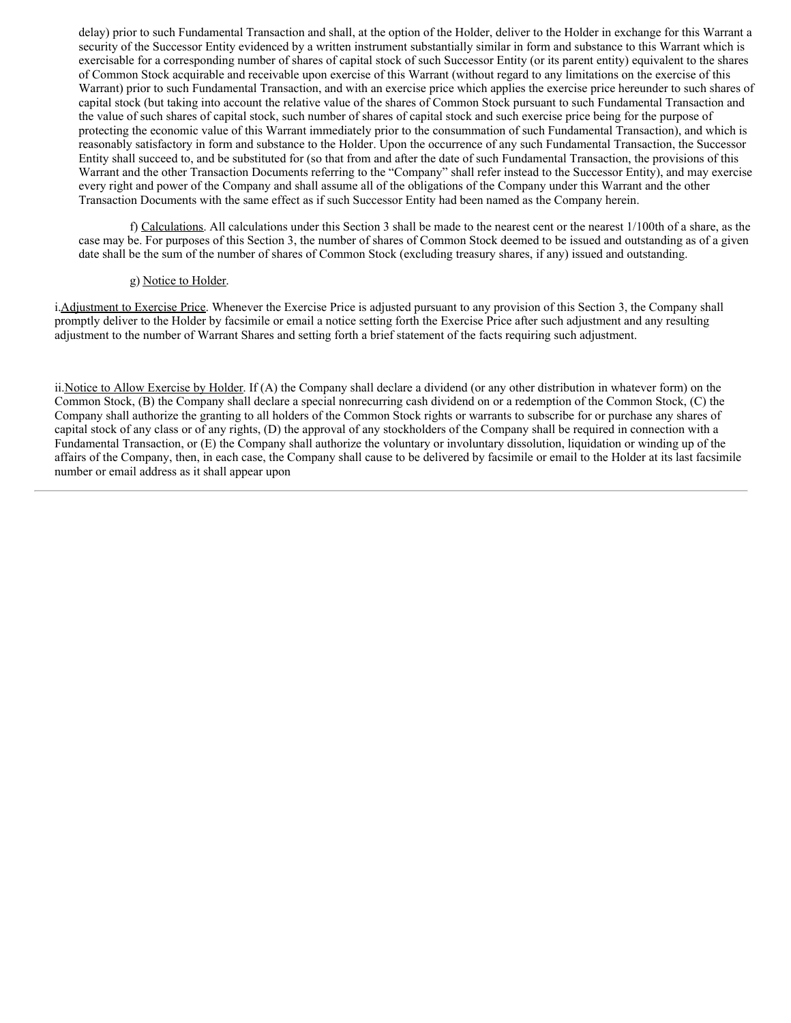<span id="page-32-0"></span>delay) prior to such Fundamental Transaction and shall, at the option of the Holder, deliver to the Holder in exchange for this Warrant a security of the Successor Entity evidenced by a written instrument substantially similar in form and substance to this Warrant which is exercisable for a corresponding number of shares of capital stock of such Successor Entity (or its parent entity) equivalent to the shares of Common Stock acquirable and receivable upon exercise of this Warrant (without regard to any limitations on the exercise of this Warrant) prior to such Fundamental Transaction, and with an exercise price which applies the exercise price hereunder to such shares of capital stock (but taking into account the relative value of the shares of Common Stock pursuant to such Fundamental Transaction and the value of such shares of capital stock, such number of shares of capital stock and such exercise price being for the purpose of protecting the economic value of this Warrant immediately prior to the consummation of such Fundamental Transaction), and which is reasonably satisfactory in form and substance to the Holder. Upon the occurrence of any such Fundamental Transaction, the Successor Entity shall succeed to, and be substituted for (so that from and after the date of such Fundamental Transaction, the provisions of this Warrant and the other Transaction Documents referring to the "Company" shall refer instead to the Successor Entity), and may exercise every right and power of the Company and shall assume all of the obligations of the Company under this Warrant and the other Transaction Documents with the same effect as if such Successor Entity had been named as the Company herein.

f) Calculations. All calculations under this Section 3 shall be made to the nearest cent or the nearest 1/100th of a share, as the case may be. For purposes of this Section 3, the number of shares of Common Stock deemed to be issued and outstanding as of a given date shall be the sum of the number of shares of Common Stock (excluding treasury shares, if any) issued and outstanding.

#### g) Notice to Holder.

i.Adjustment to Exercise Price. Whenever the Exercise Price is adjusted pursuant to any provision of this Section 3, the Company shall promptly deliver to the Holder by facsimile or email a notice setting forth the Exercise Price after such adjustment and any resulting adjustment to the number of Warrant Shares and setting forth a brief statement of the facts requiring such adjustment.

ii. Notice to Allow Exercise by Holder. If (A) the Company shall declare a dividend (or any other distribution in whatever form) on the Common Stock, (B) the Company shall declare a special nonrecurring cash dividend on or a redemption of the Common Stock, (C) the Company shall authorize the granting to all holders of the Common Stock rights or warrants to subscribe for or purchase any shares of capital stock of any class or of any rights, (D) the approval of any stockholders of the Company shall be required in connection with a Fundamental Transaction, or (E) the Company shall authorize the voluntary or involuntary dissolution, liquidation or winding up of the affairs of the Company, then, in each case, the Company shall cause to be delivered by facsimile or email to the Holder at its last facsimile number or email address as it shall appear upon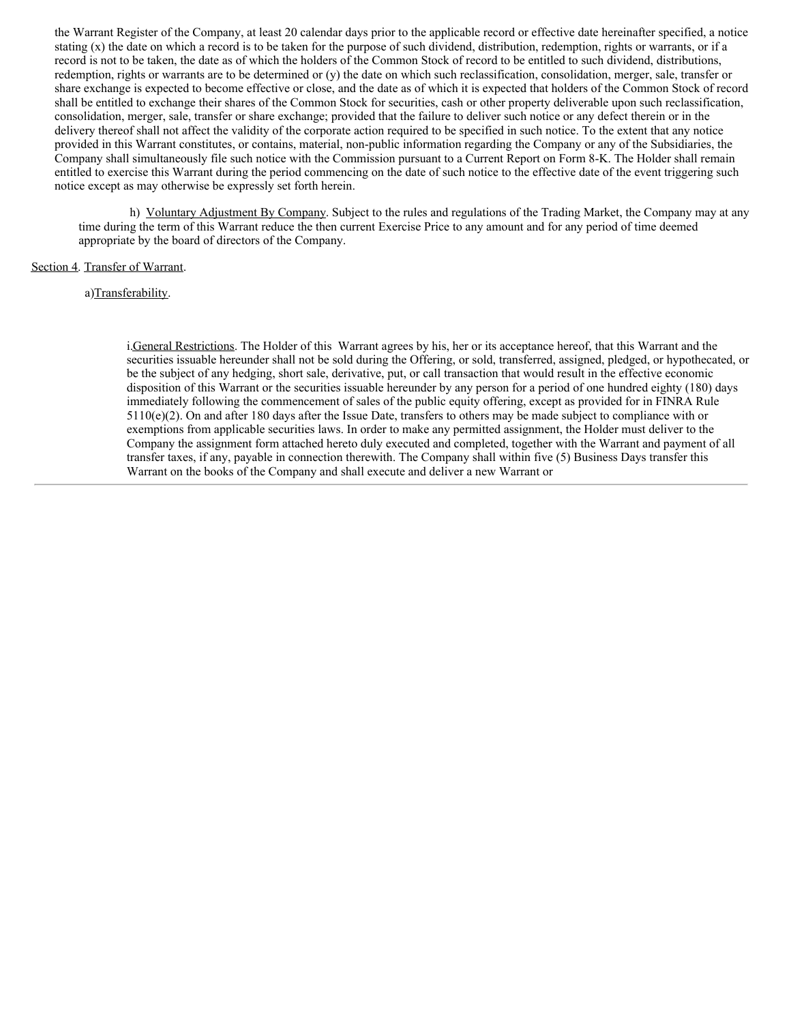the Warrant Register of the Company, at least 20 calendar days prior to the applicable record or effective date hereinafter specified, a notice stating  $(x)$  the date on which a record is to be taken for the purpose of such dividend, distribution, redemption, rights or warrants, or if a record is not to be taken, the date as of which the holders of the Common Stock of record to be entitled to such dividend, distributions, redemption, rights or warrants are to be determined or (y) the date on which such reclassification, consolidation, merger, sale, transfer or share exchange is expected to become effective or close, and the date as of which it is expected that holders of the Common Stock of record shall be entitled to exchange their shares of the Common Stock for securities, cash or other property deliverable upon such reclassification, consolidation, merger, sale, transfer or share exchange; provided that the failure to deliver such notice or any defect therein or in the delivery thereof shall not affect the validity of the corporate action required to be specified in such notice. To the extent that any notice provided in this Warrant constitutes, or contains, material, non-public information regarding the Company or any of the Subsidiaries, the Company shall simultaneously file such notice with the Commission pursuant to a Current Report on Form 8-K. The Holder shall remain entitled to exercise this Warrant during the period commencing on the date of such notice to the effective date of the event triggering such notice except as may otherwise be expressly set forth herein.

h) Voluntary Adjustment By Company. Subject to the rules and regulations of the Trading Market, the Company may at any time during the term of this Warrant reduce the then current Exercise Price to any amount and for any period of time deemed appropriate by the board of directors of the Company.

#### Section 4. Transfer of Warrant.

#### a)Transferability.

i.General Restrictions. The Holder of this Warrant agrees by his, her or its acceptance hereof, that this Warrant and the securities issuable hereunder shall not be sold during the Offering, or sold, transferred, assigned, pledged, or hypothecated, or be the subject of any hedging, short sale, derivative, put, or call transaction that would result in the effective economic disposition of this Warrant or the securities issuable hereunder by any person for a period of one hundred eighty (180) days immediately following the commencement of sales of the public equity offering, except as provided for in FINRA Rule  $5110(e)(2)$ . On and after 180 days after the Issue Date, transfers to others may be made subject to compliance with or exemptions from applicable securities laws. In order to make any permitted assignment, the Holder must deliver to the Company the assignment form attached hereto duly executed and completed, together with the Warrant and payment of all transfer taxes, if any, payable in connection therewith. The Company shall within five (5) Business Days transfer this Warrant on the books of the Company and shall execute and deliver a new Warrant or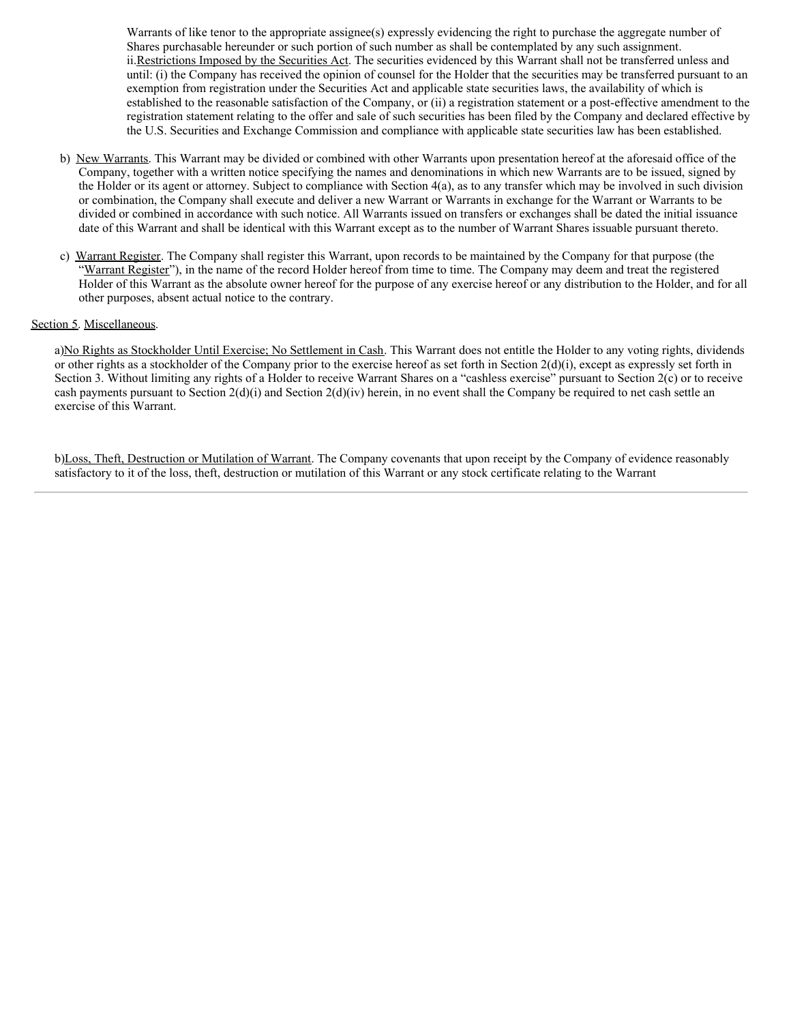Warrants of like tenor to the appropriate assignee(s) expressly evidencing the right to purchase the aggregate number of Shares purchasable hereunder or such portion of such number as shall be contemplated by any such assignment. ii.Restrictions Imposed by the Securities Act. The securities evidenced by this Warrant shall not be transferred unless and until: (i) the Company has received the opinion of counsel for the Holder that the securities may be transferred pursuant to an exemption from registration under the Securities Act and applicable state securities laws, the availability of which is established to the reasonable satisfaction of the Company, or (ii) a registration statement or a post-effective amendment to the registration statement relating to the offer and sale of such securities has been filed by the Company and declared effective by the U.S. Securities and Exchange Commission and compliance with applicable state securities law has been established.

- b) New Warrants. This Warrant may be divided or combined with other Warrants upon presentation hereof at the aforesaid office of the Company, together with a written notice specifying the names and denominations in which new Warrants are to be issued, signed by the Holder or its agent or attorney. Subject to compliance with Section 4(a), as to any transfer which may be involved in such division or combination, the Company shall execute and deliver a new Warrant or Warrants in exchange for the Warrant or Warrants to be divided or combined in accordance with such notice. All Warrants issued on transfers or exchanges shall be dated the initial issuance date of this Warrant and shall be identical with this Warrant except as to the number of Warrant Shares issuable pursuant thereto.
- c) Warrant Register. The Company shall register this Warrant, upon records to be maintained by the Company for that purpose (the "Warrant Register"), in the name of the record Holder hereof from time to time. The Company may deem and treat the registered Holder of this Warrant as the absolute owner hereof for the purpose of any exercise hereof or any distribution to the Holder, and for all other purposes, absent actual notice to the contrary.

#### Section 5. Miscellaneous.

a)No Rights as Stockholder Until Exercise; No Settlement in Cash. This Warrant does not entitle the Holder to any voting rights, dividends or other rights as a stockholder of the Company prior to the exercise hereof as set forth in Section  $2(d)(i)$ , except as expressly set forth in Section 3. Without limiting any rights of a Holder to receive Warrant Shares on a "cashless exercise" pursuant to Section 2(c) or to receive cash payments pursuant to Section  $2(d)(i)$  and Section  $2(d)(iv)$  herein, in no event shall the Company be required to net cash settle an exercise of this Warrant.

b)Loss, Theft, Destruction or Mutilation of Warrant. The Company covenants that upon receipt by the Company of evidence reasonably satisfactory to it of the loss, theft, destruction or mutilation of this Warrant or any stock certificate relating to the Warrant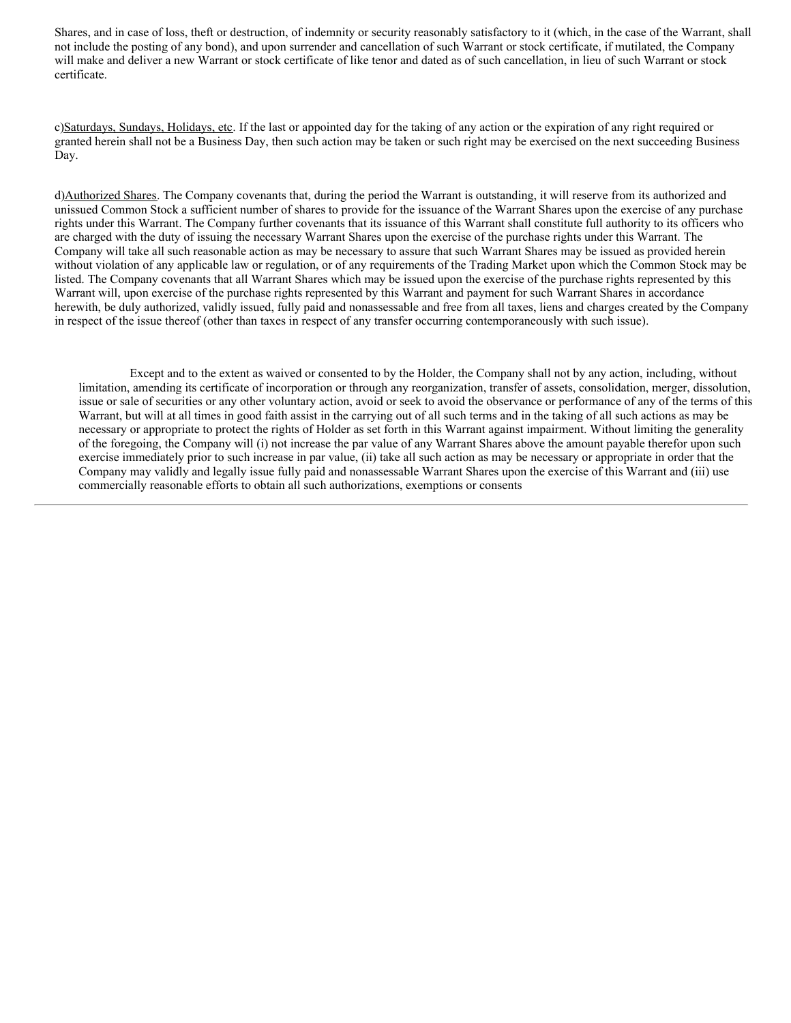Shares, and in case of loss, theft or destruction, of indemnity or security reasonably satisfactory to it (which, in the case of the Warrant, shall not include the posting of any bond), and upon surrender and cancellation of such Warrant or stock certificate, if mutilated, the Company will make and deliver a new Warrant or stock certificate of like tenor and dated as of such cancellation, in lieu of such Warrant or stock certificate.

c)Saturdays, Sundays, Holidays, etc. If the last or appointed day for the taking of any action or the expiration of any right required or granted herein shall not be a Business Day, then such action may be taken or such right may be exercised on the next succeeding Business Day.

d)Authorized Shares. The Company covenants that, during the period the Warrant is outstanding, it will reserve from its authorized and unissued Common Stock a sufficient number of shares to provide for the issuance of the Warrant Shares upon the exercise of any purchase rights under this Warrant. The Company further covenants that its issuance of this Warrant shall constitute full authority to its officers who are charged with the duty of issuing the necessary Warrant Shares upon the exercise of the purchase rights under this Warrant. The Company will take all such reasonable action as may be necessary to assure that such Warrant Shares may be issued as provided herein without violation of any applicable law or regulation, or of any requirements of the Trading Market upon which the Common Stock may be listed. The Company covenants that all Warrant Shares which may be issued upon the exercise of the purchase rights represented by this Warrant will, upon exercise of the purchase rights represented by this Warrant and payment for such Warrant Shares in accordance herewith, be duly authorized, validly issued, fully paid and nonassessable and free from all taxes, liens and charges created by the Company in respect of the issue thereof (other than taxes in respect of any transfer occurring contemporaneously with such issue).

Except and to the extent as waived or consented to by the Holder, the Company shall not by any action, including, without limitation, amending its certificate of incorporation or through any reorganization, transfer of assets, consolidation, merger, dissolution, issue or sale of securities or any other voluntary action, avoid or seek to avoid the observance or performance of any of the terms of this Warrant, but will at all times in good faith assist in the carrying out of all such terms and in the taking of all such actions as may be necessary or appropriate to protect the rights of Holder as set forth in this Warrant against impairment. Without limiting the generality of the foregoing, the Company will (i) not increase the par value of any Warrant Shares above the amount payable therefor upon such exercise immediately prior to such increase in par value, (ii) take all such action as may be necessary or appropriate in order that the Company may validly and legally issue fully paid and nonassessable Warrant Shares upon the exercise of this Warrant and (iii) use commercially reasonable efforts to obtain all such authorizations, exemptions or consents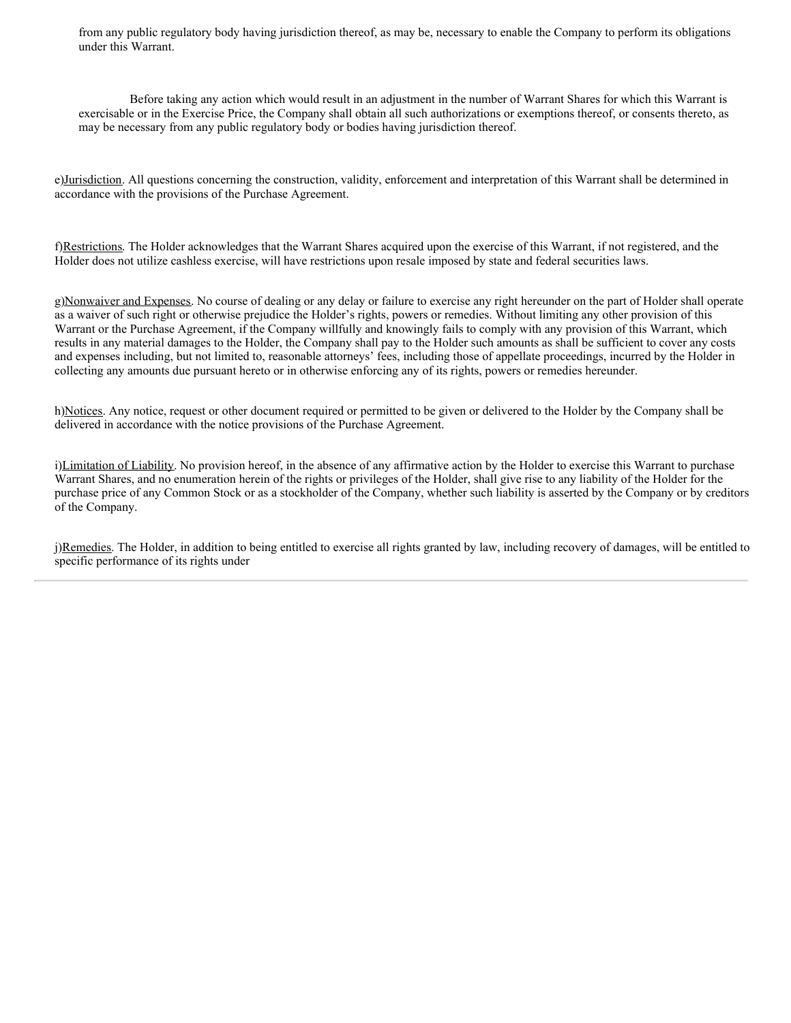from any public regulatory body having jurisdiction thereof, as may be, necessary to enable the Company to perform its obligations under this Warrant.

Before taking any action which would result in an adjustment in the number of Warrant Shares for which this Warrant is exercisable or in the Exercise Price, the Company shall obtain all such authorizations or exemptions thereof, or consents thereto, as may be necessary from any public regulatory body or bodies having jurisdiction thereof.

e)Jurisdiction. All questions concerning the construction, validity, enforcement and interpretation of this Warrant shall be determined in accordance with the provisions of the Purchase Agreement.

f)Restrictions. The Holder acknowledges that the Warrant Shares acquired upon the exercise of this Warrant, if not registered, and the Holder does not utilize cashless exercise, will have restrictions upon resale imposed by state and federal securities laws.

g)Nonwaiver and Expenses. No course of dealing or any delay or failure to exercise any right hereunder on the part of Holder shall operate as a waiver of such right or otherwise prejudice the Holder's rights, powers or remedies. Without limiting any other provision of this Warrant or the Purchase Agreement, if the Company willfully and knowingly fails to comply with any provision of this Warrant, which results in any material damages to the Holder, the Company shall pay to the Holder such amounts as shall be sufficient to cover any costs and expenses including, but not limited to, reasonable attorneys' fees, including those of appellate proceedings, incurred by the Holder in collecting any amounts due pursuant hereto or in otherwise enforcing any of its rights, powers or remedies hereunder.

h)Notices. Any notice, request or other document required or permitted to be given or delivered to the Holder by the Company shall be delivered in accordance with the notice provisions of the Purchase Agreement.

i)Limitation of Liability. No provision hereof, in the absence of any affirmative action by the Holder to exercise this Warrant to purchase Warrant Shares, and no enumeration herein of the rights or privileges of the Holder, shall give rise to any liability of the Holder for the purchase price of any Common Stock or as a stockholder of the Company, whether such liability is asserted by the Company or by creditors of the Company.

j)Remedies. The Holder, in addition to being entitled to exercise all rights granted by law, including recovery of damages, will be entitled to specific performance of its rights under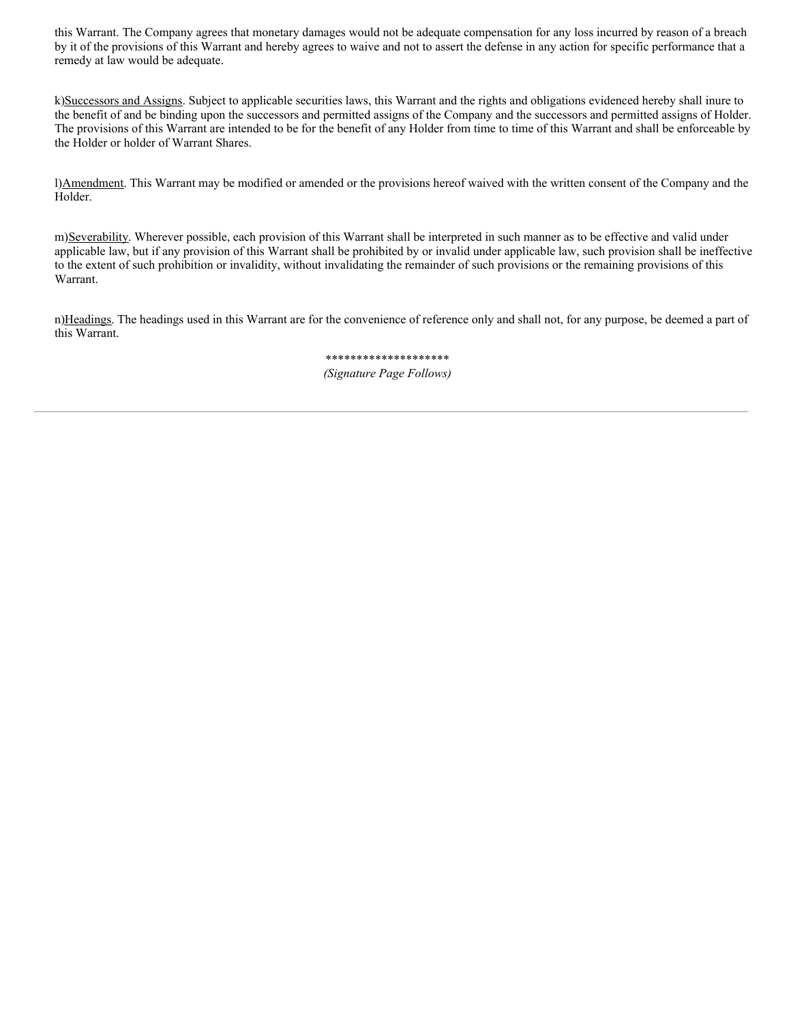this Warrant. The Company agrees that monetary damages would not be adequate compensation for any loss incurred by reason of a breach by it of the provisions of this Warrant and hereby agrees to waive and not to assert the defense in any action for specific performance that a remedy at law would be adequate.

k)Successors and Assigns. Subject to applicable securities laws, this Warrant and the rights and obligations evidenced hereby shall inure to the benefit of and be binding upon the successors and permitted assigns of the Company and the successors and permitted assigns of Holder. The provisions of this Warrant are intended to be for the benefit of any Holder from time to time of this Warrant and shall be enforceable by the Holder or holder of Warrant Shares.

l)Amendment. This Warrant may be modified or amended or the provisions hereof waived with the written consent of the Company and the Holder.

m)Severability. Wherever possible, each provision of this Warrant shall be interpreted in such manner as to be effective and valid under applicable law, but if any provision of this Warrant shall be prohibited by or invalid under applicable law, such provision shall be ineffective to the extent of such prohibition or invalidity, without invalidating the remainder of such provisions or the remaining provisions of this Warrant.

n)Headings. The headings used in this Warrant are for the convenience of reference only and shall not, for any purpose, be deemed a part of this Warrant.

> \*\*\*\*\*\*\*\*\*\*\*\*\*\*\*\*\*\*\*\* *(Signature Page Follows)*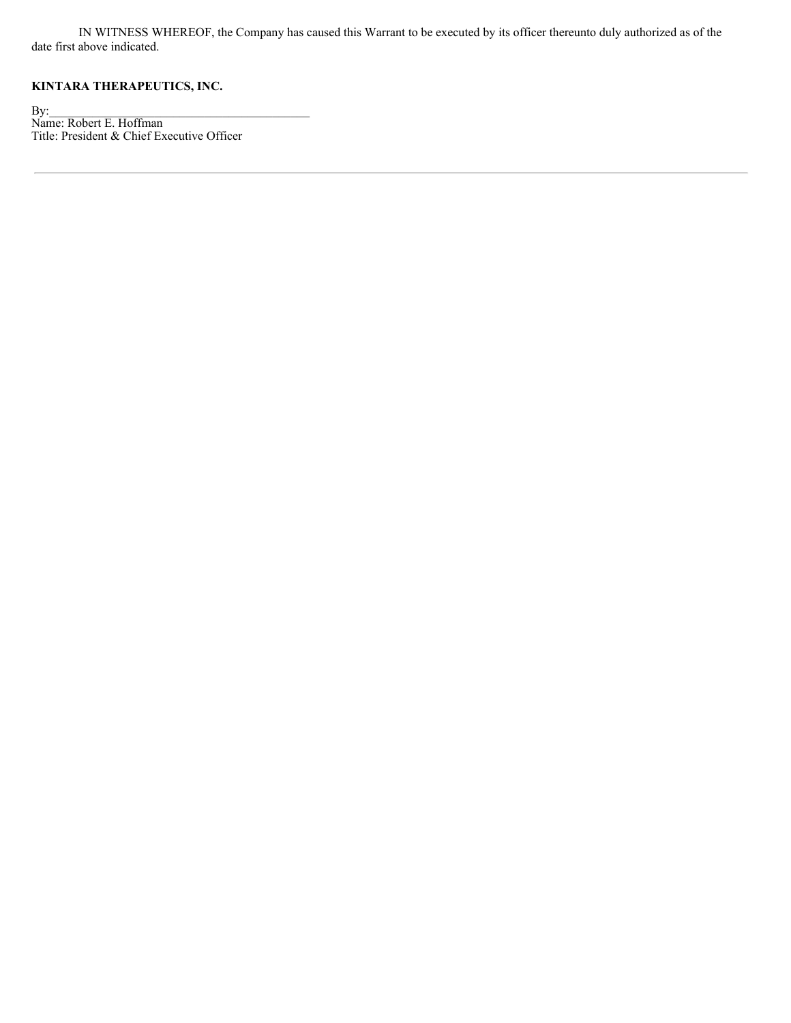IN WITNESS WHEREOF, the Company has caused this Warrant to be executed by its officer thereunto duly authorized as of the date first above indicated.

## **KINTARA THERAPEUTICS, INC.**

 $\mathbf{By:}$ Name: Robert E. Hoffman Title: President & Chief Executive Officer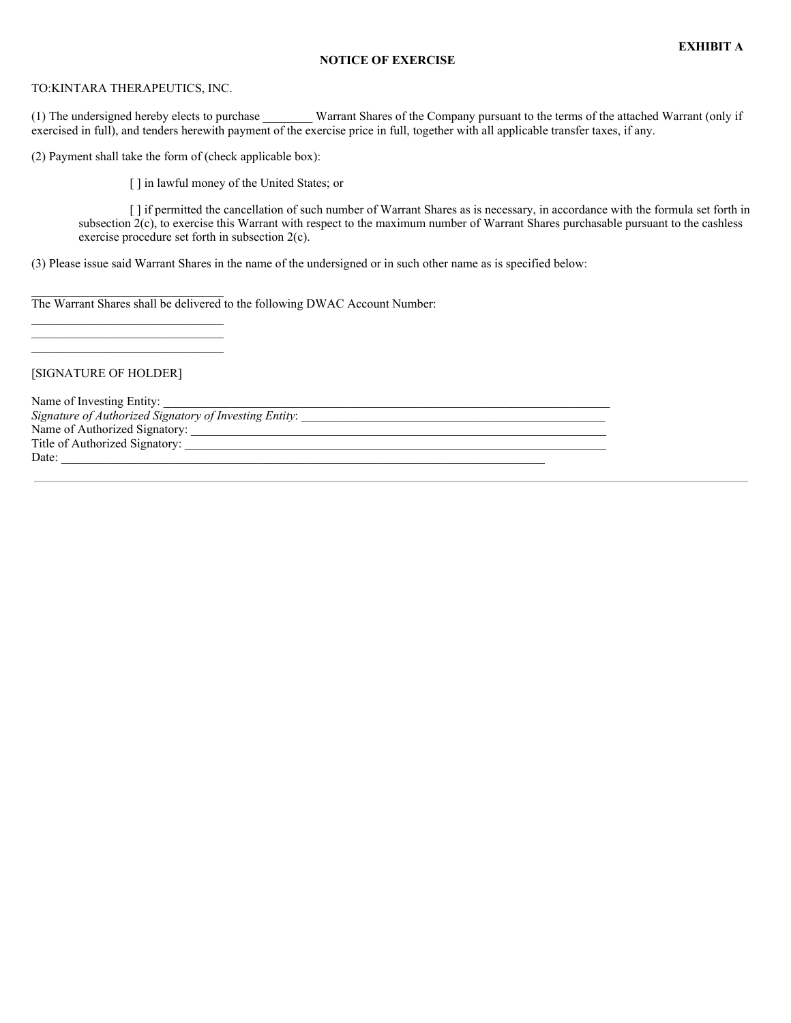## **NOTICE OF EXERCISE**

#### TO:KINTARA THERAPEUTICS, INC.

(1) The undersigned hereby elects to purchase \_\_\_\_\_\_\_\_ Warrant Shares of the Company pursuant to the terms of the attached Warrant (only if exercised in full), and tenders herewith payment of the exercise price in full, together with all applicable transfer taxes, if any.

(2) Payment shall take the form of (check applicable box):

[] in lawful money of the United States; or

[ ] if permitted the cancellation of such number of Warrant Shares as is necessary, in accordance with the formula set forth in subsection 2(c), to exercise this Warrant with respect to the maximum number of Warrant Shares purchasable pursuant to the cashless exercise procedure set forth in subsection 2(c).

(3) Please issue said Warrant Shares in the name of the undersigned or in such other name as is specified below:

The Warrant Shares shall be delivered to the following DWAC Account Number:

[SIGNATURE OF HOLDER]

 $\mathcal{L}_\text{max}$ 

\_\_\_\_\_\_\_\_\_\_\_\_\_\_\_\_\_\_\_\_\_\_\_\_\_\_\_\_\_\_\_

Name of Investing Entity: *Signature of Authorized Signatory of Investing Entity*: \_\_\_\_\_\_\_\_\_\_\_\_\_\_\_\_\_\_\_\_\_\_\_\_\_\_\_\_\_\_\_\_\_\_\_\_\_\_\_\_\_\_\_\_\_\_\_\_\_ Name of Authorized Signatory: Title of Authorized Signatory: \_\_\_\_\_\_\_\_\_\_\_\_\_\_\_\_\_\_\_\_\_\_\_\_\_\_\_\_\_\_\_\_\_\_\_\_\_\_\_\_\_\_\_\_\_\_\_\_\_\_\_\_\_\_\_\_\_\_\_\_\_\_\_\_\_\_\_\_ Date: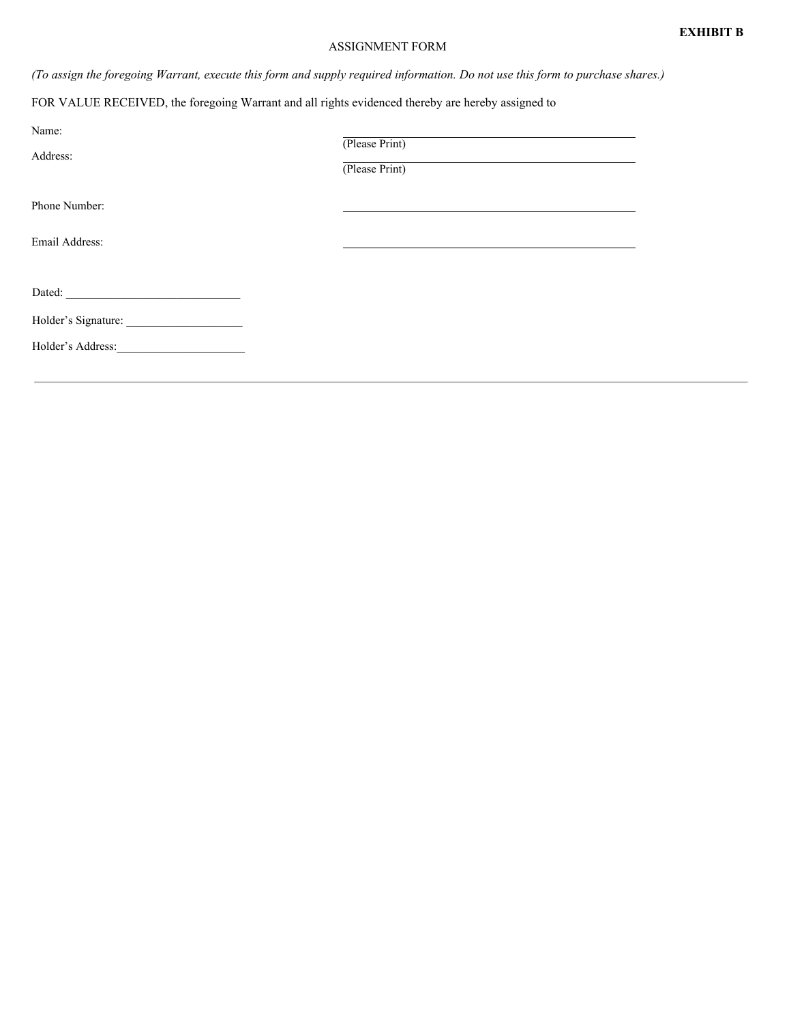## ASSIGNMENT FORM

(To assign the foregoing Warrant, execute this form and supply required information. Do not use this form to purchase shares.)

FOR VALUE RECEIVED, the foregoing Warrant and all rights evidenced thereby are hereby assigned to

| Name:<br>Address: | (Please Print)<br>(Please Print) |
|-------------------|----------------------------------|
| Phone Number:     |                                  |
| Email Address:    |                                  |
|                   |                                  |
|                   |                                  |
| Holder's Address: |                                  |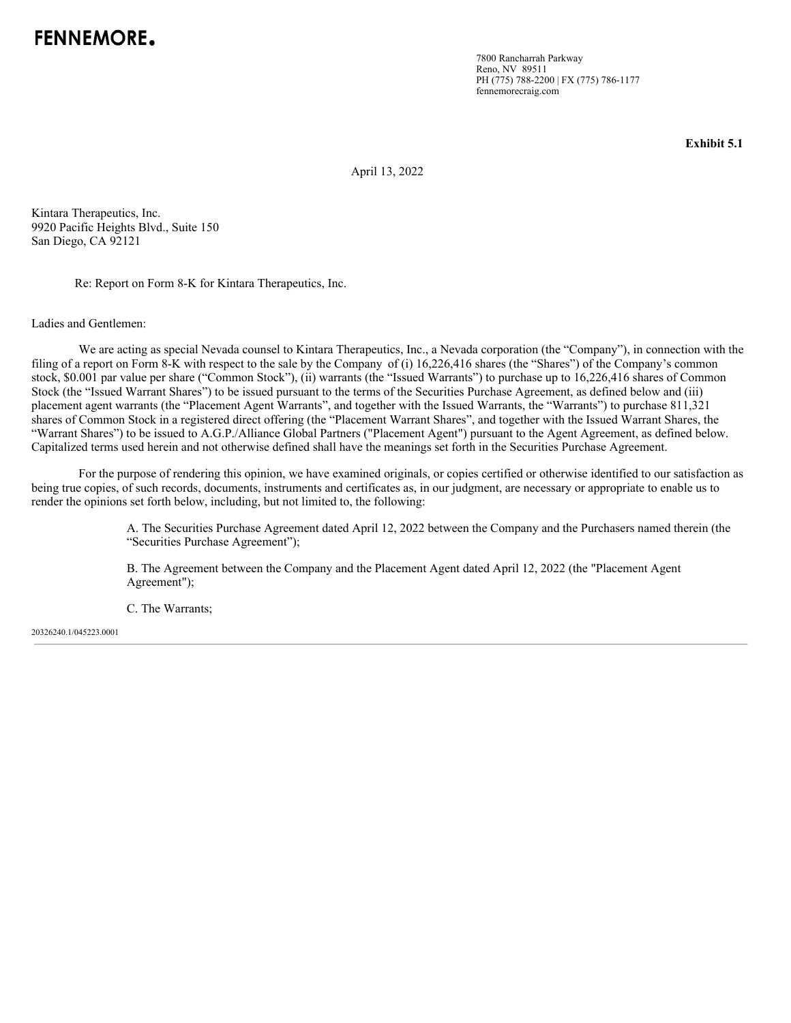7800 Rancharrah Parkway Reno, NV 89511 PH (775) 788-2200 | FX (775) 786-1177 fennemorecraig.com

**Exhibit 5.1**

April 13, 2022

Kintara Therapeutics, Inc. 9920 Pacific Heights Blvd., Suite 150 San Diego, CA 92121

Re: Report on Form 8-K for Kintara Therapeutics, Inc.

Ladies and Gentlemen:

We are acting as special Nevada counsel to Kintara Therapeutics, Inc., a Nevada corporation (the "Company"), in connection with the filing of a report on Form 8-K with respect to the sale by the Company of (i) 16,226,416 shares (the "Shares") of the Company's common stock, \$0.001 par value per share ("Common Stock"), (ii) warrants (the "Issued Warrants") to purchase up to 16,226,416 shares of Common Stock (the "Issued Warrant Shares") to be issued pursuant to the terms of the Securities Purchase Agreement, as defined below and (iii) placement agent warrants (the "Placement Agent Warrants", and together with the Issued Warrants, the "Warrants") to purchase 811,321 shares of Common Stock in a registered direct offering (the "Placement Warrant Shares", and together with the Issued Warrant Shares, the "Warrant Shares") to be issued to A.G.P./Alliance Global Partners ("Placement Agent") pursuant to the Agent Agreement, as defined below. Capitalized terms used herein and not otherwise defined shall have the meanings set forth in the Securities Purchase Agreement.

For the purpose of rendering this opinion, we have examined originals, or copies certified or otherwise identified to our satisfaction as being true copies, of such records, documents, instruments and certificates as, in our judgment, are necessary or appropriate to enable us to render the opinions set forth below, including, but not limited to, the following:

> A. The Securities Purchase Agreement dated April 12, 2022 between the Company and the Purchasers named therein (the "Securities Purchase Agreement");

B. The Agreement between the Company and the Placement Agent dated April 12, 2022 (the "Placement Agent Agreement");

C. The Warrants;

20326240.1/045223.0001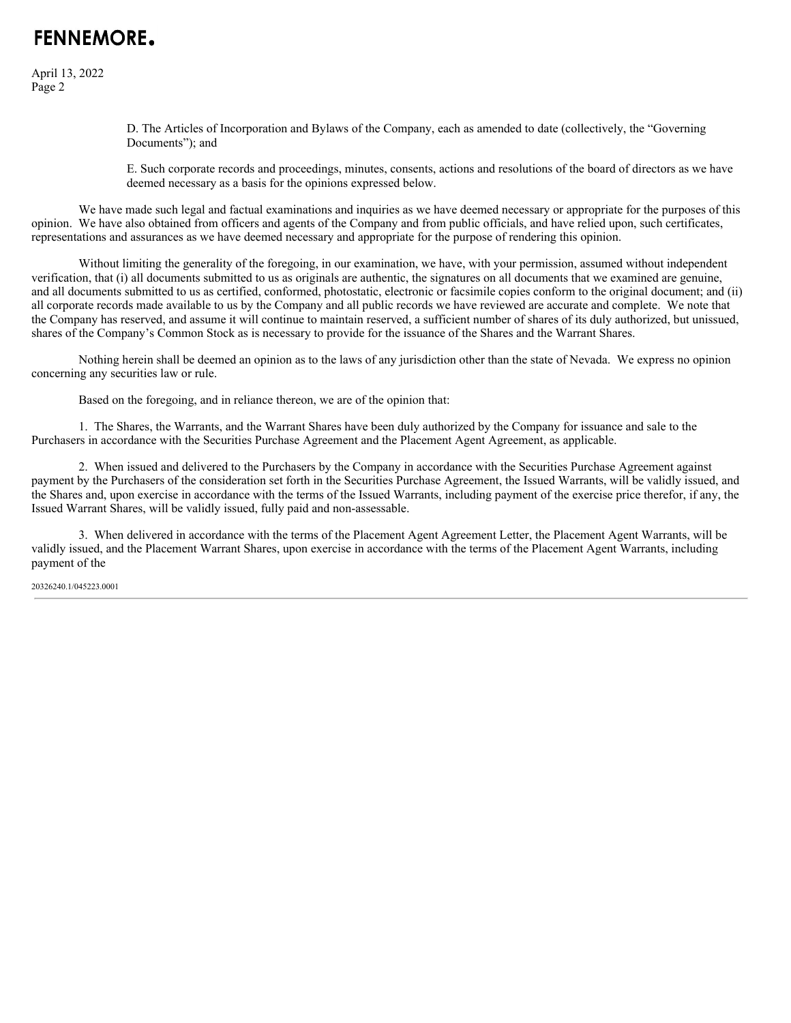# FFNNFMORF.

April 13, 2022 Page 2

> D. The Articles of Incorporation and Bylaws of the Company, each as amended to date (collectively, the "Governing Documents"); and

E. Such corporate records and proceedings, minutes, consents, actions and resolutions of the board of directors as we have deemed necessary as a basis for the opinions expressed below.

We have made such legal and factual examinations and inquiries as we have deemed necessary or appropriate for the purposes of this opinion. We have also obtained from officers and agents of the Company and from public officials, and have relied upon, such certificates, representations and assurances as we have deemed necessary and appropriate for the purpose of rendering this opinion.

Without limiting the generality of the foregoing, in our examination, we have, with your permission, assumed without independent verification, that (i) all documents submitted to us as originals are authentic, the signatures on all documents that we examined are genuine, and all documents submitted to us as certified, conformed, photostatic, electronic or facsimile copies conform to the original document; and (ii) all corporate records made available to us by the Company and all public records we have reviewed are accurate and complete. We note that the Company has reserved, and assume it will continue to maintain reserved, a sufficient number of shares of its duly authorized, but unissued, shares of the Company's Common Stock as is necessary to provide for the issuance of the Shares and the Warrant Shares.

Nothing herein shall be deemed an opinion as to the laws of any jurisdiction other than the state of Nevada. We express no opinion concerning any securities law or rule.

Based on the foregoing, and in reliance thereon, we are of the opinion that:

1. The Shares, the Warrants, and the Warrant Shares have been duly authorized by the Company for issuance and sale to the Purchasers in accordance with the Securities Purchase Agreement and the Placement Agent Agreement, as applicable.

2. When issued and delivered to the Purchasers by the Company in accordance with the Securities Purchase Agreement against payment by the Purchasers of the consideration set forth in the Securities Purchase Agreement, the Issued Warrants, will be validly issued, and the Shares and, upon exercise in accordance with the terms of the Issued Warrants, including payment of the exercise price therefor, if any, the Issued Warrant Shares, will be validly issued, fully paid and non-assessable.

3. When delivered in accordance with the terms of the Placement Agent Agreement Letter, the Placement Agent Warrants, will be validly issued, and the Placement Warrant Shares, upon exercise in accordance with the terms of the Placement Agent Warrants, including payment of the

20326240.1/045223.0001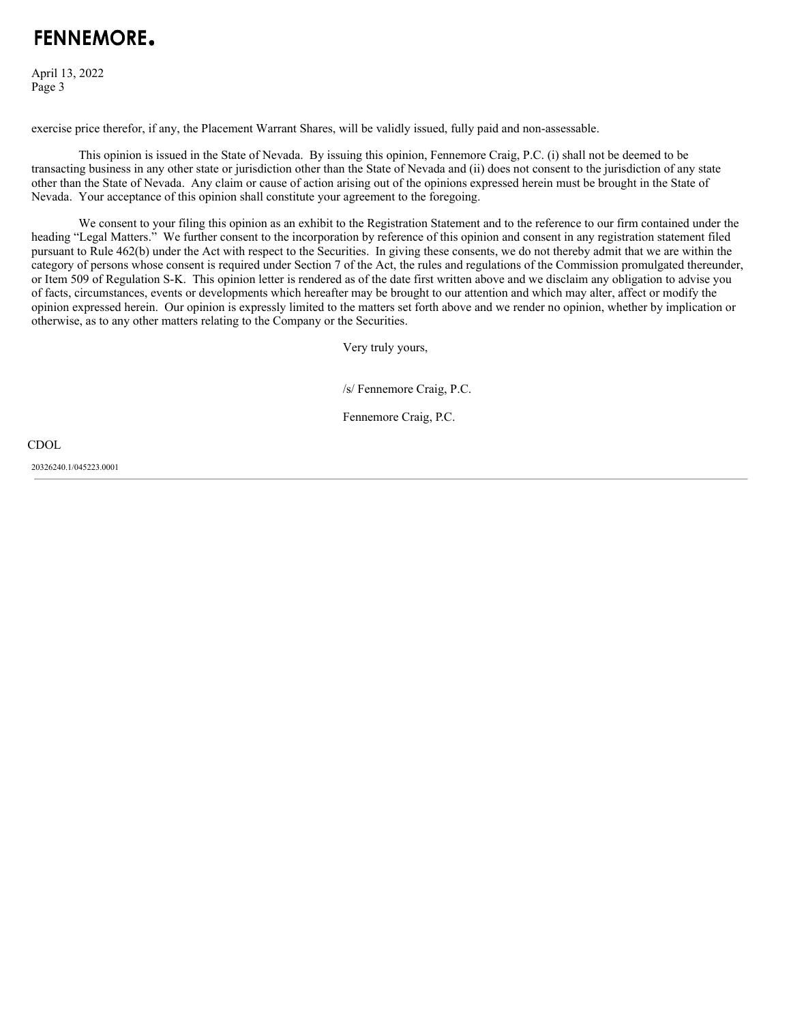# FFNNFMORF.

April 13, 2022 Page 3

exercise price therefor, if any, the Placement Warrant Shares, will be validly issued, fully paid and non-assessable.

This opinion is issued in the State of Nevada. By issuing this opinion, Fennemore Craig, P.C. (i) shall not be deemed to be transacting business in any other state or jurisdiction other than the State of Nevada and (ii) does not consent to the jurisdiction of any state other than the State of Nevada. Any claim or cause of action arising out of the opinions expressed herein must be brought in the State of Nevada. Your acceptance of this opinion shall constitute your agreement to the foregoing.

We consent to your filing this opinion as an exhibit to the Registration Statement and to the reference to our firm contained under the heading "Legal Matters." We further consent to the incorporation by reference of this opinion and consent in any registration statement filed pursuant to Rule 462(b) under the Act with respect to the Securities. In giving these consents, we do not thereby admit that we are within the category of persons whose consent is required under Section 7 of the Act, the rules and regulations of the Commission promulgated thereunder, or Item 509 of Regulation S-K. This opinion letter is rendered as of the date first written above and we disclaim any obligation to advise you of facts, circumstances, events or developments which hereafter may be brought to our attention and which may alter, affect or modify the opinion expressed herein. Our opinion is expressly limited to the matters set forth above and we render no opinion, whether by implication or otherwise, as to any other matters relating to the Company or the Securities.

Very truly yours,

/s/ Fennemore Craig, P.C.

Fennemore Craig, P.C.

CDOL

20326240.1/045223.0001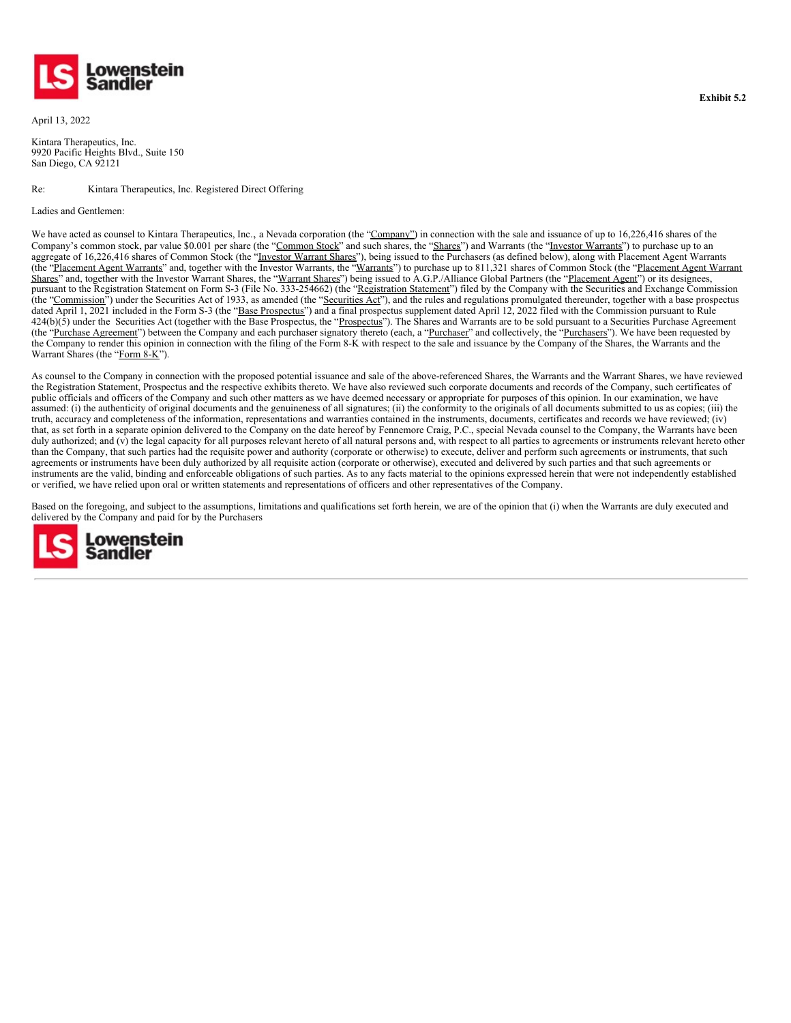

April 13, 2022

Kintara Therapeutics, Inc. 9920 Pacific Heights Blvd., Suite 150 San Diego, CA 92121

Re: Kintara Therapeutics, Inc. Registered Direct Offering

Ladies and Gentlemen:

We have acted as counsel to Kintara Therapeutics, Inc., a Nevada corporation (the "Company") in connection with the sale and issuance of up to 16,226,416 shares of the Company's common stock, par value \$0.001 per share (the "Common Stock" and such shares, the "Shares") and Warrants (the "Investor Warrants") to purchase up to an aggregate of 16,226,416 shares of Common Stock (the "Investor Warrant Shares"), being issued to the Purchasers (as defined below), along with Placement Agent Warrants (the "Placement Agent Warrants" and, together with the Investor Warrants, the "Warrants") to purchase up to 811,321 shares of Common Stock (the "Placement Agent Warrant Shares" and, together with the Investor Warrant Shares, the "Warrant Shares") being issued to A.G.P./Alliance Global Partners (the "Placement Agent") or its designees, pursuant to the Registration Statement on Form S-3 (File No. 333-254662) (the "Registration Statement") filed by the Company with the Securities and Exchange Commission (the "Commission") under the Securities Act of 1933, as amended (the "Securities Act"), and the rules and regulations promulgated thereunder, together with a base prospectus dated April 1, 2021 included in the Form S-3 (the "Base Prospectus") and a final prospectus supplement dated April 12, 2022 filed with the Commission pursuant to Rule  $424(b)(5)$  under the Securities Act (together with the Base Prospectus, the "Prospectus"). The Shares and Warrants are to be sold pursuant to a Securities Purchase Agreement (the "Purchase Agreement") between the Company and each purchaser signatory thereto (each, a "Purchaser" and collectively, the "Purchasers"). We have been requested by the Company to render this opinion in connection with the filing of the Form 8-K with respect to the sale and issuance by the Company of the Shares, the Warrants and the Warrant Shares (the "Form 8-K").

As counsel to the Company in connection with the proposed potential issuance and sale of the above-referenced Shares, the Warrants and the Warrant Shares, we have reviewed the Registration Statement, Prospectus and the respective exhibits thereto. We have also reviewed such corporate documents and records of the Company, such certificates of public officials and officers of the Company and such other matters as we have deemed necessary or appropriate for purposes of this opinion. In our examination, we have assumed: (i) the authenticity of original documents and the genuineness of all signatures; (ii) the conformity to the originals of all documents submitted to us as copies; (iii) the truth, accuracy and completeness of the information, representations and warranties contained in the instruments, documents, certificates and records we have reviewed; (iv) that, as set forth in a separate opinion delivered to the Company on the date hereof by Fennemore Craig, P.C., special Nevada counsel to the Company, the Warrants have been duly authorized; and (v) the legal capacity for all purposes relevant hereto of all natural persons and, with respect to all parties to agreements or instruments relevant hereto other than the Company, that such parties had the requisite power and authority (corporate or otherwise) to execute, deliver and perform such agreements or instruments, that such agreements or instruments have been duly authorized by all requisite action (corporate or otherwise), executed and delivered by such parties and that such agreements or instruments are the valid, binding and enforceable obligations of such parties. As to any facts material to the opinions expressed herein that were not independently established or verified, we have relied upon oral or written statements and representations of officers and other representatives of the Company.

Based on the foregoing, and subject to the assumptions, limitations and qualifications set forth herein, we are of the opinion that (i) when the Warrants are duly executed and delivered by the Company and paid for by the Purchasers

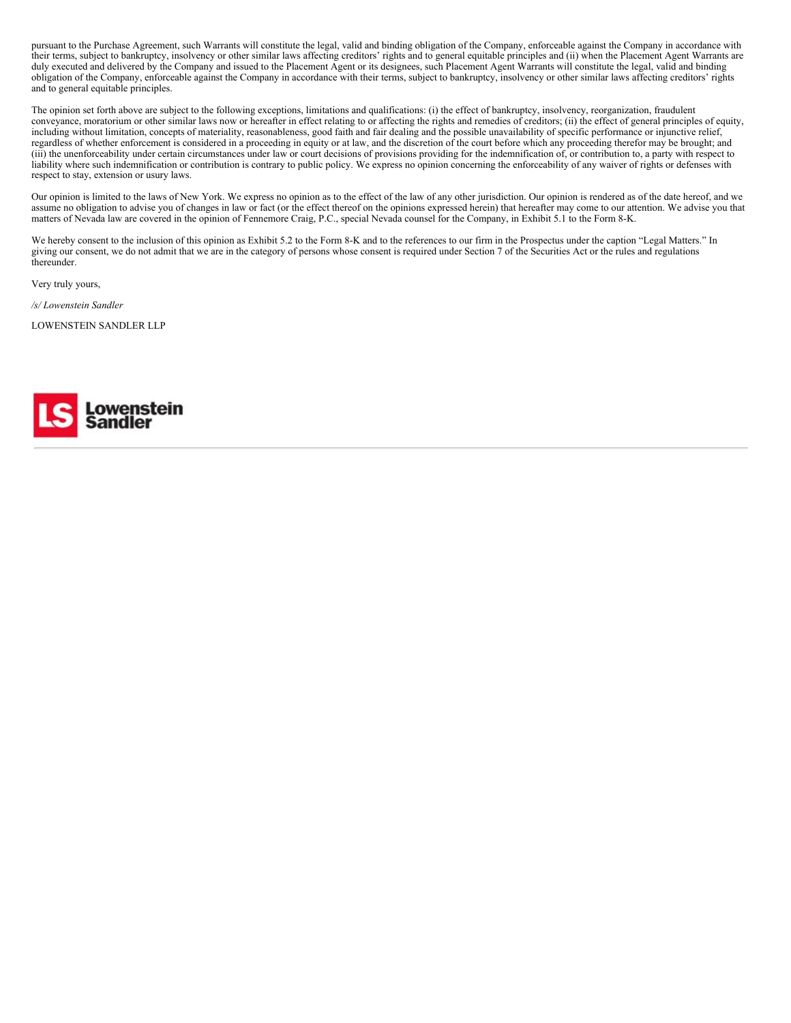pursuant to the Purchase Agreement, such Warrants will constitute the legal, valid and binding obligation of the Company, enforceable against the Company in accordance with their terms, subject to bankruptcy, insolvency or other similar laws affecting creditors' rights and to general equitable principles and (ii) when the Placement Agent Warrants are duly executed and delivered by the Company and issued to the Placement Agent or its designees, such Placement Agent Warrants will constitute the legal, valid and binding obligation of the Company, enforceable against the Company in accordance with their terms, subject to bankruptcy, insolvency or other similar laws affecting creditors' rights and to general equitable principles.

The opinion set forth above are subject to the following exceptions, limitations and qualifications: (i) the effect of bankruptcy, insolvency, reorganization, fraudulent conveyance, moratorium or other similar laws now or hereafter in effect relating to or affecting the rights and remedies of creditors; (ii) the effect of general principles of equity, including without limitation, concepts of materiality, reasonableness, good faith and fair dealing and the possible unavailability of specific performance or injunctive relief, regardless of whether enforcement is considered in a proceeding in equity or at law, and the discretion of the court before which any proceeding therefor may be brought; and (iii) the unenforceability under certain circumstances under law or court decisions of provisions providing for the indemnification of, or contribution to, a party with respect to liability where such indemnification or contribution is contrary to public policy. We express no opinion concerning the enforceability of any waiver of rights or defenses with respect to stay, extension or usury laws.

Our opinion is limited to the laws of New York. We express no opinion as to the effect of the law of any other jurisdiction. Our opinion is rendered as of the date hereof, and we assume no obligation to advise you of changes in law or fact (or the effect thereof on the opinions expressed herein) that hereafter may come to our attention. We advise you that matters of Nevada law are covered in the opinion of Fennemore Craig, P.C., special Nevada counsel for the Company, in Exhibit 5.1 to the Form 8-K.

We hereby consent to the inclusion of this opinion as Exhibit 5.2 to the Form 8-K and to the references to our firm in the Prospectus under the caption "Legal Matters." In giving our consent, we do not admit that we are in the category of persons whose consent is required under Section 7 of the Securities Act or the rules and regulations thereunder.

Very truly yours,

*/s/ Lowenstein Sandler*

LOWENSTEIN SANDLER LLP

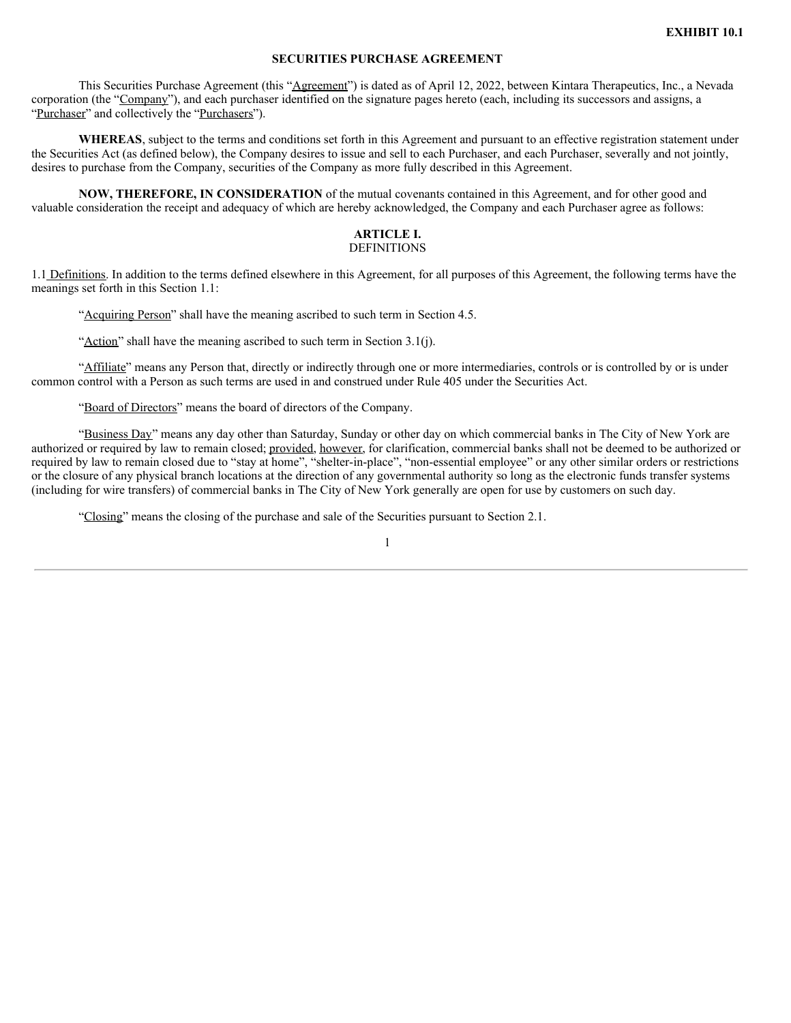## **SECURITIES PURCHASE AGREEMENT**

This Securities Purchase Agreement (this "Agreement") is dated as of April 12, 2022, between Kintara Therapeutics, Inc., a Nevada corporation (the "Company"), and each purchaser identified on the signature pages hereto (each, including its successors and assigns, a "Purchaser" and collectively the "Purchasers").

**WHEREAS**, subject to the terms and conditions set forth in this Agreement and pursuant to an effective registration statement under the Securities Act (as defined below), the Company desires to issue and sell to each Purchaser, and each Purchaser, severally and not jointly, desires to purchase from the Company, securities of the Company as more fully described in this Agreement.

**NOW, THEREFORE, IN CONSIDERATION** of the mutual covenants contained in this Agreement, and for other good and valuable consideration the receipt and adequacy of which are hereby acknowledged, the Company and each Purchaser agree as follows:

#### **ARTICLE I. DEFINITIONS**

1.1 Definitions. In addition to the terms defined elsewhere in this Agreement, for all purposes of this Agreement, the following terms have the meanings set forth in this Section 1.1:

"Acquiring Person" shall have the meaning ascribed to such term in Section 4.5.

"Action" shall have the meaning ascribed to such term in Section 3.1(j).

"Affiliate" means any Person that, directly or indirectly through one or more intermediaries, controls or is controlled by or is under common control with a Person as such terms are used in and construed under Rule 405 under the Securities Act.

"Board of Directors" means the board of directors of the Company.

"Business Day" means any day other than Saturday, Sunday or other day on which commercial banks in The City of New York are authorized or required by law to remain closed; provided, however, for clarification, commercial banks shall not be deemed to be authorized or required by law to remain closed due to "stay at home", "shelter-in-place", "non-essential employee" or any other similar orders or restrictions or the closure of any physical branch locations at the direction of any governmental authority so long as the electronic funds transfer systems (including for wire transfers) of commercial banks in The City of New York generally are open for use by customers on such day.

"Closing" means the closing of the purchase and sale of the Securities pursuant to Section 2.1.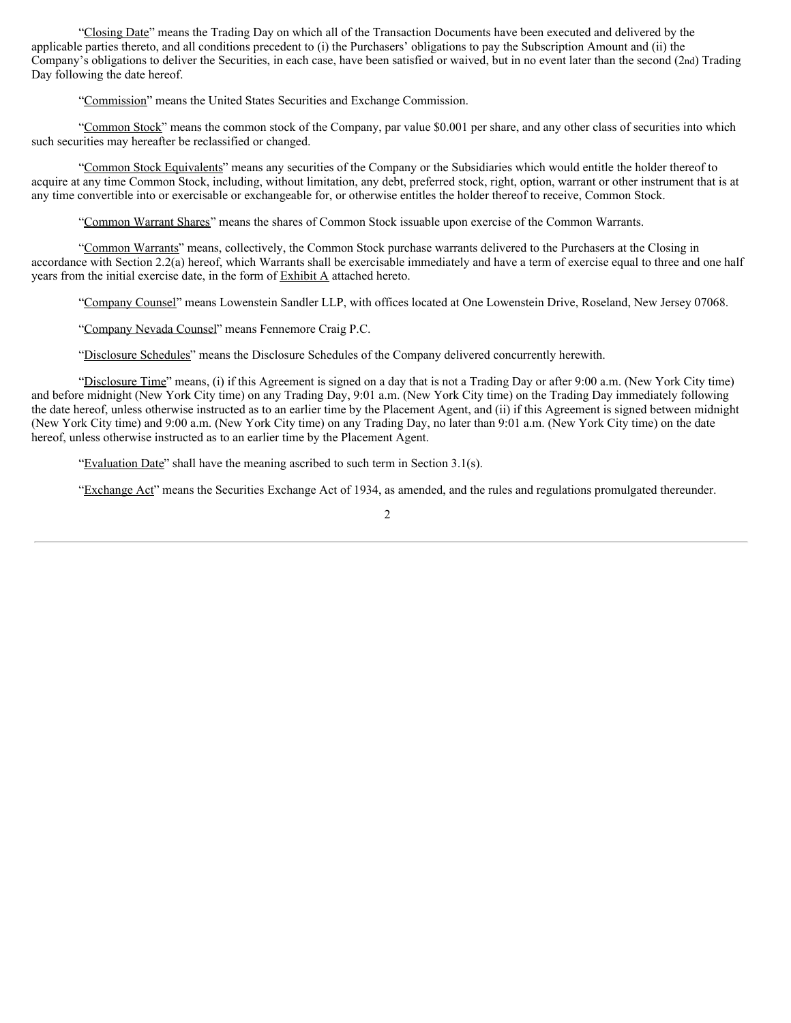"Closing Date" means the Trading Day on which all of the Transaction Documents have been executed and delivered by the applicable parties thereto, and all conditions precedent to (i) the Purchasers' obligations to pay the Subscription Amount and (ii) the Company's obligations to deliver the Securities, in each case, have been satisfied or waived, but in no event later than the second (2nd) Trading Day following the date hereof.

"Commission" means the United States Securities and Exchange Commission.

"Common Stock" means the common stock of the Company, par value \$0.001 per share, and any other class of securities into which such securities may hereafter be reclassified or changed.

"Common Stock Equivalents" means any securities of the Company or the Subsidiaries which would entitle the holder thereof to acquire at any time Common Stock, including, without limitation, any debt, preferred stock, right, option, warrant or other instrument that is at any time convertible into or exercisable or exchangeable for, or otherwise entitles the holder thereof to receive, Common Stock.

"Common Warrant Shares" means the shares of Common Stock issuable upon exercise of the Common Warrants.

"Common Warrants" means, collectively, the Common Stock purchase warrants delivered to the Purchasers at the Closing in accordance with Section 2.2(a) hereof, which Warrants shall be exercisable immediately and have a term of exercise equal to three and one half years from the initial exercise date, in the form of  $Exhibit A$  attached hereto.

"Company Counsel" means Lowenstein Sandler LLP, with offices located at One Lowenstein Drive, Roseland, New Jersey 07068.

"Company Nevada Counsel" means Fennemore Craig P.C.

"Disclosure Schedules" means the Disclosure Schedules of the Company delivered concurrently herewith.

"Disclosure Time" means, (i) if this Agreement is signed on a day that is not a Trading Day or after 9:00 a.m. (New York City time) and before midnight (New York City time) on any Trading Day, 9:01 a.m. (New York City time) on the Trading Day immediately following the date hereof, unless otherwise instructed as to an earlier time by the Placement Agent, and (ii) if this Agreement is signed between midnight (New York City time) and 9:00 a.m. (New York City time) on any Trading Day, no later than 9:01 a.m. (New York City time) on the date hereof, unless otherwise instructed as to an earlier time by the Placement Agent.

"Evaluation Date" shall have the meaning ascribed to such term in Section 3.1(s).

"Exchange Act" means the Securities Exchange Act of 1934, as amended, and the rules and regulations promulgated thereunder.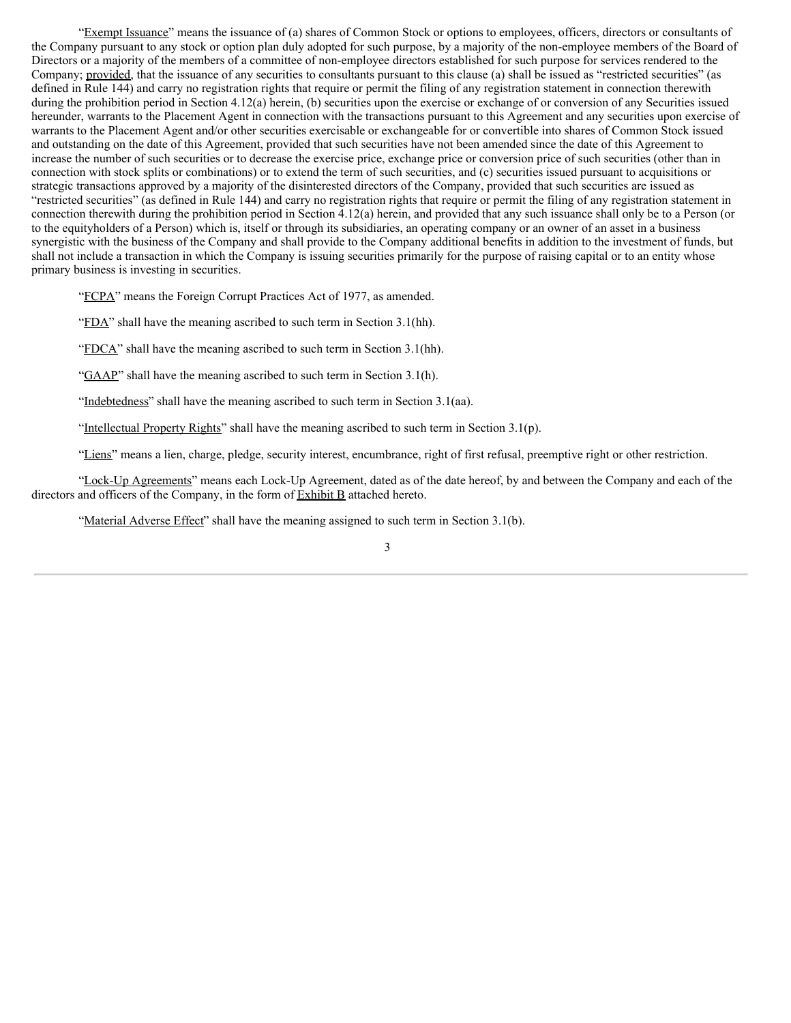"Exempt Issuance" means the issuance of (a) shares of Common Stock or options to employees, officers, directors or consultants of the Company pursuant to any stock or option plan duly adopted for such purpose, by a majority of the non-employee members of the Board of Directors or a majority of the members of a committee of non-employee directors established for such purpose for services rendered to the Company; provided, that the issuance of any securities to consultants pursuant to this clause (a) shall be issued as "restricted securities" (as defined in Rule 144) and carry no registration rights that require or permit the filing of any registration statement in connection therewith during the prohibition period in Section 4.12(a) herein, (b) securities upon the exercise or exchange of or conversion of any Securities issued hereunder, warrants to the Placement Agent in connection with the transactions pursuant to this Agreement and any securities upon exercise of warrants to the Placement Agent and/or other securities exercisable or exchangeable for or convertible into shares of Common Stock issued and outstanding on the date of this Agreement, provided that such securities have not been amended since the date of this Agreement to increase the number of such securities or to decrease the exercise price, exchange price or conversion price of such securities (other than in connection with stock splits or combinations) or to extend the term of such securities, and (c) securities issued pursuant to acquisitions or strategic transactions approved by a majority of the disinterested directors of the Company, provided that such securities are issued as "restricted securities" (as defined in Rule 144) and carry no registration rights that require or permit the filing of any registration statement in connection therewith during the prohibition period in Section 4.12(a) herein, and provided that any such issuance shall only be to a Person (or to the equityholders of a Person) which is, itself or through its subsidiaries, an operating company or an owner of an asset in a business synergistic with the business of the Company and shall provide to the Company additional benefits in addition to the investment of funds, but shall not include a transaction in which the Company is issuing securities primarily for the purpose of raising capital or to an entity whose primary business is investing in securities.

"FCPA" means the Foreign Corrupt Practices Act of 1977, as amended.

"FDA" shall have the meaning ascribed to such term in Section 3.1(hh).

"FDCA" shall have the meaning ascribed to such term in Section 3.1(hh).

"GAAP" shall have the meaning ascribed to such term in Section 3.1(h).

"Indebtedness" shall have the meaning ascribed to such term in Section 3.1(aa).

"Intellectual Property Rights" shall have the meaning ascribed to such term in Section 3.1(p).

"Liens" means a lien, charge, pledge, security interest, encumbrance, right of first refusal, preemptive right or other restriction.

"Lock-Up Agreements" means each Lock-Up Agreement, dated as of the date hereof, by and between the Company and each of the directors and officers of the Company, in the form of Exhibit B attached hereto.

"Material Adverse Effect" shall have the meaning assigned to such term in Section 3.1(b).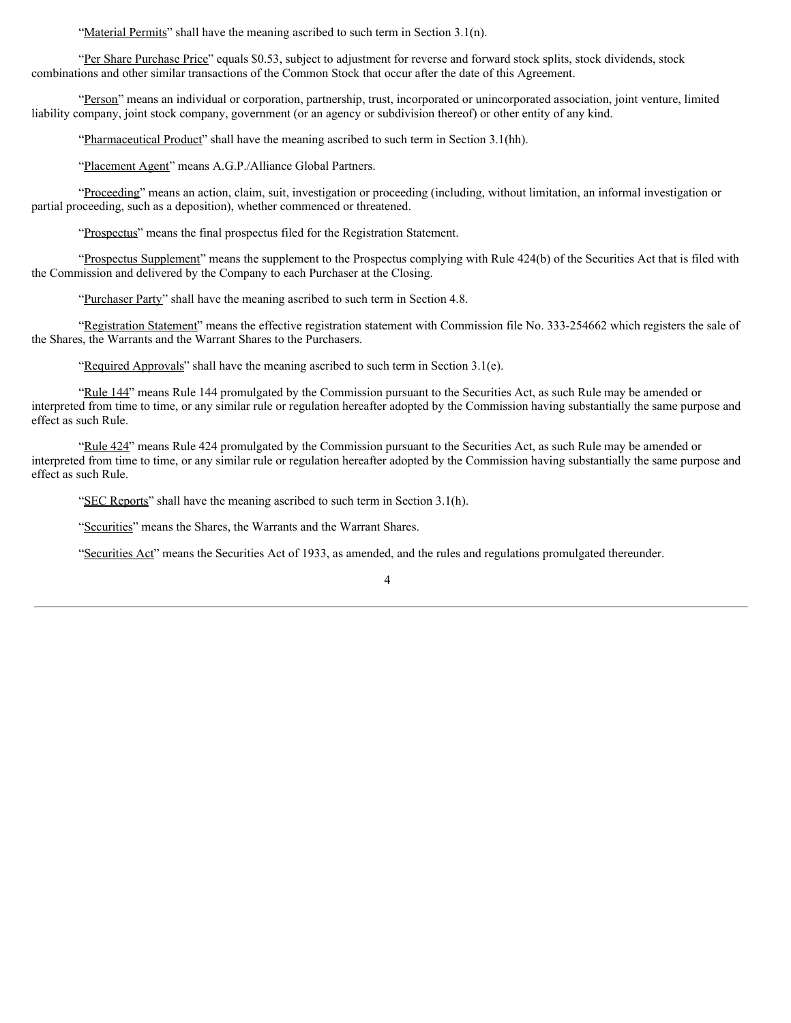"Material Permits" shall have the meaning ascribed to such term in Section 3.1(n).

"Per Share Purchase Price" equals \$0.53, subject to adjustment for reverse and forward stock splits, stock dividends, stock combinations and other similar transactions of the Common Stock that occur after the date of this Agreement.

"Person" means an individual or corporation, partnership, trust, incorporated or unincorporated association, joint venture, limited liability company, joint stock company, government (or an agency or subdivision thereof) or other entity of any kind.

"Pharmaceutical Product" shall have the meaning ascribed to such term in Section 3.1(hh).

"Placement Agent" means A.G.P./Alliance Global Partners.

"Proceeding" means an action, claim, suit, investigation or proceeding (including, without limitation, an informal investigation or partial proceeding, such as a deposition), whether commenced or threatened.

"Prospectus" means the final prospectus filed for the Registration Statement.

"Prospectus Supplement" means the supplement to the Prospectus complying with Rule 424(b) of the Securities Act that is filed with the Commission and delivered by the Company to each Purchaser at the Closing.

"Purchaser Party" shall have the meaning ascribed to such term in Section 4.8.

"Registration Statement" means the effective registration statement with Commission file No. 333-254662 which registers the sale of the Shares, the Warrants and the Warrant Shares to the Purchasers.

"Required Approvals" shall have the meaning ascribed to such term in Section  $3.1(e)$ .

"Rule 144" means Rule 144 promulgated by the Commission pursuant to the Securities Act, as such Rule may be amended or interpreted from time to time, or any similar rule or regulation hereafter adopted by the Commission having substantially the same purpose and effect as such Rule.

"Rule 424" means Rule 424 promulgated by the Commission pursuant to the Securities Act, as such Rule may be amended or interpreted from time to time, or any similar rule or regulation hereafter adopted by the Commission having substantially the same purpose and effect as such Rule.

"SEC Reports" shall have the meaning ascribed to such term in Section 3.1(h).

"Securities" means the Shares, the Warrants and the Warrant Shares.

"Securities Act" means the Securities Act of 1933, as amended, and the rules and regulations promulgated thereunder.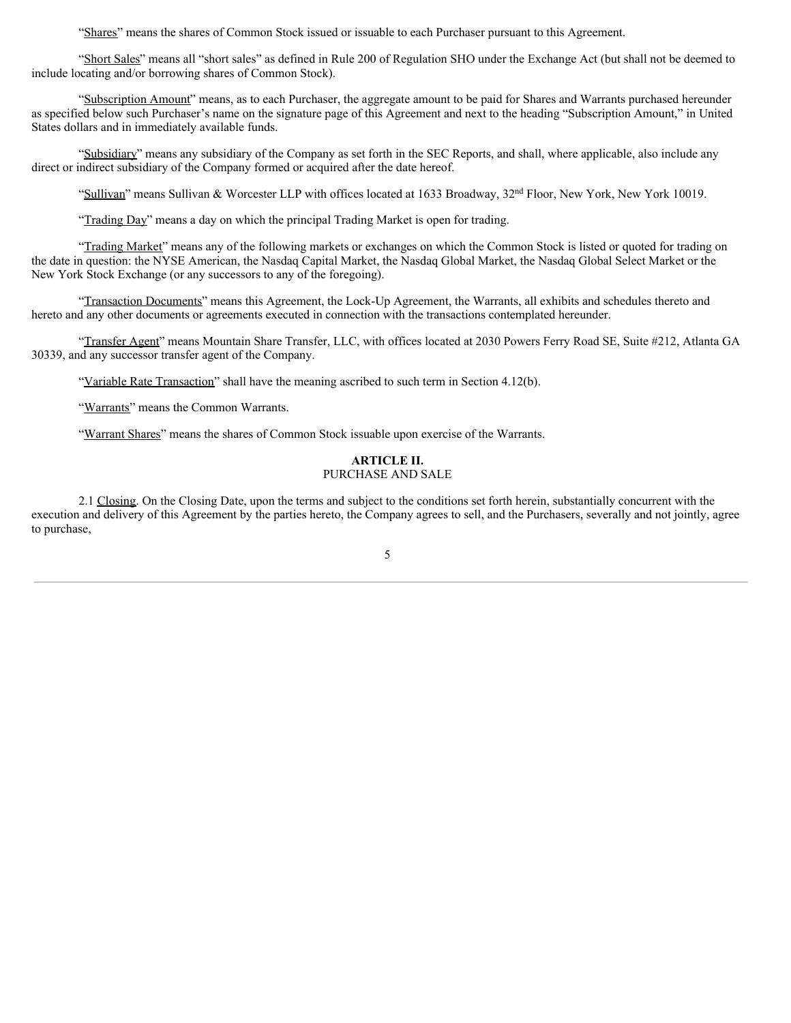"Shares" means the shares of Common Stock issued or issuable to each Purchaser pursuant to this Agreement.

"Short Sales" means all "short sales" as defined in Rule 200 of Regulation SHO under the Exchange Act (but shall not be deemed to include locating and/or borrowing shares of Common Stock).

"Subscription Amount" means, as to each Purchaser, the aggregate amount to be paid for Shares and Warrants purchased hereunder as specified below such Purchaser's name on the signature page of this Agreement and next to the heading "Subscription Amount," in United States dollars and in immediately available funds.

"Subsidiary" means any subsidiary of the Company as set forth in the SEC Reports, and shall, where applicable, also include any direct or indirect subsidiary of the Company formed or acquired after the date hereof.

"Sullivan" means Sullivan & Worcester LLP with offices located at 1633 Broadway,  $32<sup>nd</sup>$  Floor, New York, New York 10019.

"Trading Day" means a day on which the principal Trading Market is open for trading.

"Trading Market" means any of the following markets or exchanges on which the Common Stock is listed or quoted for trading on the date in question: the NYSE American, the Nasdaq Capital Market, the Nasdaq Global Market, the Nasdaq Global Select Market or the New York Stock Exchange (or any successors to any of the foregoing).

"Transaction Documents" means this Agreement, the Lock-Up Agreement, the Warrants, all exhibits and schedules thereto and hereto and any other documents or agreements executed in connection with the transactions contemplated hereunder.

"Transfer Agent" means Mountain Share Transfer, LLC, with offices located at 2030 Powers Ferry Road SE, Suite #212, Atlanta GA 30339, and any successor transfer agent of the Company.

"Variable Rate Transaction" shall have the meaning ascribed to such term in Section 4.12(b).

"Warrants" means the Common Warrants.

"Warrant Shares" means the shares of Common Stock issuable upon exercise of the Warrants.

## **ARTICLE II.** PURCHASE AND SALE

2.1 Closing. On the Closing Date, upon the terms and subject to the conditions set forth herein, substantially concurrent with the execution and delivery of this Agreement by the parties hereto, the Company agrees to sell, and the Purchasers, severally and not jointly, agree to purchase,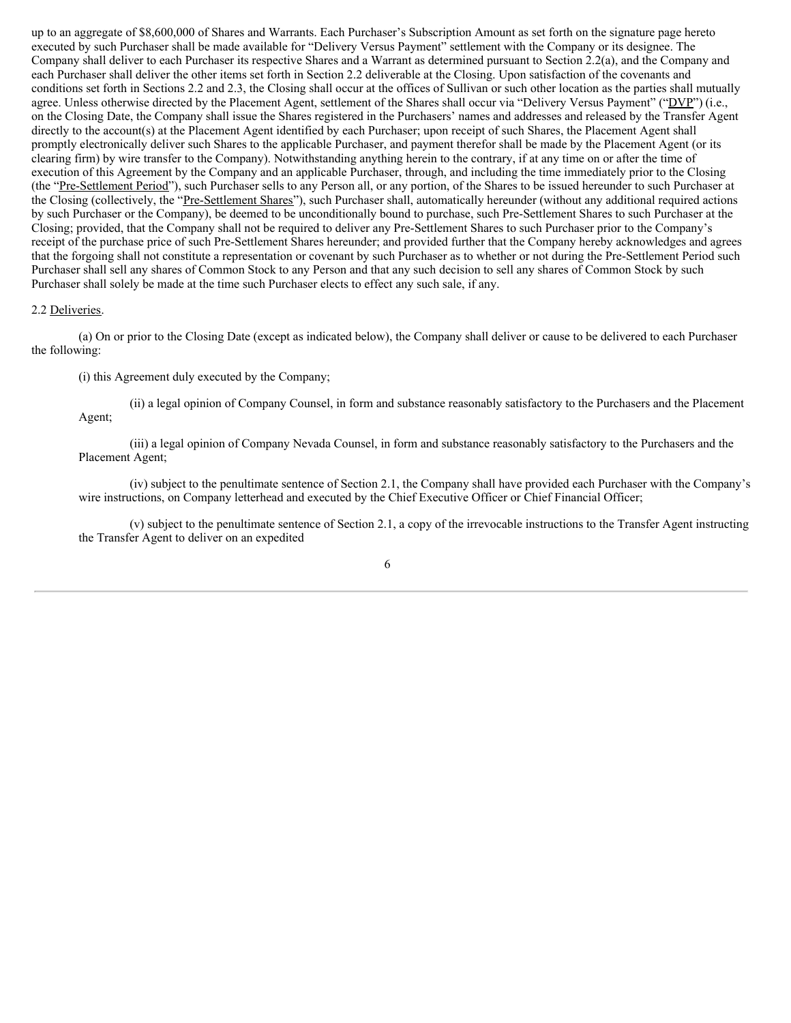up to an aggregate of \$8,600,000 of Shares and Warrants. Each Purchaser's Subscription Amount as set forth on the signature page hereto executed by such Purchaser shall be made available for "Delivery Versus Payment" settlement with the Company or its designee. The Company shall deliver to each Purchaser its respective Shares and a Warrant as determined pursuant to Section 2.2(a), and the Company and each Purchaser shall deliver the other items set forth in Section 2.2 deliverable at the Closing. Upon satisfaction of the covenants and conditions set forth in Sections 2.2 and 2.3, the Closing shall occur at the offices of Sullivan or such other location as the parties shall mutually agree. Unless otherwise directed by the Placement Agent, settlement of the Shares shall occur via "Delivery Versus Payment" ("DVP") (i.e., on the Closing Date, the Company shall issue the Shares registered in the Purchasers' names and addresses and released by the Transfer Agent directly to the account(s) at the Placement Agent identified by each Purchaser; upon receipt of such Shares, the Placement Agent shall promptly electronically deliver such Shares to the applicable Purchaser, and payment therefor shall be made by the Placement Agent (or its clearing firm) by wire transfer to the Company). Notwithstanding anything herein to the contrary, if at any time on or after the time of execution of this Agreement by the Company and an applicable Purchaser, through, and including the time immediately prior to the Closing (the "Pre-Settlement Period"), such Purchaser sells to any Person all, or any portion, of the Shares to be issued hereunder to such Purchaser at the Closing (collectively, the "Pre-Settlement Shares"), such Purchaser shall, automatically hereunder (without any additional required actions by such Purchaser or the Company), be deemed to be unconditionally bound to purchase, such Pre-Settlement Shares to such Purchaser at the Closing; provided, that the Company shall not be required to deliver any Pre-Settlement Shares to such Purchaser prior to the Company's receipt of the purchase price of such Pre-Settlement Shares hereunder; and provided further that the Company hereby acknowledges and agrees that the forgoing shall not constitute a representation or covenant by such Purchaser as to whether or not during the Pre-Settlement Period such Purchaser shall sell any shares of Common Stock to any Person and that any such decision to sell any shares of Common Stock by such Purchaser shall solely be made at the time such Purchaser elects to effect any such sale, if any.

#### 2.2 Deliveries.

(a) On or prior to the Closing Date (except as indicated below), the Company shall deliver or cause to be delivered to each Purchaser the following:

(i) this Agreement duly executed by the Company;

(ii) a legal opinion of Company Counsel, in form and substance reasonably satisfactory to the Purchasers and the Placement Agent;

(iii) a legal opinion of Company Nevada Counsel, in form and substance reasonably satisfactory to the Purchasers and the Placement Agent;

(iv) subject to the penultimate sentence of Section 2.1, the Company shall have provided each Purchaser with the Company's wire instructions, on Company letterhead and executed by the Chief Executive Officer or Chief Financial Officer;

(v) subject to the penultimate sentence of Section 2.1, a copy of the irrevocable instructions to the Transfer Agent instructing the Transfer Agent to deliver on an expedited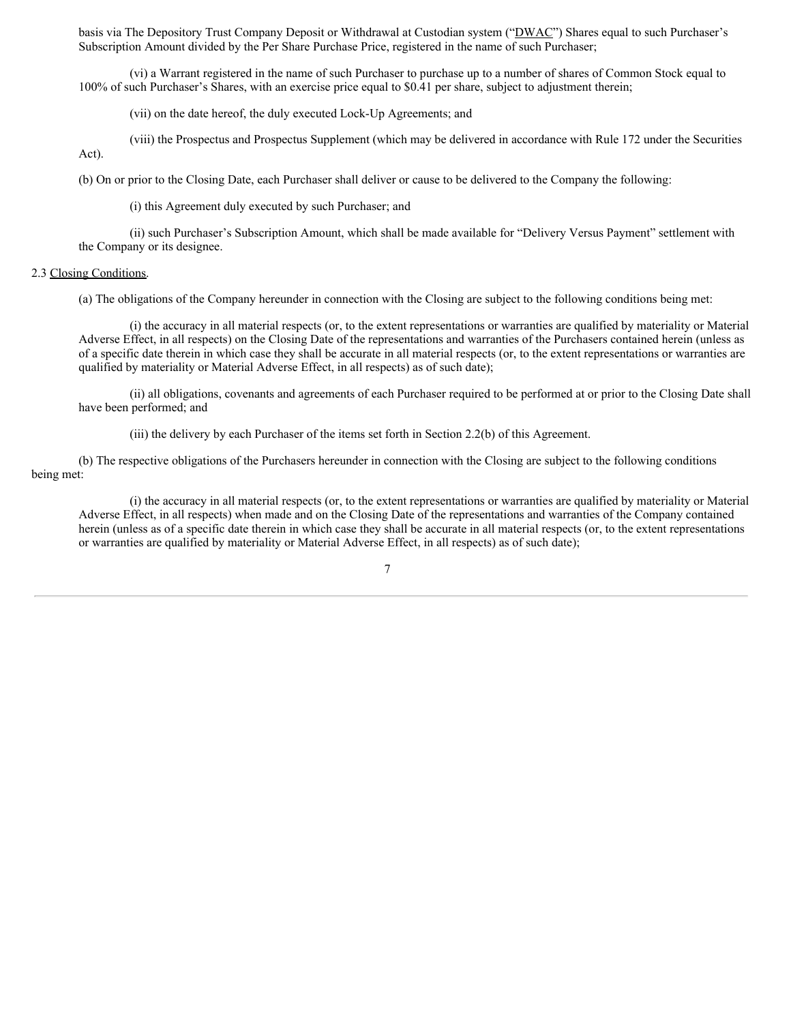basis via The Depository Trust Company Deposit or Withdrawal at Custodian system ("DWAC") Shares equal to such Purchaser's Subscription Amount divided by the Per Share Purchase Price, registered in the name of such Purchaser;

(vi) a Warrant registered in the name of such Purchaser to purchase up to a number of shares of Common Stock equal to 100% of such Purchaser's Shares, with an exercise price equal to \$0.41 per share, subject to adjustment therein;

(vii) on the date hereof, the duly executed Lock-Up Agreements; and

(viii) the Prospectus and Prospectus Supplement (which may be delivered in accordance with Rule 172 under the Securities Act).

(b) On or prior to the Closing Date, each Purchaser shall deliver or cause to be delivered to the Company the following:

(i) this Agreement duly executed by such Purchaser; and

(ii) such Purchaser's Subscription Amount, which shall be made available for "Delivery Versus Payment" settlement with the Company or its designee.

#### 2.3 Closing Conditions.

(a) The obligations of the Company hereunder in connection with the Closing are subject to the following conditions being met:

(i) the accuracy in all material respects (or, to the extent representations or warranties are qualified by materiality or Material Adverse Effect, in all respects) on the Closing Date of the representations and warranties of the Purchasers contained herein (unless as of a specific date therein in which case they shall be accurate in all material respects (or, to the extent representations or warranties are qualified by materiality or Material Adverse Effect, in all respects) as of such date);

(ii) all obligations, covenants and agreements of each Purchaser required to be performed at or prior to the Closing Date shall have been performed; and

(iii) the delivery by each Purchaser of the items set forth in Section 2.2(b) of this Agreement.

(b) The respective obligations of the Purchasers hereunder in connection with the Closing are subject to the following conditions being met:

(i) the accuracy in all material respects (or, to the extent representations or warranties are qualified by materiality or Material Adverse Effect, in all respects) when made and on the Closing Date of the representations and warranties of the Company contained herein (unless as of a specific date therein in which case they shall be accurate in all material respects (or, to the extent representations or warranties are qualified by materiality or Material Adverse Effect, in all respects) as of such date);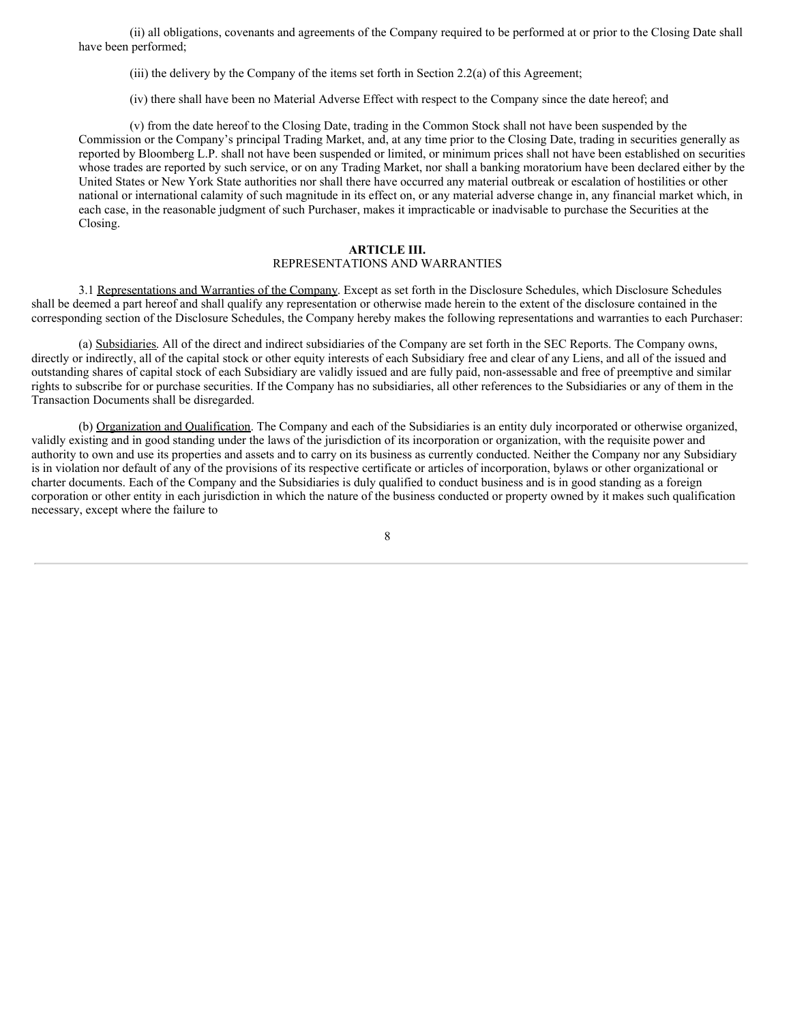(ii) all obligations, covenants and agreements of the Company required to be performed at or prior to the Closing Date shall have been performed;

(iii) the delivery by the Company of the items set forth in Section 2.2(a) of this Agreement;

(iv) there shall have been no Material Adverse Effect with respect to the Company since the date hereof; and

(v) from the date hereof to the Closing Date, trading in the Common Stock shall not have been suspended by the Commission or the Company's principal Trading Market, and, at any time prior to the Closing Date, trading in securities generally as reported by Bloomberg L.P. shall not have been suspended or limited, or minimum prices shall not have been established on securities whose trades are reported by such service, or on any Trading Market, nor shall a banking moratorium have been declared either by the United States or New York State authorities nor shall there have occurred any material outbreak or escalation of hostilities or other national or international calamity of such magnitude in its effect on, or any material adverse change in, any financial market which, in each case, in the reasonable judgment of such Purchaser, makes it impracticable or inadvisable to purchase the Securities at the Closing.

#### **ARTICLE III.** REPRESENTATIONS AND WARRANTIES

3.1 Representations and Warranties of the Company. Except as set forth in the Disclosure Schedules, which Disclosure Schedules shall be deemed a part hereof and shall qualify any representation or otherwise made herein to the extent of the disclosure contained in the corresponding section of the Disclosure Schedules, the Company hereby makes the following representations and warranties to each Purchaser:

(a) Subsidiaries. All of the direct and indirect subsidiaries of the Company are set forth in the SEC Reports. The Company owns, directly or indirectly, all of the capital stock or other equity interests of each Subsidiary free and clear of any Liens, and all of the issued and outstanding shares of capital stock of each Subsidiary are validly issued and are fully paid, non-assessable and free of preemptive and similar rights to subscribe for or purchase securities. If the Company has no subsidiaries, all other references to the Subsidiaries or any of them in the Transaction Documents shall be disregarded.

(b) Organization and Qualification. The Company and each of the Subsidiaries is an entity duly incorporated or otherwise organized, validly existing and in good standing under the laws of the jurisdiction of its incorporation or organization, with the requisite power and authority to own and use its properties and assets and to carry on its business as currently conducted. Neither the Company nor any Subsidiary is in violation nor default of any of the provisions of its respective certificate or articles of incorporation, bylaws or other organizational or charter documents. Each of the Company and the Subsidiaries is duly qualified to conduct business and is in good standing as a foreign corporation or other entity in each jurisdiction in which the nature of the business conducted or property owned by it makes such qualification necessary, except where the failure to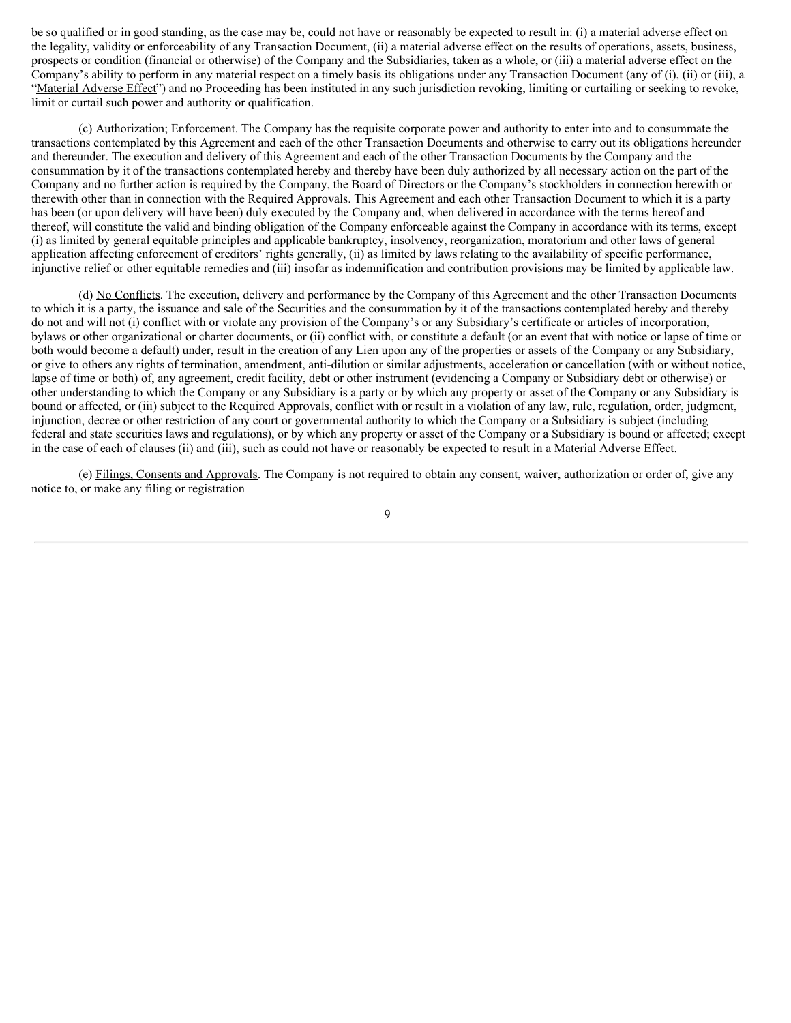be so qualified or in good standing, as the case may be, could not have or reasonably be expected to result in: (i) a material adverse effect on the legality, validity or enforceability of any Transaction Document, (ii) a material adverse effect on the results of operations, assets, business, prospects or condition (financial or otherwise) of the Company and the Subsidiaries, taken as a whole, or (iii) a material adverse effect on the Company's ability to perform in any material respect on a timely basis its obligations under any Transaction Document (any of (i), (ii) or (iii), a "Material Adverse Effect") and no Proceeding has been instituted in any such jurisdiction revoking, limiting or curtailing or seeking to revoke, limit or curtail such power and authority or qualification.

(c) Authorization; Enforcement. The Company has the requisite corporate power and authority to enter into and to consummate the transactions contemplated by this Agreement and each of the other Transaction Documents and otherwise to carry out its obligations hereunder and thereunder. The execution and delivery of this Agreement and each of the other Transaction Documents by the Company and the consummation by it of the transactions contemplated hereby and thereby have been duly authorized by all necessary action on the part of the Company and no further action is required by the Company, the Board of Directors or the Company's stockholders in connection herewith or therewith other than in connection with the Required Approvals. This Agreement and each other Transaction Document to which it is a party has been (or upon delivery will have been) duly executed by the Company and, when delivered in accordance with the terms hereof and thereof, will constitute the valid and binding obligation of the Company enforceable against the Company in accordance with its terms, except (i) as limited by general equitable principles and applicable bankruptcy, insolvency, reorganization, moratorium and other laws of general application affecting enforcement of creditors' rights generally, (ii) as limited by laws relating to the availability of specific performance, injunctive relief or other equitable remedies and (iii) insofar as indemnification and contribution provisions may be limited by applicable law.

(d) No Conflicts. The execution, delivery and performance by the Company of this Agreement and the other Transaction Documents to which it is a party, the issuance and sale of the Securities and the consummation by it of the transactions contemplated hereby and thereby do not and will not (i) conflict with or violate any provision of the Company's or any Subsidiary's certificate or articles of incorporation, bylaws or other organizational or charter documents, or (ii) conflict with, or constitute a default (or an event that with notice or lapse of time or both would become a default) under, result in the creation of any Lien upon any of the properties or assets of the Company or any Subsidiary, or give to others any rights of termination, amendment, anti-dilution or similar adjustments, acceleration or cancellation (with or without notice, lapse of time or both) of, any agreement, credit facility, debt or other instrument (evidencing a Company or Subsidiary debt or otherwise) or other understanding to which the Company or any Subsidiary is a party or by which any property or asset of the Company or any Subsidiary is bound or affected, or (iii) subject to the Required Approvals, conflict with or result in a violation of any law, rule, regulation, order, judgment, injunction, decree or other restriction of any court or governmental authority to which the Company or a Subsidiary is subject (including federal and state securities laws and regulations), or by which any property or asset of the Company or a Subsidiary is bound or affected; except in the case of each of clauses (ii) and (iii), such as could not have or reasonably be expected to result in a Material Adverse Effect.

(e) Filings, Consents and Approvals. The Company is not required to obtain any consent, waiver, authorization or order of, give any notice to, or make any filing or registration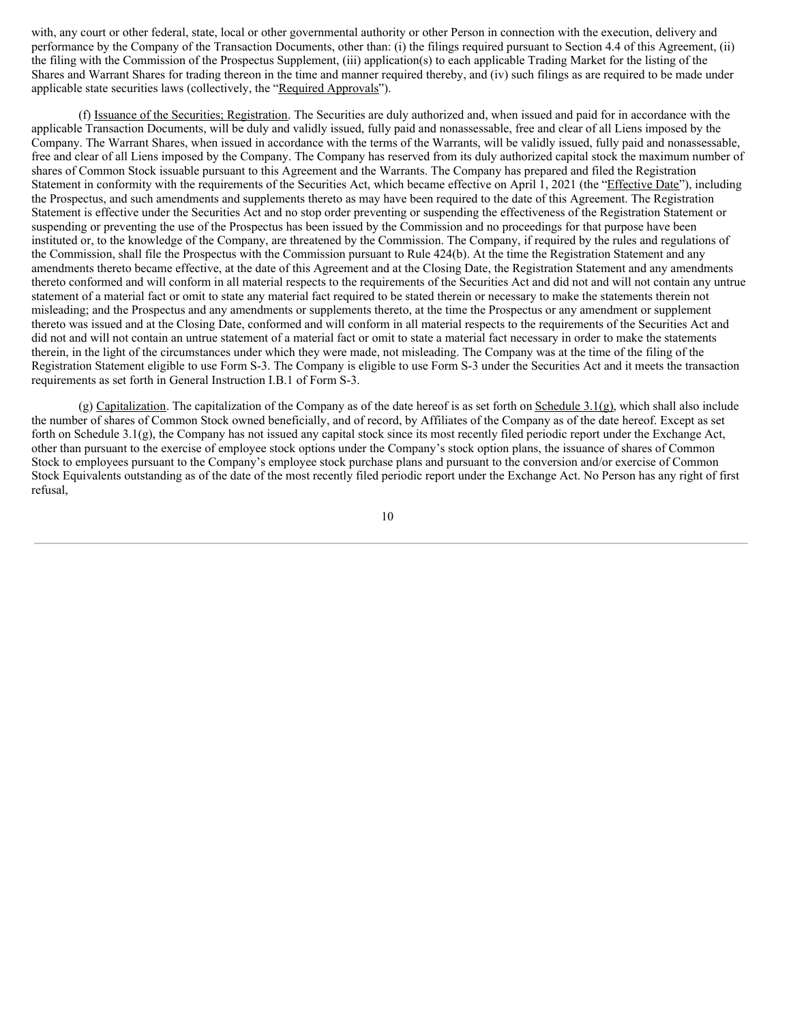with, any court or other federal, state, local or other governmental authority or other Person in connection with the execution, delivery and performance by the Company of the Transaction Documents, other than: (i) the filings required pursuant to Section 4.4 of this Agreement, (ii) the filing with the Commission of the Prospectus Supplement, (iii) application(s) to each applicable Trading Market for the listing of the Shares and Warrant Shares for trading thereon in the time and manner required thereby, and (iv) such filings as are required to be made under applicable state securities laws (collectively, the "Required Approvals").

(f) Issuance of the Securities; Registration. The Securities are duly authorized and, when issued and paid for in accordance with the applicable Transaction Documents, will be duly and validly issued, fully paid and nonassessable, free and clear of all Liens imposed by the Company. The Warrant Shares, when issued in accordance with the terms of the Warrants, will be validly issued, fully paid and nonassessable, free and clear of all Liens imposed by the Company. The Company has reserved from its duly authorized capital stock the maximum number of shares of Common Stock issuable pursuant to this Agreement and the Warrants. The Company has prepared and filed the Registration Statement in conformity with the requirements of the Securities Act, which became effective on April 1, 2021 (the "Effective Date"), including the Prospectus, and such amendments and supplements thereto as may have been required to the date of this Agreement. The Registration Statement is effective under the Securities Act and no stop order preventing or suspending the effectiveness of the Registration Statement or suspending or preventing the use of the Prospectus has been issued by the Commission and no proceedings for that purpose have been instituted or, to the knowledge of the Company, are threatened by the Commission. The Company, if required by the rules and regulations of the Commission, shall file the Prospectus with the Commission pursuant to Rule 424(b). At the time the Registration Statement and any amendments thereto became effective, at the date of this Agreement and at the Closing Date, the Registration Statement and any amendments thereto conformed and will conform in all material respects to the requirements of the Securities Act and did not and will not contain any untrue statement of a material fact or omit to state any material fact required to be stated therein or necessary to make the statements therein not misleading; and the Prospectus and any amendments or supplements thereto, at the time the Prospectus or any amendment or supplement thereto was issued and at the Closing Date, conformed and will conform in all material respects to the requirements of the Securities Act and did not and will not contain an untrue statement of a material fact or omit to state a material fact necessary in order to make the statements therein, in the light of the circumstances under which they were made, not misleading. The Company was at the time of the filing of the Registration Statement eligible to use Form S-3. The Company is eligible to use Form S-3 under the Securities Act and it meets the transaction requirements as set forth in General Instruction I.B.1 of Form S-3.

(g) Capitalization. The capitalization of the Company as of the date hereof is as set forth on Schedule 3.1(g), which shall also include the number of shares of Common Stock owned beneficially, and of record, by Affiliates of the Company as of the date hereof. Except as set forth on Schedule 3.1(g), the Company has not issued any capital stock since its most recently filed periodic report under the Exchange Act, other than pursuant to the exercise of employee stock options under the Company's stock option plans, the issuance of shares of Common Stock to employees pursuant to the Company's employee stock purchase plans and pursuant to the conversion and/or exercise of Common Stock Equivalents outstanding as of the date of the most recently filed periodic report under the Exchange Act. No Person has any right of first refusal,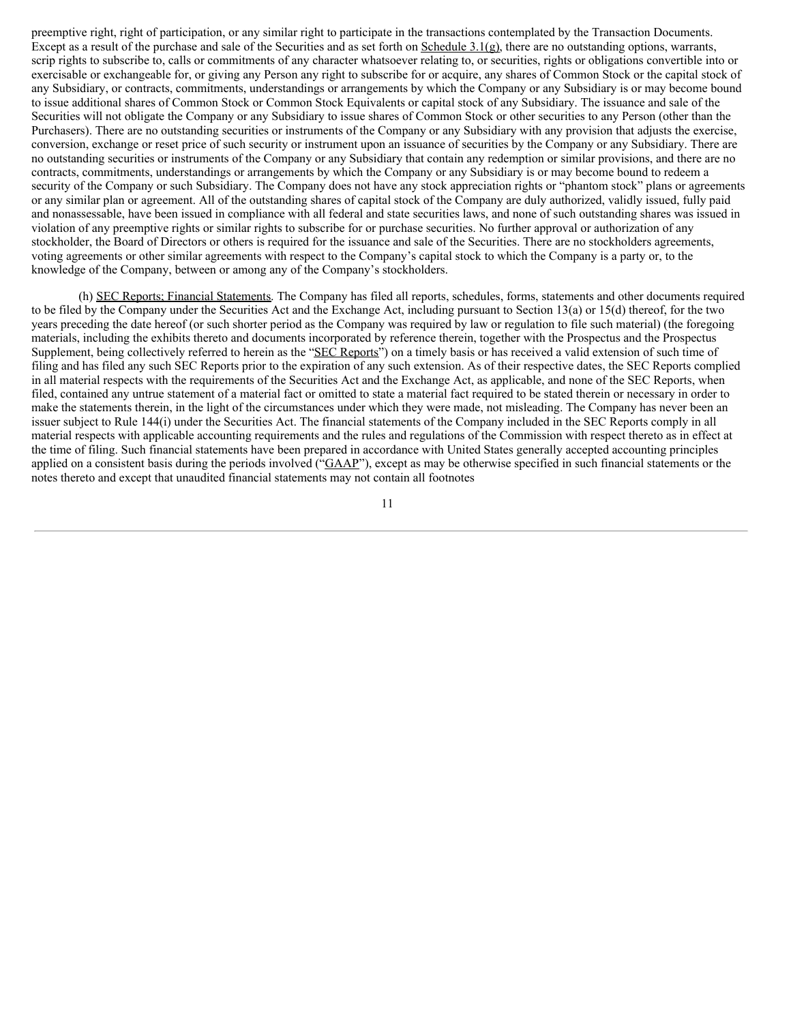preemptive right, right of participation, or any similar right to participate in the transactions contemplated by the Transaction Documents. Except as a result of the purchase and sale of the Securities and as set forth on Schedule 3.1(g), there are no outstanding options, warrants, scrip rights to subscribe to, calls or commitments of any character whatsoever relating to, or securities, rights or obligations convertible into or exercisable or exchangeable for, or giving any Person any right to subscribe for or acquire, any shares of Common Stock or the capital stock of any Subsidiary, or contracts, commitments, understandings or arrangements by which the Company or any Subsidiary is or may become bound to issue additional shares of Common Stock or Common Stock Equivalents or capital stock of any Subsidiary. The issuance and sale of the Securities will not obligate the Company or any Subsidiary to issue shares of Common Stock or other securities to any Person (other than the Purchasers). There are no outstanding securities or instruments of the Company or any Subsidiary with any provision that adjusts the exercise, conversion, exchange or reset price of such security or instrument upon an issuance of securities by the Company or any Subsidiary. There are no outstanding securities or instruments of the Company or any Subsidiary that contain any redemption or similar provisions, and there are no contracts, commitments, understandings or arrangements by which the Company or any Subsidiary is or may become bound to redeem a security of the Company or such Subsidiary. The Company does not have any stock appreciation rights or "phantom stock" plans or agreements or any similar plan or agreement. All of the outstanding shares of capital stock of the Company are duly authorized, validly issued, fully paid and nonassessable, have been issued in compliance with all federal and state securities laws, and none of such outstanding shares was issued in violation of any preemptive rights or similar rights to subscribe for or purchase securities. No further approval or authorization of any stockholder, the Board of Directors or others is required for the issuance and sale of the Securities. There are no stockholders agreements, voting agreements or other similar agreements with respect to the Company's capital stock to which the Company is a party or, to the knowledge of the Company, between or among any of the Company's stockholders.

(h) SEC Reports; Financial Statements. The Company has filed all reports, schedules, forms, statements and other documents required to be filed by the Company under the Securities Act and the Exchange Act, including pursuant to Section 13(a) or 15(d) thereof, for the two years preceding the date hereof (or such shorter period as the Company was required by law or regulation to file such material) (the foregoing materials, including the exhibits thereto and documents incorporated by reference therein, together with the Prospectus and the Prospectus Supplement, being collectively referred to herein as the "SEC Reports") on a timely basis or has received a valid extension of such time of filing and has filed any such SEC Reports prior to the expiration of any such extension. As of their respective dates, the SEC Reports complied in all material respects with the requirements of the Securities Act and the Exchange Act, as applicable, and none of the SEC Reports, when filed, contained any untrue statement of a material fact or omitted to state a material fact required to be stated therein or necessary in order to make the statements therein, in the light of the circumstances under which they were made, not misleading. The Company has never been an issuer subject to Rule 144(i) under the Securities Act. The financial statements of the Company included in the SEC Reports comply in all material respects with applicable accounting requirements and the rules and regulations of the Commission with respect thereto as in effect at the time of filing. Such financial statements have been prepared in accordance with United States generally accepted accounting principles applied on a consistent basis during the periods involved ("GAAP"), except as may be otherwise specified in such financial statements or the notes thereto and except that unaudited financial statements may not contain all footnotes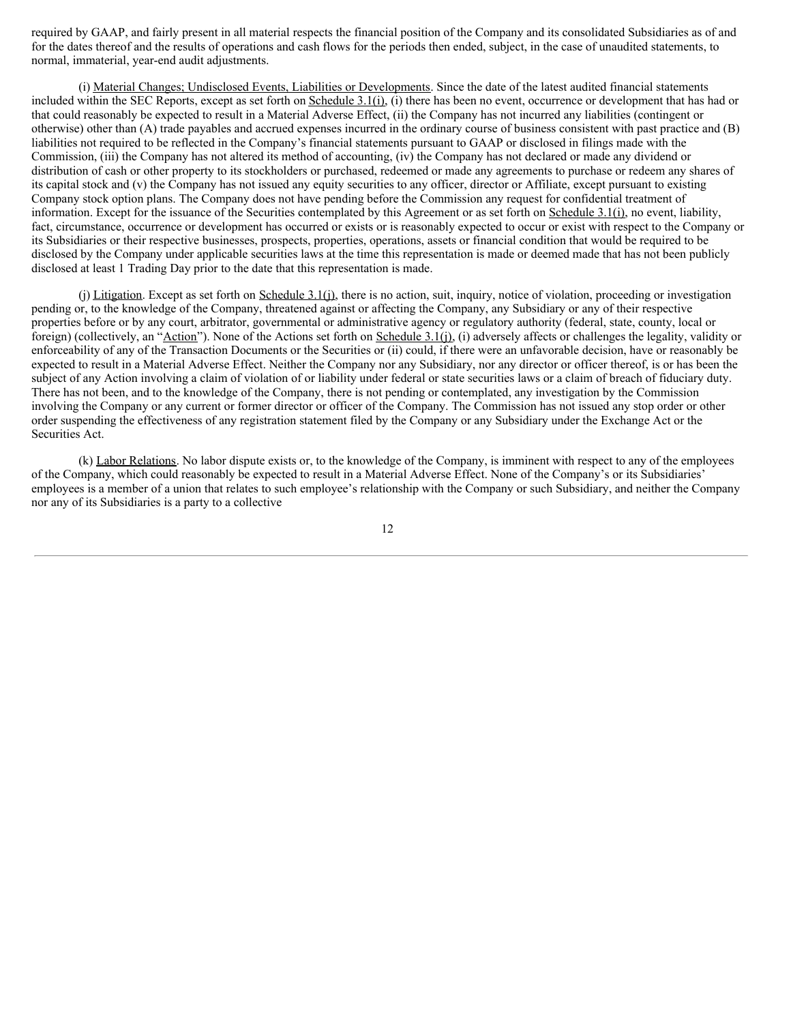required by GAAP, and fairly present in all material respects the financial position of the Company and its consolidated Subsidiaries as of and for the dates thereof and the results of operations and cash flows for the periods then ended, subject, in the case of unaudited statements, to normal, immaterial, year-end audit adjustments.

(i) Material Changes; Undisclosed Events, Liabilities or Developments. Since the date of the latest audited financial statements included within the SEC Reports, except as set forth on  $Schedule 3.1(i)$ , (i) there has been no event, occurrence or development that has had or that could reasonably be expected to result in a Material Adverse Effect, (ii) the Company has not incurred any liabilities (contingent or otherwise) other than (A) trade payables and accrued expenses incurred in the ordinary course of business consistent with past practice and (B) liabilities not required to be reflected in the Company's financial statements pursuant to GAAP or disclosed in filings made with the Commission, (iii) the Company has not altered its method of accounting, (iv) the Company has not declared or made any dividend or distribution of cash or other property to its stockholders or purchased, redeemed or made any agreements to purchase or redeem any shares of its capital stock and (v) the Company has not issued any equity securities to any officer, director or Affiliate, except pursuant to existing Company stock option plans. The Company does not have pending before the Commission any request for confidential treatment of information. Except for the issuance of the Securities contemplated by this Agreement or as set forth on Schedule 3.1(i), no event, liability, fact, circumstance, occurrence or development has occurred or exists or is reasonably expected to occur or exist with respect to the Company or its Subsidiaries or their respective businesses, prospects, properties, operations, assets or financial condition that would be required to be disclosed by the Company under applicable securities laws at the time this representation is made or deemed made that has not been publicly disclosed at least 1 Trading Day prior to the date that this representation is made.

(j) Litigation. Except as set forth on Schedule 3.1(j), there is no action, suit, inquiry, notice of violation, proceeding or investigation pending or, to the knowledge of the Company, threatened against or affecting the Company, any Subsidiary or any of their respective properties before or by any court, arbitrator, governmental or administrative agency or regulatory authority (federal, state, county, local or foreign) (collectively, an "Action"). None of the Actions set forth on Schedule 3.1(j), (i) adversely affects or challenges the legality, validity or enforceability of any of the Transaction Documents or the Securities or (ii) could, if there were an unfavorable decision, have or reasonably be expected to result in a Material Adverse Effect. Neither the Company nor any Subsidiary, nor any director or officer thereof, is or has been the subject of any Action involving a claim of violation of or liability under federal or state securities laws or a claim of breach of fiduciary duty. There has not been, and to the knowledge of the Company, there is not pending or contemplated, any investigation by the Commission involving the Company or any current or former director or officer of the Company. The Commission has not issued any stop order or other order suspending the effectiveness of any registration statement filed by the Company or any Subsidiary under the Exchange Act or the Securities Act.

(k) Labor Relations. No labor dispute exists or, to the knowledge of the Company, is imminent with respect to any of the employees of the Company, which could reasonably be expected to result in a Material Adverse Effect. None of the Company's or its Subsidiaries' employees is a member of a union that relates to such employee's relationship with the Company or such Subsidiary, and neither the Company nor any of its Subsidiaries is a party to a collective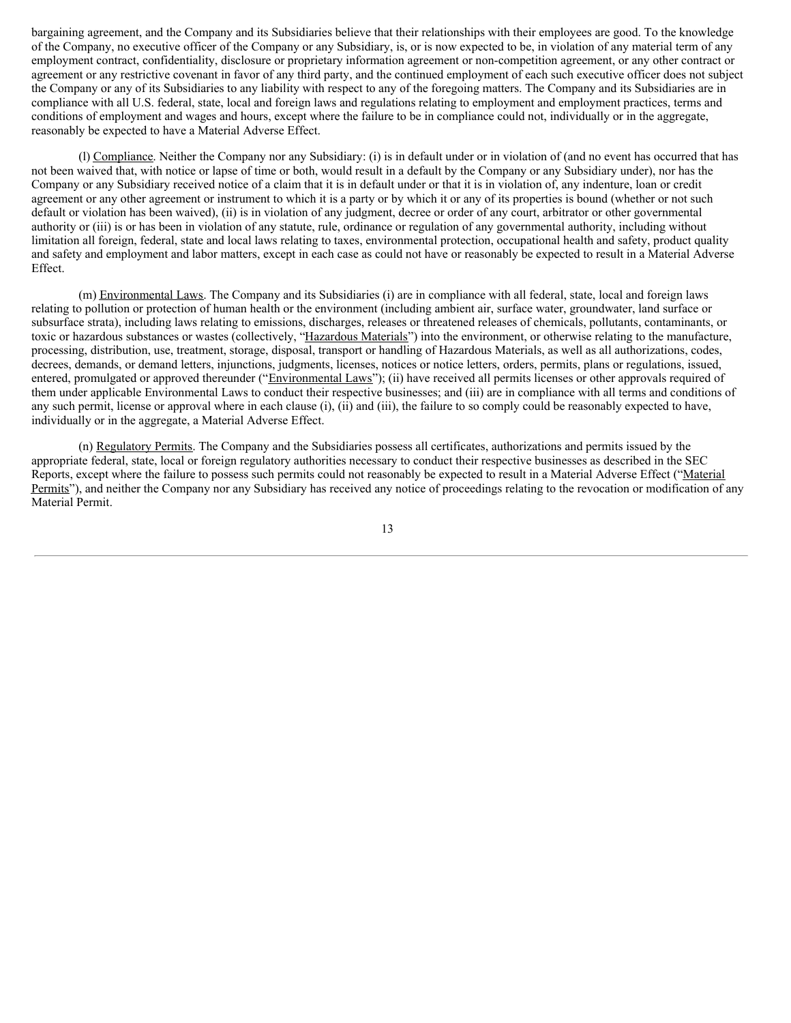bargaining agreement, and the Company and its Subsidiaries believe that their relationships with their employees are good. To the knowledge of the Company, no executive officer of the Company or any Subsidiary, is, or is now expected to be, in violation of any material term of any employment contract, confidentiality, disclosure or proprietary information agreement or non-competition agreement, or any other contract or agreement or any restrictive covenant in favor of any third party, and the continued employment of each such executive officer does not subject the Company or any of its Subsidiaries to any liability with respect to any of the foregoing matters. The Company and its Subsidiaries are in compliance with all U.S. federal, state, local and foreign laws and regulations relating to employment and employment practices, terms and conditions of employment and wages and hours, except where the failure to be in compliance could not, individually or in the aggregate, reasonably be expected to have a Material Adverse Effect.

(l) Compliance. Neither the Company nor any Subsidiary: (i) is in default under or in violation of (and no event has occurred that has not been waived that, with notice or lapse of time or both, would result in a default by the Company or any Subsidiary under), nor has the Company or any Subsidiary received notice of a claim that it is in default under or that it is in violation of, any indenture, loan or credit agreement or any other agreement or instrument to which it is a party or by which it or any of its properties is bound (whether or not such default or violation has been waived), (ii) is in violation of any judgment, decree or order of any court, arbitrator or other governmental authority or (iii) is or has been in violation of any statute, rule, ordinance or regulation of any governmental authority, including without limitation all foreign, federal, state and local laws relating to taxes, environmental protection, occupational health and safety, product quality and safety and employment and labor matters, except in each case as could not have or reasonably be expected to result in a Material Adverse Effect.

(m) Environmental Laws. The Company and its Subsidiaries (i) are in compliance with all federal, state, local and foreign laws relating to pollution or protection of human health or the environment (including ambient air, surface water, groundwater, land surface or subsurface strata), including laws relating to emissions, discharges, releases or threatened releases of chemicals, pollutants, contaminants, or toxic or hazardous substances or wastes (collectively, "Hazardous Materials") into the environment, or otherwise relating to the manufacture, processing, distribution, use, treatment, storage, disposal, transport or handling of Hazardous Materials, as well as all authorizations, codes, decrees, demands, or demand letters, injunctions, judgments, licenses, notices or notice letters, orders, permits, plans or regulations, issued, entered, promulgated or approved thereunder ("Environmental Laws"); (ii) have received all permits licenses or other approvals required of them under applicable Environmental Laws to conduct their respective businesses; and (iii) are in compliance with all terms and conditions of any such permit, license or approval where in each clause (i), (ii) and (iii), the failure to so comply could be reasonably expected to have, individually or in the aggregate, a Material Adverse Effect.

(n) Regulatory Permits. The Company and the Subsidiaries possess all certificates, authorizations and permits issued by the appropriate federal, state, local or foreign regulatory authorities necessary to conduct their respective businesses as described in the SEC Reports, except where the failure to possess such permits could not reasonably be expected to result in a Material Adverse Effect ("Material Permits"), and neither the Company nor any Subsidiary has received any notice of proceedings relating to the revocation or modification of any Material Permit.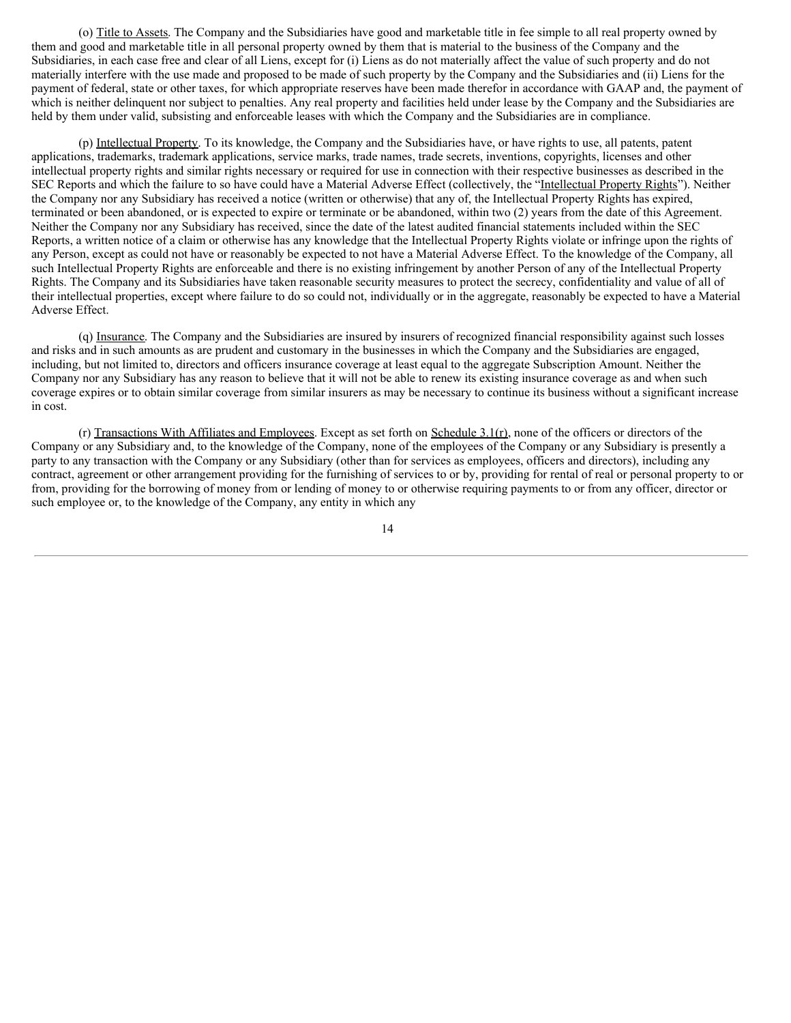(o) Title to Assets. The Company and the Subsidiaries have good and marketable title in fee simple to all real property owned by them and good and marketable title in all personal property owned by them that is material to the business of the Company and the Subsidiaries, in each case free and clear of all Liens, except for (i) Liens as do not materially affect the value of such property and do not materially interfere with the use made and proposed to be made of such property by the Company and the Subsidiaries and (ii) Liens for the payment of federal, state or other taxes, for which appropriate reserves have been made therefor in accordance with GAAP and, the payment of which is neither delinquent nor subject to penalties. Any real property and facilities held under lease by the Company and the Subsidiaries are held by them under valid, subsisting and enforceable leases with which the Company and the Subsidiaries are in compliance.

(p) Intellectual Property. To its knowledge, the Company and the Subsidiaries have, or have rights to use, all patents, patent applications, trademarks, trademark applications, service marks, trade names, trade secrets, inventions, copyrights, licenses and other intellectual property rights and similar rights necessary or required for use in connection with their respective businesses as described in the SEC Reports and which the failure to so have could have a Material Adverse Effect (collectively, the "Intellectual Property Rights"). Neither the Company nor any Subsidiary has received a notice (written or otherwise) that any of, the Intellectual Property Rights has expired, terminated or been abandoned, or is expected to expire or terminate or be abandoned, within two (2) years from the date of this Agreement. Neither the Company nor any Subsidiary has received, since the date of the latest audited financial statements included within the SEC Reports, a written notice of a claim or otherwise has any knowledge that the Intellectual Property Rights violate or infringe upon the rights of any Person, except as could not have or reasonably be expected to not have a Material Adverse Effect. To the knowledge of the Company, all such Intellectual Property Rights are enforceable and there is no existing infringement by another Person of any of the Intellectual Property Rights. The Company and its Subsidiaries have taken reasonable security measures to protect the secrecy, confidentiality and value of all of their intellectual properties, except where failure to do so could not, individually or in the aggregate, reasonably be expected to have a Material Adverse Effect.

(q) Insurance. The Company and the Subsidiaries are insured by insurers of recognized financial responsibility against such losses and risks and in such amounts as are prudent and customary in the businesses in which the Company and the Subsidiaries are engaged, including, but not limited to, directors and officers insurance coverage at least equal to the aggregate Subscription Amount. Neither the Company nor any Subsidiary has any reason to believe that it will not be able to renew its existing insurance coverage as and when such coverage expires or to obtain similar coverage from similar insurers as may be necessary to continue its business without a significant increase in cost.

(r) Transactions With Affiliates and Employees. Except as set forth on Schedule  $3.1(r)$ , none of the officers or directors of the Company or any Subsidiary and, to the knowledge of the Company, none of the employees of the Company or any Subsidiary is presently a party to any transaction with the Company or any Subsidiary (other than for services as employees, officers and directors), including any contract, agreement or other arrangement providing for the furnishing of services to or by, providing for rental of real or personal property to or from, providing for the borrowing of money from or lending of money to or otherwise requiring payments to or from any officer, director or such employee or, to the knowledge of the Company, any entity in which any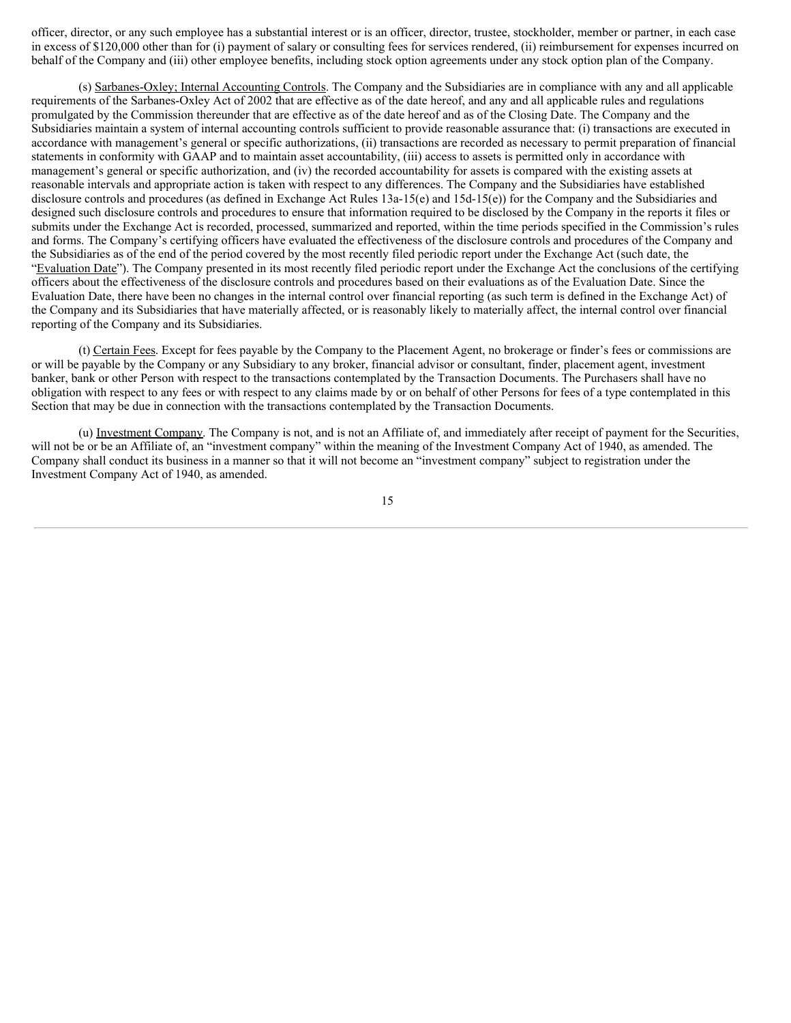officer, director, or any such employee has a substantial interest or is an officer, director, trustee, stockholder, member or partner, in each case in excess of \$120,000 other than for (i) payment of salary or consulting fees for services rendered, (ii) reimbursement for expenses incurred on behalf of the Company and (iii) other employee benefits, including stock option agreements under any stock option plan of the Company.

(s) Sarbanes-Oxley; Internal Accounting Controls. The Company and the Subsidiaries are in compliance with any and all applicable requirements of the Sarbanes-Oxley Act of 2002 that are effective as of the date hereof, and any and all applicable rules and regulations promulgated by the Commission thereunder that are effective as of the date hereof and as of the Closing Date. The Company and the Subsidiaries maintain a system of internal accounting controls sufficient to provide reasonable assurance that: (i) transactions are executed in accordance with management's general or specific authorizations, (ii) transactions are recorded as necessary to permit preparation of financial statements in conformity with GAAP and to maintain asset accountability, (iii) access to assets is permitted only in accordance with management's general or specific authorization, and (iv) the recorded accountability for assets is compared with the existing assets at reasonable intervals and appropriate action is taken with respect to any differences. The Company and the Subsidiaries have established disclosure controls and procedures (as defined in Exchange Act Rules 13a-15(e) and 15d-15(e)) for the Company and the Subsidiaries and designed such disclosure controls and procedures to ensure that information required to be disclosed by the Company in the reports it files or submits under the Exchange Act is recorded, processed, summarized and reported, within the time periods specified in the Commission's rules and forms. The Company's certifying officers have evaluated the effectiveness of the disclosure controls and procedures of the Company and the Subsidiaries as of the end of the period covered by the most recently filed periodic report under the Exchange Act (such date, the "Evaluation Date"). The Company presented in its most recently filed periodic report under the Exchange Act the conclusions of the certifying officers about the effectiveness of the disclosure controls and procedures based on their evaluations as of the Evaluation Date. Since the Evaluation Date, there have been no changes in the internal control over financial reporting (as such term is defined in the Exchange Act) of the Company and its Subsidiaries that have materially affected, or is reasonably likely to materially affect, the internal control over financial reporting of the Company and its Subsidiaries.

(t) Certain Fees. Except for fees payable by the Company to the Placement Agent, no brokerage or finder's fees or commissions are or will be payable by the Company or any Subsidiary to any broker, financial advisor or consultant, finder, placement agent, investment banker, bank or other Person with respect to the transactions contemplated by the Transaction Documents. The Purchasers shall have no obligation with respect to any fees or with respect to any claims made by or on behalf of other Persons for fees of a type contemplated in this Section that may be due in connection with the transactions contemplated by the Transaction Documents.

(u) Investment Company. The Company is not, and is not an Affiliate of, and immediately after receipt of payment for the Securities, will not be or be an Affiliate of, an "investment company" within the meaning of the Investment Company Act of 1940, as amended. The Company shall conduct its business in a manner so that it will not become an "investment company" subject to registration under the Investment Company Act of 1940, as amended.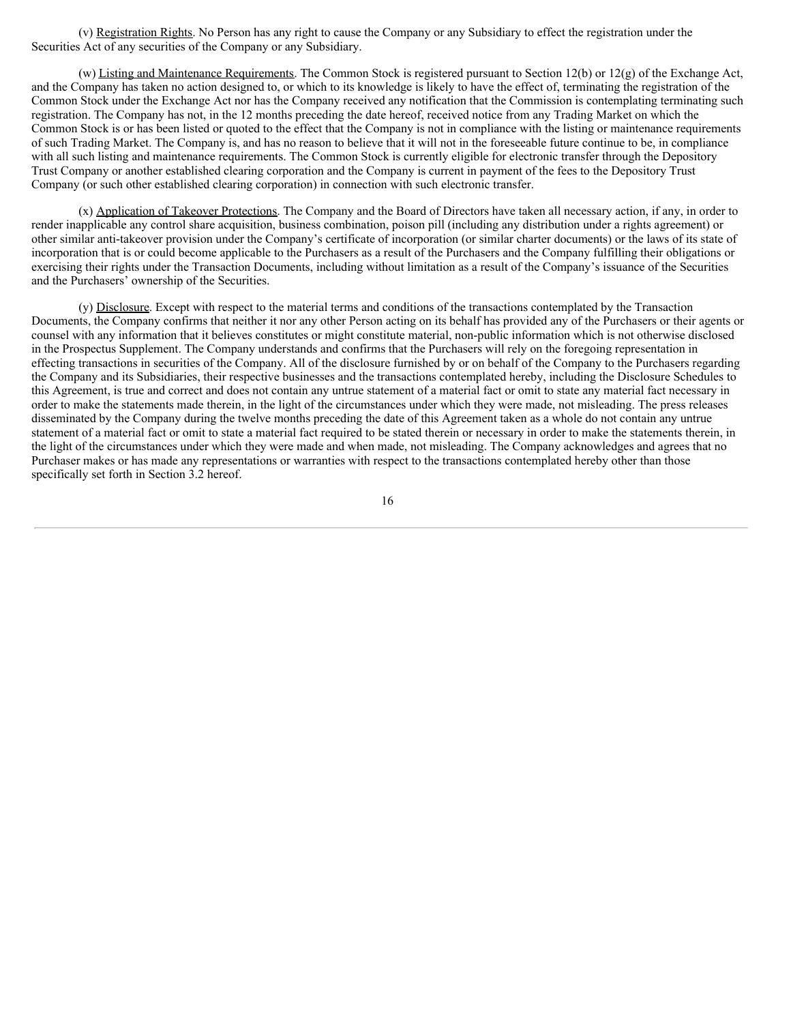(v) Registration Rights. No Person has any right to cause the Company or any Subsidiary to effect the registration under the Securities Act of any securities of the Company or any Subsidiary.

(w) Listing and Maintenance Requirements. The Common Stock is registered pursuant to Section 12(b) or 12(g) of the Exchange Act, and the Company has taken no action designed to, or which to its knowledge is likely to have the effect of, terminating the registration of the Common Stock under the Exchange Act nor has the Company received any notification that the Commission is contemplating terminating such registration. The Company has not, in the 12 months preceding the date hereof, received notice from any Trading Market on which the Common Stock is or has been listed or quoted to the effect that the Company is not in compliance with the listing or maintenance requirements of such Trading Market. The Company is, and has no reason to believe that it will not in the foreseeable future continue to be, in compliance with all such listing and maintenance requirements. The Common Stock is currently eligible for electronic transfer through the Depository Trust Company or another established clearing corporation and the Company is current in payment of the fees to the Depository Trust Company (or such other established clearing corporation) in connection with such electronic transfer.

(x) Application of Takeover Protections. The Company and the Board of Directors have taken all necessary action, if any, in order to render inapplicable any control share acquisition, business combination, poison pill (including any distribution under a rights agreement) or other similar anti‑takeover provision under the Company's certificate of incorporation (or similar charter documents) or the laws of its state of incorporation that is or could become applicable to the Purchasers as a result of the Purchasers and the Company fulfilling their obligations or exercising their rights under the Transaction Documents, including without limitation as a result of the Company's issuance of the Securities and the Purchasers' ownership of the Securities.

(y) Disclosure. Except with respect to the material terms and conditions of the transactions contemplated by the Transaction Documents, the Company confirms that neither it nor any other Person acting on its behalf has provided any of the Purchasers or their agents or counsel with any information that it believes constitutes or might constitute material, non-public information which is not otherwise disclosed in the Prospectus Supplement. The Company understands and confirms that the Purchasers will rely on the foregoing representation in effecting transactions in securities of the Company. All of the disclosure furnished by or on behalf of the Company to the Purchasers regarding the Company and its Subsidiaries, their respective businesses and the transactions contemplated hereby, including the Disclosure Schedules to this Agreement, is true and correct and does not contain any untrue statement of a material fact or omit to state any material fact necessary in order to make the statements made therein, in the light of the circumstances under which they were made, not misleading. The press releases disseminated by the Company during the twelve months preceding the date of this Agreement taken as a whole do not contain any untrue statement of a material fact or omit to state a material fact required to be stated therein or necessary in order to make the statements therein, in the light of the circumstances under which they were made and when made, not misleading. The Company acknowledges and agrees that no Purchaser makes or has made any representations or warranties with respect to the transactions contemplated hereby other than those specifically set forth in Section 3.2 hereof.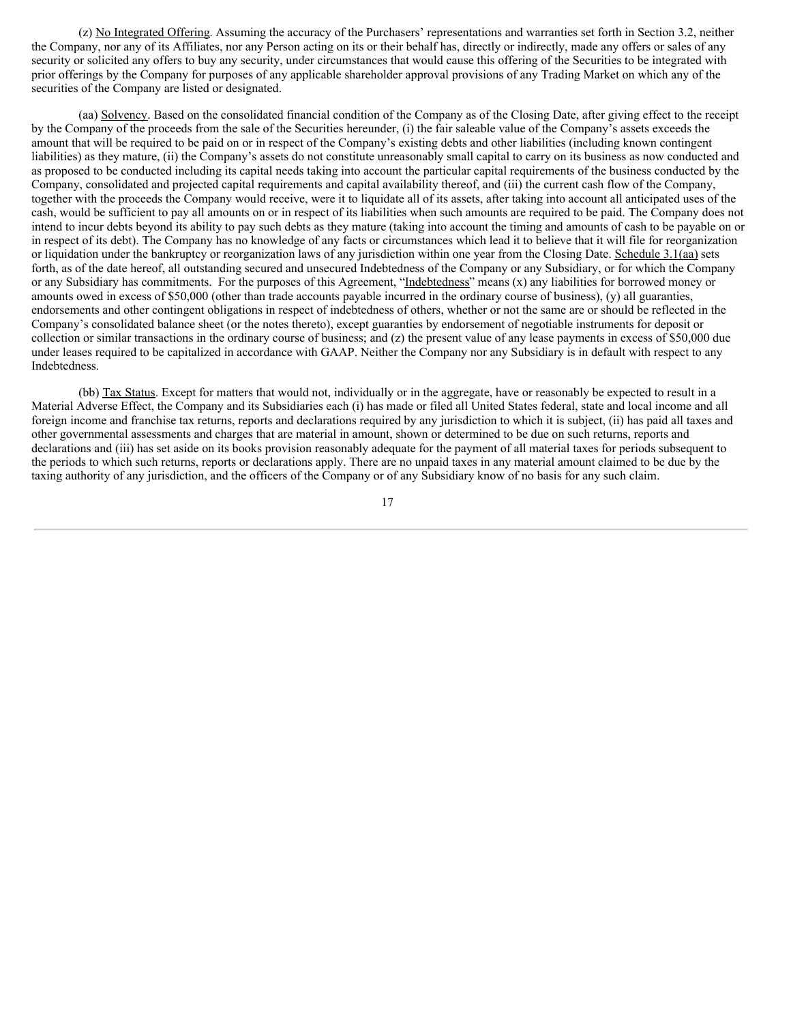(z) No Integrated Offering. Assuming the accuracy of the Purchasers' representations and warranties set forth in Section 3.2, neither the Company, nor any of its Affiliates, nor any Person acting on its or their behalf has, directly or indirectly, made any offers or sales of any security or solicited any offers to buy any security, under circumstances that would cause this offering of the Securities to be integrated with prior offerings by the Company for purposes of any applicable shareholder approval provisions of any Trading Market on which any of the securities of the Company are listed or designated.

(aa) Solvency. Based on the consolidated financial condition of the Company as of the Closing Date, after giving effect to the receipt by the Company of the proceeds from the sale of the Securities hereunder, (i) the fair saleable value of the Company's assets exceeds the amount that will be required to be paid on or in respect of the Company's existing debts and other liabilities (including known contingent liabilities) as they mature, (ii) the Company's assets do not constitute unreasonably small capital to carry on its business as now conducted and as proposed to be conducted including its capital needs taking into account the particular capital requirements of the business conducted by the Company, consolidated and projected capital requirements and capital availability thereof, and (iii) the current cash flow of the Company, together with the proceeds the Company would receive, were it to liquidate all of its assets, after taking into account all anticipated uses of the cash, would be sufficient to pay all amounts on or in respect of its liabilities when such amounts are required to be paid. The Company does not intend to incur debts beyond its ability to pay such debts as they mature (taking into account the timing and amounts of cash to be payable on or in respect of its debt). The Company has no knowledge of any facts or circumstances which lead it to believe that it will file for reorganization or liquidation under the bankruptcy or reorganization laws of any jurisdiction within one year from the Closing Date. Schedule 3.1(aa) sets forth, as of the date hereof, all outstanding secured and unsecured Indebtedness of the Company or any Subsidiary, or for which the Company or any Subsidiary has commitments. For the purposes of this Agreement, "Indebtedness" means (x) any liabilities for borrowed money or amounts owed in excess of \$50,000 (other than trade accounts payable incurred in the ordinary course of business), (y) all guaranties, endorsements and other contingent obligations in respect of indebtedness of others, whether or not the same are or should be reflected in the Company's consolidated balance sheet (or the notes thereto), except guaranties by endorsement of negotiable instruments for deposit or collection or similar transactions in the ordinary course of business; and (z) the present value of any lease payments in excess of \$50,000 due under leases required to be capitalized in accordance with GAAP. Neither the Company nor any Subsidiary is in default with respect to any Indebtedness.

(bb) Tax Status. Except for matters that would not, individually or in the aggregate, have or reasonably be expected to result in a Material Adverse Effect, the Company and its Subsidiaries each (i) has made or filed all United States federal, state and local income and all foreign income and franchise tax returns, reports and declarations required by any jurisdiction to which it is subject, (ii) has paid all taxes and other governmental assessments and charges that are material in amount, shown or determined to be due on such returns, reports and declarations and (iii) has set aside on its books provision reasonably adequate for the payment of all material taxes for periods subsequent to the periods to which such returns, reports or declarations apply. There are no unpaid taxes in any material amount claimed to be due by the taxing authority of any jurisdiction, and the officers of the Company or of any Subsidiary know of no basis for any such claim.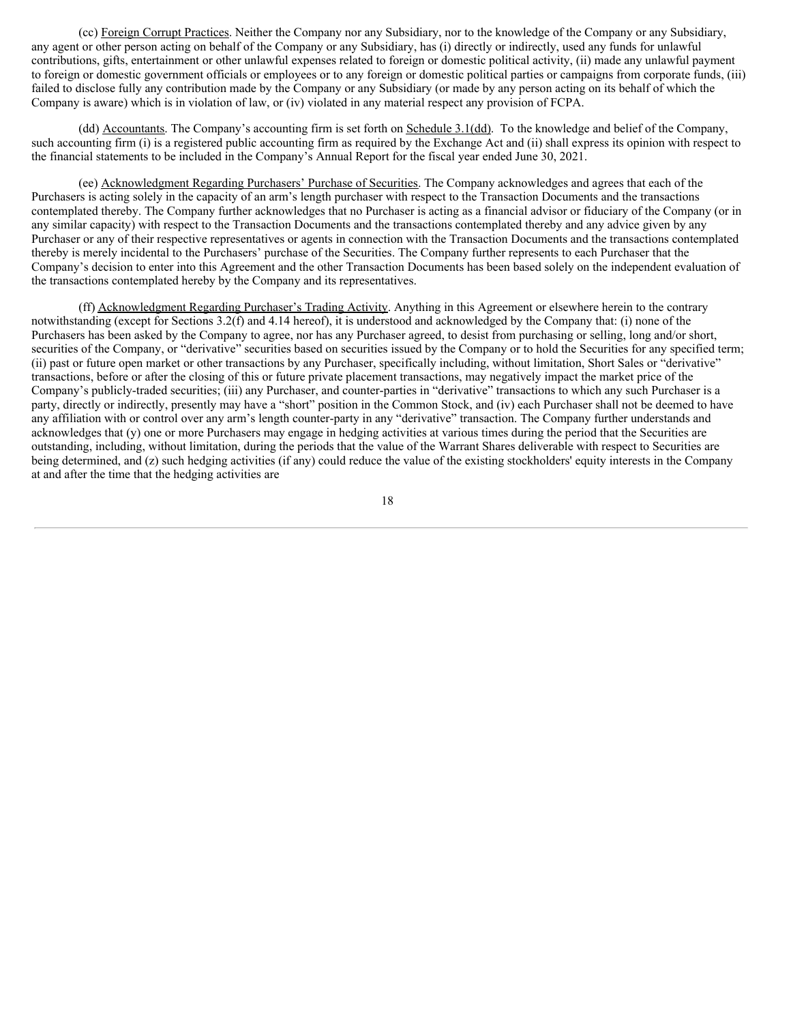(cc) Foreign Corrupt Practices. Neither the Company nor any Subsidiary, nor to the knowledge of the Company or any Subsidiary, any agent or other person acting on behalf of the Company or any Subsidiary, has (i) directly or indirectly, used any funds for unlawful contributions, gifts, entertainment or other unlawful expenses related to foreign or domestic political activity, (ii) made any unlawful payment to foreign or domestic government officials or employees or to any foreign or domestic political parties or campaigns from corporate funds, (iii) failed to disclose fully any contribution made by the Company or any Subsidiary (or made by any person acting on its behalf of which the Company is aware) which is in violation of law, or (iv) violated in any material respect any provision of FCPA.

(dd) Accountants. The Company's accounting firm is set forth on Schedule 3.1(dd). To the knowledge and belief of the Company, such accounting firm (i) is a registered public accounting firm as required by the Exchange Act and (ii) shall express its opinion with respect to the financial statements to be included in the Company's Annual Report for the fiscal year ended June 30, 2021.

(ee) Acknowledgment Regarding Purchasers' Purchase of Securities. The Company acknowledges and agrees that each of the Purchasers is acting solely in the capacity of an arm's length purchaser with respect to the Transaction Documents and the transactions contemplated thereby. The Company further acknowledges that no Purchaser is acting as a financial advisor or fiduciary of the Company (or in any similar capacity) with respect to the Transaction Documents and the transactions contemplated thereby and any advice given by any Purchaser or any of their respective representatives or agents in connection with the Transaction Documents and the transactions contemplated thereby is merely incidental to the Purchasers' purchase of the Securities. The Company further represents to each Purchaser that the Company's decision to enter into this Agreement and the other Transaction Documents has been based solely on the independent evaluation of the transactions contemplated hereby by the Company and its representatives.

(ff) Acknowledgment Regarding Purchaser's Trading Activity. Anything in this Agreement or elsewhere herein to the contrary notwithstanding (except for Sections 3.2(f) and 4.14 hereof), it is understood and acknowledged by the Company that: (i) none of the Purchasers has been asked by the Company to agree, nor has any Purchaser agreed, to desist from purchasing or selling, long and/or short, securities of the Company, or "derivative" securities based on securities issued by the Company or to hold the Securities for any specified term; (ii) past or future open market or other transactions by any Purchaser, specifically including, without limitation, Short Sales or "derivative" transactions, before or after the closing of this or future private placement transactions, may negatively impact the market price of the Company's publicly-traded securities; (iii) any Purchaser, and counter-parties in "derivative" transactions to which any such Purchaser is a party, directly or indirectly, presently may have a "short" position in the Common Stock, and (iv) each Purchaser shall not be deemed to have any affiliation with or control over any arm's length counter-party in any "derivative" transaction. The Company further understands and acknowledges that (y) one or more Purchasers may engage in hedging activities at various times during the period that the Securities are outstanding, including, without limitation, during the periods that the value of the Warrant Shares deliverable with respect to Securities are being determined, and (z) such hedging activities (if any) could reduce the value of the existing stockholders' equity interests in the Company at and after the time that the hedging activities are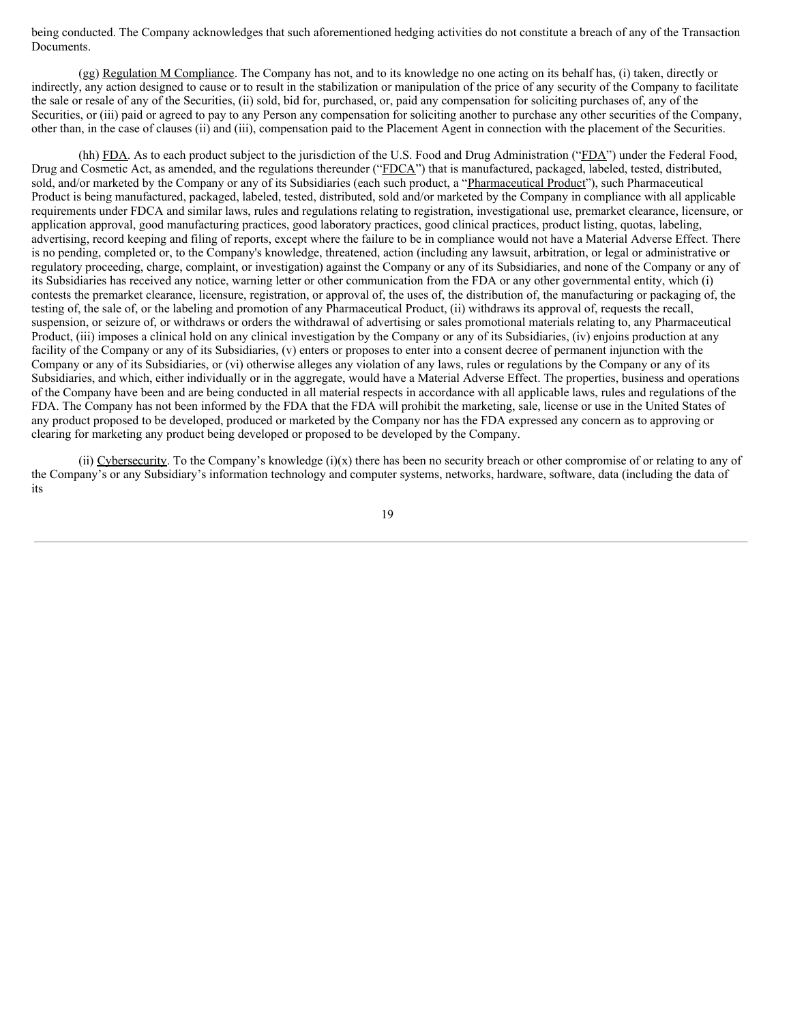being conducted. The Company acknowledges that such aforementioned hedging activities do not constitute a breach of any of the Transaction Documents.

(gg) Regulation M Compliance. The Company has not, and to its knowledge no one acting on its behalf has, (i) taken, directly or indirectly, any action designed to cause or to result in the stabilization or manipulation of the price of any security of the Company to facilitate the sale or resale of any of the Securities, (ii) sold, bid for, purchased, or, paid any compensation for soliciting purchases of, any of the Securities, or (iii) paid or agreed to pay to any Person any compensation for soliciting another to purchase any other securities of the Company, other than, in the case of clauses (ii) and (iii), compensation paid to the Placement Agent in connection with the placement of the Securities.

(hh) FDA. As to each product subject to the jurisdiction of the U.S. Food and Drug Administration ("FDA") under the Federal Food, Drug and Cosmetic Act, as amended, and the regulations thereunder ("FDCA") that is manufactured, packaged, labeled, tested, distributed, sold, and/or marketed by the Company or any of its Subsidiaries (each such product, a "Pharmaceutical Product"), such Pharmaceutical Product is being manufactured, packaged, labeled, tested, distributed, sold and/or marketed by the Company in compliance with all applicable requirements under FDCA and similar laws, rules and regulations relating to registration, investigational use, premarket clearance, licensure, or application approval, good manufacturing practices, good laboratory practices, good clinical practices, product listing, quotas, labeling, advertising, record keeping and filing of reports, except where the failure to be in compliance would not have a Material Adverse Effect. There is no pending, completed or, to the Company's knowledge, threatened, action (including any lawsuit, arbitration, or legal or administrative or regulatory proceeding, charge, complaint, or investigation) against the Company or any of its Subsidiaries, and none of the Company or any of its Subsidiaries has received any notice, warning letter or other communication from the FDA or any other governmental entity, which (i) contests the premarket clearance, licensure, registration, or approval of, the uses of, the distribution of, the manufacturing or packaging of, the testing of, the sale of, or the labeling and promotion of any Pharmaceutical Product, (ii) withdraws its approval of, requests the recall, suspension, or seizure of, or withdraws or orders the withdrawal of advertising or sales promotional materials relating to, any Pharmaceutical Product, (iii) imposes a clinical hold on any clinical investigation by the Company or any of its Subsidiaries, (iv) enjoins production at any facility of the Company or any of its Subsidiaries, (v) enters or proposes to enter into a consent decree of permanent injunction with the Company or any of its Subsidiaries, or (vi) otherwise alleges any violation of any laws, rules or regulations by the Company or any of its Subsidiaries, and which, either individually or in the aggregate, would have a Material Adverse Effect. The properties, business and operations of the Company have been and are being conducted in all material respects in accordance with all applicable laws, rules and regulations of the FDA. The Company has not been informed by the FDA that the FDA will prohibit the marketing, sale, license or use in the United States of any product proposed to be developed, produced or marketed by the Company nor has the FDA expressed any concern as to approving or clearing for marketing any product being developed or proposed to be developed by the Company.

(ii) Cybersecurity. To the Company's knowledge  $(i)(x)$  there has been no security breach or other compromise of or relating to any of the Company's or any Subsidiary's information technology and computer systems, networks, hardware, software, data (including the data of its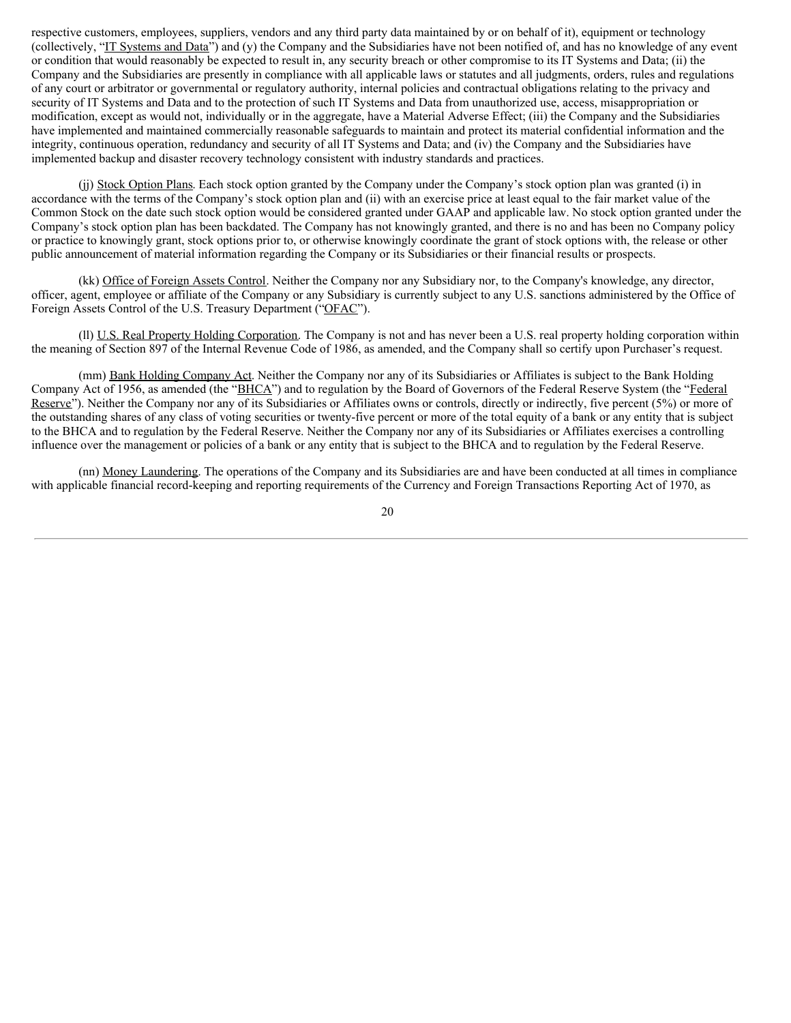respective customers, employees, suppliers, vendors and any third party data maintained by or on behalf of it), equipment or technology (collectively, "IT Systems and Data") and (y) the Company and the Subsidiaries have not been notified of, and has no knowledge of any event or condition that would reasonably be expected to result in, any security breach or other compromise to its IT Systems and Data; (ii) the Company and the Subsidiaries are presently in compliance with all applicable laws or statutes and all judgments, orders, rules and regulations of any court or arbitrator or governmental or regulatory authority, internal policies and contractual obligations relating to the privacy and security of IT Systems and Data and to the protection of such IT Systems and Data from unauthorized use, access, misappropriation or modification, except as would not, individually or in the aggregate, have a Material Adverse Effect; (iii) the Company and the Subsidiaries have implemented and maintained commercially reasonable safeguards to maintain and protect its material confidential information and the integrity, continuous operation, redundancy and security of all IT Systems and Data; and (iv) the Company and the Subsidiaries have implemented backup and disaster recovery technology consistent with industry standards and practices.

(jj) Stock Option Plans. Each stock option granted by the Company under the Company's stock option plan was granted (i) in accordance with the terms of the Company's stock option plan and (ii) with an exercise price at least equal to the fair market value of the Common Stock on the date such stock option would be considered granted under GAAP and applicable law. No stock option granted under the Company's stock option plan has been backdated. The Company has not knowingly granted, and there is no and has been no Company policy or practice to knowingly grant, stock options prior to, or otherwise knowingly coordinate the grant of stock options with, the release or other public announcement of material information regarding the Company or its Subsidiaries or their financial results or prospects.

(kk) Office of Foreign Assets Control. Neither the Company nor any Subsidiary nor, to the Company's knowledge, any director, officer, agent, employee or affiliate of the Company or any Subsidiary is currently subject to any U.S. sanctions administered by the Office of Foreign Assets Control of the U.S. Treasury Department ("OFAC").

(ll) U.S. Real Property Holding Corporation. The Company is not and has never been a U.S. real property holding corporation within the meaning of Section 897 of the Internal Revenue Code of 1986, as amended, and the Company shall so certify upon Purchaser's request.

(mm) Bank Holding Company Act. Neither the Company nor any of its Subsidiaries or Affiliates is subject to the Bank Holding Company Act of 1956, as amended (the "BHCA") and to regulation by the Board of Governors of the Federal Reserve System (the "Federal Reserve"). Neither the Company nor any of its Subsidiaries or Affiliates owns or controls, directly or indirectly, five percent (5%) or more of the outstanding shares of any class of voting securities or twenty-five percent or more of the total equity of a bank or any entity that is subject to the BHCA and to regulation by the Federal Reserve. Neither the Company nor any of its Subsidiaries or Affiliates exercises a controlling influence over the management or policies of a bank or any entity that is subject to the BHCA and to regulation by the Federal Reserve.

(nn) Money Laundering. The operations of the Company and its Subsidiaries are and have been conducted at all times in compliance with applicable financial record-keeping and reporting requirements of the Currency and Foreign Transactions Reporting Act of 1970, as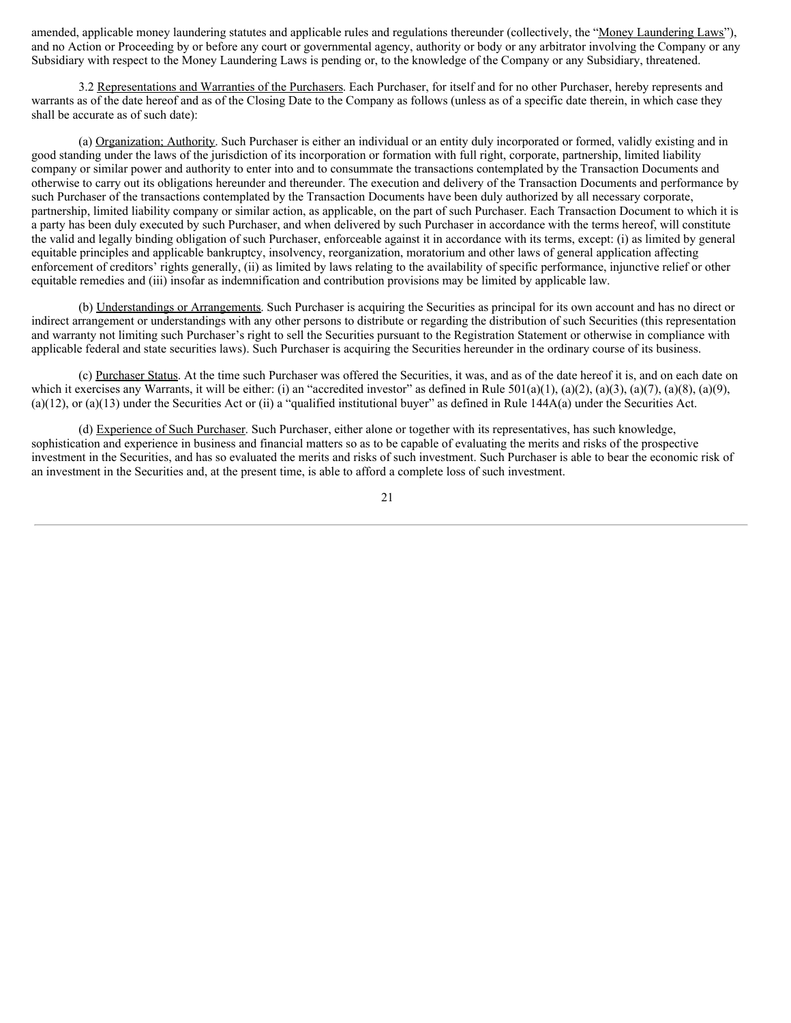amended, applicable money laundering statutes and applicable rules and regulations thereunder (collectively, the "Money Laundering Laws"), and no Action or Proceeding by or before any court or governmental agency, authority or body or any arbitrator involving the Company or any Subsidiary with respect to the Money Laundering Laws is pending or, to the knowledge of the Company or any Subsidiary, threatened.

3.2 Representations and Warranties of the Purchasers. Each Purchaser, for itself and for no other Purchaser, hereby represents and warrants as of the date hereof and as of the Closing Date to the Company as follows (unless as of a specific date therein, in which case they shall be accurate as of such date):

(a) Organization; Authority. Such Purchaser is either an individual or an entity duly incorporated or formed, validly existing and in good standing under the laws of the jurisdiction of its incorporation or formation with full right, corporate, partnership, limited liability company or similar power and authority to enter into and to consummate the transactions contemplated by the Transaction Documents and otherwise to carry out its obligations hereunder and thereunder. The execution and delivery of the Transaction Documents and performance by such Purchaser of the transactions contemplated by the Transaction Documents have been duly authorized by all necessary corporate, partnership, limited liability company or similar action, as applicable, on the part of such Purchaser. Each Transaction Document to which it is a party has been duly executed by such Purchaser, and when delivered by such Purchaser in accordance with the terms hereof, will constitute the valid and legally binding obligation of such Purchaser, enforceable against it in accordance with its terms, except: (i) as limited by general equitable principles and applicable bankruptcy, insolvency, reorganization, moratorium and other laws of general application affecting enforcement of creditors' rights generally, (ii) as limited by laws relating to the availability of specific performance, injunctive relief or other equitable remedies and (iii) insofar as indemnification and contribution provisions may be limited by applicable law.

(b) Understandings or Arrangements. Such Purchaser is acquiring the Securities as principal for its own account and has no direct or indirect arrangement or understandings with any other persons to distribute or regarding the distribution of such Securities (this representation and warranty not limiting such Purchaser's right to sell the Securities pursuant to the Registration Statement or otherwise in compliance with applicable federal and state securities laws). Such Purchaser is acquiring the Securities hereunder in the ordinary course of its business.

(c) Purchaser Status. At the time such Purchaser was offered the Securities, it was, and as of the date hereof it is, and on each date on which it exercises any Warrants, it will be either: (i) an "accredited investor" as defined in Rule 501(a)(1), (a)(2), (a)(3), (a)(3), (a)(8), (a)(8), (a)(9),  $(a)(12)$ , or  $(a)(13)$  under the Securities Act or (ii) a "qualified institutional buyer" as defined in Rule 144A(a) under the Securities Act.

(d) Experience of Such Purchaser. Such Purchaser, either alone or together with its representatives, has such knowledge, sophistication and experience in business and financial matters so as to be capable of evaluating the merits and risks of the prospective investment in the Securities, and has so evaluated the merits and risks of such investment. Such Purchaser is able to bear the economic risk of an investment in the Securities and, at the present time, is able to afford a complete loss of such investment.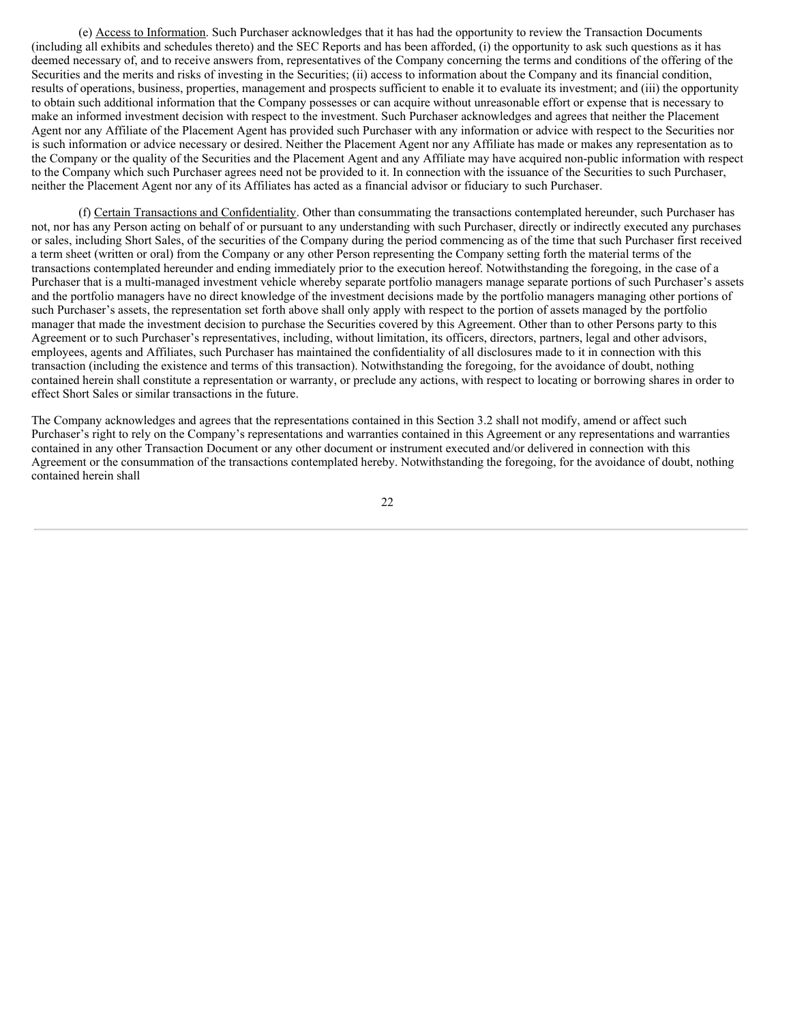(e) Access to Information. Such Purchaser acknowledges that it has had the opportunity to review the Transaction Documents (including all exhibits and schedules thereto) and the SEC Reports and has been afforded, (i) the opportunity to ask such questions as it has deemed necessary of, and to receive answers from, representatives of the Company concerning the terms and conditions of the offering of the Securities and the merits and risks of investing in the Securities; (ii) access to information about the Company and its financial condition, results of operations, business, properties, management and prospects sufficient to enable it to evaluate its investment; and (iii) the opportunity to obtain such additional information that the Company possesses or can acquire without unreasonable effort or expense that is necessary to make an informed investment decision with respect to the investment. Such Purchaser acknowledges and agrees that neither the Placement Agent nor any Affiliate of the Placement Agent has provided such Purchaser with any information or advice with respect to the Securities nor is such information or advice necessary or desired. Neither the Placement Agent nor any Affiliate has made or makes any representation as to the Company or the quality of the Securities and the Placement Agent and any Affiliate may have acquired non-public information with respect to the Company which such Purchaser agrees need not be provided to it. In connection with the issuance of the Securities to such Purchaser, neither the Placement Agent nor any of its Affiliates has acted as a financial advisor or fiduciary to such Purchaser.

(f) Certain Transactions and Confidentiality. Other than consummating the transactions contemplated hereunder, such Purchaser has not, nor has any Person acting on behalf of or pursuant to any understanding with such Purchaser, directly or indirectly executed any purchases or sales, including Short Sales, of the securities of the Company during the period commencing as of the time that such Purchaser first received a term sheet (written or oral) from the Company or any other Person representing the Company setting forth the material terms of the transactions contemplated hereunder and ending immediately prior to the execution hereof. Notwithstanding the foregoing, in the case of a Purchaser that is a multi-managed investment vehicle whereby separate portfolio managers manage separate portions of such Purchaser's assets and the portfolio managers have no direct knowledge of the investment decisions made by the portfolio managers managing other portions of such Purchaser's assets, the representation set forth above shall only apply with respect to the portion of assets managed by the portfolio manager that made the investment decision to purchase the Securities covered by this Agreement. Other than to other Persons party to this Agreement or to such Purchaser's representatives, including, without limitation, its officers, directors, partners, legal and other advisors, employees, agents and Affiliates, such Purchaser has maintained the confidentiality of all disclosures made to it in connection with this transaction (including the existence and terms of this transaction). Notwithstanding the foregoing, for the avoidance of doubt, nothing contained herein shall constitute a representation or warranty, or preclude any actions, with respect to locating or borrowing shares in order to effect Short Sales or similar transactions in the future.

The Company acknowledges and agrees that the representations contained in this Section 3.2 shall not modify, amend or affect such Purchaser's right to rely on the Company's representations and warranties contained in this Agreement or any representations and warranties contained in any other Transaction Document or any other document or instrument executed and/or delivered in connection with this Agreement or the consummation of the transactions contemplated hereby. Notwithstanding the foregoing, for the avoidance of doubt, nothing contained herein shall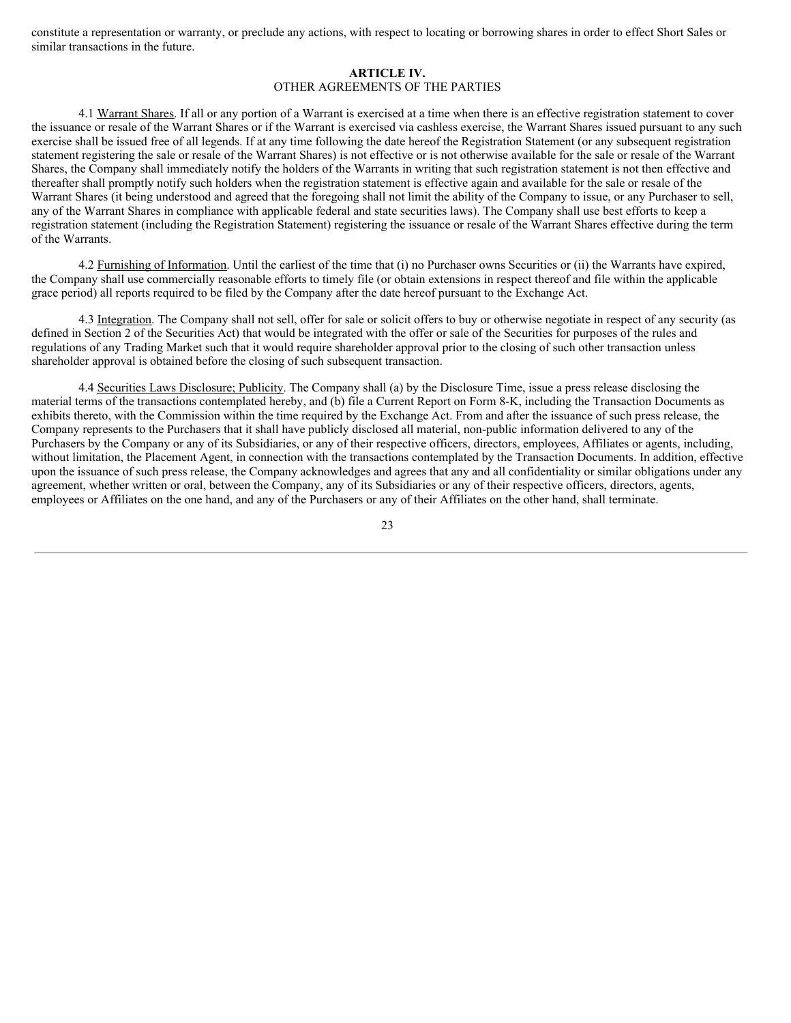constitute a representation or warranty, or preclude any actions, with respect to locating or borrowing shares in order to effect Short Sales or similar transactions in the future.

#### **ARTICLE IV.**

## OTHER AGREEMENTS OF THE PARTIES

4.1 Warrant Shares. If all or any portion of a Warrant is exercised at a time when there is an effective registration statement to cover the issuance or resale of the Warrant Shares or if the Warrant is exercised via cashless exercise, the Warrant Shares issued pursuant to any such exercise shall be issued free of all legends. If at any time following the date hereof the Registration Statement (or any subsequent registration statement registering the sale or resale of the Warrant Shares) is not effective or is not otherwise available for the sale or resale of the Warrant Shares, the Company shall immediately notify the holders of the Warrants in writing that such registration statement is not then effective and thereafter shall promptly notify such holders when the registration statement is effective again and available for the sale or resale of the Warrant Shares (it being understood and agreed that the foregoing shall not limit the ability of the Company to issue, or any Purchaser to sell, any of the Warrant Shares in compliance with applicable federal and state securities laws). The Company shall use best efforts to keep a registration statement (including the Registration Statement) registering the issuance or resale of the Warrant Shares effective during the term of the Warrants.

4.2 Furnishing of Information. Until the earliest of the time that (i) no Purchaser owns Securities or (ii) the Warrants have expired, the Company shall use commercially reasonable efforts to timely file (or obtain extensions in respect thereof and file within the applicable grace period) all reports required to be filed by the Company after the date hereof pursuant to the Exchange Act.

4.3 Integration. The Company shall not sell, offer for sale or solicit offers to buy or otherwise negotiate in respect of any security (as defined in Section 2 of the Securities Act) that would be integrated with the offer or sale of the Securities for purposes of the rules and regulations of any Trading Market such that it would require shareholder approval prior to the closing of such other transaction unless shareholder approval is obtained before the closing of such subsequent transaction.

4.4 Securities Laws Disclosure; Publicity. The Company shall (a) by the Disclosure Time, issue a press release disclosing the material terms of the transactions contemplated hereby, and (b) file a Current Report on Form 8-K, including the Transaction Documents as exhibits thereto, with the Commission within the time required by the Exchange Act. From and after the issuance of such press release, the Company represents to the Purchasers that it shall have publicly disclosed all material, non-public information delivered to any of the Purchasers by the Company or any of its Subsidiaries, or any of their respective officers, directors, employees, Affiliates or agents, including, without limitation, the Placement Agent, in connection with the transactions contemplated by the Transaction Documents. In addition, effective upon the issuance of such press release, the Company acknowledges and agrees that any and all confidentiality or similar obligations under any agreement, whether written or oral, between the Company, any of its Subsidiaries or any of their respective officers, directors, agents, employees or Affiliates on the one hand, and any of the Purchasers or any of their Affiliates on the other hand, shall terminate.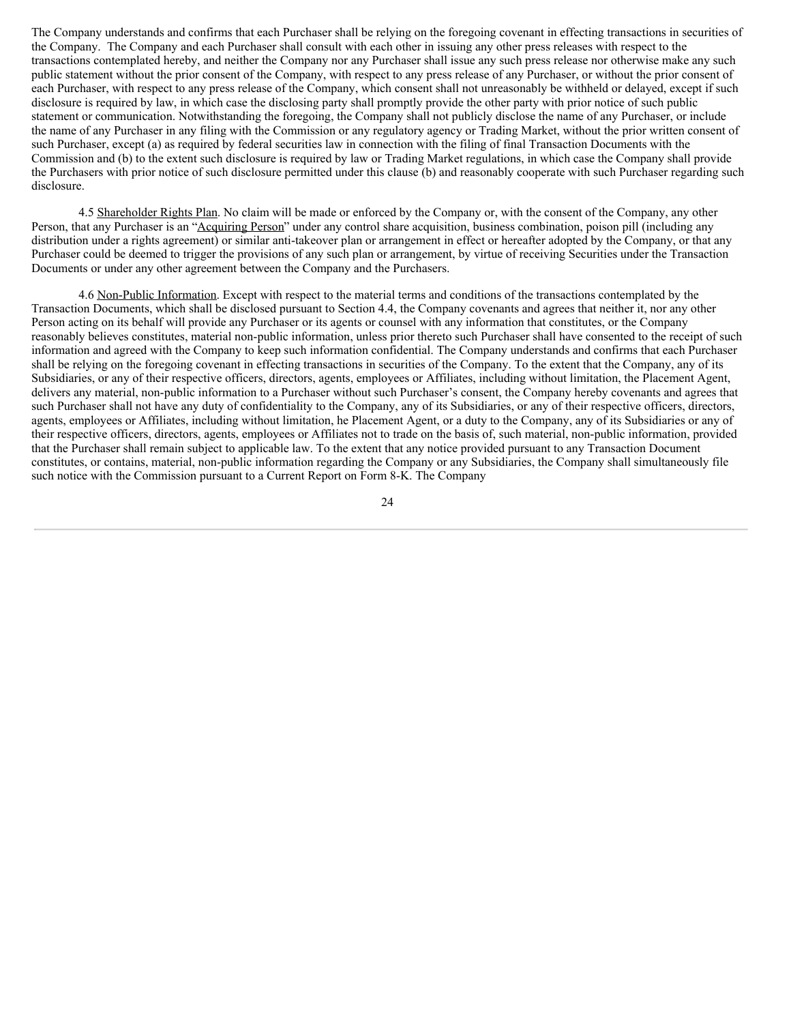The Company understands and confirms that each Purchaser shall be relying on the foregoing covenant in effecting transactions in securities of the Company. The Company and each Purchaser shall consult with each other in issuing any other press releases with respect to the transactions contemplated hereby, and neither the Company nor any Purchaser shall issue any such press release nor otherwise make any such public statement without the prior consent of the Company, with respect to any press release of any Purchaser, or without the prior consent of each Purchaser, with respect to any press release of the Company, which consent shall not unreasonably be withheld or delayed, except if such disclosure is required by law, in which case the disclosing party shall promptly provide the other party with prior notice of such public statement or communication. Notwithstanding the foregoing, the Company shall not publicly disclose the name of any Purchaser, or include the name of any Purchaser in any filing with the Commission or any regulatory agency or Trading Market, without the prior written consent of such Purchaser, except (a) as required by federal securities law in connection with the filing of final Transaction Documents with the Commission and (b) to the extent such disclosure is required by law or Trading Market regulations, in which case the Company shall provide the Purchasers with prior notice of such disclosure permitted under this clause (b) and reasonably cooperate with such Purchaser regarding such disclosure.

4.5 Shareholder Rights Plan. No claim will be made or enforced by the Company or, with the consent of the Company, any other Person, that any Purchaser is an "Acquiring Person" under any control share acquisition, business combination, poison pill (including any distribution under a rights agreement) or similar anti-takeover plan or arrangement in effect or hereafter adopted by the Company, or that any Purchaser could be deemed to trigger the provisions of any such plan or arrangement, by virtue of receiving Securities under the Transaction Documents or under any other agreement between the Company and the Purchasers.

4.6 Non-Public Information. Except with respect to the material terms and conditions of the transactions contemplated by the Transaction Documents, which shall be disclosed pursuant to Section 4.4, the Company covenants and agrees that neither it, nor any other Person acting on its behalf will provide any Purchaser or its agents or counsel with any information that constitutes, or the Company reasonably believes constitutes, material non-public information, unless prior thereto such Purchaser shall have consented to the receipt of such information and agreed with the Company to keep such information confidential. The Company understands and confirms that each Purchaser shall be relying on the foregoing covenant in effecting transactions in securities of the Company. To the extent that the Company, any of its Subsidiaries, or any of their respective officers, directors, agents, employees or Affiliates, including without limitation, the Placement Agent, delivers any material, non-public information to a Purchaser without such Purchaser's consent, the Company hereby covenants and agrees that such Purchaser shall not have any duty of confidentiality to the Company, any of its Subsidiaries, or any of their respective officers, directors, agents, employees or Affiliates, including without limitation, he Placement Agent, or a duty to the Company, any of its Subsidiaries or any of their respective officers, directors, agents, employees or Affiliates not to trade on the basis of, such material, non-public information, provided that the Purchaser shall remain subject to applicable law. To the extent that any notice provided pursuant to any Transaction Document constitutes, or contains, material, non-public information regarding the Company or any Subsidiaries, the Company shall simultaneously file such notice with the Commission pursuant to a Current Report on Form 8-K. The Company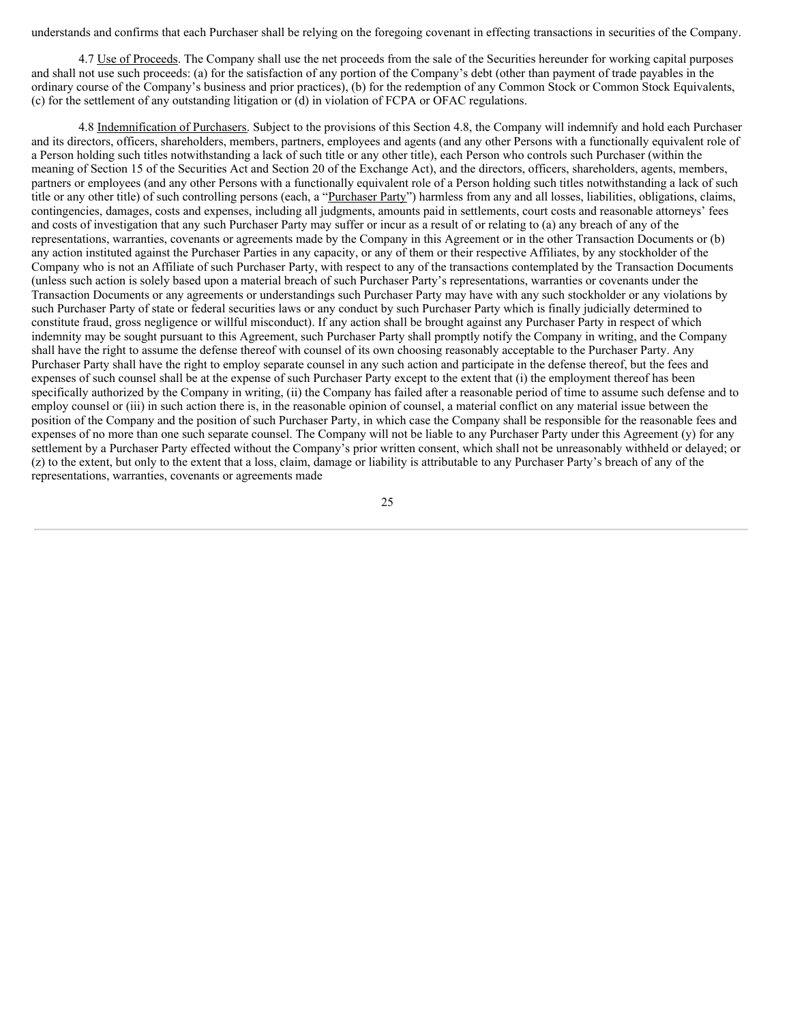understands and confirms that each Purchaser shall be relying on the foregoing covenant in effecting transactions in securities of the Company.

4.7 Use of Proceeds. The Company shall use the net proceeds from the sale of the Securities hereunder for working capital purposes and shall not use such proceeds: (a) for the satisfaction of any portion of the Company's debt (other than payment of trade payables in the ordinary course of the Company's business and prior practices), (b) for the redemption of any Common Stock or Common Stock Equivalents, (c) for the settlement of any outstanding litigation or (d) in violation of FCPA or OFAC regulations.

4.8 Indemnification of Purchasers. Subject to the provisions of this Section 4.8, the Company will indemnify and hold each Purchaser and its directors, officers, shareholders, members, partners, employees and agents (and any other Persons with a functionally equivalent role of a Person holding such titles notwithstanding a lack of such title or any other title), each Person who controls such Purchaser (within the meaning of Section 15 of the Securities Act and Section 20 of the Exchange Act), and the directors, officers, shareholders, agents, members, partners or employees (and any other Persons with a functionally equivalent role of a Person holding such titles notwithstanding a lack of such title or any other title) of such controlling persons (each, a "Purchaser Party") harmless from any and all losses, liabilities, obligations, claims, contingencies, damages, costs and expenses, including all judgments, amounts paid in settlements, court costs and reasonable attorneys' fees and costs of investigation that any such Purchaser Party may suffer or incur as a result of or relating to (a) any breach of any of the representations, warranties, covenants or agreements made by the Company in this Agreement or in the other Transaction Documents or (b) any action instituted against the Purchaser Parties in any capacity, or any of them or their respective Affiliates, by any stockholder of the Company who is not an Affiliate of such Purchaser Party, with respect to any of the transactions contemplated by the Transaction Documents (unless such action is solely based upon a material breach of such Purchaser Party's representations, warranties or covenants under the Transaction Documents or any agreements or understandings such Purchaser Party may have with any such stockholder or any violations by such Purchaser Party of state or federal securities laws or any conduct by such Purchaser Party which is finally judicially determined to constitute fraud, gross negligence or willful misconduct). If any action shall be brought against any Purchaser Party in respect of which indemnity may be sought pursuant to this Agreement, such Purchaser Party shall promptly notify the Company in writing, and the Company shall have the right to assume the defense thereof with counsel of its own choosing reasonably acceptable to the Purchaser Party. Any Purchaser Party shall have the right to employ separate counsel in any such action and participate in the defense thereof, but the fees and expenses of such counsel shall be at the expense of such Purchaser Party except to the extent that (i) the employment thereof has been specifically authorized by the Company in writing, (ii) the Company has failed after a reasonable period of time to assume such defense and to employ counsel or (iii) in such action there is, in the reasonable opinion of counsel, a material conflict on any material issue between the position of the Company and the position of such Purchaser Party, in which case the Company shall be responsible for the reasonable fees and expenses of no more than one such separate counsel. The Company will not be liable to any Purchaser Party under this Agreement (y) for any settlement by a Purchaser Party effected without the Company's prior written consent, which shall not be unreasonably withheld or delayed; or (z) to the extent, but only to the extent that a loss, claim, damage or liability is attributable to any Purchaser Party's breach of any of the representations, warranties, covenants or agreements made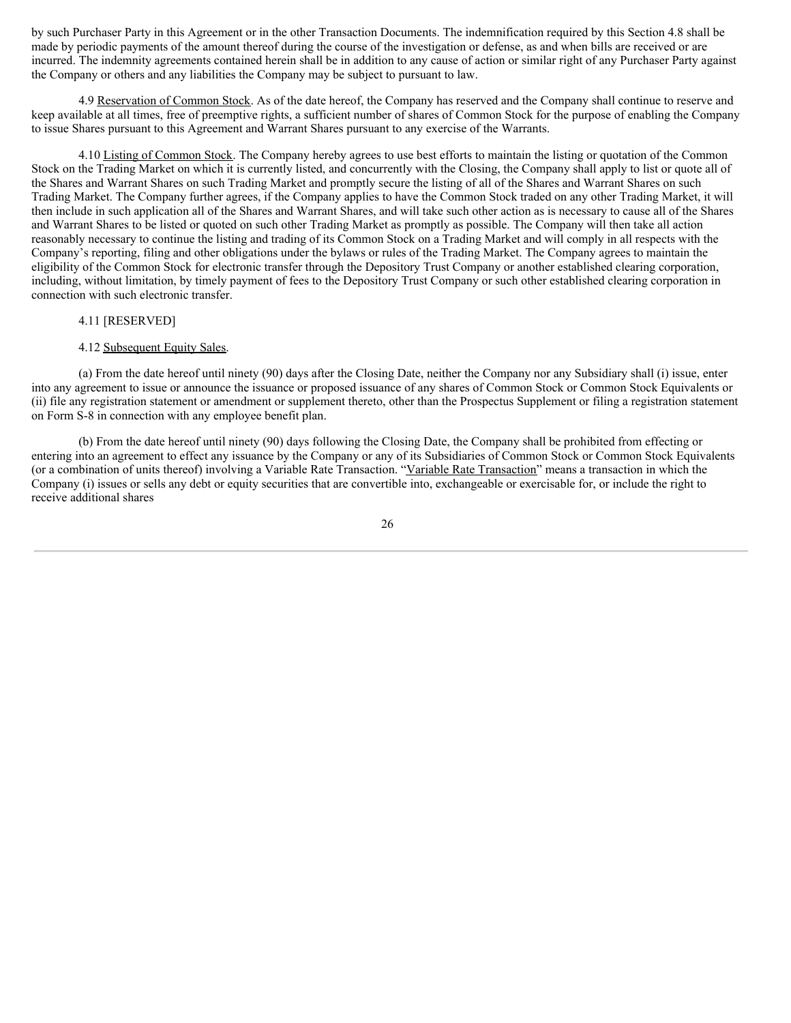by such Purchaser Party in this Agreement or in the other Transaction Documents. The indemnification required by this Section 4.8 shall be made by periodic payments of the amount thereof during the course of the investigation or defense, as and when bills are received or are incurred. The indemnity agreements contained herein shall be in addition to any cause of action or similar right of any Purchaser Party against the Company or others and any liabilities the Company may be subject to pursuant to law.

4.9 Reservation of Common Stock. As of the date hereof, the Company has reserved and the Company shall continue to reserve and keep available at all times, free of preemptive rights, a sufficient number of shares of Common Stock for the purpose of enabling the Company to issue Shares pursuant to this Agreement and Warrant Shares pursuant to any exercise of the Warrants.

4.10 Listing of Common Stock. The Company hereby agrees to use best efforts to maintain the listing or quotation of the Common Stock on the Trading Market on which it is currently listed, and concurrently with the Closing, the Company shall apply to list or quote all of the Shares and Warrant Shares on such Trading Market and promptly secure the listing of all of the Shares and Warrant Shares on such Trading Market. The Company further agrees, if the Company applies to have the Common Stock traded on any other Trading Market, it will then include in such application all of the Shares and Warrant Shares, and will take such other action as is necessary to cause all of the Shares and Warrant Shares to be listed or quoted on such other Trading Market as promptly as possible. The Company will then take all action reasonably necessary to continue the listing and trading of its Common Stock on a Trading Market and will comply in all respects with the Company's reporting, filing and other obligations under the bylaws or rules of the Trading Market. The Company agrees to maintain the eligibility of the Common Stock for electronic transfer through the Depository Trust Company or another established clearing corporation, including, without limitation, by timely payment of fees to the Depository Trust Company or such other established clearing corporation in connection with such electronic transfer.

### 4.11 [RESERVED]

### 4.12 Subsequent Equity Sales.

(a) From the date hereof until ninety (90) days after the Closing Date, neither the Company nor any Subsidiary shall (i) issue, enter into any agreement to issue or announce the issuance or proposed issuance of any shares of Common Stock or Common Stock Equivalents or (ii) file any registration statement or amendment or supplement thereto, other than the Prospectus Supplement or filing a registration statement on Form S-8 in connection with any employee benefit plan.

(b) From the date hereof until ninety (90) days following the Closing Date, the Company shall be prohibited from effecting or entering into an agreement to effect any issuance by the Company or any of its Subsidiaries of Common Stock or Common Stock Equivalents (or a combination of units thereof) involving a Variable Rate Transaction. "Variable Rate Transaction" means a transaction in which the Company (i) issues or sells any debt or equity securities that are convertible into, exchangeable or exercisable for, or include the right to receive additional shares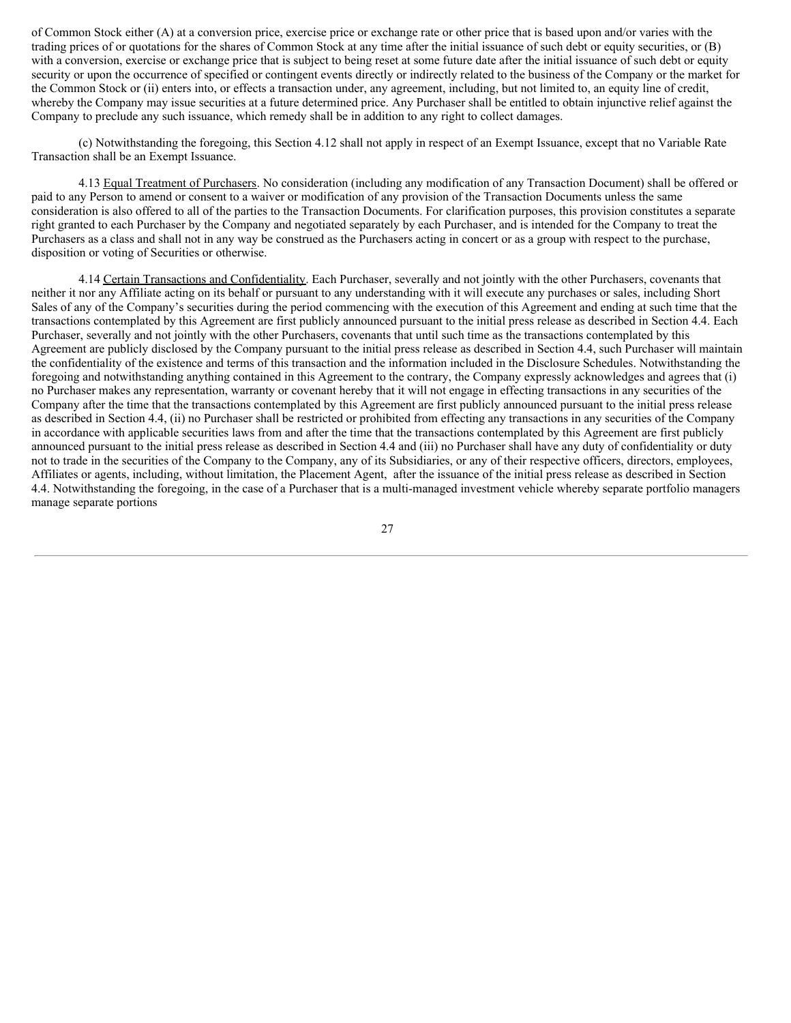of Common Stock either (A) at a conversion price, exercise price or exchange rate or other price that is based upon and/or varies with the trading prices of or quotations for the shares of Common Stock at any time after the initial issuance of such debt or equity securities, or (B) with a conversion, exercise or exchange price that is subject to being reset at some future date after the initial issuance of such debt or equity security or upon the occurrence of specified or contingent events directly or indirectly related to the business of the Company or the market for the Common Stock or (ii) enters into, or effects a transaction under, any agreement, including, but not limited to, an equity line of credit, whereby the Company may issue securities at a future determined price. Any Purchaser shall be entitled to obtain injunctive relief against the Company to preclude any such issuance, which remedy shall be in addition to any right to collect damages.

(c) Notwithstanding the foregoing, this Section 4.12 shall not apply in respect of an Exempt Issuance, except that no Variable Rate Transaction shall be an Exempt Issuance.

4.13 Equal Treatment of Purchasers. No consideration (including any modification of any Transaction Document) shall be offered or paid to any Person to amend or consent to a waiver or modification of any provision of the Transaction Documents unless the same consideration is also offered to all of the parties to the Transaction Documents. For clarification purposes, this provision constitutes a separate right granted to each Purchaser by the Company and negotiated separately by each Purchaser, and is intended for the Company to treat the Purchasers as a class and shall not in any way be construed as the Purchasers acting in concert or as a group with respect to the purchase, disposition or voting of Securities or otherwise.

4.14 Certain Transactions and Confidentiality. Each Purchaser, severally and not jointly with the other Purchasers, covenants that neither it nor any Affiliate acting on its behalf or pursuant to any understanding with it will execute any purchases or sales, including Short Sales of any of the Company's securities during the period commencing with the execution of this Agreement and ending at such time that the transactions contemplated by this Agreement are first publicly announced pursuant to the initial press release as described in Section 4.4. Each Purchaser, severally and not jointly with the other Purchasers, covenants that until such time as the transactions contemplated by this Agreement are publicly disclosed by the Company pursuant to the initial press release as described in Section 4.4, such Purchaser will maintain the confidentiality of the existence and terms of this transaction and the information included in the Disclosure Schedules. Notwithstanding the foregoing and notwithstanding anything contained in this Agreement to the contrary, the Company expressly acknowledges and agrees that (i) no Purchaser makes any representation, warranty or covenant hereby that it will not engage in effecting transactions in any securities of the Company after the time that the transactions contemplated by this Agreement are first publicly announced pursuant to the initial press release as described in Section 4.4, (ii) no Purchaser shall be restricted or prohibited from effecting any transactions in any securities of the Company in accordance with applicable securities laws from and after the time that the transactions contemplated by this Agreement are first publicly announced pursuant to the initial press release as described in Section 4.4 and (iii) no Purchaser shall have any duty of confidentiality or duty not to trade in the securities of the Company to the Company, any of its Subsidiaries, or any of their respective officers, directors, employees, Affiliates or agents, including, without limitation, the Placement Agent, after the issuance of the initial press release as described in Section 4.4. Notwithstanding the foregoing, in the case of a Purchaser that is a multi-managed investment vehicle whereby separate portfolio managers manage separate portions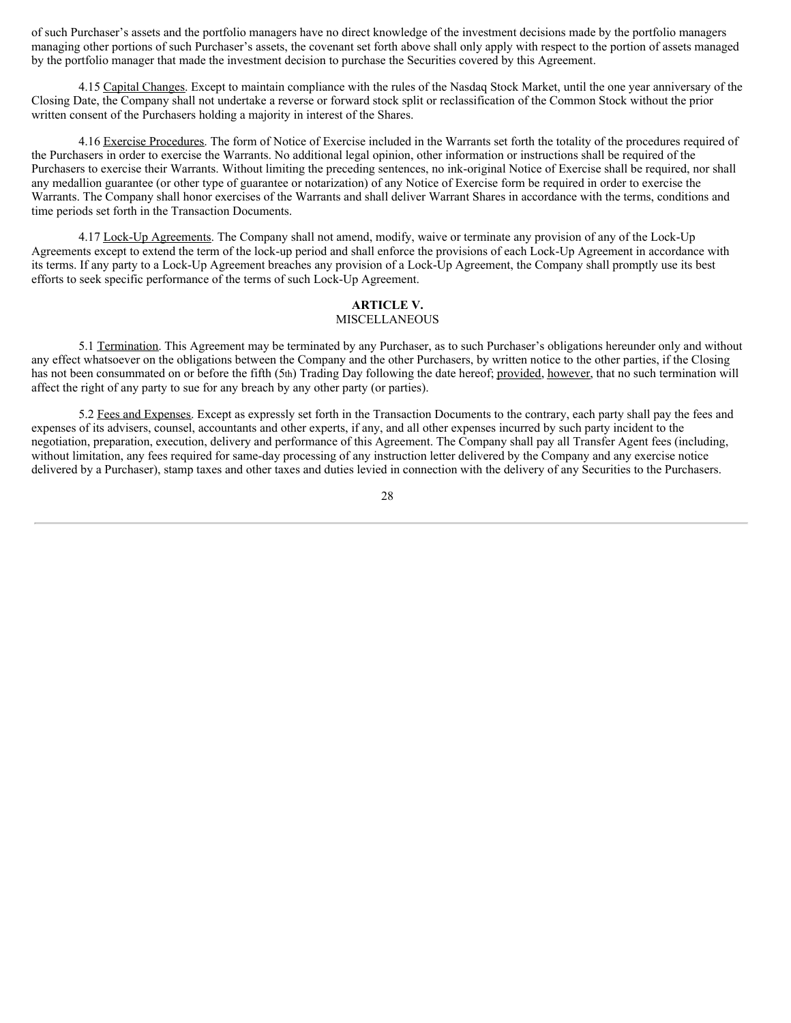of such Purchaser's assets and the portfolio managers have no direct knowledge of the investment decisions made by the portfolio managers managing other portions of such Purchaser's assets, the covenant set forth above shall only apply with respect to the portion of assets managed by the portfolio manager that made the investment decision to purchase the Securities covered by this Agreement.

4.15 Capital Changes. Except to maintain compliance with the rules of the Nasdaq Stock Market, until the one year anniversary of the Closing Date, the Company shall not undertake a reverse or forward stock split or reclassification of the Common Stock without the prior written consent of the Purchasers holding a majority in interest of the Shares.

4.16 Exercise Procedures. The form of Notice of Exercise included in the Warrants set forth the totality of the procedures required of the Purchasers in order to exercise the Warrants. No additional legal opinion, other information or instructions shall be required of the Purchasers to exercise their Warrants. Without limiting the preceding sentences, no ink-original Notice of Exercise shall be required, nor shall any medallion guarantee (or other type of guarantee or notarization) of any Notice of Exercise form be required in order to exercise the Warrants. The Company shall honor exercises of the Warrants and shall deliver Warrant Shares in accordance with the terms, conditions and time periods set forth in the Transaction Documents.

4.17 Lock-Up Agreements. The Company shall not amend, modify, waive or terminate any provision of any of the Lock-Up Agreements except to extend the term of the lock-up period and shall enforce the provisions of each Lock-Up Agreement in accordance with its terms. If any party to a Lock-Up Agreement breaches any provision of a Lock-Up Agreement, the Company shall promptly use its best efforts to seek specific performance of the terms of such Lock-Up Agreement.

# **ARTICLE V.**

# MISCELLANEOUS

5.1 Termination. This Agreement may be terminated by any Purchaser, as to such Purchaser's obligations hereunder only and without any effect whatsoever on the obligations between the Company and the other Purchasers, by written notice to the other parties, if the Closing has not been consummated on or before the fifth (5th) Trading Day following the date hereof; provided, however, that no such termination will affect the right of any party to sue for any breach by any other party (or parties).

5.2 Fees and Expenses. Except as expressly set forth in the Transaction Documents to the contrary, each party shall pay the fees and expenses of its advisers, counsel, accountants and other experts, if any, and all other expenses incurred by such party incident to the negotiation, preparation, execution, delivery and performance of this Agreement. The Company shall pay all Transfer Agent fees (including, without limitation, any fees required for same-day processing of any instruction letter delivered by the Company and any exercise notice delivered by a Purchaser), stamp taxes and other taxes and duties levied in connection with the delivery of any Securities to the Purchasers.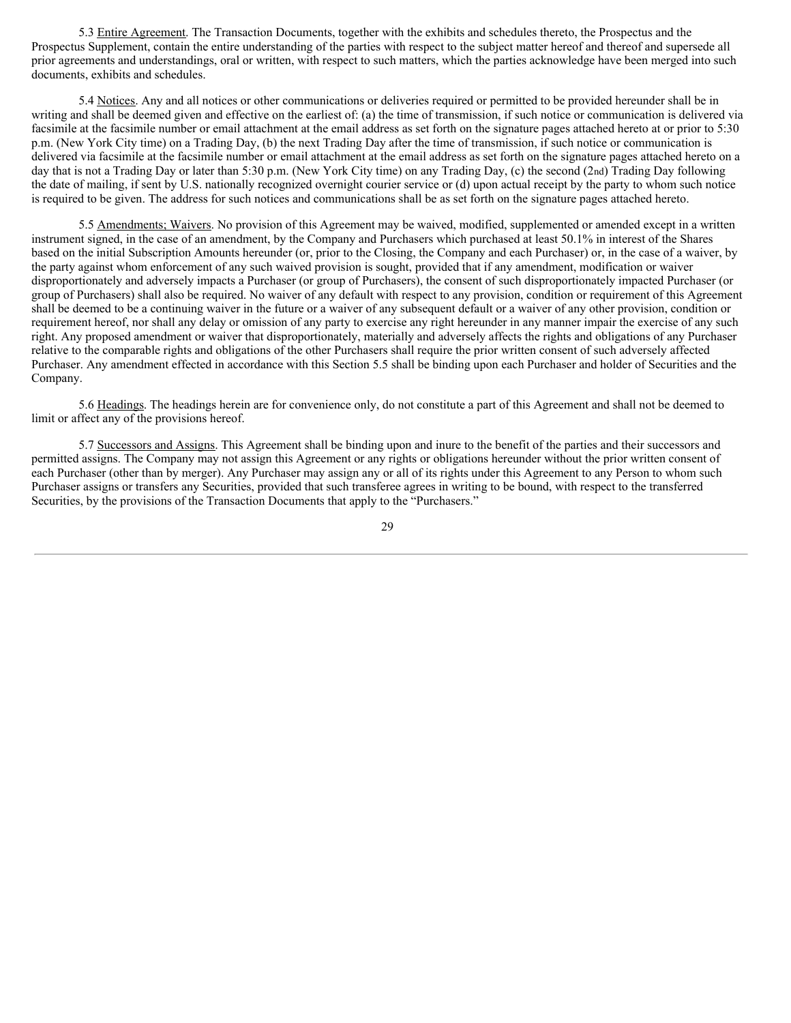5.3 Entire Agreement. The Transaction Documents, together with the exhibits and schedules thereto, the Prospectus and the Prospectus Supplement, contain the entire understanding of the parties with respect to the subject matter hereof and thereof and supersede all prior agreements and understandings, oral or written, with respect to such matters, which the parties acknowledge have been merged into such documents, exhibits and schedules.

5.4 Notices. Any and all notices or other communications or deliveries required or permitted to be provided hereunder shall be in writing and shall be deemed given and effective on the earliest of: (a) the time of transmission, if such notice or communication is delivered via facsimile at the facsimile number or email attachment at the email address as set forth on the signature pages attached hereto at or prior to 5:30 p.m. (New York City time) on a Trading Day, (b) the next Trading Day after the time of transmission, if such notice or communication is delivered via facsimile at the facsimile number or email attachment at the email address as set forth on the signature pages attached hereto on a day that is not a Trading Day or later than 5:30 p.m. (New York City time) on any Trading Day, (c) the second (2nd) Trading Day following the date of mailing, if sent by U.S. nationally recognized overnight courier service or (d) upon actual receipt by the party to whom such notice is required to be given. The address for such notices and communications shall be as set forth on the signature pages attached hereto.

5.5 Amendments; Waivers. No provision of this Agreement may be waived, modified, supplemented or amended except in a written instrument signed, in the case of an amendment, by the Company and Purchasers which purchased at least 50.1% in interest of the Shares based on the initial Subscription Amounts hereunder (or, prior to the Closing, the Company and each Purchaser) or, in the case of a waiver, by the party against whom enforcement of any such waived provision is sought, provided that if any amendment, modification or waiver disproportionately and adversely impacts a Purchaser (or group of Purchasers), the consent of such disproportionately impacted Purchaser (or group of Purchasers) shall also be required. No waiver of any default with respect to any provision, condition or requirement of this Agreement shall be deemed to be a continuing waiver in the future or a waiver of any subsequent default or a waiver of any other provision, condition or requirement hereof, nor shall any delay or omission of any party to exercise any right hereunder in any manner impair the exercise of any such right. Any proposed amendment or waiver that disproportionately, materially and adversely affects the rights and obligations of any Purchaser relative to the comparable rights and obligations of the other Purchasers shall require the prior written consent of such adversely affected Purchaser. Any amendment effected in accordance with this Section 5.5 shall be binding upon each Purchaser and holder of Securities and the Company.

5.6 Headings. The headings herein are for convenience only, do not constitute a part of this Agreement and shall not be deemed to limit or affect any of the provisions hereof.

5.7 Successors and Assigns. This Agreement shall be binding upon and inure to the benefit of the parties and their successors and permitted assigns. The Company may not assign this Agreement or any rights or obligations hereunder without the prior written consent of each Purchaser (other than by merger). Any Purchaser may assign any or all of its rights under this Agreement to any Person to whom such Purchaser assigns or transfers any Securities, provided that such transferee agrees in writing to be bound, with respect to the transferred Securities, by the provisions of the Transaction Documents that apply to the "Purchasers."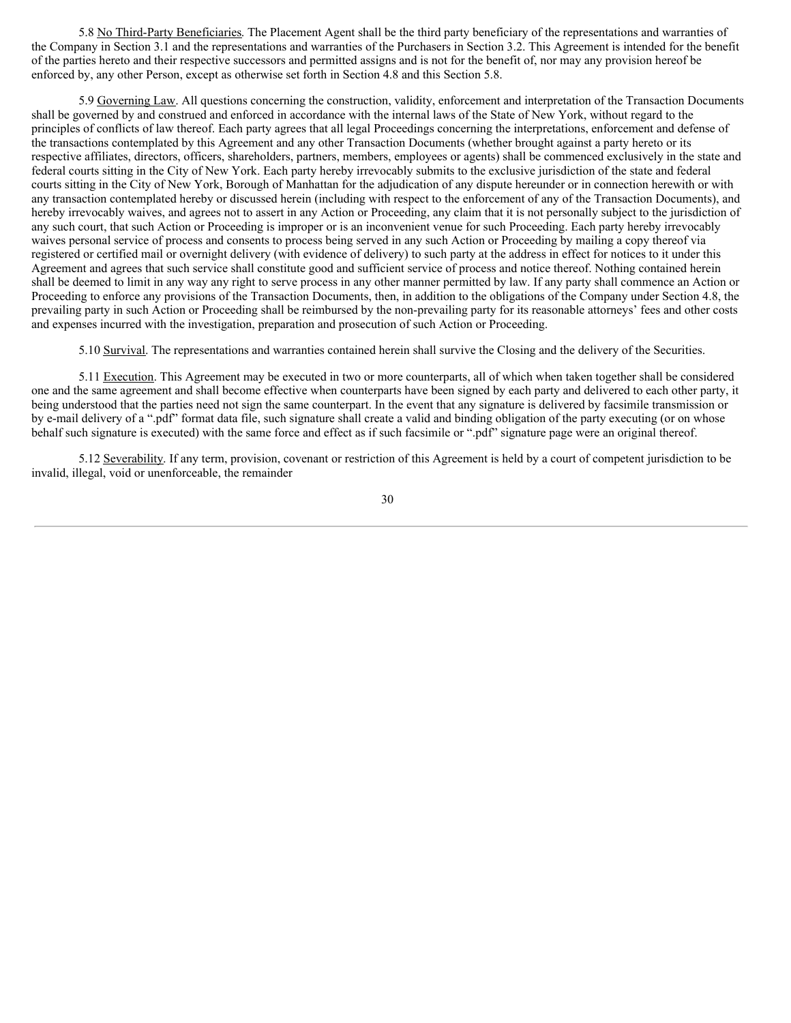5.8 No Third-Party Beneficiaries. The Placement Agent shall be the third party beneficiary of the representations and warranties of the Company in Section 3.1 and the representations and warranties of the Purchasers in Section 3.2. This Agreement is intended for the benefit of the parties hereto and their respective successors and permitted assigns and is not for the benefit of, nor may any provision hereof be enforced by, any other Person, except as otherwise set forth in Section 4.8 and this Section 5.8.

5.9 Governing Law. All questions concerning the construction, validity, enforcement and interpretation of the Transaction Documents shall be governed by and construed and enforced in accordance with the internal laws of the State of New York, without regard to the principles of conflicts of law thereof. Each party agrees that all legal Proceedings concerning the interpretations, enforcement and defense of the transactions contemplated by this Agreement and any other Transaction Documents (whether brought against a party hereto or its respective affiliates, directors, officers, shareholders, partners, members, employees or agents) shall be commenced exclusively in the state and federal courts sitting in the City of New York. Each party hereby irrevocably submits to the exclusive jurisdiction of the state and federal courts sitting in the City of New York, Borough of Manhattan for the adjudication of any dispute hereunder or in connection herewith or with any transaction contemplated hereby or discussed herein (including with respect to the enforcement of any of the Transaction Documents), and hereby irrevocably waives, and agrees not to assert in any Action or Proceeding, any claim that it is not personally subject to the jurisdiction of any such court, that such Action or Proceeding is improper or is an inconvenient venue for such Proceeding. Each party hereby irrevocably waives personal service of process and consents to process being served in any such Action or Proceeding by mailing a copy thereof via registered or certified mail or overnight delivery (with evidence of delivery) to such party at the address in effect for notices to it under this Agreement and agrees that such service shall constitute good and sufficient service of process and notice thereof. Nothing contained herein shall be deemed to limit in any way any right to serve process in any other manner permitted by law. If any party shall commence an Action or Proceeding to enforce any provisions of the Transaction Documents, then, in addition to the obligations of the Company under Section 4.8, the prevailing party in such Action or Proceeding shall be reimbursed by the non-prevailing party for its reasonable attorneys' fees and other costs and expenses incurred with the investigation, preparation and prosecution of such Action or Proceeding.

5.10 Survival. The representations and warranties contained herein shall survive the Closing and the delivery of the Securities.

5.11 Execution. This Agreement may be executed in two or more counterparts, all of which when taken together shall be considered one and the same agreement and shall become effective when counterparts have been signed by each party and delivered to each other party, it being understood that the parties need not sign the same counterpart. In the event that any signature is delivered by facsimile transmission or by e-mail delivery of a ".pdf" format data file, such signature shall create a valid and binding obligation of the party executing (or on whose behalf such signature is executed) with the same force and effect as if such facsimile or ".pdf" signature page were an original thereof.

5.12 Severability. If any term, provision, covenant or restriction of this Agreement is held by a court of competent jurisdiction to be invalid, illegal, void or unenforceable, the remainder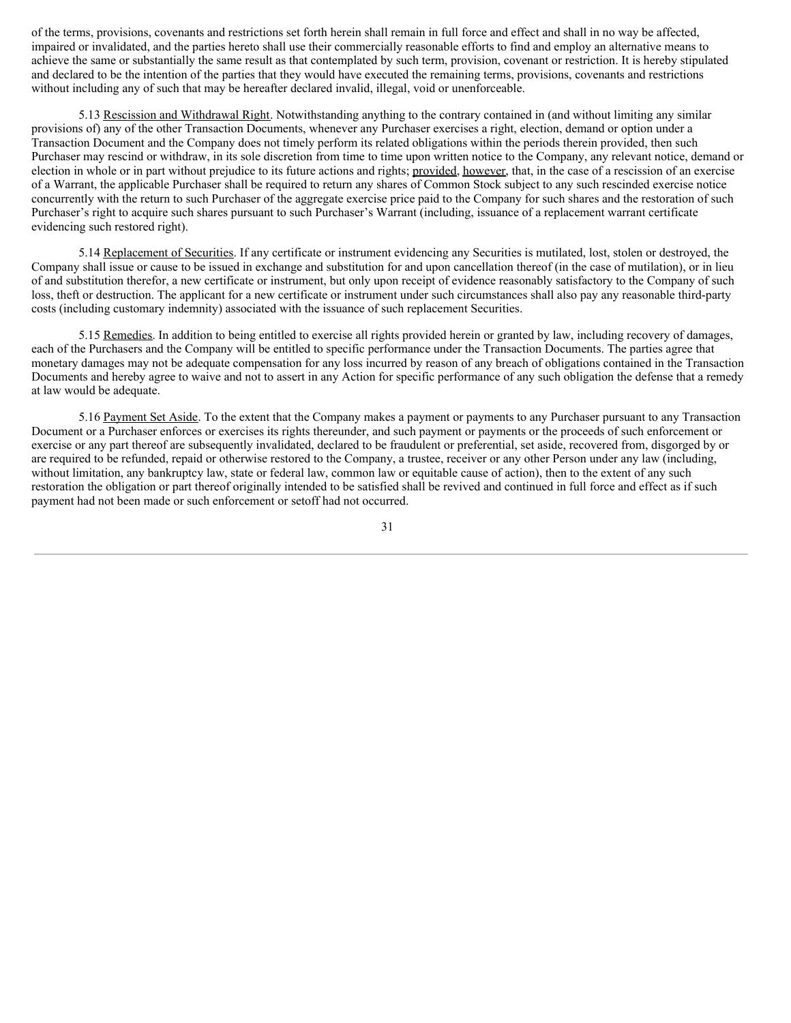of the terms, provisions, covenants and restrictions set forth herein shall remain in full force and effect and shall in no way be affected, impaired or invalidated, and the parties hereto shall use their commercially reasonable efforts to find and employ an alternative means to achieve the same or substantially the same result as that contemplated by such term, provision, covenant or restriction. It is hereby stipulated and declared to be the intention of the parties that they would have executed the remaining terms, provisions, covenants and restrictions without including any of such that may be hereafter declared invalid, illegal, void or unenforceable.

5.13 Rescission and Withdrawal Right. Notwithstanding anything to the contrary contained in (and without limiting any similar provisions of) any of the other Transaction Documents, whenever any Purchaser exercises a right, election, demand or option under a Transaction Document and the Company does not timely perform its related obligations within the periods therein provided, then such Purchaser may rescind or withdraw, in its sole discretion from time to time upon written notice to the Company, any relevant notice, demand or election in whole or in part without prejudice to its future actions and rights; provided, however, that, in the case of a rescission of an exercise of a Warrant, the applicable Purchaser shall be required to return any shares of Common Stock subject to any such rescinded exercise notice concurrently with the return to such Purchaser of the aggregate exercise price paid to the Company for such shares and the restoration of such Purchaser's right to acquire such shares pursuant to such Purchaser's Warrant (including, issuance of a replacement warrant certificate evidencing such restored right).

5.14 Replacement of Securities. If any certificate or instrument evidencing any Securities is mutilated, lost, stolen or destroyed, the Company shall issue or cause to be issued in exchange and substitution for and upon cancellation thereof (in the case of mutilation), or in lieu of and substitution therefor, a new certificate or instrument, but only upon receipt of evidence reasonably satisfactory to the Company of such loss, theft or destruction. The applicant for a new certificate or instrument under such circumstances shall also pay any reasonable third-party costs (including customary indemnity) associated with the issuance of such replacement Securities.

5.15 Remedies. In addition to being entitled to exercise all rights provided herein or granted by law, including recovery of damages, each of the Purchasers and the Company will be entitled to specific performance under the Transaction Documents. The parties agree that monetary damages may not be adequate compensation for any loss incurred by reason of any breach of obligations contained in the Transaction Documents and hereby agree to waive and not to assert in any Action for specific performance of any such obligation the defense that a remedy at law would be adequate.

5.16 Payment Set Aside. To the extent that the Company makes a payment or payments to any Purchaser pursuant to any Transaction Document or a Purchaser enforces or exercises its rights thereunder, and such payment or payments or the proceeds of such enforcement or exercise or any part thereof are subsequently invalidated, declared to be fraudulent or preferential, set aside, recovered from, disgorged by or are required to be refunded, repaid or otherwise restored to the Company, a trustee, receiver or any other Person under any law (including, without limitation, any bankruptcy law, state or federal law, common law or equitable cause of action), then to the extent of any such restoration the obligation or part thereof originally intended to be satisfied shall be revived and continued in full force and effect as if such payment had not been made or such enforcement or setoff had not occurred.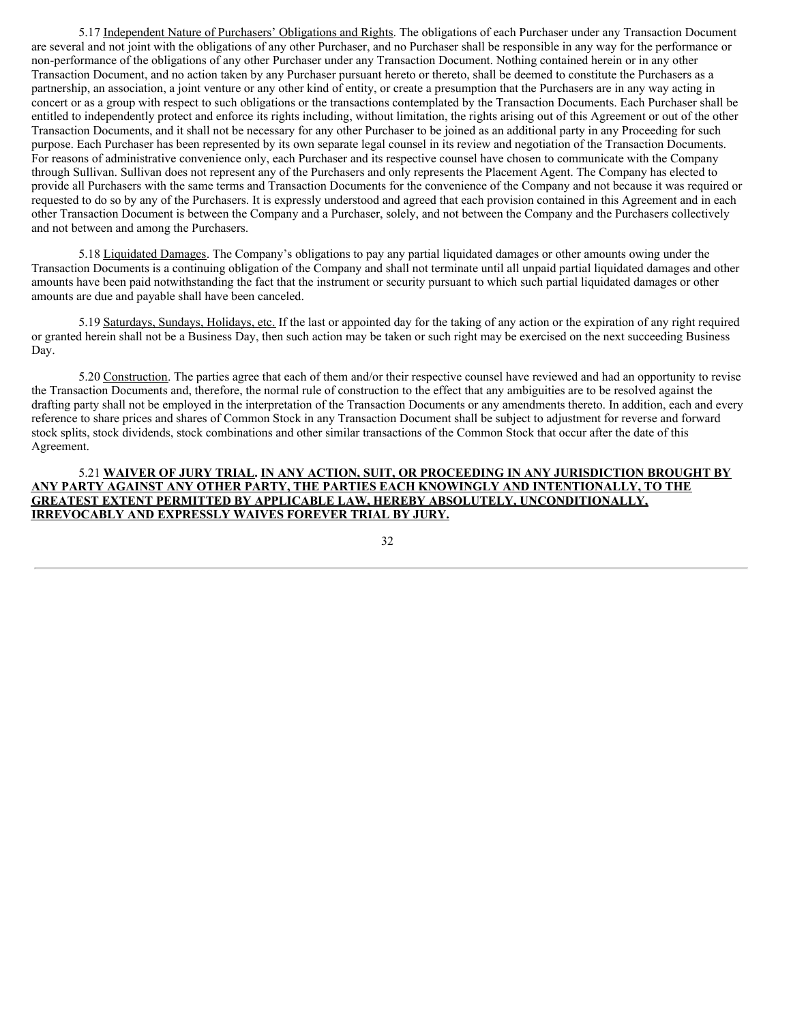5.17 Independent Nature of Purchasers' Obligations and Rights. The obligations of each Purchaser under any Transaction Document are several and not joint with the obligations of any other Purchaser, and no Purchaser shall be responsible in any way for the performance or non-performance of the obligations of any other Purchaser under any Transaction Document. Nothing contained herein or in any other Transaction Document, and no action taken by any Purchaser pursuant hereto or thereto, shall be deemed to constitute the Purchasers as a partnership, an association, a joint venture or any other kind of entity, or create a presumption that the Purchasers are in any way acting in concert or as a group with respect to such obligations or the transactions contemplated by the Transaction Documents. Each Purchaser shall be entitled to independently protect and enforce its rights including, without limitation, the rights arising out of this Agreement or out of the other Transaction Documents, and it shall not be necessary for any other Purchaser to be joined as an additional party in any Proceeding for such purpose. Each Purchaser has been represented by its own separate legal counsel in its review and negotiation of the Transaction Documents. For reasons of administrative convenience only, each Purchaser and its respective counsel have chosen to communicate with the Company through Sullivan. Sullivan does not represent any of the Purchasers and only represents the Placement Agent. The Company has elected to provide all Purchasers with the same terms and Transaction Documents for the convenience of the Company and not because it was required or requested to do so by any of the Purchasers. It is expressly understood and agreed that each provision contained in this Agreement and in each other Transaction Document is between the Company and a Purchaser, solely, and not between the Company and the Purchasers collectively and not between and among the Purchasers.

5.18 Liquidated Damages. The Company's obligations to pay any partial liquidated damages or other amounts owing under the Transaction Documents is a continuing obligation of the Company and shall not terminate until all unpaid partial liquidated damages and other amounts have been paid notwithstanding the fact that the instrument or security pursuant to which such partial liquidated damages or other amounts are due and payable shall have been canceled.

5.19 Saturdays, Sundays, Holidays, etc. If the last or appointed day for the taking of any action or the expiration of any right required or granted herein shall not be a Business Day, then such action may be taken or such right may be exercised on the next succeeding Business Day.

5.20 Construction. The parties agree that each of them and/or their respective counsel have reviewed and had an opportunity to revise the Transaction Documents and, therefore, the normal rule of construction to the effect that any ambiguities are to be resolved against the drafting party shall not be employed in the interpretation of the Transaction Documents or any amendments thereto. In addition, each and every reference to share prices and shares of Common Stock in any Transaction Document shall be subject to adjustment for reverse and forward stock splits, stock dividends, stock combinations and other similar transactions of the Common Stock that occur after the date of this Agreement.

## 5.21 **WAIVER OF JURY TRIAL. IN ANY ACTION, SUIT, OR PROCEEDING IN ANY JURISDICTION BROUGHT BY ANY PARTY AGAINST ANY OTHER PARTY, THE PARTIES EACH KNOWINGLY AND INTENTIONALLY, TO THE GREATEST EXTENT PERMITTED BY APPLICABLE LAW, HEREBY ABSOLUTELY, UNCONDITIONALLY, IRREVOCABLY AND EXPRESSLY WAIVES FOREVER TRIAL BY JURY.**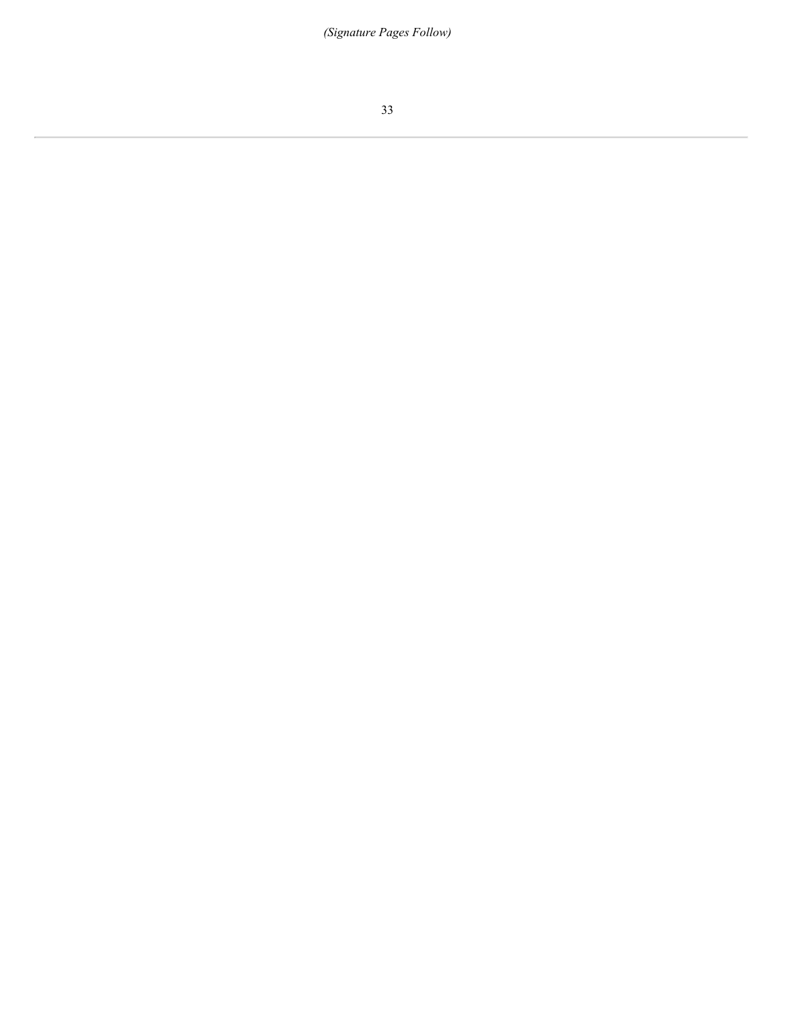*(Signature Pages Follow)*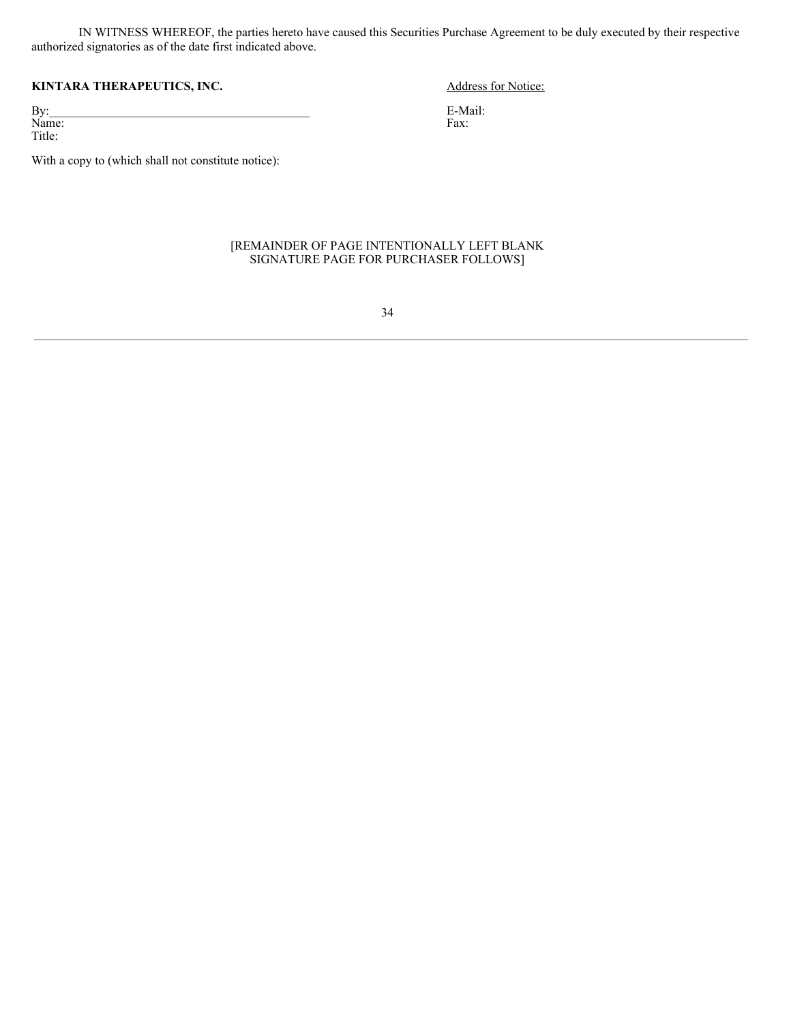IN WITNESS WHEREOF, the parties hereto have caused this Securities Purchase Agreement to be duly executed by their respective authorized signatories as of the date first indicated above.

# **KINTARA THERAPEUTICS, INC.** Address for Notice:

 $\mathbf{By:}$ Name: Title:

With a copy to (which shall not constitute notice):

## [REMAINDER OF PAGE INTENTIONALLY LEFT BLANK SIGNATURE PAGE FOR PURCHASER FOLLOWS]

34

E-Mail: Fax: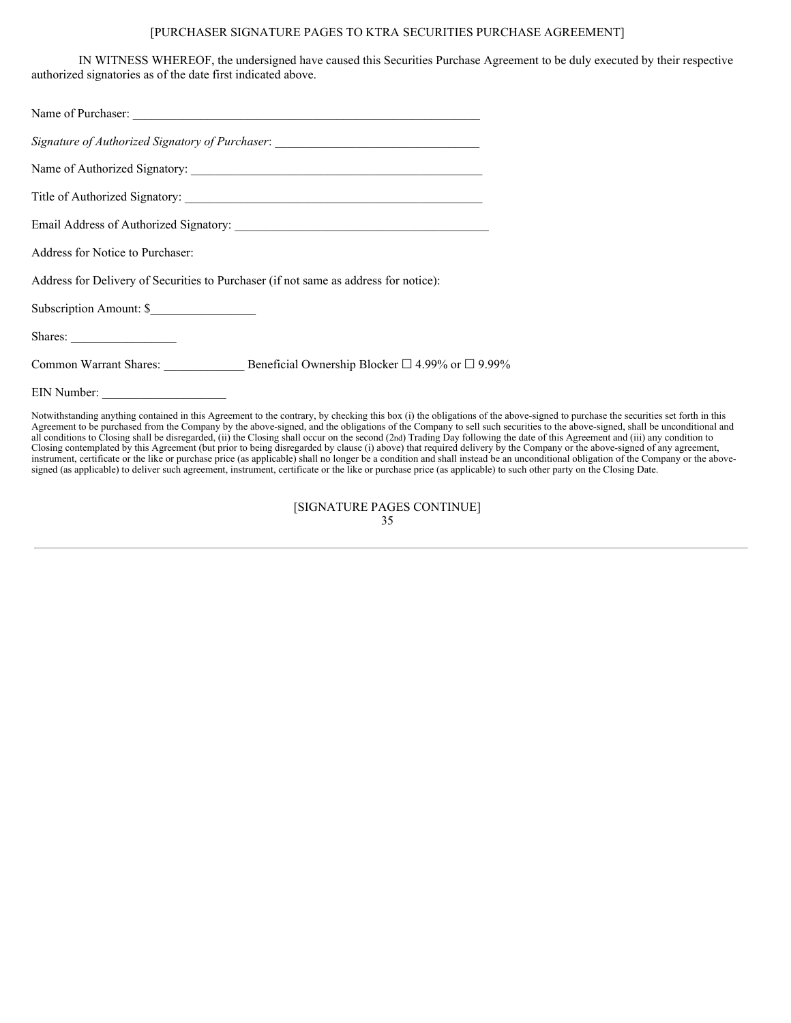# [PURCHASER SIGNATURE PAGES TO KTRA SECURITIES PURCHASE AGREEMENT]

IN WITNESS WHEREOF, the undersigned have caused this Securities Purchase Agreement to be duly executed by their respective authorized signatories as of the date first indicated above.

| Name of Purchaser:                                                                                                                                                                                                                                                                                                                                                                                                 |
|--------------------------------------------------------------------------------------------------------------------------------------------------------------------------------------------------------------------------------------------------------------------------------------------------------------------------------------------------------------------------------------------------------------------|
| Signature of Authorized Signatory of Purchaser: ________________________________                                                                                                                                                                                                                                                                                                                                   |
| Name of Authorized Signatory:                                                                                                                                                                                                                                                                                                                                                                                      |
|                                                                                                                                                                                                                                                                                                                                                                                                                    |
|                                                                                                                                                                                                                                                                                                                                                                                                                    |
| <b>Address for Notice to Purchaser:</b>                                                                                                                                                                                                                                                                                                                                                                            |
| Address for Delivery of Securities to Purchaser (if not same as address for notice):                                                                                                                                                                                                                                                                                                                               |
| Subscription Amount: \$                                                                                                                                                                                                                                                                                                                                                                                            |
| Shares:                                                                                                                                                                                                                                                                                                                                                                                                            |
| Common Warrant Shares: Beneficial Ownership Blocker □ 4.99% or □ 9.99%                                                                                                                                                                                                                                                                                                                                             |
|                                                                                                                                                                                                                                                                                                                                                                                                                    |
| Notwithstanding anything contained in this Agreement to the contrary, by checking this box (i) the obligations of the above-s<br>Agreement to be purchased from the Company by the above-signed, and the obligations of the Company to sell such securitie<br>$\mathbf{u}$ and $\mathbf{u}$ and $\mathbf{u}$ and $\mathbf{u}$ and $\mathbf{u}$ and $\mathbf{u}$ and $\mathbf{u}$ and $\mathbf{u}$ and $\mathbf{u}$ |

Signed to purchase the securities set forth in this es to the above-signed, shall be unconditional and Agreement to be purchased from the Company by the above-signed, and the obligations of the Company to sell such securities to the above-signed, shall be unconditional and all conditions to Closing shall be disregarded, (ii) the Closing shall occur on the second (2nd) Trading Day following the date of this Agreement and (iii) any condition to Closing contemplated by this Agreement (but prior to being disregarded by clause (i) above) that required delivery by the Company or the above-signed of any agreement, instrument, certificate or the like or purchase price (as applicable) shall no longer be a condition and shall instead be an unconditional obligation of the Company or the abovesigned (as applicable) to deliver such agreement, instrument, certificate or the like or purchase price (as applicable) to such other party on the Closing Date.

> [SIGNATURE PAGES CONTINUE] 35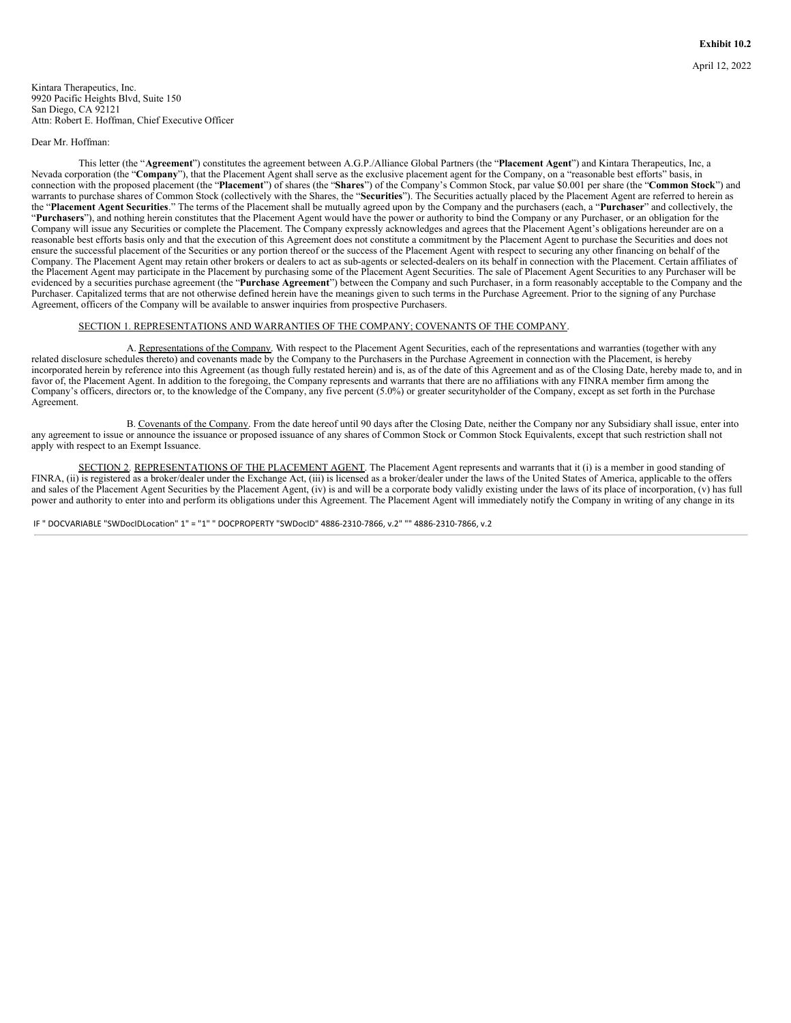Dear Mr. Hoffman:

This letter (the "**Agreement**") constitutes the agreement between A.G.P./Alliance Global Partners (the "**Placement Agent**") and Kintara Therapeutics, Inc, a Nevada corporation (the "Company"), that the Placement Agent shall serve as the exclusive placement agent for the Company, on a "reasonable best efforts" basis, in connection with the proposed placement (the "**Placement**") of shares (the "**Shares**") of the Company's Common Stock, par value \$0.001 per share (the "**Common Stock**") and warrants to purchase shares of Common Stock (collectively with the Shares, the "Securities"). The Securities actually placed by the Placement Agent are referred to herein as the "**Placement Agent Securities**." The terms of the Placement shall be mutually agreed upon by the Company and the purchasers (each, a "**Purchaser**" and collectively, the "**Purchasers**"), and nothing herein constitutes that the Placement Agent would have the power or authority to bind the Company or any Purchaser, or an obligation for the Company will issue any Securities or complete the Placement. The Company expressly acknowledges and agrees that the Placement Agent's obligations hereunder are on a reasonable best efforts basis only and that the execution of this Agreement does not constitute a commitment by the Placement Agent to purchase the Securities and does not ensure the successful placement of the Securities or any portion thereof or the success of the Placement Agent with respect to securing any other financing on behalf of the Company. The Placement Agent may retain other brokers or dealers to act as sub-agents or selected-dealers on its behalf in connection with the Placement. Certain affiliates of the Placement Agent may participate in the Placement by purchasing some of the Placement Agent Securities. The sale of Placement Agent Securities to any Purchaser will be evidenced by a securities purchase agreement (the "**Purchase Agreement**") between the Company and such Purchaser, in a form reasonably acceptable to the Company and the Purchaser. Capitalized terms that are not otherwise defined herein have the meanings given to such terms in the Purchase Agreement. Prior to the signing of any Purchase Agreement, officers of the Company will be available to answer inquiries from prospective Purchasers.

#### SECTION 1. REPRESENTATIONS AND WARRANTIES OF THE COMPANY; COVENANTS OF THE COMPANY.

A. Representations of the Company. With respect to the Placement Agent Securities, each of the representations and warranties (together with any related disclosure schedules thereto) and covenants made by the Company to the Purchasers in the Purchase Agreement in connection with the Placement, is hereby incorporated herein by reference into this Agreement (as though fully restated herein) and is, as of the date of this Agreement and as of the Closing Date, hereby made to, and in favor of, the Placement Agent. In addition to the foregoing, the Company represents and warrants that there are no affiliations with any FINRA member firm among the Company's officers, directors or, to the knowledge of the Company, any five percent (5.0%) or greater securityholder of the Company, except as set forth in the Purchase Agreement.

B. Covenants of the Company. From the date hereof until 90 days after the Closing Date, neither the Company nor any Subsidiary shall issue, enter into any agreement to issue or announce the issuance or proposed issuance of any shares of Common Stock or Common Stock Equivalents, except that such restriction shall not apply with respect to an Exempt Issuance.

SECTION 2. REPRESENTATIONS OF THE PLACEMENT AGENT. The Placement Agent represents and warrants that it (i) is a member in good standing of FINRA, (ii) is registered as a broker/dealer under the Exchange Act, (iii) is licensed as a broker/dealer under the laws of the United States of America, applicable to the offers and sales of the Placement Agent Securities by the Placement Agent, (iv) is and will be a corporate body validly existing under the laws of its place of incorporation, (v) has full power and authority to enter into and perform its obligations under this Agreement. The Placement Agent will immediately notify the Company in writing of any change in its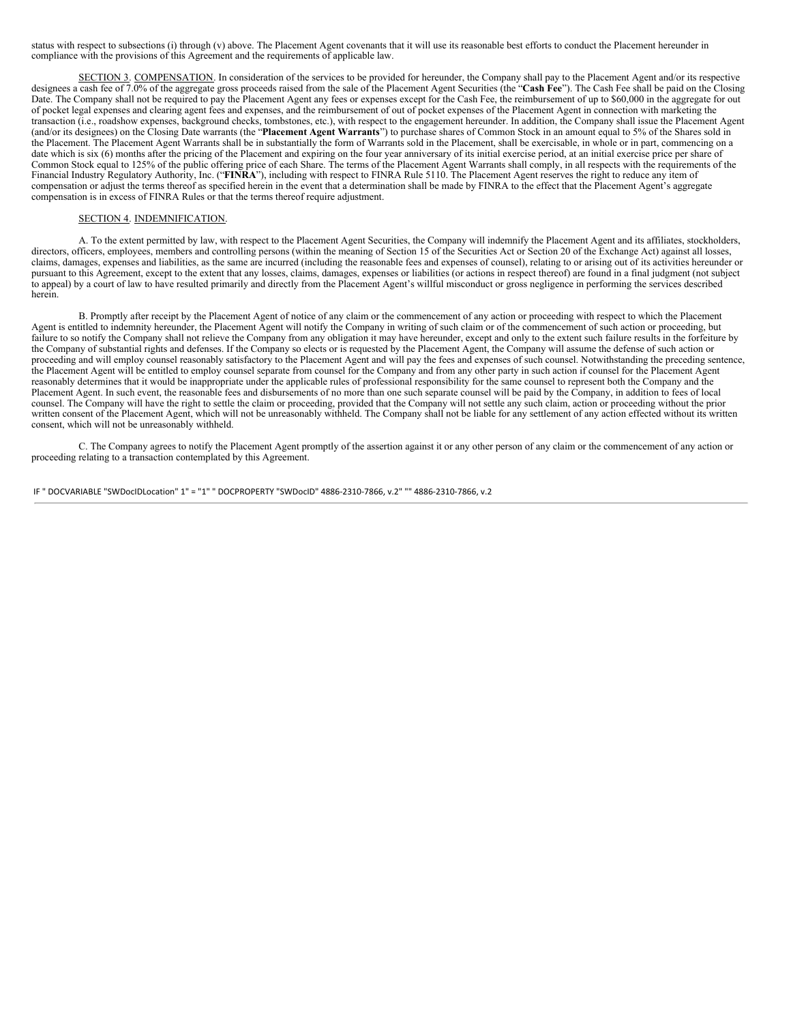status with respect to subsections (i) through (v) above. The Placement Agent covenants that it will use its reasonable best efforts to conduct the Placement hereunder in compliance with the provisions of this Agreement and the requirements of applicable law.

SECTION 3. COMPENSATION. In consideration of the services to be provided for hereunder, the Company shall pay to the Placement Agent and/or its respective designees a cash fee of 7.0% of the aggregate gross proceeds raised from the sale of the Placement Agent Securities (the "**Cash Fee**"). The Cash Fee shall be paid on the Closing Date. The Company shall not be required to pay the Placement Agent any fees or expenses except for the Cash Fee, the reimbursement of up to \$60,000 in the aggregate for out of pocket legal expenses and clearing agent fees and expenses, and the reimbursement of out of pocket expenses of the Placement Agent in connection with marketing the transaction (i.e., roadshow expenses, background checks, tombstones, etc.), with respect to the engagement hereunder. In addition, the Company shall issue the Placement Agent (and/or its designees) on the Closing Date warrants (the "**Placement Agent Warrants**") to purchase shares of Common Stock in an amount equal to 5% of the Shares sold in the Placement. The Placement Agent Warrants shall be in substantially the form of Warrants sold in the Placement, shall be exercisable, in whole or in part, commencing on a date which is six (6) months after the pricing of the Placement and expiring on the four year anniversary of its initial exercise period, at an initial exercise price per share of Common Stock equal to 125% of the public offering price of each Share. The terms of the Placement Agent Warrants shall comply, in all respects with the requirements of the Financial Industry Regulatory Authority, Inc. ("**FINRA**"), including with respect to FINRA Rule 5110. The Placement Agent reserves the right to reduce any item of compensation or adjust the terms thereof as specified herein in the event that a determination shall be made by FINRA to the effect that the Placement Agent's aggregate compensation is in excess of FINRA Rules or that the terms thereof require adjustment.

#### SECTION 4. INDEMNIFICATION.

A. To the extent permitted by law, with respect to the Placement Agent Securities, the Company will indemnify the Placement Agent and its affiliates, stockholders, directors, officers, employees, members and controlling persons (within the meaning of Section 15 of the Securities Act or Section 20 of the Exchange Act) against all losses, claims, damages, expenses and liabilities, as the same are incurred (including the reasonable fees and expenses of counsel), relating to or arising out of its activities hereunder or pursuant to this Agreement, except to the extent that any losses, claims, damages, expenses or liabilities (or actions in respect thereof) are found in a final judgment (not subject to appeal) by a court of law to have resulted primarily and directly from the Placement Agent's willful misconduct or gross negligence in performing the services described herein.

B. Promptly after receipt by the Placement Agent of notice of any claim or the commencement of any action or proceeding with respect to which the Placement Agent is entitled to indemnity hereunder, the Placement Agent will notify the Company in writing of such claim or of the commencement of such action or proceeding, but failure to so notify the Company shall not relieve the Company from any obligation it may have hereunder, except and only to the extent such failure results in the forfeiture by the Company of substantial rights and defenses. If the Company so elects or is requested by the Placement Agent, the Company will assume the defense of such action or proceeding and will employ counsel reasonably satisfactory to the Placement Agent and will pay the fees and expenses of such counsel. Notwithstanding the preceding sentence, the Placement Agent will be entitled to employ counsel separate from counsel for the Company and from any other party in such action if counsel for the Placement Agent reasonably determines that it would be inappropriate under the applicable rules of professional responsibility for the same counsel to represent both the Company and the Placement Agent. In such event, the reasonable fees and disbursements of no more than one such separate counsel will be paid by the Company, in addition to fees of local counsel. The Company will have the right to settle the claim or proceeding, provided that the Company will not settle any such claim, action or proceeding without the prior written consent of the Placement Agent, which will not be unreasonably withheld. The Company shall not be liable for any settlement of any action effected without its written consent, which will not be unreasonably withheld.

C. The Company agrees to notify the Placement Agent promptly of the assertion against it or any other person of any claim or the commencement of any action or proceeding relating to a transaction contemplated by this Agreement.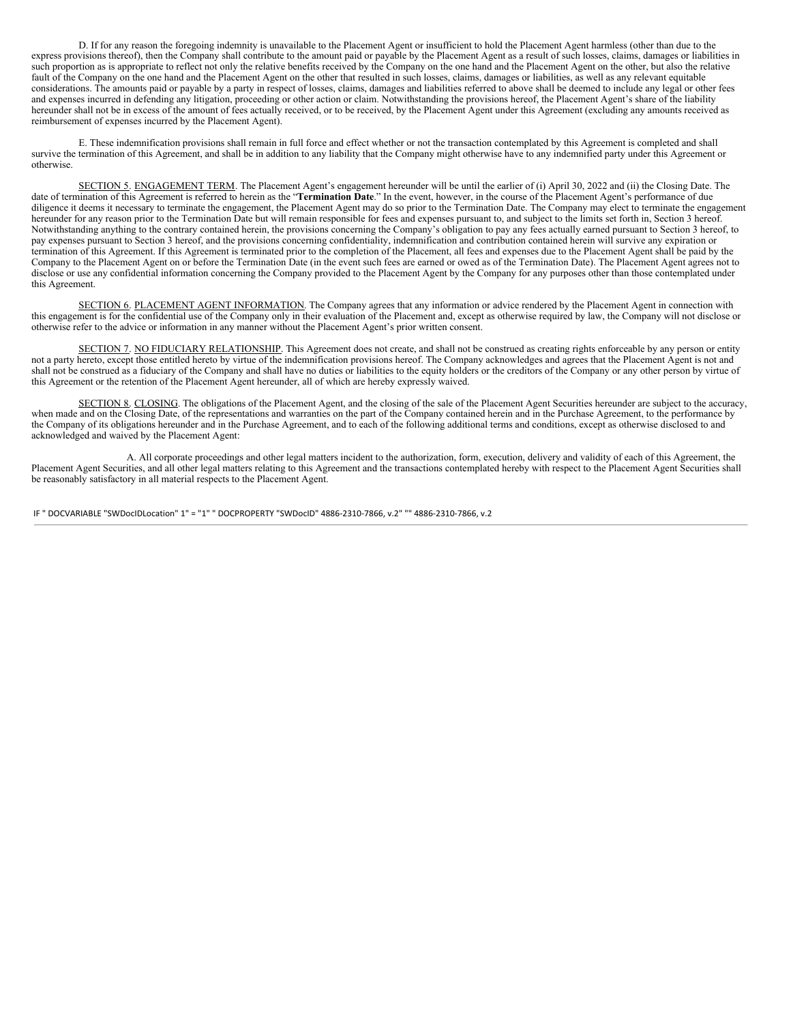D. If for any reason the foregoing indemnity is unavailable to the Placement Agent or insufficient to hold the Placement Agent harmless (other than due to the express provisions thereof), then the Company shall contribute to the amount paid or payable by the Placement Agent as a result of such losses, claims, damages or liabilities in such proportion as is appropriate to reflect not only the relative benefits received by the Company on the one hand and the Placement Agent on the other, but also the relative fault of the Company on the one hand and the Placement Agent on the other that resulted in such losses, claims, damages or liabilities, as well as any relevant equitable considerations. The amounts paid or payable by a party in respect of losses, claims, damages and liabilities referred to above shall be deemed to include any legal or other fees and expenses incurred in defending any litigation, proceeding or other action or claim. Notwithstanding the provisions hereof, the Placement Agent's share of the liability hereunder shall not be in excess of the amount of fees actually received, or to be received, by the Placement Agent under this Agreement (excluding any amounts received as reimbursement of expenses incurred by the Placement Agent).

E. These indemnification provisions shall remain in full force and effect whether or not the transaction contemplated by this Agreement is completed and shall survive the termination of this Agreement, and shall be in addition to any liability that the Company might otherwise have to any indemnified party under this Agreement or otherwise.

SECTION 5. ENGAGEMENT TERM. The Placement Agent's engagement hereunder will be until the earlier of (i) April 30, 2022 and (ii) the Closing Date. The date of termination of this Agreement is referred to herein as the "**Termination Date**." In the event, however, in the course of the Placement Agent's performance of due diligence it deems it necessary to terminate the engagement, the Placement Agent may do so prior to the Termination Date. The Company may elect to terminate the engagement hereunder for any reason prior to the Termination Date but will remain responsible for fees and expenses pursuant to, and subject to the limits set forth in, Section 3 hereof. Notwithstanding anything to the contrary contained herein, the provisions concerning the Company's obligation to pay any fees actually earned pursuant to Section 3 hereof, to pay expenses pursuant to Section 3 hereof, and the provisions concerning confidentiality, indemnification and contribution contained herein will survive any expiration or termination of this Agreement. If this Agreement is terminated prior to the completion of the Placement, all fees and expenses due to the Placement Agent shall be paid by the Company to the Placement Agent on or before the Termination Date (in the event such fees are earned or owed as of the Termination Date). The Placement Agent agrees not to disclose or use any confidential information concerning the Company provided to the Placement Agent by the Company for any purposes other than those contemplated under this Agreement.

SECTION 6. PLACEMENT AGENT INFORMATION. The Company agrees that any information or advice rendered by the Placement Agent in connection with this engagement is for the confidential use of the Company only in their evaluation of the Placement and, except as otherwise required by law, the Company will not disclose or otherwise refer to the advice or information in any manner without the Placement Agent's prior written consent.

SECTION 7. NO FIDUCIARY RELATIONSHIP. This Agreement does not create, and shall not be construed as creating rights enforceable by any person or entity not a party hereto, except those entitled hereto by virtue of the indemnification provisions hereof. The Company acknowledges and agrees that the Placement Agent is not and shall not be construed as a fiduciary of the Company and shall have no duties or liabilities to the equity holders or the creditors of the Company or any other person by virtue of this Agreement or the retention of the Placement Agent hereunder, all of which are hereby expressly waived.

SECTION 8. CLOSING. The obligations of the Placement Agent, and the closing of the sale of the Placement Agent Securities hereunder are subject to the accuracy, when made and on the Closing Date, of the representations and warranties on the part of the Company contained herein and in the Purchase Agreement, to the performance by the Company of its obligations hereunder and in the Purchase Agreement, and to each of the following additional terms and conditions, except as otherwise disclosed to and acknowledged and waived by the Placement Agent:

A. All corporate proceedings and other legal matters incident to the authorization, form, execution, delivery and validity of each of this Agreement, the Placement Agent Securities, and all other legal matters relating to this Agreement and the transactions contemplated hereby with respect to the Placement Agent Securities shall be reasonably satisfactory in all material respects to the Placement Agent.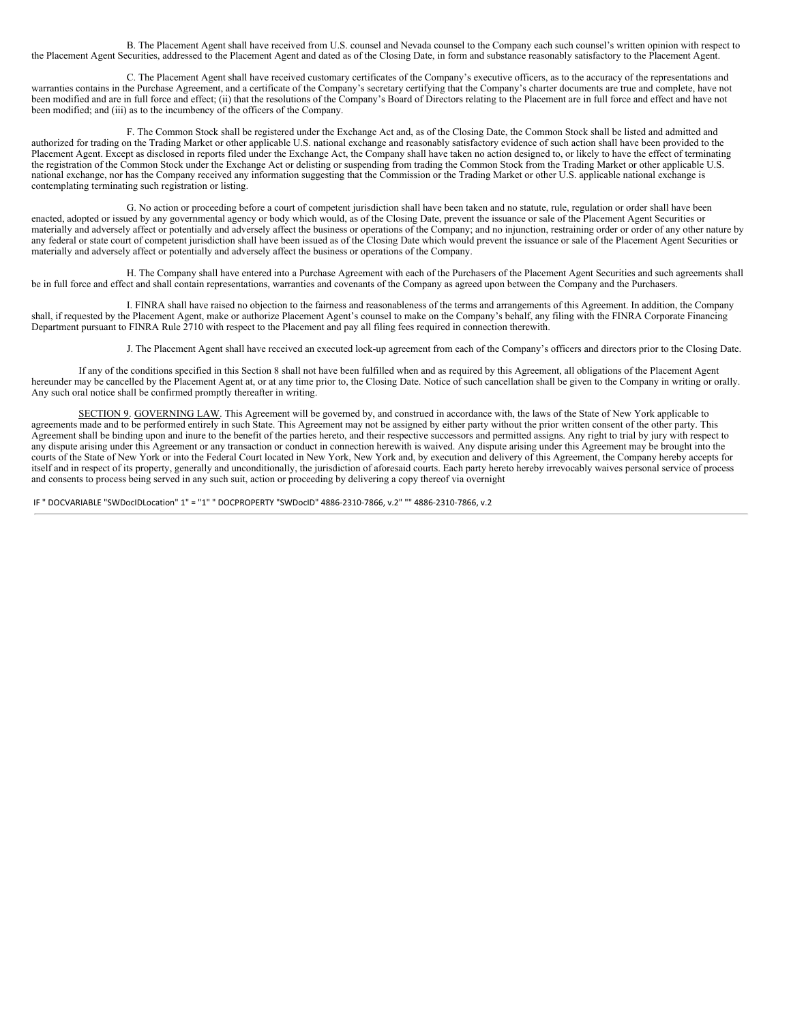B. The Placement Agent shall have received from U.S. counsel and Nevada counsel to the Company each such counsel's written opinion with respect to the Placement Agent Securities, addressed to the Placement Agent and dated as of the Closing Date, in form and substance reasonably satisfactory to the Placement Agent.

C. The Placement Agent shall have received customary certificates of the Company's executive officers, as to the accuracy of the representations and warranties contains in the Purchase Agreement, and a certificate of the Company's secretary certifying that the Company's charter documents are true and complete, have not been modified and are in full force and effect; (ii) that the resolutions of the Company's Board of Directors relating to the Placement are in full force and effect and have not been modified; and (iii) as to the incumbency of the officers of the Company.

F. The Common Stock shall be registered under the Exchange Act and, as of the Closing Date, the Common Stock shall be listed and admitted and authorized for trading on the Trading Market or other applicable U.S. national exchange and reasonably satisfactory evidence of such action shall have been provided to the Placement Agent. Except as disclosed in reports filed under the Exchange Act, the Company shall have taken no action designed to, or likely to have the effect of terminating the registration of the Common Stock under the Exchange Act or delisting or suspending from trading the Common Stock from the Trading Market or other applicable U.S. national exchange, nor has the Company received any information suggesting that the Commission or the Trading Market or other U.S. applicable national exchange is contemplating terminating such registration or listing.

G. No action or proceeding before a court of competent jurisdiction shall have been taken and no statute, rule, regulation or order shall have been enacted, adopted or issued by any governmental agency or body which would, as of the Closing Date, prevent the issuance or sale of the Placement Agent Securities or materially and adversely affect or potentially and adversely affect the business or operations of the Company; and no injunction, restraining order or order of any other nature by any federal or state court of competent jurisdiction shall have been issued as of the Closing Date which would prevent the issuance or sale of the Placement Agent Securities or materially and adversely affect or potentially and adversely affect the business or operations of the Company.

H. The Company shall have entered into a Purchase Agreement with each of the Purchasers of the Placement Agent Securities and such agreements shall be in full force and effect and shall contain representations, warranties and covenants of the Company as agreed upon between the Company and the Purchasers.

I. FINRA shall have raised no objection to the fairness and reasonableness of the terms and arrangements of this Agreement. In addition, the Company shall, if requested by the Placement Agent, make or authorize Placement Agent's counsel to make on the Company's behalf, any filing with the FINRA Corporate Financing Department pursuant to FINRA Rule 2710 with respect to the Placement and pay all filing fees required in connection therewith.

J. The Placement Agent shall have received an executed lock-up agreement from each of the Company's officers and directors prior to the Closing Date.

If any of the conditions specified in this Section 8 shall not have been fulfilled when and as required by this Agreement, all obligations of the Placement Agent hereunder may be cancelled by the Placement Agent at, or at any time prior to, the Closing Date. Notice of such cancellation shall be given to the Company in writing or orally. Any such oral notice shall be confirmed promptly thereafter in writing.

SECTION 9. GOVERNING LAW. This Agreement will be governed by, and construed in accordance with, the laws of the State of New York applicable to agreements made and to be performed entirely in such State. This Agreement may not be assigned by either party without the prior written consent of the other party. This Agreement shall be binding upon and inure to the benefit of the parties hereto, and their respective successors and permitted assigns. Any right to trial by jury with respect to any dispute arising under this Agreement or any transaction or conduct in connection herewith is waived. Any dispute arising under this Agreement may be brought into the courts of the State of New York or into the Federal Court located in New York, New York and, by execution and delivery of this Agreement, the Company hereby accepts for itself and in respect of its property, generally and unconditionally, the jurisdiction of aforesaid courts. Each party hereto hereby irrevocably waives personal service of process and consents to process being served in any such suit, action or proceeding by delivering a copy thereof via overnight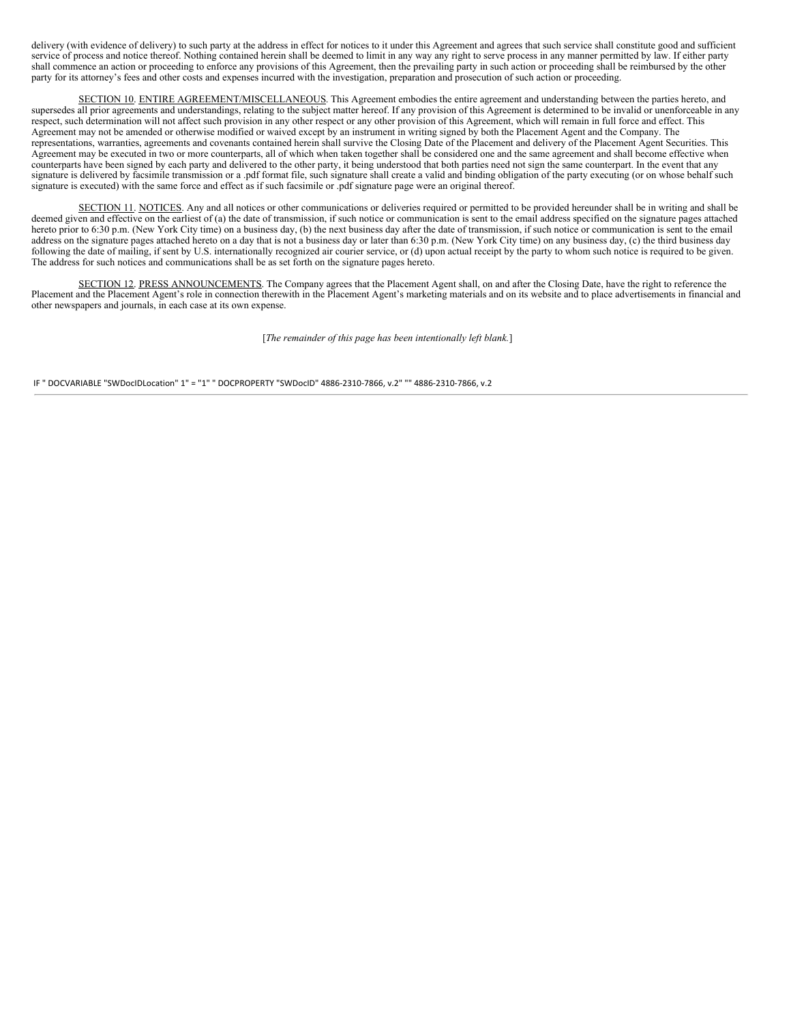delivery (with evidence of delivery) to such party at the address in effect for notices to it under this Agreement and agrees that such service shall constitute good and sufficient service of process and notice thereof. Nothing contained herein shall be deemed to limit in any way any right to serve process in any manner permitted by law. If either party shall commence an action or proceeding to enforce any provisions of this Agreement, then the prevailing party in such action or proceeding shall be reimbursed by the other party for its attorney's fees and other costs and expenses incurred with the investigation, preparation and prosecution of such action or proceeding.

SECTION 10. ENTIRE AGREEMENT/MISCELLANEOUS. This Agreement embodies the entire agreement and understanding between the parties hereto, and supersedes all prior agreements and understandings, relating to the subject matter hereof. If any provision of this Agreement is determined to be invalid or unenforceable in any respect, such determination will not affect such provision in any other respect or any other provision of this Agreement, which will remain in full force and effect. This Agreement may not be amended or otherwise modified or waived except by an instrument in writing signed by both the Placement Agent and the Company. The representations, warranties, agreements and covenants contained herein shall survive the Closing Date of the Placement and delivery of the Placement Agent Securities. This Agreement may be executed in two or more counterparts, all of which when taken together shall be considered one and the same agreement and shall become effective when counterparts have been signed by each party and delivered to the other party, it being understood that both parties need not sign the same counterpart. In the event that any signature is delivered by facsimile transmission or a .pdf format file, such signature shall create a valid and binding obligation of the party executing (or on whose behalf such signature is executed) with the same force and effect as if such facsimile or .pdf signature page were an original thereof.

SECTION 11. NOTICES. Any and all notices or other communications or deliveries required or permitted to be provided hereunder shall be in writing and shall be deemed given and effective on the earliest of (a) the date of transmission, if such notice or communication is sent to the email address specified on the signature pages attached hereto prior to 6:30 p.m. (New York City time) on a business day, (b) the next business day after the date of transmission, if such notice or communication is sent to the email address on the signature pages attached hereto on a day that is not a business day or later than 6:30 p.m. (New York City time) on any business day, (c) the third business day following the date of mailing, if sent by U.S. internationally recognized air courier service, or (d) upon actual receipt by the party to whom such notice is required to be given. The address for such notices and communications shall be as set forth on the signature pages hereto.

SECTION 12. PRESS ANNOUNCEMENTS. The Company agrees that the Placement Agent shall, on and after the Closing Date, have the right to reference the Placement and the Placement Agent's role in connection therewith in the Placement Agent's marketing materials and on its website and to place advertisements in financial and other newspapers and journals, in each case at its own expense.

[*The remainder of this page has been intentionally left blank.*]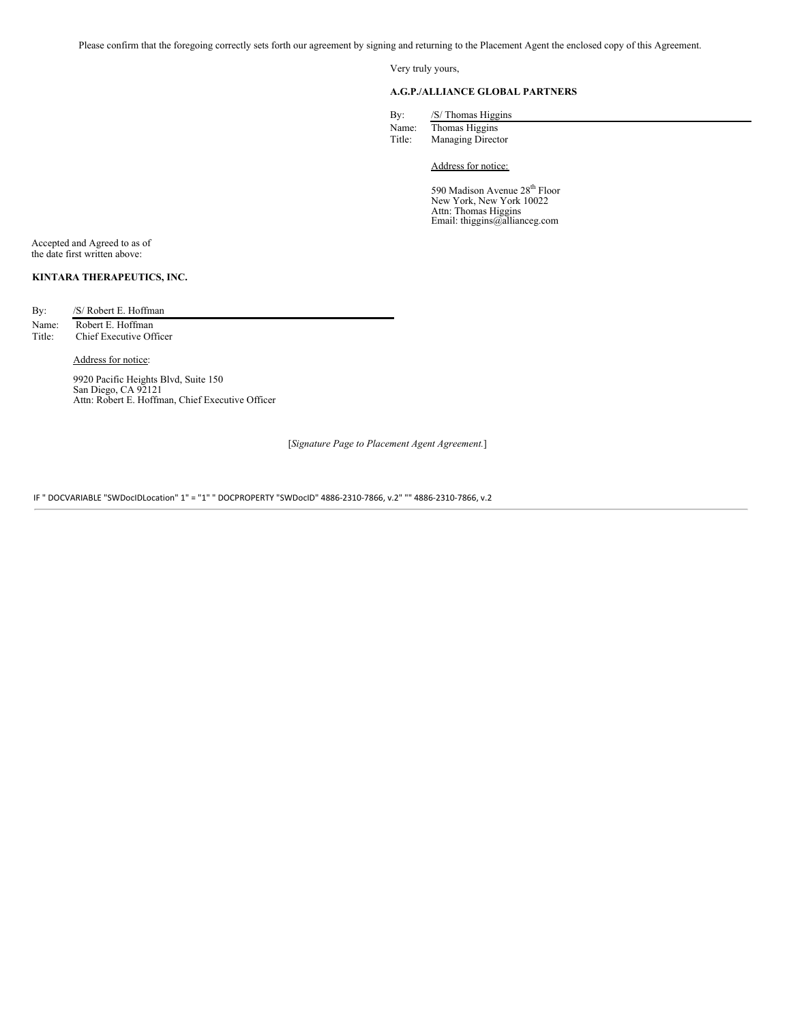Please confirm that the foregoing correctly sets forth our agreement by signing and returning to the Placement Agent the enclosed copy of this Agreement.

Very truly yours,

### **A.G.P./ALLIANCE GLOBAL PARTNERS**

| By:   | /S/ Thomas Higgins |
|-------|--------------------|
| Name: | Thomas Higgins     |

| Title: | <b>Managing Director</b> |  |
|--------|--------------------------|--|
|        |                          |  |

Address for notice:

590 Madison Avenue 28<sup>th</sup> Floor New York, New York 10022 Attn: Thomas Higgins Email: thiggins@allianceg.com

Accepted and Agreed to as of the date first written above:

## **KINTARA THERAPEUTICS, INC.**

By: /S/ Robert E. Hoffman

Name: Robert E. Hoffman Title: Chief Executive Officer

Address for notice:

9920 Pacific Heights Blvd, Suite 150 San Diego, CA 92121 Attn: Robert E. Hoffman, Chief Executive Officer

[*Signature Page to Placement Agent Agreement.*]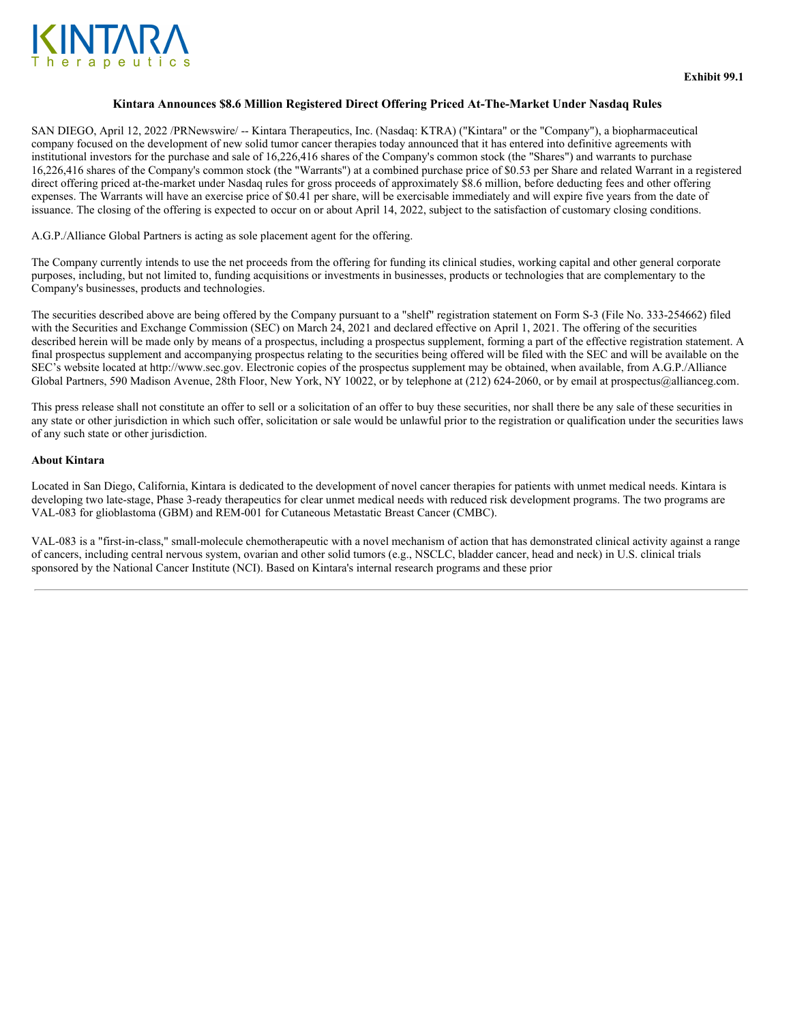

### **Kintara Announces \$8.6 Million Registered Direct Offering Priced At-The-Market Under Nasdaq Rules**

SAN DIEGO, April 12, 2022 /PRNewswire/ -- Kintara Therapeutics, Inc. (Nasdaq: KTRA) ("Kintara" or the "Company"), a biopharmaceutical company focused on the development of new solid tumor cancer therapies today announced that it has entered into definitive agreements with institutional investors for the purchase and sale of 16,226,416 shares of the Company's common stock (the "Shares") and warrants to purchase 16,226,416 shares of the Company's common stock (the "Warrants") at a combined purchase price of \$0.53 per Share and related Warrant in a registered direct offering priced at-the-market under Nasdaq rules for gross proceeds of approximately \$8.6 million, before deducting fees and other offering expenses. The Warrants will have an exercise price of \$0.41 per share, will be exercisable immediately and will expire five years from the date of issuance. The closing of the offering is expected to occur on or about April 14, 2022, subject to the satisfaction of customary closing conditions.

A.G.P./Alliance Global Partners is acting as sole placement agent for the offering.

The Company currently intends to use the net proceeds from the offering for funding its clinical studies, working capital and other general corporate purposes, including, but not limited to, funding acquisitions or investments in businesses, products or technologies that are complementary to the Company's businesses, products and technologies.

The securities described above are being offered by the Company pursuant to a "shelf" registration statement on Form S-3 (File No. 333-254662) filed with the Securities and Exchange Commission (SEC) on March 24, 2021 and declared effective on April 1, 2021. The offering of the securities described herein will be made only by means of a prospectus, including a prospectus supplement, forming a part of the effective registration statement. A final prospectus supplement and accompanying prospectus relating to the securities being offered will be filed with the SEC and will be available on the SEC's website located at http://www.sec.gov. Electronic copies of the prospectus supplement may be obtained, when available, from A.G.P./Alliance Global Partners, 590 Madison Avenue, 28th Floor, New York, NY 10022, or by telephone at (212) 624-2060, or by email at prospectus@allianceg.com.

This press release shall not constitute an offer to sell or a solicitation of an offer to buy these securities, nor shall there be any sale of these securities in any state or other jurisdiction in which such offer, solicitation or sale would be unlawful prior to the registration or qualification under the securities laws of any such state or other jurisdiction.

### **About Kintara**

Located in San Diego, California, Kintara is dedicated to the development of novel cancer therapies for patients with unmet medical needs. Kintara is developing two late-stage, Phase 3-ready therapeutics for clear unmet medical needs with reduced risk development programs. The two programs are VAL-083 for glioblastoma (GBM) and REM-001 for Cutaneous Metastatic Breast Cancer (CMBC).

VAL-083 is a "first-in-class," small-molecule chemotherapeutic with a novel mechanism of action that has demonstrated clinical activity against a range of cancers, including central nervous system, ovarian and other solid tumors (e.g., NSCLC, bladder cancer, head and neck) in U.S. clinical trials sponsored by the National Cancer Institute (NCI). Based on Kintara's internal research programs and these prior